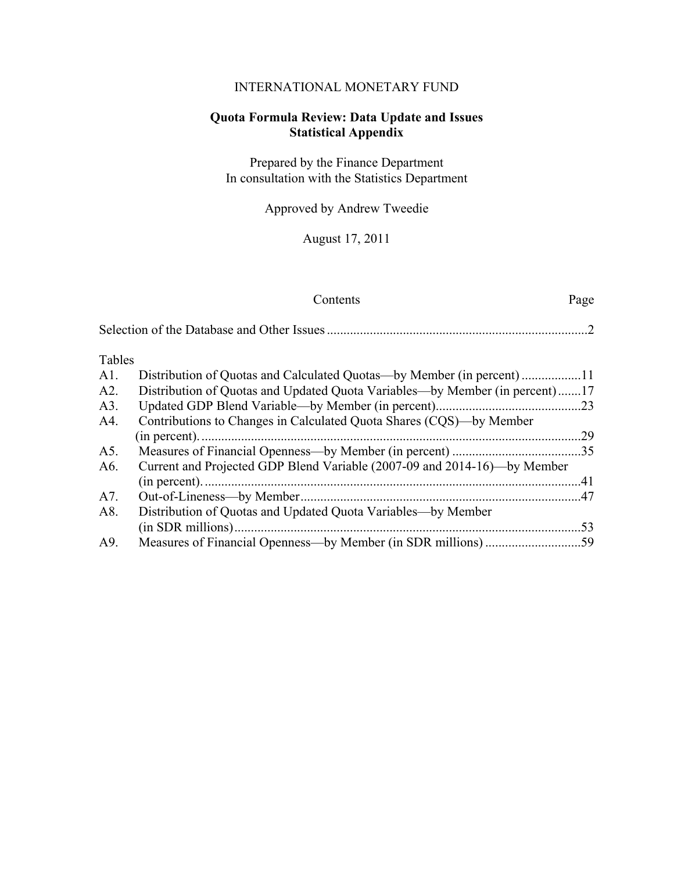## INTERNATIONAL MONETARY FUND

## **Quota Formula Review: Data Update and Issues Statistical Appendix**

Prepared by the Finance Department In consultation with the Statistics Department

Approved by Andrew Tweedie

August 17, 2011

### Contents Page

| Tables |                                                                             |    |
|--------|-----------------------------------------------------------------------------|----|
| A1.    | Distribution of Quotas and Calculated Quotas—by Member (in percent)         |    |
| A2.    | Distribution of Quotas and Updated Quota Variables—by Member (in percent)17 |    |
| A3.    |                                                                             |    |
| A4.    | Contributions to Changes in Calculated Quota Shares (CQS)—by Member         |    |
|        |                                                                             | 29 |
| A5.    |                                                                             |    |
| A6.    | Current and Projected GDP Blend Variable (2007-09 and 2014-16)—by Member    |    |
|        |                                                                             | 41 |
| A7.    |                                                                             |    |
| A8.    | Distribution of Quotas and Updated Quota Variables—by Member                |    |
|        |                                                                             | 53 |

A9. Measures of Financial Openness—by Member (in SDR millions) .............................59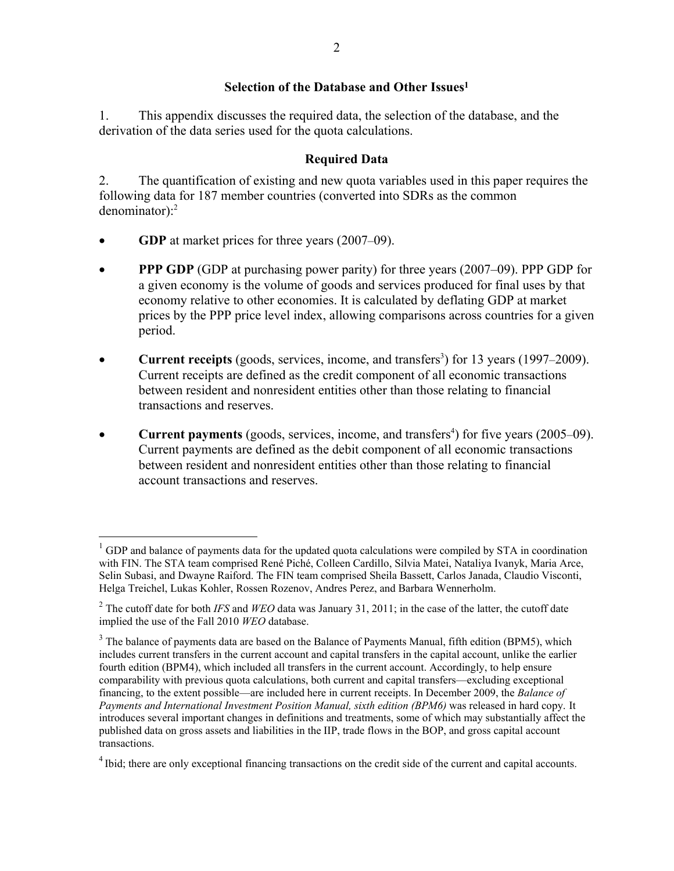### **Selection of the Database and Other Issues1**

1. This appendix discusses the required data, the selection of the database, and the derivation of the data series used for the quota calculations.

### **Required Data**

2. The quantification of existing and new quota variables used in this paper requires the following data for 187 member countries (converted into SDRs as the common denominator): $2$ 

**GDP** at market prices for three years (2007–09).

<u>.</u>

- **PPP GDP** (GDP at purchasing power parity) for three years (2007–09). PPP GDP for a given economy is the volume of goods and services produced for final uses by that economy relative to other economies. It is calculated by deflating GDP at market prices by the PPP price level index, allowing comparisons across countries for a given period.
- **Current receipts** (goods, services, income, and transfers<sup>3</sup>) for 13 years (1997–2009). Current receipts are defined as the credit component of all economic transactions between resident and nonresident entities other than those relating to financial transactions and reserves.
- **Current payments** (goods, services, income, and transfers<sup>4</sup>) for five years (2005–09). Current payments are defined as the debit component of all economic transactions between resident and nonresident entities other than those relating to financial account transactions and reserves.

 $1$  GDP and balance of payments data for the updated quota calculations were compiled by STA in coordination with FIN. The STA team comprised René Piché, Colleen Cardillo, Silvia Matei, Nataliya Ivanyk, Maria Arce, Selin Subasi, and Dwayne Raiford. The FIN team comprised Sheila Bassett, Carlos Janada, Claudio Visconti, Helga Treichel, Lukas Kohler, Rossen Rozenov, Andres Perez, and Barbara Wennerholm.

<sup>&</sup>lt;sup>2</sup> The cutoff date for both *IFS* and *WEO* data was January 31, 2011; in the case of the latter, the cutoff date implied the use of the Fall 2010 *WEO* database.

 $3$  The balance of payments data are based on the Balance of Payments Manual, fifth edition (BPM5), which includes current transfers in the current account and capital transfers in the capital account, unlike the earlier fourth edition (BPM4), which included all transfers in the current account. Accordingly, to help ensure comparability with previous quota calculations, both current and capital transfers—excluding exceptional financing, to the extent possible—are included here in current receipts. In December 2009, the *Balance of Payments and International Investment Position Manual, sixth edition (BPM6)* was released in hard copy. It introduces several important changes in definitions and treatments, some of which may substantially affect the published data on gross assets and liabilities in the IIP, trade flows in the BOP, and gross capital account transactions.

<sup>&</sup>lt;sup>4</sup> Ibid; there are only exceptional financing transactions on the credit side of the current and capital accounts.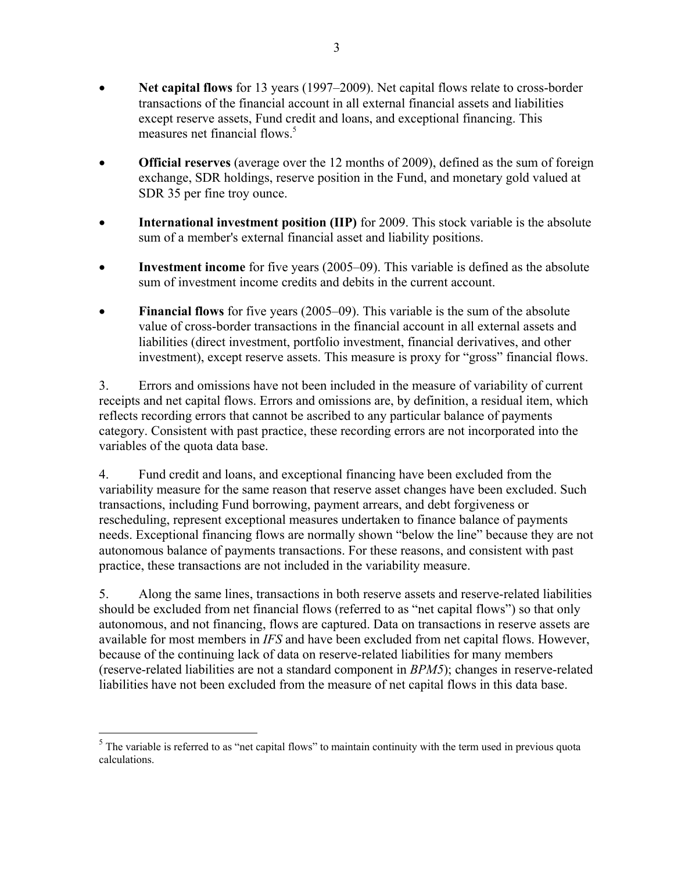- **Net capital flows** for 13 years (1997–2009). Net capital flows relate to cross-border transactions of the financial account in all external financial assets and liabilities except reserve assets, Fund credit and loans, and exceptional financing. This measures net financial flows.<sup>5</sup>
- **• Official reserves** (average over the 12 months of 2009), defined as the sum of foreign exchange, SDR holdings, reserve position in the Fund, and monetary gold valued at SDR 35 per fine troy ounce.
- **International investment position (IIP)** for 2009. This stock variable is the absolute sum of a member's external financial asset and liability positions.
- **Investment income** for five years (2005–09). This variable is defined as the absolute sum of investment income credits and debits in the current account.
- **Financial flows** for five years (2005–09). This variable is the sum of the absolute value of cross-border transactions in the financial account in all external assets and liabilities (direct investment, portfolio investment, financial derivatives, and other investment), except reserve assets. This measure is proxy for "gross" financial flows.

3. Errors and omissions have not been included in the measure of variability of current receipts and net capital flows. Errors and omissions are, by definition, a residual item, which reflects recording errors that cannot be ascribed to any particular balance of payments category. Consistent with past practice, these recording errors are not incorporated into the variables of the quota data base.

4. Fund credit and loans, and exceptional financing have been excluded from the variability measure for the same reason that reserve asset changes have been excluded. Such transactions, including Fund borrowing, payment arrears, and debt forgiveness or rescheduling, represent exceptional measures undertaken to finance balance of payments needs. Exceptional financing flows are normally shown "below the line" because they are not autonomous balance of payments transactions. For these reasons, and consistent with past practice, these transactions are not included in the variability measure.

5. Along the same lines, transactions in both reserve assets and reserve-related liabilities should be excluded from net financial flows (referred to as "net capital flows") so that only autonomous, and not financing, flows are captured. Data on transactions in reserve assets are available for most members in *IFS* and have been excluded from net capital flows. However, because of the continuing lack of data on reserve-related liabilities for many members (reserve-related liabilities are not a standard component in *BPM5*); changes in reserve-related liabilities have not been excluded from the measure of net capital flows in this data base.

 $\overline{a}$ 

 $<sup>5</sup>$  The variable is referred to as "net capital flows" to maintain continuity with the term used in previous quota</sup> calculations.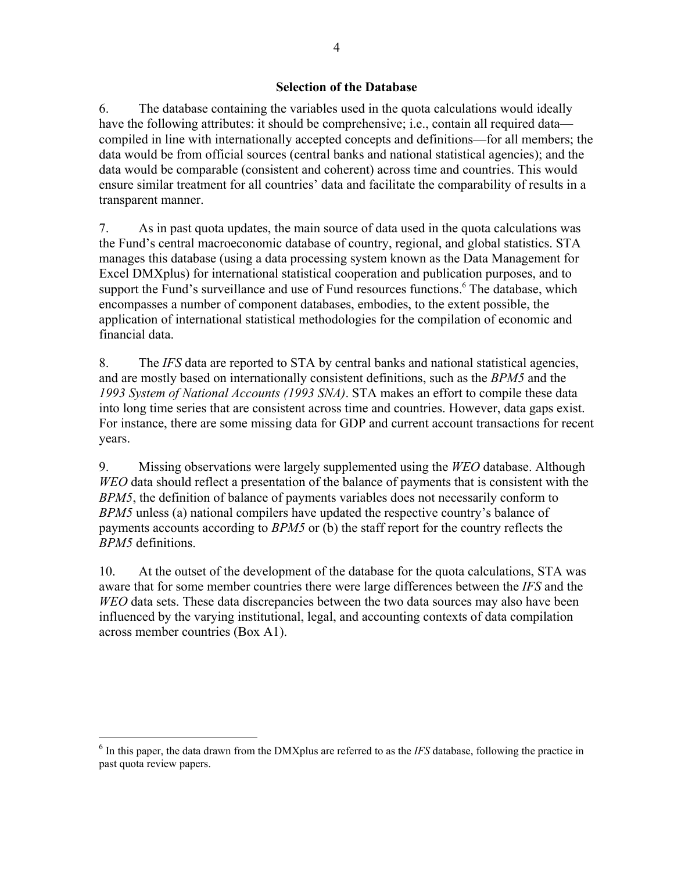### **Selection of the Database**

6. The database containing the variables used in the quota calculations would ideally have the following attributes: it should be comprehensive; i.e., contain all required data compiled in line with internationally accepted concepts and definitions—for all members; the data would be from official sources (central banks and national statistical agencies); and the data would be comparable (consistent and coherent) across time and countries. This would ensure similar treatment for all countries' data and facilitate the comparability of results in a transparent manner.

7. As in past quota updates, the main source of data used in the quota calculations was the Fund's central macroeconomic database of country, regional, and global statistics. STA manages this database (using a data processing system known as the Data Management for Excel DMXplus) for international statistical cooperation and publication purposes, and to support the Fund's surveillance and use of Fund resources functions.<sup>6</sup> The database, which encompasses a number of component databases, embodies, to the extent possible, the application of international statistical methodologies for the compilation of economic and financial data.

8. The *IFS* data are reported to STA by central banks and national statistical agencies, and are mostly based on internationally consistent definitions, such as the *BPM5* and the *1993 System of National Accounts (1993 SNA)*. STA makes an effort to compile these data into long time series that are consistent across time and countries. However, data gaps exist. For instance, there are some missing data for GDP and current account transactions for recent years.

9. Missing observations were largely supplemented using the *WEO* database. Although *WEO* data should reflect a presentation of the balance of payments that is consistent with the *BPM5*, the definition of balance of payments variables does not necessarily conform to *BPM5* unless (a) national compilers have updated the respective country's balance of payments accounts according to *BPM5* or (b) the staff report for the country reflects the *BPM5* definitions.

10. At the outset of the development of the database for the quota calculations, STA was aware that for some member countries there were large differences between the *IFS* and the *WEO* data sets. These data discrepancies between the two data sources may also have been influenced by the varying institutional, legal, and accounting contexts of data compilation across member countries (Box A1).

<sup>&</sup>lt;sup>6</sup> In this paper, the data drawn from the DMXplus are referred to as the *IFS* database, following the practice in past quota review papers.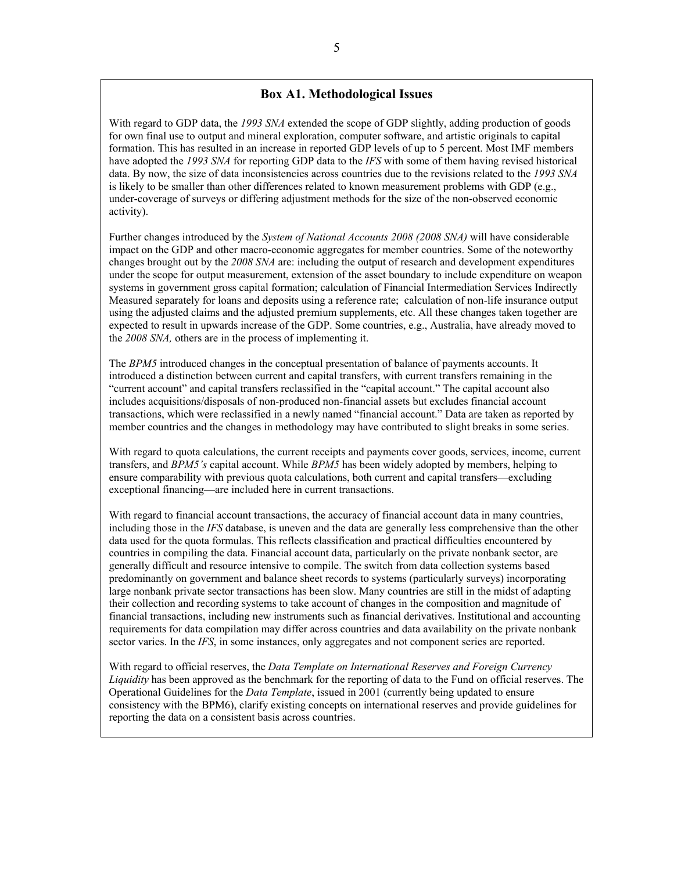### **Box A1. Methodological Issues**

With regard to GDP data, the *1993 SNA* extended the scope of GDP slightly, adding production of goods for own final use to output and mineral exploration, computer software, and artistic originals to capital formation. This has resulted in an increase in reported GDP levels of up to 5 percent. Most IMF members have adopted the *1993 SNA* for reporting GDP data to the *IFS* with some of them having revised historical data. By now, the size of data inconsistencies across countries due to the revisions related to the *1993 SNA* is likely to be smaller than other differences related to known measurement problems with GDP (e.g., under-coverage of surveys or differing adjustment methods for the size of the non-observed economic activity).

Further changes introduced by the *System of National Accounts 2008 (2008 SNA)* will have considerable impact on the GDP and other macro-economic aggregates for member countries. Some of the noteworthy changes brought out by the *2008 SNA* are: including the output of research and development expenditures under the scope for output measurement, extension of the asset boundary to include expenditure on weapon systems in government gross capital formation; calculation of Financial Intermediation Services Indirectly Measured separately for loans and deposits using a reference rate; calculation of non-life insurance output using the adjusted claims and the adjusted premium supplements, etc. All these changes taken together are expected to result in upwards increase of the GDP. Some countries, e.g., Australia, have already moved to the *2008 SNA,* others are in the process of implementing it.

The *BPM5* introduced changes in the conceptual presentation of balance of payments accounts. It introduced a distinction between current and capital transfers, with current transfers remaining in the "current account" and capital transfers reclassified in the "capital account." The capital account also includes acquisitions/disposals of non-produced non-financial assets but excludes financial account transactions, which were reclassified in a newly named "financial account." Data are taken as reported by member countries and the changes in methodology may have contributed to slight breaks in some series.

With regard to quota calculations, the current receipts and payments cover goods, services, income, current transfers, and *BPM5's* capital account. While *BPM5* has been widely adopted by members, helping to ensure comparability with previous quota calculations, both current and capital transfers—excluding exceptional financing—are included here in current transactions.

With regard to financial account transactions, the accuracy of financial account data in many countries, including those in the *IFS* database, is uneven and the data are generally less comprehensive than the other data used for the quota formulas. This reflects classification and practical difficulties encountered by countries in compiling the data. Financial account data, particularly on the private nonbank sector, are generally difficult and resource intensive to compile. The switch from data collection systems based predominantly on government and balance sheet records to systems (particularly surveys) incorporating large nonbank private sector transactions has been slow. Many countries are still in the midst of adapting their collection and recording systems to take account of changes in the composition and magnitude of financial transactions, including new instruments such as financial derivatives. Institutional and accounting requirements for data compilation may differ across countries and data availability on the private nonbank sector varies. In the *IFS*, in some instances, only aggregates and not component series are reported.

With regard to official reserves, the *Data Template on International Reserves and Foreign Currency Liquidity* has been approved as the benchmark for the reporting of data to the Fund on official reserves. The Operational Guidelines for the *Data Template*, issued in 2001 (currently being updated to ensure consistency with the BPM6), clarify existing concepts on international reserves and provide guidelines for reporting the data on a consistent basis across countries.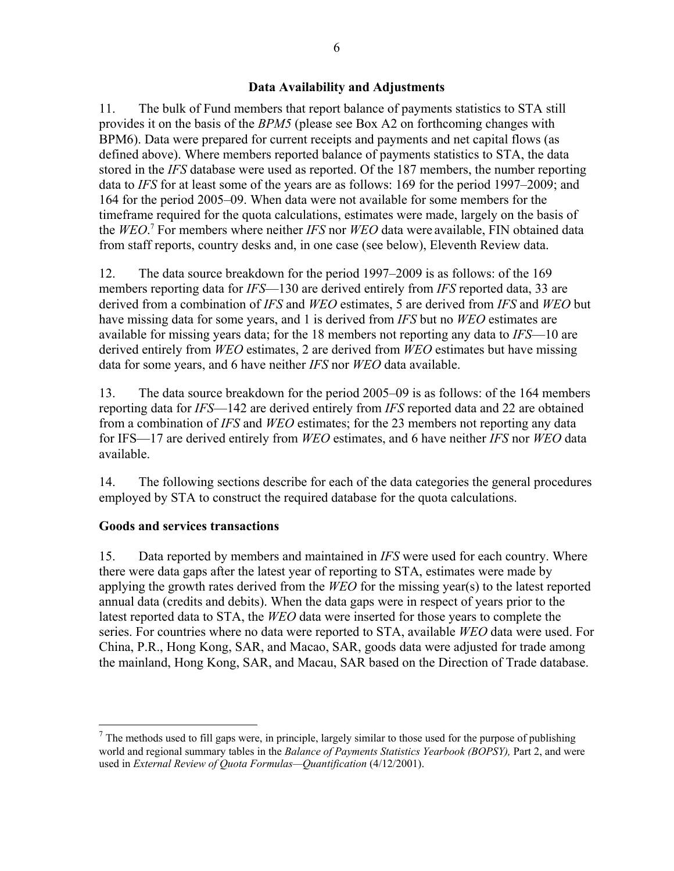### **Data Availability and Adjustments**

11. The bulk of Fund members that report balance of payments statistics to STA still provides it on the basis of the *BPM5* (please see Box A2 on forthcoming changes with BPM6). Data were prepared for current receipts and payments and net capital flows (as defined above). Where members reported balance of payments statistics to STA, the data stored in the *IFS* database were used as reported. Of the 187 members, the number reporting data to *IFS* for at least some of the years are as follows: 169 for the period 1997–2009; and 164 for the period 2005–09. When data were not available for some members for the timeframe required for the quota calculations, estimates were made, largely on the basis of the *WEO*. <sup>7</sup> For members where neither *IFS* nor *WEO* data were available, FIN obtained data from staff reports, country desks and, in one case (see below), Eleventh Review data.

12. The data source breakdown for the period 1997–2009 is as follows: of the 169 members reporting data for *IFS*—130 are derived entirely from *IFS* reported data, 33 are derived from a combination of *IFS* and *WEO* estimates, 5 are derived from *IFS* and *WEO* but have missing data for some years, and 1 is derived from *IFS* but no *WEO* estimates are available for missing years data; for the 18 members not reporting any data to *IFS*—10 are derived entirely from *WEO* estimates, 2 are derived from *WEO* estimates but have missing data for some years, and 6 have neither *IFS* nor *WEO* data available.

13. The data source breakdown for the period 2005–09 is as follows: of the 164 members reporting data for *IFS*—142 are derived entirely from *IFS* reported data and 22 are obtained from a combination of *IFS* and *WEO* estimates; for the 23 members not reporting any data for IFS—17 are derived entirely from *WEO* estimates, and 6 have neither *IFS* nor *WEO* data available.

14. The following sections describe for each of the data categories the general procedures employed by STA to construct the required database for the quota calculations.

## **Goods and services transactions**

 $\overline{a}$ 

15. Data reported by members and maintained in *IFS* were used for each country. Where there were data gaps after the latest year of reporting to STA, estimates were made by applying the growth rates derived from the *WEO* for the missing year(s) to the latest reported annual data (credits and debits). When the data gaps were in respect of years prior to the latest reported data to STA, the *WEO* data were inserted for those years to complete the series. For countries where no data were reported to STA, available *WEO* data were used. For China, P.R., Hong Kong, SAR, and Macao, SAR, goods data were adjusted for trade among the mainland, Hong Kong, SAR, and Macau, SAR based on the Direction of Trade database.

 $<sup>7</sup>$  The methods used to fill gaps were, in principle, largely similar to those used for the purpose of publishing</sup> world and regional summary tables in the *Balance of Payments Statistics Yearbook (BOPSY),* Part 2, and were used in *External Review of Quota Formulas—Quantification* (4/12/2001).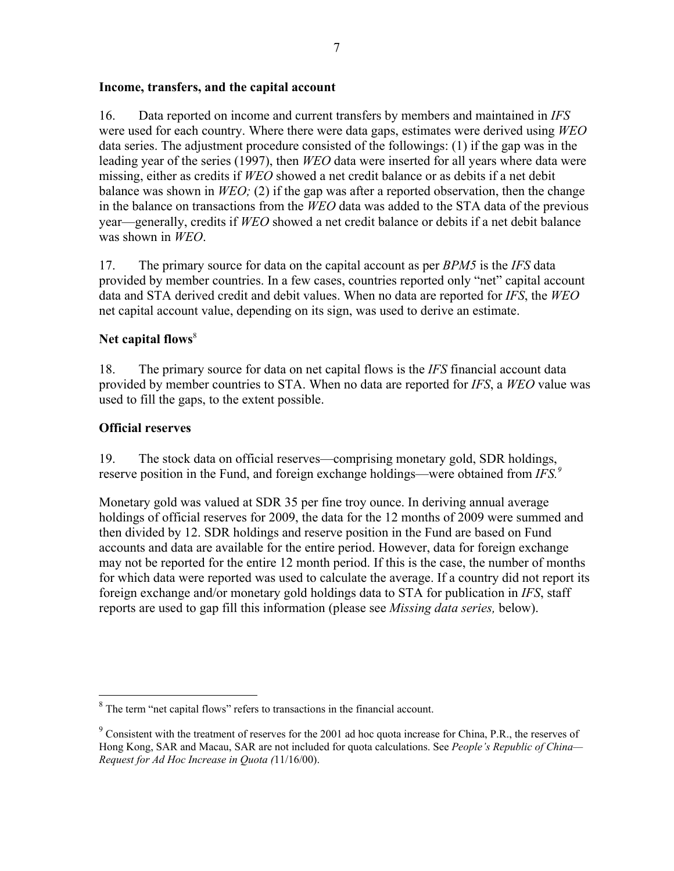### **Income, transfers, and the capital account**

16. Data reported on income and current transfers by members and maintained in *IFS* were used for each country. Where there were data gaps, estimates were derived using *WEO* data series. The adjustment procedure consisted of the followings: (1) if the gap was in the leading year of the series (1997), then *WEO* data were inserted for all years where data were missing, either as credits if *WEO* showed a net credit balance or as debits if a net debit balance was shown in *WEO;* (2) if the gap was after a reported observation, then the change in the balance on transactions from the *WEO* data was added to the STA data of the previous year—generally, credits if *WEO* showed a net credit balance or debits if a net debit balance was shown in *WEO*.

17. The primary source for data on the capital account as per *BPM5* is the *IFS* data provided by member countries. In a few cases, countries reported only "net" capital account data and STA derived credit and debit values. When no data are reported for *IFS*, the *WEO* net capital account value, depending on its sign, was used to derive an estimate.

# Net capital flows<sup>8</sup>

18. The primary source for data on net capital flows is the *IFS* financial account data provided by member countries to STA. When no data are reported for *IFS*, a *WEO* value was used to fill the gaps, to the extent possible.

## **Official reserves**

 $\overline{a}$ 

19. The stock data on official reserves—comprising monetary gold, SDR holdings, reserve position in the Fund, and foreign exchange holdings—were obtained from *IFS.9*

Monetary gold was valued at SDR 35 per fine troy ounce. In deriving annual average holdings of official reserves for 2009, the data for the 12 months of 2009 were summed and then divided by 12. SDR holdings and reserve position in the Fund are based on Fund accounts and data are available for the entire period. However, data for foreign exchange may not be reported for the entire 12 month period. If this is the case, the number of months for which data were reported was used to calculate the average. If a country did not report its foreign exchange and/or monetary gold holdings data to STA for publication in *IFS*, staff reports are used to gap fill this information (please see *Missing data series,* below).

 $8$  The term "net capital flows" refers to transactions in the financial account.

 $9^9$  Consistent with the treatment of reserves for the 2001 ad hoc quota increase for China, P.R., the reserves of Hong Kong, SAR and Macau, SAR are not included for quota calculations. See *People's Republic of China— Request for Ad Hoc Increase in Quota (*11/16/00).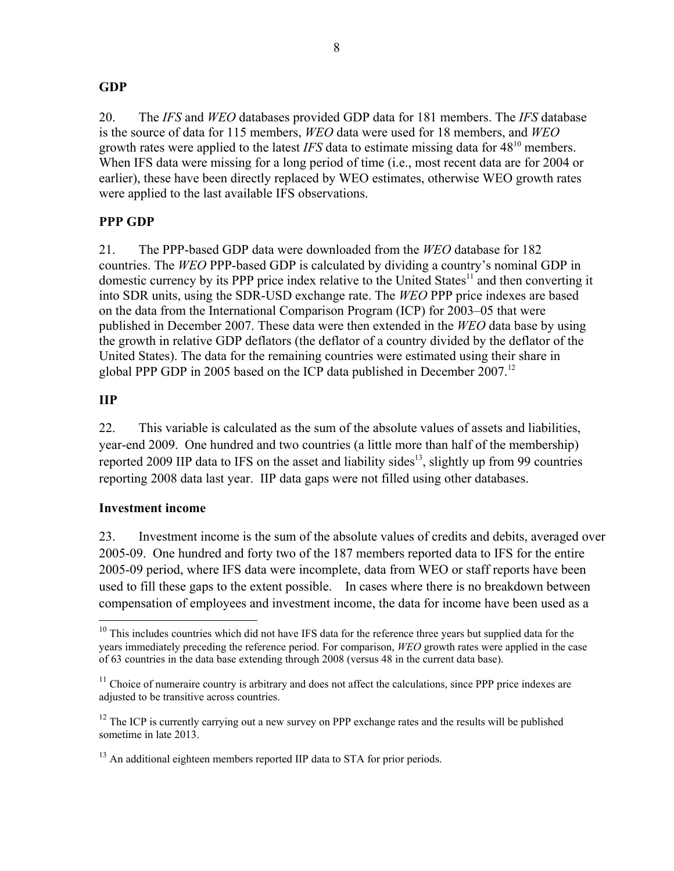## **GDP**

20. The *IFS* and *WEO* databases provided GDP data for 181 members. The *IFS* database is the source of data for 115 members, *WEO* data were used for 18 members, and *WEO* growth rates were applied to the latest *IFS* data to estimate missing data for  $48^{10}$  members. When IFS data were missing for a long period of time (i.e., most recent data are for 2004 or earlier), these have been directly replaced by WEO estimates, otherwise WEO growth rates were applied to the last available IFS observations.

# **PPP GDP**

21. The PPP-based GDP data were downloaded from the *WEO* database for 182 countries. The *WEO* PPP-based GDP is calculated by dividing a country's nominal GDP in domestic currency by its PPP price index relative to the United States<sup>11</sup> and then converting it into SDR units, using the SDR-USD exchange rate. The *WEO* PPP price indexes are based on the data from the International Comparison Program (ICP) for 2003–05 that were published in December 2007. These data were then extended in the *WEO* data base by using the growth in relative GDP deflators (the deflator of a country divided by the deflator of the United States). The data for the remaining countries were estimated using their share in global PPP GDP in 2005 based on the ICP data published in December 2007.<sup>12</sup>

# **IIP**

 $\overline{a}$ 

22. This variable is calculated as the sum of the absolute values of assets and liabilities, year-end 2009. One hundred and two countries (a little more than half of the membership) reported 2009 IIP data to IFS on the asset and liability sides<sup>13</sup>, slightly up from 99 countries reporting 2008 data last year. IIP data gaps were not filled using other databases.

## **Investment income**

23. Investment income is the sum of the absolute values of credits and debits, averaged over 2005-09. One hundred and forty two of the 187 members reported data to IFS for the entire 2005-09 period, where IFS data were incomplete, data from WEO or staff reports have been used to fill these gaps to the extent possible. In cases where there is no breakdown between compensation of employees and investment income, the data for income have been used as a

 $10$  This includes countries which did not have IFS data for the reference three years but supplied data for the years immediately preceding the reference period. For comparison, *WEO* growth rates were applied in the case of 63 countries in the data base extending through 2008 (versus 48 in the current data base).

 $11$  Choice of numeraire country is arbitrary and does not affect the calculations, since PPP price indexes are adjusted to be transitive across countries.

 $12$  The ICP is currently carrying out a new survey on PPP exchange rates and the results will be published sometime in late 2013.

<sup>&</sup>lt;sup>13</sup> An additional eighteen members reported IIP data to STA for prior periods.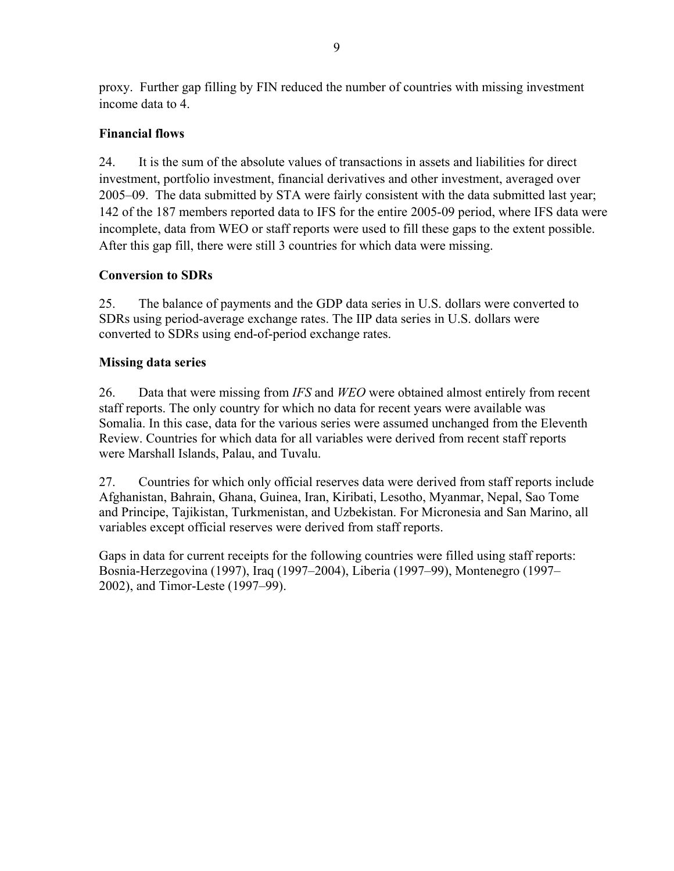proxy. Further gap filling by FIN reduced the number of countries with missing investment income data to 4.

# **Financial flows**

24. It is the sum of the absolute values of transactions in assets and liabilities for direct investment, portfolio investment, financial derivatives and other investment, averaged over 2005–09. The data submitted by STA were fairly consistent with the data submitted last year; 142 of the 187 members reported data to IFS for the entire 2005-09 period, where IFS data were incomplete, data from WEO or staff reports were used to fill these gaps to the extent possible. After this gap fill, there were still 3 countries for which data were missing.

# **Conversion to SDRs**

25. The balance of payments and the GDP data series in U.S. dollars were converted to SDRs using period-average exchange rates. The IIP data series in U.S. dollars were converted to SDRs using end-of-period exchange rates.

# **Missing data series**

26. Data that were missing from *IFS* and *WEO* were obtained almost entirely from recent staff reports. The only country for which no data for recent years were available was Somalia. In this case, data for the various series were assumed unchanged from the Eleventh Review. Countries for which data for all variables were derived from recent staff reports were Marshall Islands, Palau, and Tuvalu.

27. Countries for which only official reserves data were derived from staff reports include Afghanistan, Bahrain, Ghana, Guinea, Iran, Kiribati, Lesotho, Myanmar, Nepal, Sao Tome and Principe, Tajikistan, Turkmenistan, and Uzbekistan. For Micronesia and San Marino, all variables except official reserves were derived from staff reports.

Gaps in data for current receipts for the following countries were filled using staff reports: Bosnia-Herzegovina (1997), Iraq (1997–2004), Liberia (1997–99), Montenegro (1997– 2002), and Timor-Leste (1997–99).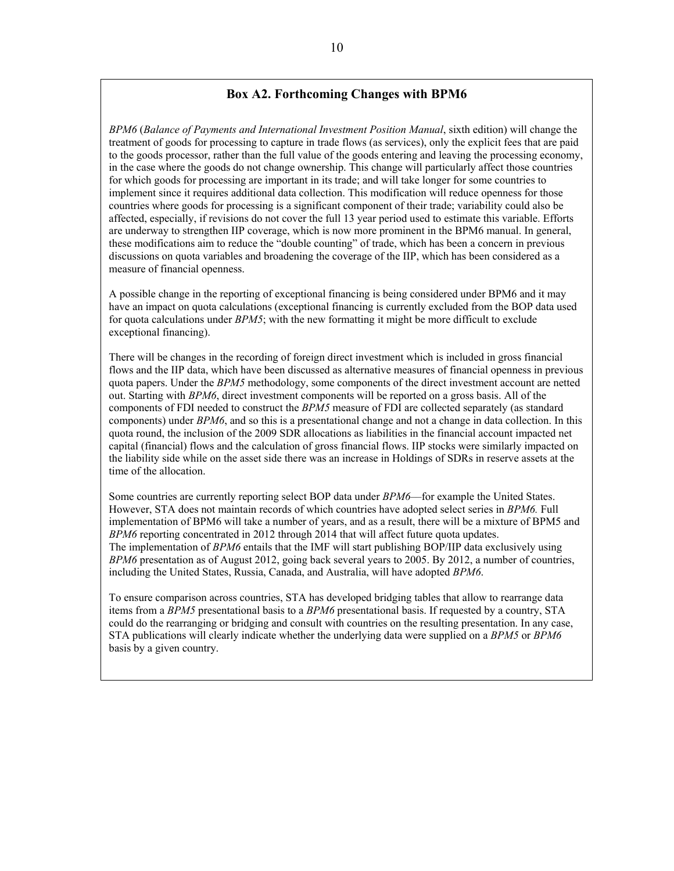### **Box A2. Forthcoming Changes with BPM6**

*BPM6* (*Balance of Payments and International Investment Position Manual*, sixth edition) will change the treatment of goods for processing to capture in trade flows (as services), only the explicit fees that are paid to the goods processor, rather than the full value of the goods entering and leaving the processing economy, in the case where the goods do not change ownership. This change will particularly affect those countries for which goods for processing are important in its trade; and will take longer for some countries to implement since it requires additional data collection. This modification will reduce openness for those countries where goods for processing is a significant component of their trade; variability could also be affected, especially, if revisions do not cover the full 13 year period used to estimate this variable. Efforts are underway to strengthen IIP coverage, which is now more prominent in the BPM6 manual. In general, these modifications aim to reduce the "double counting" of trade, which has been a concern in previous discussions on quota variables and broadening the coverage of the IIP, which has been considered as a measure of financial openness.

A possible change in the reporting of exceptional financing is being considered under BPM6 and it may have an impact on quota calculations (exceptional financing is currently excluded from the BOP data used for quota calculations under *BPM5*; with the new formatting it might be more difficult to exclude exceptional financing).

There will be changes in the recording of foreign direct investment which is included in gross financial flows and the IIP data, which have been discussed as alternative measures of financial openness in previous quota papers. Under the *BPM5* methodology, some components of the direct investment account are netted out. Starting with *BPM6*, direct investment components will be reported on a gross basis. All of the components of FDI needed to construct the *BPM5* measure of FDI are collected separately (as standard components) under *BPM6*, and so this is a presentational change and not a change in data collection. In this quota round, the inclusion of the 2009 SDR allocations as liabilities in the financial account impacted net capital (financial) flows and the calculation of gross financial flows. IIP stocks were similarly impacted on the liability side while on the asset side there was an increase in Holdings of SDRs in reserve assets at the time of the allocation.

Some countries are currently reporting select BOP data under *BPM6*––for example the United States. However, STA does not maintain records of which countries have adopted select series in *BPM6.* Full implementation of BPM6 will take a number of years, and as a result, there will be a mixture of BPM5 and *BPM6* reporting concentrated in 2012 through 2014 that will affect future quota updates. The implementation of *BPM6* entails that the IMF will start publishing BOP/IIP data exclusively using *BPM6* presentation as of August 2012, going back several years to 2005. By 2012, a number of countries, including the United States, Russia, Canada, and Australia, will have adopted *BPM6*.

To ensure comparison across countries, STA has developed bridging tables that allow to rearrange data items from a *BPM5* presentational basis to a *BPM6* presentational basis. If requested by a country, STA could do the rearranging or bridging and consult with countries on the resulting presentation. In any case, STA publications will clearly indicate whether the underlying data were supplied on a *BPM5* or *BPM6* basis by a given country.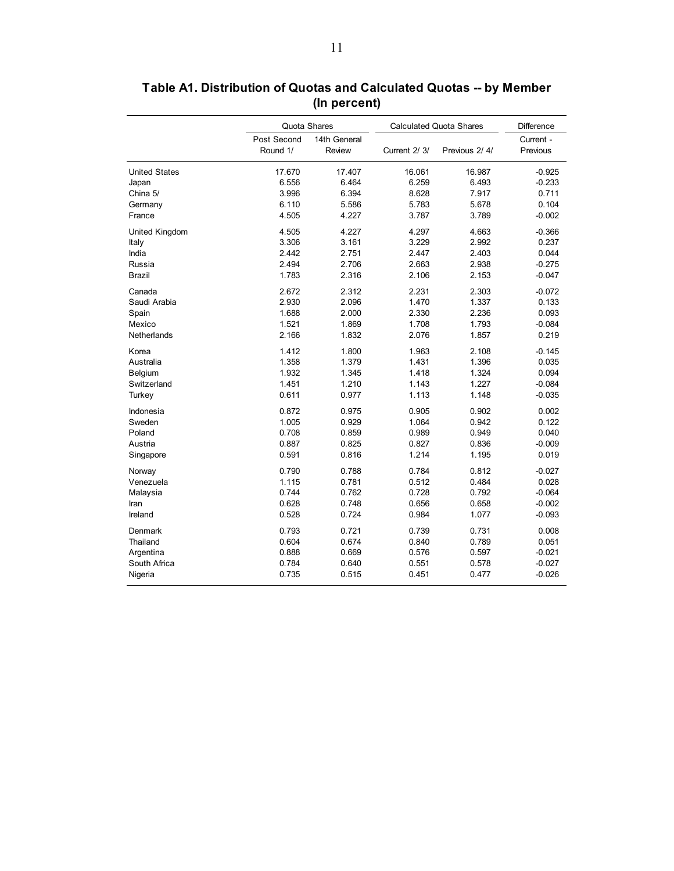|                      | Quota Shares            |                        | <b>Calculated Quota Shares</b> |               | <b>Difference</b>     |
|----------------------|-------------------------|------------------------|--------------------------------|---------------|-----------------------|
|                      | Post Second<br>Round 1/ | 14th General<br>Review | Current 2/ 3/                  | Previous 2/4/ | Current -<br>Previous |
| <b>United States</b> | 17.670                  | 17.407                 | 16.061                         | 16.987        | $-0.925$              |
| Japan                | 6.556                   | 6.464                  | 6.259                          | 6.493         | $-0.233$              |
| China 5/             | 3.996                   | 6.394                  | 8.628                          | 7.917         | 0.711                 |
| Germany              | 6.110                   | 5.586                  | 5.783                          | 5.678         | 0.104                 |
| France               | 4.505                   | 4.227                  | 3.787                          | 3.789         | $-0.002$              |
| United Kingdom       | 4.505                   | 4.227                  | 4.297                          | 4.663         | $-0.366$              |
| Italy                | 3.306                   | 3.161                  | 3.229                          | 2.992         | 0.237                 |
| India                | 2.442                   | 2.751                  | 2.447                          | 2.403         | 0.044                 |
| Russia               | 2.494                   | 2.706                  | 2.663                          | 2.938         | $-0.275$              |
| Brazil               | 1.783                   | 2.316                  | 2.106                          | 2.153         | $-0.047$              |
| Canada               | 2.672                   | 2.312                  | 2.231                          | 2.303         | $-0.072$              |
| Saudi Arabia         | 2.930                   | 2.096                  | 1.470                          | 1.337         | 0.133                 |
| Spain                | 1.688                   | 2.000                  | 2.330                          | 2.236         | 0.093                 |
| Mexico               | 1.521                   | 1.869                  | 1.708                          | 1.793         | $-0.084$              |
| Netherlands          | 2.166                   | 1.832                  | 2.076                          | 1.857         | 0.219                 |
| Korea                | 1.412                   | 1.800                  | 1.963                          | 2.108         | $-0.145$              |
| Australia            | 1.358                   | 1.379                  | 1.431                          | 1.396         | 0.035                 |
| Belgium              | 1.932                   | 1.345                  | 1.418                          | 1.324         | 0.094                 |
| Switzerland          | 1.451                   | 1.210                  | 1.143                          | 1.227         | $-0.084$              |
| Turkey               | 0.611                   | 0.977                  | 1.113                          | 1.148         | $-0.035$              |
| Indonesia            | 0.872                   | 0.975                  | 0.905                          | 0.902         | 0.002                 |
| Sweden               | 1.005                   | 0.929                  | 1.064                          | 0.942         | 0.122                 |
| Poland               | 0.708                   | 0.859                  | 0.989                          | 0.949         | 0.040                 |
| Austria              | 0.887                   | 0.825                  | 0.827                          | 0.836         | $-0.009$              |
| Singapore            | 0.591                   | 0.816                  | 1.214                          | 1.195         | 0.019                 |
| Norway               | 0.790                   | 0.788                  | 0.784                          | 0.812         | $-0.027$              |
| Venezuela            | 1.115                   | 0.781                  | 0.512                          | 0.484         | 0.028                 |
| Malaysia             | 0.744                   | 0.762                  | 0.728                          | 0.792         | $-0.064$              |
| Iran                 | 0.628                   | 0.748                  | 0.656                          | 0.658         | $-0.002$              |
| Ireland              | 0.528                   | 0.724                  | 0.984                          | 1.077         | $-0.093$              |
| Denmark              | 0.793                   | 0.721                  | 0.739                          | 0.731         | 0.008                 |
| Thailand             | 0.604                   | 0.674                  | 0.840                          | 0.789         | 0.051                 |
| Argentina            | 0.888                   | 0.669                  | 0.576                          | 0.597         | $-0.021$              |
| South Africa         | 0.784                   | 0.640                  | 0.551                          | 0.578         | $-0.027$              |
| Nigeria              | 0.735                   | 0.515                  | 0.451                          | 0.477         | $-0.026$              |

**Table A1. Distribution of Quotas and Calculated Quotas -- by Member (In percent)**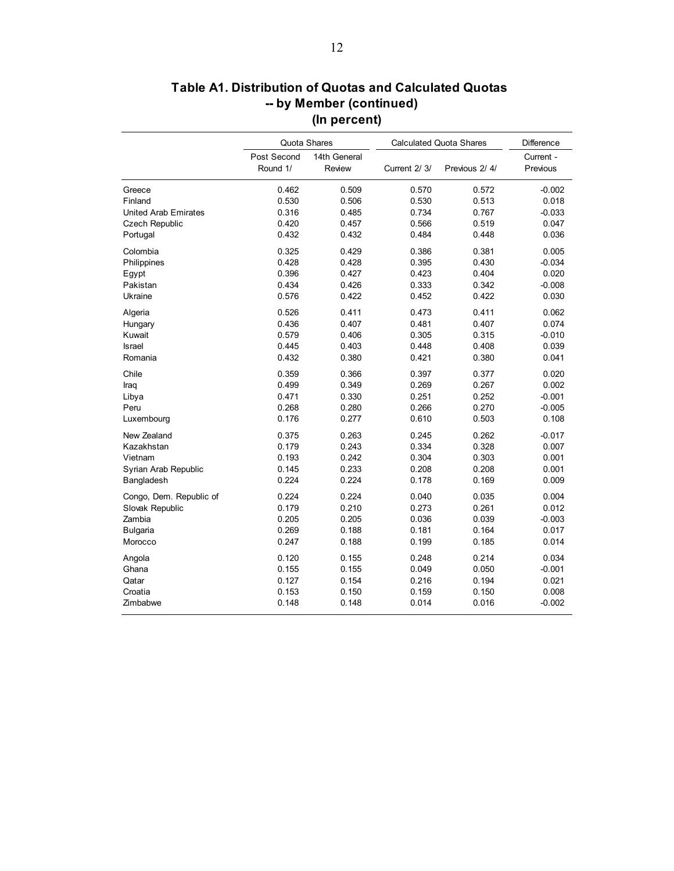|                             | Quota Shares            |                        |              | <b>Calculated Quota Shares</b> | Difference            |
|-----------------------------|-------------------------|------------------------|--------------|--------------------------------|-----------------------|
|                             | Post Second<br>Round 1/ | 14th General<br>Review | Current 2/3/ | Previous 2/4/                  | Current -<br>Previous |
| Greece                      | 0.462                   | 0.509                  | 0.570        | 0.572                          | $-0.002$              |
| Finland                     | 0.530                   | 0.506                  | 0.530        | 0.513                          | 0.018                 |
| <b>United Arab Emirates</b> | 0.316                   | 0.485                  | 0.734        | 0.767                          | $-0.033$              |
| <b>Czech Republic</b>       | 0.420                   | 0.457                  | 0.566        | 0.519                          | 0.047                 |
| Portugal                    | 0.432                   | 0.432                  | 0.484        | 0.448                          | 0.036                 |
| Colombia                    | 0.325                   | 0.429                  | 0.386        | 0.381                          | 0.005                 |
| Philippines                 | 0.428                   | 0.428                  | 0.395        | 0.430                          | $-0.034$              |
| Egypt                       | 0.396                   | 0.427                  | 0.423        | 0.404                          | 0.020                 |
| Pakistan                    | 0.434                   | 0.426                  | 0.333        | 0.342                          | $-0.008$              |
| Ukraine                     | 0.576                   | 0.422                  | 0.452        | 0.422                          | 0.030                 |
| Algeria                     | 0.526                   | 0.411                  | 0.473        | 0.411                          | 0.062                 |
| Hungary                     | 0.436                   | 0.407                  | 0.481        | 0.407                          | 0.074                 |
| Kuwait                      | 0.579                   | 0.406                  | 0.305        | 0.315                          | $-0.010$              |
| <b>Israel</b>               | 0.445                   | 0.403                  | 0.448        | 0.408                          | 0.039                 |
| Romania                     | 0.432                   | 0.380                  | 0.421        | 0.380                          | 0.041                 |
| Chile                       | 0.359                   | 0.366                  | 0.397        | 0.377                          | 0.020                 |
| Iraq                        | 0.499                   | 0.349                  | 0.269        | 0.267                          | 0.002                 |
| Libya                       | 0.471                   | 0.330                  | 0.251        | 0.252                          | $-0.001$              |
| Peru                        | 0.268                   | 0.280                  | 0.266        | 0.270                          | $-0.005$              |
| Luxembourg                  | 0.176                   | 0.277                  | 0.610        | 0.503                          | 0.108                 |
| New Zealand                 | 0.375                   | 0.263                  | 0.245        | 0.262                          | $-0.017$              |
| Kazakhstan                  | 0.179                   | 0.243                  | 0.334        | 0.328                          | 0.007                 |
| Vietnam                     | 0.193                   | 0.242                  | 0.304        | 0.303                          | 0.001                 |
| Syrian Arab Republic        | 0.145                   | 0.233                  | 0.208        | 0.208                          | 0.001                 |
| Bangladesh                  | 0.224                   | 0.224                  | 0.178        | 0.169                          | 0.009                 |
| Congo, Dem. Republic of     | 0.224                   | 0.224                  | 0.040        | 0.035                          | 0.004                 |
| Slovak Republic             | 0.179                   | 0.210                  | 0.273        | 0.261                          | 0.012                 |
| Zambia                      | 0.205                   | 0.205                  | 0.036        | 0.039                          | $-0.003$              |
| <b>Bulgaria</b>             | 0.269                   | 0.188                  | 0.181        | 0.164                          | 0.017                 |
| Morocco                     | 0.247                   | 0.188                  | 0.199        | 0.185                          | 0.014                 |
| Angola                      | 0.120                   | 0.155                  | 0.248        | 0.214                          | 0.034                 |
| Ghana                       | 0.155                   | 0.155                  | 0.049        | 0.050                          | $-0.001$              |
| Qatar                       | 0.127                   | 0.154                  | 0.216        | 0.194                          | 0.021                 |
| Croatia                     | 0.153                   | 0.150                  | 0.159        | 0.150                          | 0.008                 |
| Zimbabwe                    | 0.148                   | 0.148                  | 0.014        | 0.016                          | $-0.002$              |

# **Table A1. Distribution of Quotas and Calculated Quotas -- by Member (continued) (In percent)**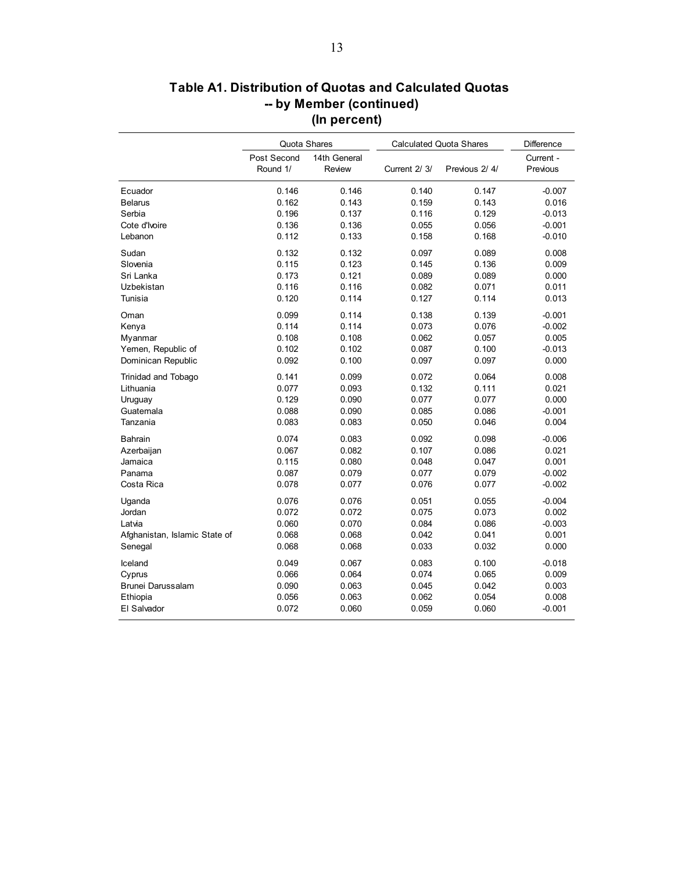| Table A1. Distribution of Quotas and Calculated Quotas |
|--------------------------------------------------------|
| -- by Member (continued)                               |
| (In percent)                                           |

|                               | Quota Shares            |                        |              | <b>Calculated Quota Shares</b> | Difference            |
|-------------------------------|-------------------------|------------------------|--------------|--------------------------------|-----------------------|
|                               | Post Second<br>Round 1/ | 14th General<br>Review | Current 2/3/ | Previous 2/4/                  | Current -<br>Previous |
| Ecuador                       | 0.146                   | 0.146                  | 0.140        | 0.147                          | $-0.007$              |
| <b>Belarus</b>                | 0.162                   | 0.143                  | 0.159        | 0.143                          | 0.016                 |
| Serbia                        | 0.196                   | 0.137                  | 0.116        | 0.129                          | $-0.013$              |
| Cote d'Ivoire                 | 0.136                   | 0.136                  | 0.055        | 0.056                          | $-0.001$              |
| Lebanon                       | 0.112                   | 0.133                  | 0.158        | 0.168                          | $-0.010$              |
| Sudan                         | 0.132                   | 0.132                  | 0.097        | 0.089                          | 0.008                 |
| Slovenia                      | 0.115                   | 0.123                  | 0.145        | 0.136                          | 0.009                 |
| Sri Lanka                     | 0.173                   | 0.121                  | 0.089        | 0.089                          | 0.000                 |
| Uzbekistan                    | 0.116                   | 0.116                  | 0.082        | 0.071                          | 0.011                 |
| Tunisia                       | 0.120                   | 0.114                  | 0.127        | 0.114                          | 0.013                 |
| Oman                          | 0.099                   | 0.114                  | 0.138        | 0.139                          | $-0.001$              |
| Kenya                         | 0.114                   | 0.114                  | 0.073        | 0.076                          | $-0.002$              |
| Myanmar                       | 0.108                   | 0.108                  | 0.062        | 0.057                          | 0.005                 |
| Yemen, Republic of            | 0.102                   | 0.102                  | 0.087        | 0.100                          | $-0.013$              |
| Dominican Republic            | 0.092                   | 0.100                  | 0.097        | 0.097                          | 0.000                 |
| Trinidad and Tobago           | 0.141                   | 0.099                  | 0.072        | 0.064                          | 0.008                 |
| Lithuania                     | 0.077                   | 0.093                  | 0.132        | 0.111                          | 0.021                 |
| Uruguay                       | 0.129                   | 0.090                  | 0.077        | 0.077                          | 0.000                 |
| Guatemala                     | 0.088                   | 0.090                  | 0.085        | 0.086                          | $-0.001$              |
| Tanzania                      | 0.083                   | 0.083                  | 0.050        | 0.046                          | 0.004                 |
| Bahrain                       | 0.074                   | 0.083                  | 0.092        | 0.098                          | $-0.006$              |
| Azerbaijan                    | 0.067                   | 0.082                  | 0.107        | 0.086                          | 0.021                 |
| Jamaica                       | 0.115                   | 0.080                  | 0.048        | 0.047                          | 0.001                 |
| Panama                        | 0.087                   | 0.079                  | 0.077        | 0.079                          | $-0.002$              |
| Costa Rica                    | 0.078                   | 0.077                  | 0.076        | 0.077                          | $-0.002$              |
| Uganda                        | 0.076                   | 0.076                  | 0.051        | 0.055                          | $-0.004$              |
| Jordan                        | 0.072                   | 0.072                  | 0.075        | 0.073                          | 0.002                 |
| Latvia                        | 0.060                   | 0.070                  | 0.084        | 0.086                          | $-0.003$              |
| Afghanistan, Islamic State of | 0.068                   | 0.068                  | 0.042        | 0.041                          | 0.001                 |
| Senegal                       | 0.068                   | 0.068                  | 0.033        | 0.032                          | 0.000                 |
| Iceland                       | 0.049                   | 0.067                  | 0.083        | 0.100                          | $-0.018$              |
| Cyprus                        | 0.066                   | 0.064                  | 0.074        | 0.065                          | 0.009                 |
| Brunei Darussalam             | 0.090                   | 0.063                  | 0.045        | 0.042                          | 0.003                 |
| Ethiopia                      | 0.056                   | 0.063                  | 0.062        | 0.054                          | 0.008                 |
| El Salvador                   | 0.072                   | 0.060                  | 0.059        | 0.060                          | $-0.001$              |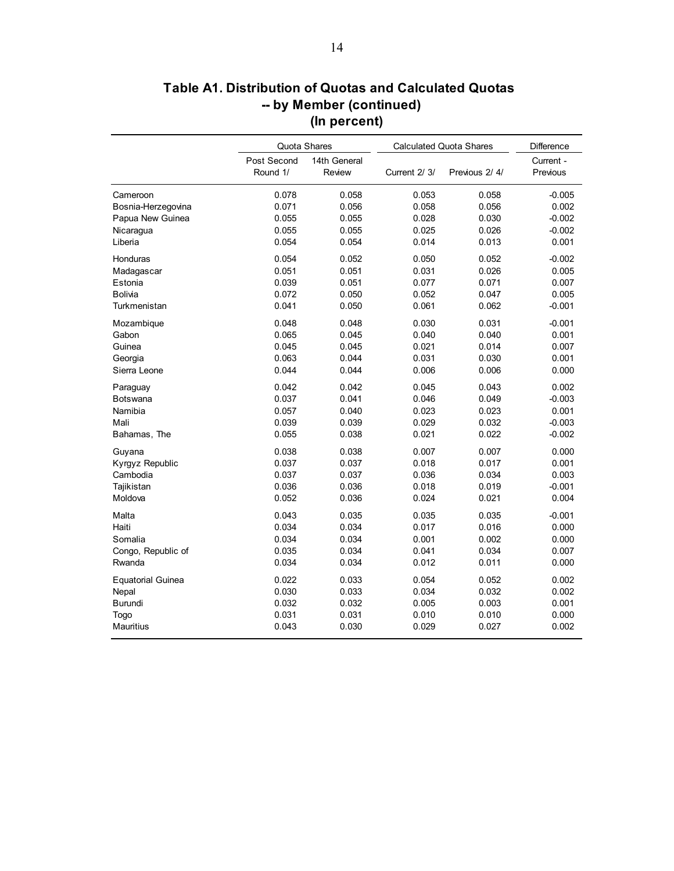|                                |                         | Quota Shares           |                | <b>Calculated Quota Shares</b> | Difference            |
|--------------------------------|-------------------------|------------------------|----------------|--------------------------------|-----------------------|
|                                | Post Second<br>Round 1/ | 14th General<br>Review | Current 2/ 3/  | Previous 2/4/                  | Current -<br>Previous |
| Cameroon<br>Bosnia-Herzegovina | 0.078<br>0.071          | 0.058<br>0.056         | 0.053<br>0.058 | 0.058<br>0.056                 | $-0.005$<br>0.002     |
| Papua New Guinea               | 0.055                   | 0.055                  | 0.028          | 0.030                          | $-0.002$              |
| Nicaragua                      | 0.055                   | 0.055                  | 0.025          | 0.026                          | $-0.002$              |
| Liberia                        | 0.054                   | 0.054                  | 0.014          | 0.013                          | 0.001                 |
| Honduras                       | 0.054                   | 0.052                  | 0.050          | 0.052                          | $-0.002$              |
| Madagascar                     | 0.051                   | 0.051                  | 0.031          | 0.026                          | 0.005                 |
| Estonia                        | 0.039                   | 0.051                  | 0.077          | 0.071                          | 0.007                 |
| <b>Bolivia</b>                 | 0.072                   | 0.050                  | 0.052          | 0.047                          | 0.005                 |
| Turkmenistan                   | 0.041                   | 0.050                  | 0.061          | 0.062                          | $-0.001$              |
| Mozambique                     | 0.048                   | 0.048                  | 0.030          | 0.031                          | $-0.001$              |
| Gabon                          | 0.065                   | 0.045                  | 0.040          | 0.040                          | 0.001                 |
| Guinea                         | 0.045                   | 0.045                  | 0.021          | 0.014                          | 0.007                 |
| Georgia                        | 0.063                   | 0.044                  | 0.031          | 0.030                          | 0.001                 |
| Sierra Leone                   | 0.044                   | 0.044                  | 0.006          | 0.006                          | 0.000                 |
| Paraguay                       | 0.042                   | 0.042                  | 0.045          | 0.043                          | 0.002                 |
| Botswana                       | 0.037                   | 0.041                  | 0.046          | 0.049                          | $-0.003$              |
| Namibia                        | 0.057                   | 0.040                  | 0.023          | 0.023                          | 0.001                 |
| Mali                           | 0.039                   | 0.039                  | 0.029          | 0.032                          | $-0.003$              |
| Bahamas, The                   | 0.055                   | 0.038                  | 0.021          | 0.022                          | $-0.002$              |
| Guyana                         | 0.038                   | 0.038                  | 0.007          | 0.007                          | 0.000                 |
| Kyrgyz Republic                | 0.037                   | 0.037                  | 0.018          | 0.017                          | 0.001                 |
| Cambodia                       | 0.037                   | 0.037                  | 0.036          | 0.034                          | 0.003                 |
| Tajikistan                     | 0.036                   | 0.036                  | 0.018          | 0.019                          | $-0.001$              |
| Moldova                        | 0.052                   | 0.036                  | 0.024          | 0.021                          | 0.004                 |
| Malta                          | 0.043                   | 0.035                  | 0.035          | 0.035                          | $-0.001$              |
| Haiti                          | 0.034                   | 0.034                  | 0.017          | 0.016                          | 0.000                 |
| Somalia                        | 0.034                   | 0.034                  | 0.001          | 0.002                          | 0.000                 |
| Congo, Republic of             | 0.035                   | 0.034                  | 0.041          | 0.034                          | 0.007                 |
| Rwanda                         | 0.034                   | 0.034                  | 0.012          | 0.011                          | 0.000                 |
| <b>Equatorial Guinea</b>       | 0.022                   | 0.033                  | 0.054          | 0.052                          | 0.002                 |
| Nepal                          | 0.030                   | 0.033                  | 0.034          | 0.032                          | 0.002                 |
| Burundi                        | 0.032                   | 0.032                  | 0.005          | 0.003                          | 0.001                 |
| Togo                           | 0.031                   | 0.031                  | 0.010          | 0.010                          | 0.000                 |
| <b>Mauritius</b>               | 0.043                   | 0.030                  | 0.029          | 0.027                          | 0.002                 |

# **Table A1. Distribution of Quotas and Calculated Quotas -- by Member (continued) (In percent)**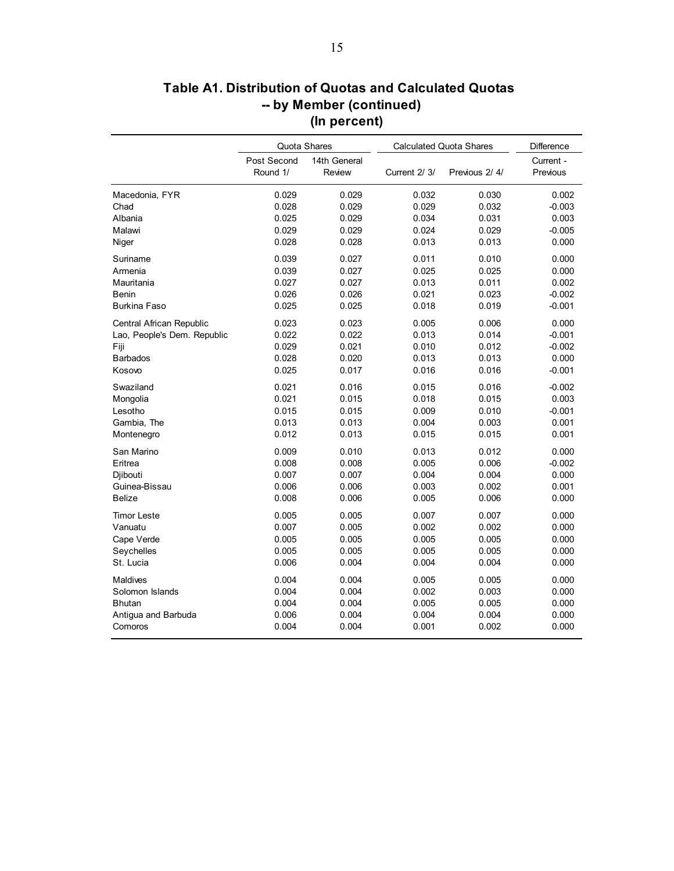|                             | Quota Shares            |                        |              | <b>Calculated Quota Shares</b> | <b>Difference</b>     |
|-----------------------------|-------------------------|------------------------|--------------|--------------------------------|-----------------------|
|                             | Post Second<br>Round 1/ | 14th General<br>Review | Current 2/3/ | Previous 2/4/                  | Current -<br>Previous |
| Macedonia, FYR              | 0.029                   | 0.029                  | 0.032        | 0.030                          | 0.002                 |
| Chad                        | 0.028                   | 0.029                  | 0.029        | 0.032                          | $-0.003$              |
| Albania                     | 0.025                   | 0.029                  | 0.034        | 0.031                          | 0.003                 |
| Malawi                      | 0.029                   | 0.029                  | 0.024        | 0.029                          | $-0.005$              |
| Niger                       | 0.028                   | 0.028                  | 0.013        | 0.013                          | 0.000                 |
| Suriname                    | 0.039                   | 0.027                  | 0.011        | 0.010                          | 0.000                 |
| Armenia                     | 0.039                   | 0.027                  | 0.025        | 0.025                          | 0.000                 |
| Mauritania                  | 0.027                   | 0.027                  | 0.013        | 0.011                          | 0.002                 |
| Benin                       | 0.026                   | 0.026                  | 0.021        | 0.023                          | $-0.002$              |
| <b>Burkina Faso</b>         | 0.025                   | 0.025                  | 0.018        | 0.019                          | $-0.001$              |
| Central African Republic    | 0.023                   | 0.023                  | 0.005        | 0.006                          | 0.000                 |
| Lao, People's Dem. Republic | 0.022                   | 0.022                  | 0.013        | 0.014                          | $-0.001$              |
| Fiji                        | 0.029                   | 0.021                  | 0.010        | 0.012                          | $-0.002$              |
| <b>Barbados</b>             | 0.028                   | 0.020                  | 0.013        | 0.013                          | 0.000                 |
| Kosovo                      | 0.025                   | 0.017                  | 0.016        | 0.016                          | $-0.001$              |
| Swaziland                   | 0.021                   | 0.016                  | 0.015        | 0.016                          | $-0.002$              |
| Mongolia                    | 0.021                   | 0.015                  | 0.018        | 0.015                          | 0.003                 |
| Lesotho                     | 0.015                   | 0.015                  | 0.009        | 0.010                          | $-0.001$              |
| Gambia, The                 | 0.013                   | 0.013                  | 0.004        | 0.003                          | 0.001                 |
| Montenegro                  | 0.012                   | 0.013                  | 0.015        | 0.015                          | 0.001                 |
| San Marino                  | 0.009                   | 0.010                  | 0.013        | 0.012                          | 0.000                 |
| Eritrea                     | 0.008                   | 0.008                  | 0.005        | 0.006                          | $-0.002$              |
| Diibouti                    | 0.007                   | 0.007                  | 0.004        | 0.004                          | 0.000                 |
| Guinea-Bissau               | 0.006                   | 0.006                  | 0.003        | 0.002                          | 0.001                 |
| <b>Belize</b>               | 0.008                   | 0.006                  | 0.005        | 0.006                          | 0.000                 |
| <b>Timor Leste</b>          | 0.005                   | 0.005                  | 0.007        | 0.007                          | 0.000                 |
| Vanuatu                     | 0.007                   | 0.005                  | 0.002        | 0.002                          | 0.000                 |
| Cape Verde                  | 0.005                   | 0.005                  | 0.005        | 0.005                          | 0.000                 |
| Seychelles                  | 0.005                   | 0.005                  | 0.005        | 0.005                          | 0.000                 |
| St. Lucia                   | 0.006                   | 0.004                  | 0.004        | 0.004                          | 0.000                 |
| Maldives                    | 0.004                   | 0.004                  | 0.005        | 0.005                          | 0.000                 |
| Solomon Islands             | 0.004                   | 0.004                  | 0.002        | 0.003                          | 0.000                 |
| <b>Bhutan</b>               | 0.004                   | 0.004                  | 0.005        | 0.005                          | 0.000                 |
| Antigua and Barbuda         | 0.006                   | 0.004                  | 0.004        | 0.004                          | 0.000                 |
| Comoros                     | 0.004                   | 0.004                  | 0.001        | 0.002                          | 0.000                 |

# **Table A1. Distribution of Quotas and Calculated Quotas -- by Member (continued) (In percent)**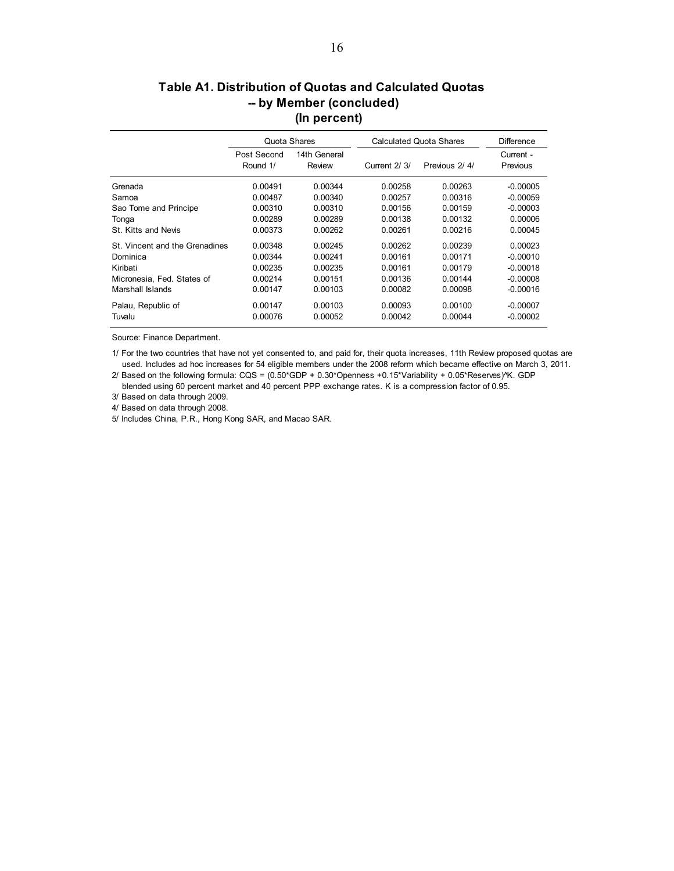### **Table A1. Distribution of Quotas and Calculated Quotas -- by Member (concluded) (In percent)**

|                                | Quota Shares            |                        |              | Calculated Quota Shares | <b>Difference</b>     |
|--------------------------------|-------------------------|------------------------|--------------|-------------------------|-----------------------|
|                                | Post Second<br>Round 1/ | 14th General<br>Review | Current 2/3/ | Previous 2/4/           | Current -<br>Previous |
| Grenada                        | 0.00491                 | 0.00344                | 0.00258      | 0.00263                 | $-0.00005$            |
| Samoa                          | 0.00487                 | 0.00340                | 0.00257      | 0.00316                 | $-0.00059$            |
| Sao Tome and Principe          | 0.00310                 | 0.00310                | 0.00156      | 0.00159                 | $-0.00003$            |
| Tonga                          | 0.00289                 | 0.00289                | 0.00138      | 0.00132                 | 0.00006               |
| St. Kitts and Nevis            | 0.00373                 | 0.00262                | 0.00261      | 0.00216                 | 0.00045               |
| St. Vincent and the Grenadines | 0.00348                 | 0.00245                | 0.00262      | 0.00239                 | 0.00023               |
| Dominica                       | 0.00344                 | 0.00241                | 0.00161      | 0.00171                 | $-0.00010$            |
| Kiribati                       | 0.00235                 | 0.00235                | 0.00161      | 0.00179                 | $-0.00018$            |
| Micronesia, Fed. States of     | 0.00214                 | 0.00151                | 0.00136      | 0.00144                 | $-0.00008$            |
| Marshall Islands               | 0.00147                 | 0.00103                | 0.00082      | 0.00098                 | $-0.00016$            |
| Palau, Republic of             | 0.00147                 | 0.00103                | 0.00093      | 0.00100                 | $-0.00007$            |
| Tuvalu                         | 0.00076                 | 0.00052                | 0.00042      | 0.00044                 | $-0.00002$            |

Source: Finance Department.

1/ For the two countries that have not yet consented to, and paid for, their quota increases, 11th Review proposed quotas are used. Includes ad hoc increases for 54 eligible members under the 2008 reform which became effective on March 3, 2011.

 blended using 60 percent market and 40 percent PPP exchange rates. K is a compression factor of 0.95. 2/ Based on the following formula:  $CQS = (0.50*GDP + 0.30*Openness + 0.15*Varability + 0.05*Reserves)$ <sup>X</sup>K. GDP

3/ Based on data through 2009. 4/ Based on data through 2008.

5/ Includes China, P.R., Hong Kong SAR, and Macao SAR.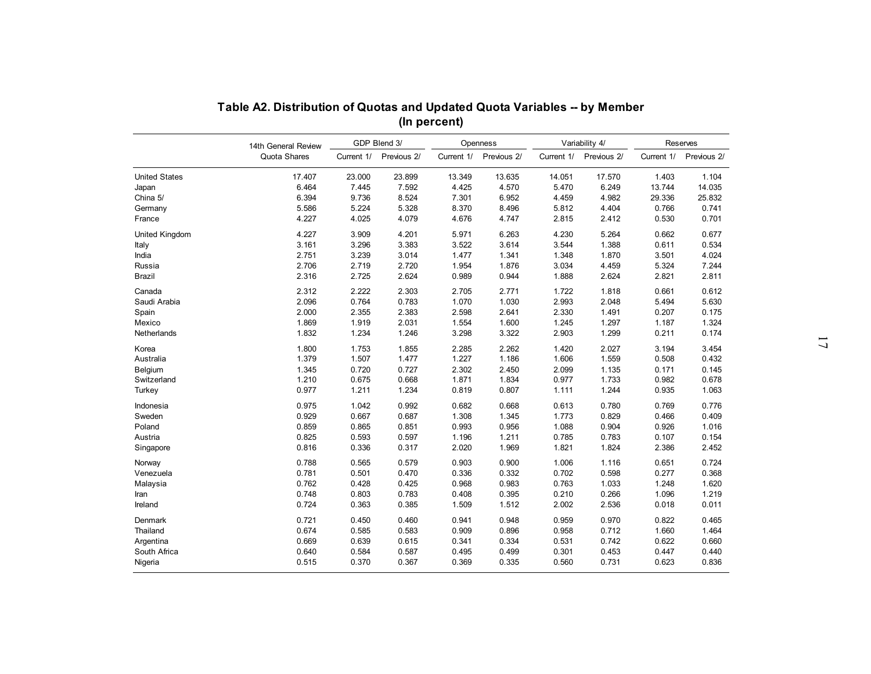|                      | 14th General Review |            | GDP Blend 3/ |            | Openness    |            | Variability 4/ | Reserves   |             |  |
|----------------------|---------------------|------------|--------------|------------|-------------|------------|----------------|------------|-------------|--|
|                      | Quota Shares        | Current 1/ | Previous 2/  | Current 1/ | Previous 2/ | Current 1/ | Previous 2/    | Current 1/ | Previous 2/ |  |
| <b>United States</b> | 17.407              | 23.000     | 23.899       | 13.349     | 13.635      | 14.051     | 17.570         | 1.403      | 1.104       |  |
| Japan                | 6.464               | 7.445      | 7.592        | 4.425      | 4.570       | 5.470      | 6.249          | 13.744     | 14.035      |  |
| China 5/             | 6.394               | 9.736      | 8.524        | 7.301      | 6.952       | 4.459      | 4.982          | 29.336     | 25.832      |  |
| Germany              | 5.586               | 5.224      | 5.328        | 8.370      | 8.496       | 5.812      | 4.404          | 0.766      | 0.741       |  |
| France               | 4.227               | 4.025      | 4.079        | 4.676      | 4.747       | 2.815      | 2.412          | 0.530      | 0.701       |  |
| United Kingdom       | 4.227               | 3.909      | 4.201        | 5.971      | 6.263       | 4.230      | 5.264          | 0.662      | 0.677       |  |
|                      | 3.161               | 3.296      | 3.383        | 3.522      | 3.614       | 3.544      | 1.388          | 0.611      | 0.534       |  |
| India                | 2.751               | 3.239      | 3.014        | 1.477      | 1.341       | 1.348      | 1.870          | 3.501      | 4.024       |  |
| Russia               | 2.706               | 2.719      | 2.720        | 1.954      | 1.876       | 3.034      | 4.459          | 5.324      | 7.244       |  |
|                      | 2.316               | 2.725      | 2.624        | 0.989      | 0.944       | 1.888      | 2.624          | 2.821      | 2.811       |  |
| Canada               | 2.312               | 2.222      | 2.303        | 2.705      | 2.771       | 1.722      | 1.818          | 0.661      | 0.612       |  |
| Saudi Arabia         | 2.096               | 0.764      | 0.783        | 1.070      | 1.030       | 2.993      | 2.048          | 5.494      | 5.630       |  |
|                      | 2.000               | 2.355      | 2.383        | 2.598      | 2.641       | 2.330      | 1.491          | 0.207      | 0.175       |  |
| Mexico               | 1.869               | 1.919      | 2.031        | 1.554      | 1.600       | 1.245      | 1.297          | 1.187      | 1.324       |  |
| Netherlands          | 1.832               | 1.234      | 1.246        | 3.298      | 3.322       | 2.903      | 1.299          | 0.211      | 0.174       |  |
|                      | 1.800               | 1.753      | 1.855        | 2.285      | 2.262       | 1.420      | 2.027          | 3.194      | 3.454       |  |
| Australia            | 1.379               | 1.507      | 1.477        | 1.227      | 1.186       | 1.606      | 1.559          | 0.508      | 0.432       |  |
| Belgium              | 1.345               | 0.720      | 0.727        | 2.302      | 2.450       | 2.099      | 1.135          | 0.171      | 0.145       |  |
| Switzerland          | 1.210               | 0.675      | 0.668        | 1.871      | 1.834       | 0.977      | 1.733          | 0.982      | 0.678       |  |
| Turkey               | 0.977               | 1.211      | 1.234        | 0.819      | 0.807       | 1.111      | 1.244          | 0.935      | 1.063       |  |
| Indonesia            | 0.975               | 1.042      | 0.992        | 0.682      | 0.668       | 0.613      | 0.780          | 0.769      | 0.776       |  |
| Sweden               | 0.929               | 0.667      | 0.687        | 1.308      | 1.345       | 1.773      | 0.829          | 0.466      | 0.409       |  |
| Poland               | 0.859               | 0.865      | 0.851        | 0.993      | 0.956       | 1.088      | 0.904          | 0.926      | 1.016       |  |
| Austria              | 0.825               | 0.593      | 0.597        | 1.196      | 1.211       | 0.785      | 0.783          | 0.107      | 0.154       |  |
| Singapore            | 0.816               | 0.336      | 0.317        | 2.020      | 1.969       | 1.821      | 1.824          | 2.386      | 2.452       |  |
| Norway               | 0.788               | 0.565      | 0.579        | 0.903      | 0.900       | 1.006      | 1.116          | 0.651      | 0.724       |  |
| Venezuela            | 0.781               | 0.501      | 0.470        | 0.336      | 0.332       | 0.702      | 0.598          | 0.277      | 0.368       |  |
| Malaysia             | 0.762               | 0.428      | 0.425        | 0.968      | 0.983       | 0.763      | 1.033          | 1.248      | 1.620       |  |
|                      | 0.748               | 0.803      | 0.783        | 0.408      | 0.395       | 0.210      | 0.266          | 1.096      | 1.219       |  |
|                      | 0.724               | 0.363      | 0.385        | 1.509      | 1.512       | 2.002      | 2.536          | 0.018      | 0.011       |  |
| Denmark              | 0.721               | 0.450      | 0.460        | 0.941      | 0.948       | 0.959      | 0.970          | 0.822      | 0.465       |  |
| Thailand             | 0.674               | 0.585      | 0.583        | 0.909      | 0.896       | 0.958      | 0.712          | 1.660      | 1.464       |  |
| Argentina            | 0.669               | 0.639      | 0.615        | 0.341      | 0.334       | 0.531      | 0.742          | 0.622      | 0.660       |  |
| South Africa         | 0.640               | 0.584      | 0.587        | 0.495      | 0.499       | 0.301      | 0.453          | 0.447      | 0.440       |  |
| Nigeria              | 0.515               | 0.370      | 0.367        | 0.369      | 0.335       | 0.560      | 0.731          | 0.623      | 0.836       |  |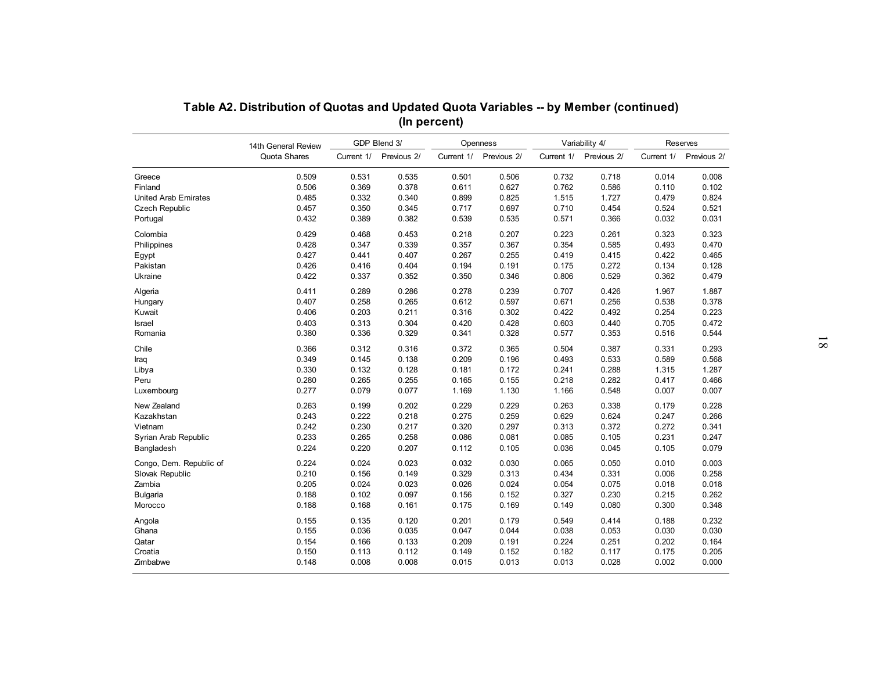|                         | 14th General Review |                | GDP Blend 3/   |            | Openness    |            | Variability 4/ |            | Reserves    |
|-------------------------|---------------------|----------------|----------------|------------|-------------|------------|----------------|------------|-------------|
|                         | Quota Shares        | Current 1/     | Previous 2/    | Current 1/ | Previous 2/ | Current 1/ | Previous 2/    | Current 1/ | Previous 2/ |
| Greece                  | 0.509               | 0.531          | 0.535          | 0.501      | 0.506       | 0.732      | 0.718          | 0.014      | 0.008       |
| Finland                 | 0.506               | 0.369          | 0.378          | 0.611      | 0.627       | 0.762      | 0.586          | 0.110      | 0.102       |
| United Arab Emirates    | 0.485               | 0.332          | 0.340          | 0.899      | 0.825       | 1.515      | 1.727          | 0.479      | 0.824       |
| <b>Czech Republic</b>   | 0.457               | 0.350          | 0.345          | 0.717      | 0.697       | 0.710      | 0.454          | 0.524      | 0.521       |
| Portugal                | 0.432               | 0.389          | 0.382          | 0.539      | 0.535       | 0.571      | 0.366          | 0.032      | 0.031       |
| Colombia                | 0.429               | 0.468          | 0.453          | 0.218      | 0.207       | 0.223      | 0.261          | 0.323      | 0.323       |
| Philippines             | 0.428               | 0.347          | 0.339          | 0.357      | 0.367       | 0.354      | 0.585          | 0.493      | 0.470       |
| Egypt                   | 0.427               | 0.441          | 0.407          | 0.267      | 0.255       | 0.419      | 0.415          | 0.422      | 0.465       |
| Pakistan                | 0.426               | 0.416          | 0.404          | 0.194      | 0.191       | 0.175      | 0.272          | 0.134      | 0.128       |
| Ukraine                 | 0.422               | 0.337          | 0.352          | 0.350      | 0.346       | 0.806      | 0.529          | 0.362      | 0.479       |
| Algeria                 | 0.411               | 0.289          | 0.286          | 0.278      | 0.239       | 0.707      | 0.426          | 1.967      | 1.887       |
| Hungary                 | 0.407               | 0.258          | 0.265          | 0.612      | 0.597       | 0.671      | 0.256          | 0.538      | 0.378       |
| Kuwait                  | 0.406               | 0.203          | 0.211          | 0.316      | 0.302       | 0.422      | 0.492          | 0.254      | 0.223       |
| <b>Israel</b>           | 0.403               | 0.313          | 0.304          | 0.420      | 0.428       | 0.603      | 0.440          | 0.705      | 0.472       |
| Romania                 | 0.380               | 0.336          | 0.329          | 0.341      | 0.328       | 0.577      | 0.353          | 0.516      | 0.544       |
| Chile                   | 0.366               | 0.312          | 0.316          | 0.372      | 0.365       | 0.504      | 0.387          | 0.331      | 0.293       |
|                         | 0.349               | 0.145          | 0.138          | 0.209      | 0.196       | 0.493      | 0.533          | 0.589      | 0.568       |
| Libya                   | 0.330               | 0.132          | 0.128          | 0.181      | 0.172       | 0.241      | 0.288          | 1.315      | 1.287       |
|                         | 0.280               | 0.265          | 0.255          | 0.165      | 0.155       | 0.218      | 0.282          | 0.417      | 0.466       |
| Luxembourg              | 0.277               | 0.079          | 0.077          | 1.169      | 1.130       | 1.166      | 0.548          | 0.007      | 0.007       |
| New Zealand             | 0.263               | 0.199          | 0.202          | 0.229      | 0.229       | 0.263      | 0.338          | 0.179      | 0.228       |
| Kazakhstan              | 0.243               | 0.222          | 0.218          | 0.275      | 0.259       | 0.629      | 0.624          | 0.247      | 0.266       |
| Vietnam                 | 0.242               | 0.230          | 0.217          | 0.320      | 0.297       | 0.313      | 0.372          | 0.272      | 0.341       |
| Syrian Arab Republic    | 0.233               | 0.265          | 0.258          | 0.086      | 0.081       | 0.085      | 0.105          | 0.231      | 0.247       |
| Bangladesh              | 0.224               | 0.220          | 0.207          | 0.112      | 0.105       | 0.036      | 0.045          | 0.105      | 0.079       |
| Congo, Dem. Republic of | 0.224               | 0.024          | 0.023          | 0.032      | 0.030       | 0.065      | 0.050          | 0.010      | 0.003       |
| Slovak Republic         | 0.210               | 0.156          | 0.149          | 0.329      | 0.313       | 0.434      | 0.331          | 0.006      | 0.258       |
| Zambia                  | 0.205               | 0.024          | 0.023          | 0.026      | 0.024       | 0.054      | 0.075          | 0.018      | 0.018       |
| <b>Bulgaria</b>         | 0.188               | 0.102          | 0.097          | 0.156      | 0.152       | 0.327      | 0.230          | 0.215      | 0.262       |
| Morocco                 | 0.188               | 0.168          | 0.161          | 0.175      | 0.169       | 0.149      | 0.080          | 0.300      | 0.348       |
|                         |                     |                |                |            |             |            |                |            |             |
| Angola                  | 0.155               | 0.135          | 0.120          | 0.201      | 0.179       | 0.549      | 0.414          | 0.188      | 0.232       |
| Ghana                   | 0.155               | 0.036          | 0.035          | 0.047      | 0.044       | 0.038      | 0.053          | 0.030      | 0.030       |
| Qatar                   | 0.154               | 0.166          | 0.133          | 0.209      | 0.191       | 0.224      | 0.251          | 0.202      | 0.164       |
| Croatia<br>Zimbabwe     | 0.150               | 0.113<br>0.008 | 0.112<br>0.008 | 0.149      | 0.152       | 0.182      | 0.117          | 0.175      | 0.205       |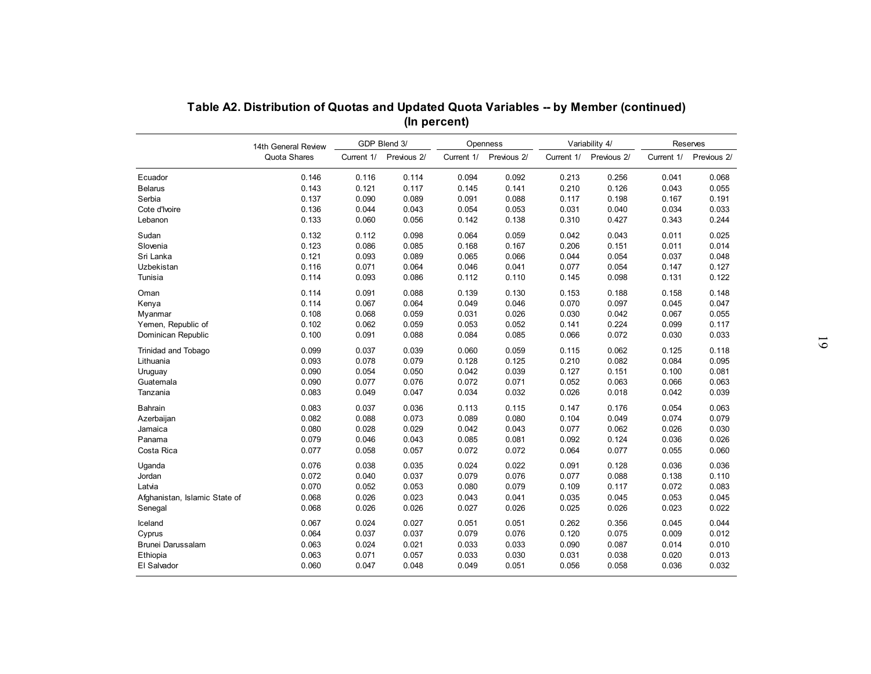|                               | 14th General Review |            | GDP Blend 3/ |            | Openness    |            | Variability 4/ |            | Reserves    |
|-------------------------------|---------------------|------------|--------------|------------|-------------|------------|----------------|------------|-------------|
|                               | Quota Shares        | Current 1/ | Previous 2/  | Current 1/ | Previous 2/ | Current 1/ | Previous 2/    | Current 1/ | Previous 2/ |
| Ecuador                       | 0.146               | 0.116      | 0.114        | 0.094      | 0.092       | 0.213      | 0.256          | 0.041      | 0.068       |
| <b>Belarus</b>                | 0.143               | 0.121      | 0.117        | 0.145      | 0.141       | 0.210      | 0.126          | 0.043      | 0.055       |
| Serbia                        | 0.137               | 0.090      | 0.089        | 0.091      | 0.088       | 0.117      | 0.198          | 0.167      | 0.191       |
| Cote d'Ivoire                 | 0.136               | 0.044      | 0.043        | 0.054      | 0.053       | 0.031      | 0.040          | 0.034      | 0.033       |
| Lebanon                       | 0.133               | 0.060      | 0.056        | 0.142      | 0.138       | 0.310      | 0.427          | 0.343      | 0.244       |
| Sudan                         | 0.132               | 0.112      | 0.098        | 0.064      | 0.059       | 0.042      | 0.043          | 0.011      | 0.025       |
| Slovenia                      | 0.123               | 0.086      | 0.085        | 0.168      | 0.167       | 0.206      | 0.151          | 0.011      | 0.014       |
| Sri Lanka                     | 0.121               | 0.093      | 0.089        | 0.065      | 0.066       | 0.044      | 0.054          | 0.037      | 0.048       |
| Uzbekistan                    | 0.116               | 0.071      | 0.064        | 0.046      | 0.041       | 0.077      | 0.054          | 0.147      | 0.127       |
| Tunisia                       | 0.114               | 0.093      | 0.086        | 0.112      | 0.110       | 0.145      | 0.098          | 0.131      | 0.122       |
| Oman                          | 0.114               | 0.091      | 0.088        | 0.139      | 0.130       | 0.153      | 0.188          | 0.158      | 0.148       |
| Kenya                         | 0.114               | 0.067      | 0.064        | 0.049      | 0.046       | 0.070      | 0.097          | 0.045      | 0.047       |
| Myanmar                       | 0.108               | 0.068      | 0.059        | 0.031      | 0.026       | 0.030      | 0.042          | 0.067      | 0.055       |
| Yemen, Republic of            | 0.102               | 0.062      | 0.059        | 0.053      | 0.052       | 0.141      | 0.224          | 0.099      | 0.117       |
| Dominican Republic            | 0.100               | 0.091      | 0.088        | 0.084      | 0.085       | 0.066      | 0.072          | 0.030      | 0.033       |
| <b>Trinidad and Tobago</b>    | 0.099               | 0.037      | 0.039        | 0.060      | 0.059       | 0.115      | 0.062          | 0.125      | 0.118       |
| Lithuania                     | 0.093               | 0.078      | 0.079        | 0.128      | 0.125       | 0.210      | 0.082          | 0.084      | 0.095       |
| Uruguay                       | 0.090               | 0.054      | 0.050        | 0.042      | 0.039       | 0.127      | 0.151          | 0.100      | 0.081       |
| Guatemala                     | 0.090               | 0.077      | 0.076        | 0.072      | 0.071       | 0.052      | 0.063          | 0.066      | 0.063       |
| Tanzania                      | 0.083               | 0.049      | 0.047        | 0.034      | 0.032       | 0.026      | 0.018          | 0.042      | 0.039       |
| Bahrain                       | 0.083               | 0.037      | 0.036        | 0.113      | 0.115       | 0.147      | 0.176          | 0.054      | 0.063       |
| Azerbaijan                    | 0.082               | 0.088      | 0.073        | 0.089      | 0.080       | 0.104      | 0.049          | 0.074      | 0.079       |
| Jamaica                       | 0.080               | 0.028      | 0.029        | 0.042      | 0.043       | 0.077      | 0.062          | 0.026      | 0.030       |
| Panama                        | 0.079               | 0.046      | 0.043        | 0.085      | 0.081       | 0.092      | 0.124          | 0.036      | 0.026       |
| Costa Rica                    | 0.077               | 0.058      | 0.057        | 0.072      | 0.072       | 0.064      | 0.077          | 0.055      | 0.060       |
| Uganda                        | 0.076               | 0.038      | 0.035        | 0.024      | 0.022       | 0.091      | 0.128          | 0.036      | 0.036       |
| Jordan                        | 0.072               | 0.040      | 0.037        | 0.079      | 0.076       | 0.077      | 0.088          | 0.138      | 0.110       |
| Latvia                        | 0.070               | 0.052      | 0.053        | 0.080      | 0.079       | 0.109      | 0.117          | 0.072      | 0.083       |
| Afghanistan, Islamic State of | 0.068               | 0.026      | 0.023        | 0.043      | 0.041       | 0.035      | 0.045          | 0.053      | 0.045       |
| Senegal                       | 0.068               | 0.026      | 0.026        | 0.027      | 0.026       | 0.025      | 0.026          | 0.023      | 0.022       |
| Iceland                       | 0.067               | 0.024      | 0.027        | 0.051      | 0.051       | 0.262      | 0.356          | 0.045      | 0.044       |
| Cyprus                        | 0.064               | 0.037      | 0.037        | 0.079      | 0.076       | 0.120      | 0.075          | 0.009      | 0.012       |
| Brunei Darussalam             | 0.063               | 0.024      | 0.021        | 0.033      | 0.033       | 0.090      | 0.087          | 0.014      | 0.010       |
| Ethiopia                      | 0.063               | 0.071      | 0.057        | 0.033      | 0.030       | 0.031      | 0.038          | 0.020      | 0.013       |
| El Salvador                   | 0.060               | 0.047      | 0.048        | 0.049      | 0.051       | 0.056      | 0.058          | 0.036      | 0.032       |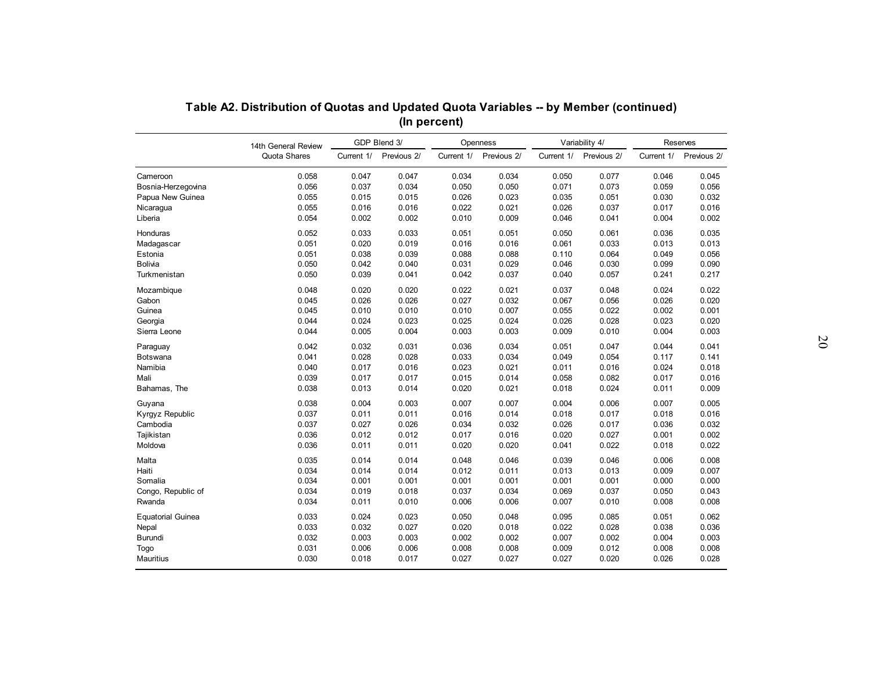| Table A2. Distribution of Quotas and Updated Quota Variables -- by Member (continued) |                                     |            |             |            |                         |            |                               |            |                         |
|---------------------------------------------------------------------------------------|-------------------------------------|------------|-------------|------------|-------------------------|------------|-------------------------------|------------|-------------------------|
|                                                                                       | (In percent)<br>GDP Blend 3/        |            |             |            |                         |            |                               |            |                         |
|                                                                                       | 14th General Review<br>Quota Shares | Current 1/ | Previous 2/ | Current 1/ | Openness<br>Previous 2/ | Current 1/ | Variability 4/<br>Previous 2/ | Current 1/ | Reserves<br>Previous 2/ |
| Cameroon                                                                              | 0.058                               | 0.047      | 0.047       | 0.034      | 0.034                   | 0.050      | 0.077                         | 0.046      | 0.045                   |
| Bosnia-Herzegovina                                                                    | 0.056                               | 0.037      | 0.034       | 0.050      | 0.050                   | 0.071      | 0.073                         | 0.059      | 0.056                   |
| Papua New Guinea                                                                      | 0.055                               | 0.015      | 0.015       | 0.026      | 0.023                   | 0.035      | 0.051                         | 0.030      | 0.032                   |
| Nicaragua                                                                             | 0.055                               | 0.016      | 0.016       | 0.022      | 0.021                   | 0.026      | 0.037                         | 0.017      | 0.016                   |
| Liberia                                                                               | 0.054                               | 0.002      | 0.002       | 0.010      | 0.009                   | 0.046      | 0.041                         | 0.004      | 0.002                   |
|                                                                                       |                                     |            |             |            |                         |            |                               |            |                         |
| Honduras                                                                              | 0.052                               | 0.033      | 0.033       | 0.051      | 0.051                   | 0.050      | 0.061                         | 0.036      | 0.035                   |
| Madagascar                                                                            | 0.051                               | 0.020      | 0.019       | 0.016      | 0.016                   | 0.061      | 0.033                         | 0.013      | 0.013                   |
| Estonia                                                                               | 0.051                               | 0.038      | 0.039       | 0.088      | 0.088                   | 0.110      | 0.064                         | 0.049      | 0.056                   |
| <b>Bolivia</b>                                                                        | 0.050                               | 0.042      | 0.040       | 0.031      | 0.029                   | 0.046      | 0.030                         | 0.099      | 0.090                   |
| Turkmenistan                                                                          | 0.050                               | 0.039      | 0.041       | 0.042      | 0.037                   | 0.040      | 0.057                         | 0.241      | 0.217                   |
| Mozambique                                                                            | 0.048                               | 0.020      | 0.020       | 0.022      | 0.021                   | 0.037      | 0.048                         | 0.024      | 0.022                   |
| Gabon                                                                                 | 0.045                               | 0.026      | 0.026       | 0.027      | 0.032                   | 0.067      | 0.056                         | 0.026      | 0.020                   |
| Guinea                                                                                | 0.045                               | 0.010      | 0.010       | 0.010      | 0.007                   | 0.055      | 0.022                         | 0.002      | 0.001                   |
| Georgia                                                                               | 0.044                               | 0.024      | 0.023       | 0.025      | 0.024                   | 0.026      | 0.028                         | 0.023      | 0.020                   |
| Sierra Leone                                                                          | 0.044                               | 0.005      | 0.004       | 0.003      | 0.003                   | 0.009      | 0.010                         | 0.004      | 0.003                   |
|                                                                                       |                                     |            |             |            |                         |            |                               |            |                         |
| Paraguay                                                                              | 0.042                               | 0.032      | 0.031       | 0.036      | 0.034                   | 0.051      | 0.047                         | 0.044      | 0.041                   |
| Botswana                                                                              | 0.041                               | 0.028      | 0.028       | 0.033      | 0.034                   | 0.049      | 0.054                         | 0.117      | 0.141                   |
| Namibia                                                                               | 0.040                               | 0.017      | 0.016       | 0.023      | 0.021                   | 0.011      | 0.016                         | 0.024      | 0.018                   |
| Mali                                                                                  | 0.039                               | 0.017      | 0.017       | 0.015      | 0.014                   | 0.058      | 0.082                         | 0.017      | 0.016                   |
| Bahamas, The                                                                          | 0.038                               | 0.013      | 0.014       | 0.020      | 0.021                   | 0.018      | 0.024                         | 0.011      | 0.009                   |
| Guyana                                                                                | 0.038                               | 0.004      | 0.003       | 0.007      | 0.007                   | 0.004      | 0.006                         | 0.007      | 0.005                   |
| Kyrgyz Republic                                                                       | 0.037                               | 0.011      | 0.011       | 0.016      | 0.014                   | 0.018      | 0.017                         | 0.018      | 0.016                   |
| Cambodia                                                                              | 0.037                               | 0.027      | 0.026       | 0.034      | 0.032                   | 0.026      | 0.017                         | 0.036      | 0.032                   |
| Tajikistan                                                                            | 0.036                               | 0.012      | 0.012       | 0.017      | 0.016                   | 0.020      | 0.027                         | 0.001      | 0.002                   |
| Moldova                                                                               | 0.036                               | 0.011      | 0.011       | 0.020      | 0.020                   | 0.041      | 0.022                         | 0.018      | 0.022                   |
|                                                                                       |                                     |            |             |            |                         |            |                               |            |                         |
| Malta                                                                                 | 0.035                               | 0.014      | 0.014       | 0.048      | 0.046                   | 0.039      | 0.046                         | 0.006      | 0.008                   |
| Haiti                                                                                 | 0.034                               | 0.014      | 0.014       | 0.012      | 0.011                   | 0.013      | 0.013                         | 0.009      | 0.007                   |
| Somalia                                                                               | 0.034                               | 0.001      | 0.001       | 0.001      | 0.001                   | 0.001      | 0.001                         | 0.000      | 0.000                   |
| Congo, Republic of                                                                    | 0.034                               | 0.019      | 0.018       | 0.037      | 0.034                   | 0.069      | 0.037                         | 0.050      | 0.043                   |
| Rwanda                                                                                | 0.034                               | 0.011      | 0.010       | 0.006      | 0.006                   | 0.007      | 0.010                         | 0.008      | 0.008                   |
| <b>Equatorial Guinea</b>                                                              | 0.033                               | 0.024      | 0.023       | 0.050      | 0.048                   | 0.095      | 0.085                         | 0.051      | 0.062                   |
| Nepal                                                                                 | 0.033                               | 0.032      | 0.027       | 0.020      | 0.018                   | 0.022      | 0.028                         | 0.038      | 0.036                   |
| <b>Burundi</b>                                                                        | 0.032                               | 0.003      | 0.003       | 0.002      | 0.002                   | 0.007      | 0.002                         | 0.004      | 0.003                   |
| Togo                                                                                  | 0.031                               | 0.006      | 0.006       | 0.008      | 0.008                   | 0.009      | 0.012                         | 0.008      | 0.008                   |
| Mauritius                                                                             | 0.030                               | 0.018      | 0.017       | 0.027      | 0.027                   | 0.027      | 0.020                         | 0.026      | 0.028                   |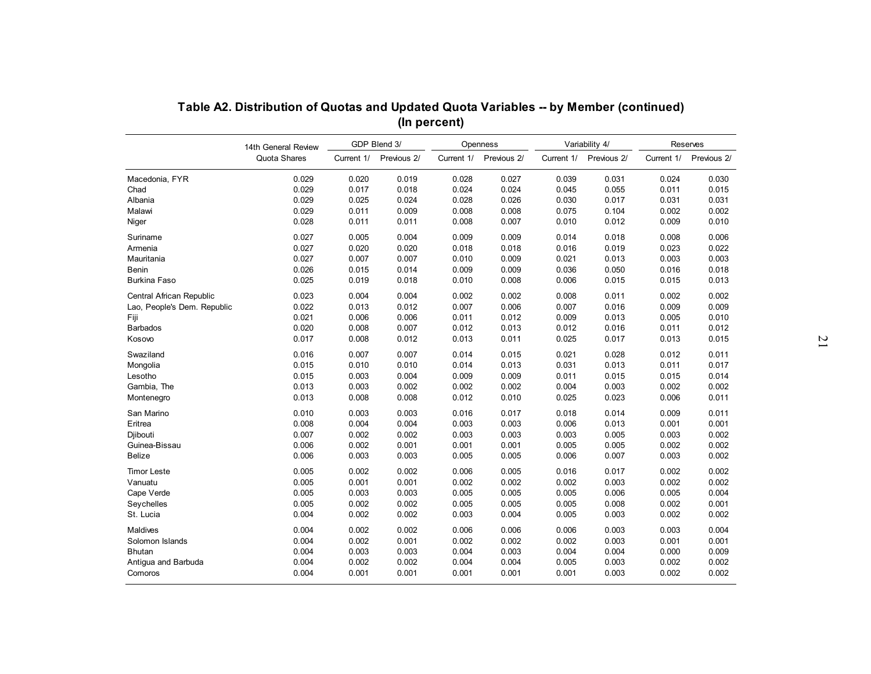|                             | 14th General Review |            | GDP Blend 3/ |            | Openness    |            | Variability 4/ |            | Reserves    |
|-----------------------------|---------------------|------------|--------------|------------|-------------|------------|----------------|------------|-------------|
|                             | Quota Shares        | Current 1/ | Previous 2/  | Current 1/ | Previous 2/ | Current 1/ | Previous 2/    | Current 1/ | Previous 2/ |
| Macedonia, FYR              | 0.029               | 0.020      | 0.019        | 0.028      | 0.027       | 0.039      | 0.031          | 0.024      | 0.030       |
| Chad                        | 0.029               | 0.017      | 0.018        | 0.024      | 0.024       | 0.045      | 0.055          | 0.011      | 0.015       |
| Albania                     | 0.029               | 0.025      | 0.024        | 0.028      | 0.026       | 0.030      | 0.017          | 0.031      | 0.031       |
| Malawi                      | 0.029               | 0.011      | 0.009        | 0.008      | 0.008       | 0.075      | 0.104          | 0.002      | 0.002       |
| Niger                       | 0.028               | 0.011      | 0.011        | 0.008      | 0.007       | 0.010      | 0.012          | 0.009      | 0.010       |
| Suriname                    | 0.027               | 0.005      | 0.004        | 0.009      | 0.009       | 0.014      | 0.018          | 0.008      | 0.006       |
| Armenia                     | 0.027               | 0.020      | 0.020        | 0.018      | 0.018       | 0.016      | 0.019          | 0.023      | 0.022       |
| Mauritania                  | 0.027               | 0.007      | 0.007        | 0.010      | 0.009       | 0.021      | 0.013          | 0.003      | 0.003       |
| <b>Benin</b>                | 0.026               | 0.015      | 0.014        | 0.009      | 0.009       | 0.036      | 0.050          | 0.016      | 0.018       |
| <b>Burkina Faso</b>         | 0.025               | 0.019      | 0.018        | 0.010      | 0.008       | 0.006      | 0.015          | 0.015      | 0.013       |
| Central African Republic    | 0.023               | 0.004      | 0.004        | 0.002      | 0.002       | 0.008      | 0.011          | 0.002      | 0.002       |
| Lao, People's Dem. Republic | 0.022               | 0.013      | 0.012        | 0.007      | 0.006       | 0.007      | 0.016          | 0.009      | 0.009       |
|                             | 0.021               | 0.006      | 0.006        | 0.011      | 0.012       | 0.009      | 0.013          | 0.005      | 0.010       |
| <b>Barbados</b>             | 0.020               | 0.008      | 0.007        | 0.012      | 0.013       | 0.012      | 0.016          | 0.011      | 0.012       |
| Kosovo                      | 0.017               | 0.008      | 0.012        | 0.013      | 0.011       | 0.025      | 0.017          | 0.013      | 0.015       |
| Swaziland                   | 0.016               | 0.007      | 0.007        | 0.014      | 0.015       | 0.021      | 0.028          | 0.012      | 0.011       |
| Mongolia                    | 0.015               | 0.010      | 0.010        | 0.014      | 0.013       | 0.031      | 0.013          | 0.011      | 0.017       |
| Lesotho                     | 0.015               | 0.003      | 0.004        | 0.009      | 0.009       | 0.011      | 0.015          | 0.015      | 0.014       |
| Gambia, The                 | 0.013               | 0.003      | 0.002        | 0.002      | 0.002       | 0.004      | 0.003          | 0.002      | 0.002       |
| Montenegro                  | 0.013               | 0.008      | 0.008        | 0.012      | 0.010       | 0.025      | 0.023          | 0.006      | 0.011       |
| San Marino                  | 0.010               | 0.003      | 0.003        | 0.016      | 0.017       | 0.018      | 0.014          | 0.009      | 0.011       |
| Eritrea                     | 0.008               | 0.004      | 0.004        | 0.003      | 0.003       | 0.006      | 0.013          | 0.001      | 0.001       |
| Djibouti                    | 0.007               | 0.002      | 0.002        | 0.003      | 0.003       | 0.003      | 0.005          | 0.003      | 0.002       |
| Guinea-Bissau               | 0.006               | 0.002      | 0.001        | 0.001      | 0.001       | 0.005      | 0.005          | 0.002      | 0.002       |
| Belize                      | 0.006               | 0.003      | 0.003        | 0.005      | 0.005       | 0.006      | 0.007          | 0.003      | 0.002       |
| <b>Timor Leste</b>          | 0.005               | 0.002      | 0.002        | 0.006      | 0.005       | 0.016      | 0.017          | 0.002      | 0.002       |
| Vanuatu                     | 0.005               | 0.001      | 0.001        | 0.002      | 0.002       | 0.002      | 0.003          | 0.002      | 0.002       |
| Cape Verde                  | 0.005               | 0.003      | 0.003        | 0.005      | 0.005       | 0.005      | 0.006          | 0.005      | 0.004       |
| Sevchelles                  | 0.005               | 0.002      | 0.002        | 0.005      | 0.005       | 0.005      | 0.008          | 0.002      | 0.001       |
| St. Lucia                   | 0.004               | 0.002      | 0.002        | 0.003      | 0.004       | 0.005      | 0.003          | 0.002      | 0.002       |
| <b>Maldives</b>             | 0.004               | 0.002      | 0.002        | 0.006      | 0.006       | 0.006      | 0.003          | 0.003      | 0.004       |
| Solomon Islands             | 0.004               | 0.002      | 0.001        | 0.002      | 0.002       | 0.002      | 0.003          | 0.001      | 0.001       |
| <b>Bhutan</b>               | 0.004               | 0.003      | 0.003        | 0.004      | 0.003       | 0.004      | 0.004          | 0.000      | 0.009       |
| Antigua and Barbuda         | 0.004               | 0.002      | 0.002        | 0.004      | 0.004       | 0.005      | 0.003          | 0.002      | 0.002       |
|                             |                     |            |              |            |             |            |                |            |             |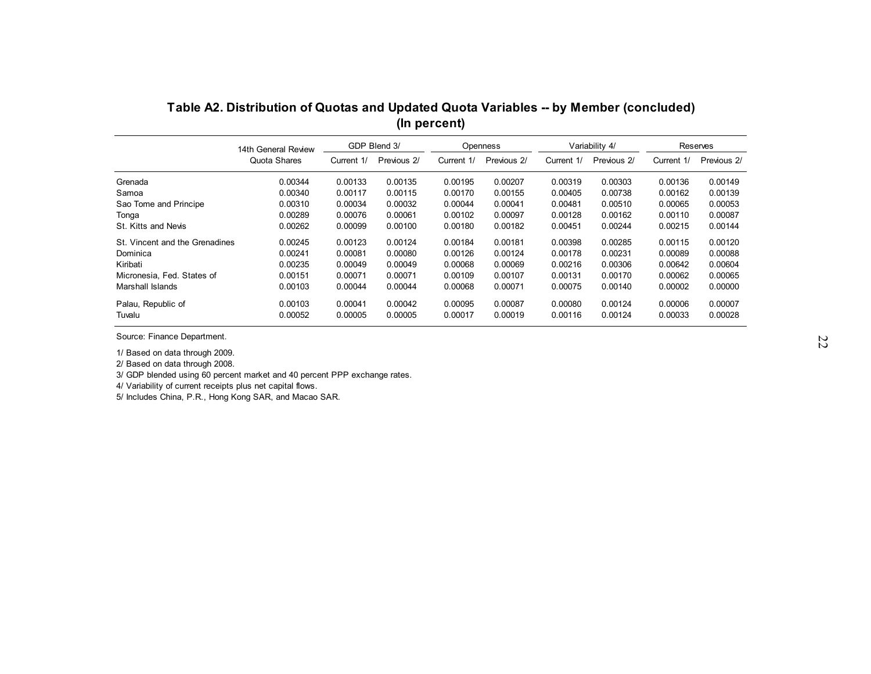| GDP Blend 3/<br>Variability 4/<br>Reserves<br>Openness<br>14th General Review<br>Quota Shares<br>Previous 2/<br>Current 1/<br>Previous 2/<br>Current 1/<br>Previous 2/<br>Current 1/<br>Current 1/<br>0.00344<br>0.00133<br>0.00135<br>0.00195<br>0.00207<br>0.00319<br>0.00303<br>0.00136<br>0.00340<br>0.00117<br>0.00115<br>0.00170<br>0.00738<br>0.00155<br>0.00405<br>0.00162<br>0.00310<br>0.00034<br>0.00032<br>0.00044<br>0.00041<br>0.00481<br>0.00510<br>0.00065<br>0.00289<br>0.00076<br>0.00061<br>0.00102<br>0.00097<br>0.00128<br>0.00162<br>0.00110<br>0.00100<br>0.00144<br>St. Kitts and Nevis<br>0.00262<br>0.00099<br>0.00180<br>0.00182<br>0.00451<br>0.00244<br>0.00215<br>0.00245<br>0.00124<br>0.00184<br>0.00181<br>0.00285<br>0.00123<br>0.00398<br>0.00115<br>0.00126<br>0.00241<br>0.00081<br>0.00080<br>0.00124<br>0.00178<br>0.00231<br>0.00089<br>0.00235<br>0.00049<br>0.00049<br>0.00068<br>0.00306<br>0.00069<br>0.00216<br>0.00642<br>0.00071<br>0.00151<br>0.00071<br>0.00109<br>0.00107<br>0.00131<br>0.00170<br>0.00062<br>0.00044<br>0.00044<br>0.00068<br>0.00071<br>0.00140<br>0.00002<br>0.00103<br>0.00075<br>0.00103<br>0.00041<br>0.00042<br>0.00095<br>0.00087<br>0.00080<br>0.00124<br>0.00006 |                                |         |         |         | (In percent) |         |         | Table A2. Distribution of Quotas and Updated Quota Variables -- by Member (concluded) |         |             |
|----------------------------------------------------------------------------------------------------------------------------------------------------------------------------------------------------------------------------------------------------------------------------------------------------------------------------------------------------------------------------------------------------------------------------------------------------------------------------------------------------------------------------------------------------------------------------------------------------------------------------------------------------------------------------------------------------------------------------------------------------------------------------------------------------------------------------------------------------------------------------------------------------------------------------------------------------------------------------------------------------------------------------------------------------------------------------------------------------------------------------------------------------------------------------------------------------------------------------------------------|--------------------------------|---------|---------|---------|--------------|---------|---------|---------------------------------------------------------------------------------------|---------|-------------|
|                                                                                                                                                                                                                                                                                                                                                                                                                                                                                                                                                                                                                                                                                                                                                                                                                                                                                                                                                                                                                                                                                                                                                                                                                                              |                                |         |         |         |              |         |         |                                                                                       |         |             |
|                                                                                                                                                                                                                                                                                                                                                                                                                                                                                                                                                                                                                                                                                                                                                                                                                                                                                                                                                                                                                                                                                                                                                                                                                                              |                                |         |         |         |              |         |         |                                                                                       |         | Previous 2/ |
|                                                                                                                                                                                                                                                                                                                                                                                                                                                                                                                                                                                                                                                                                                                                                                                                                                                                                                                                                                                                                                                                                                                                                                                                                                              | Grenada                        |         |         |         |              |         |         |                                                                                       |         | 0.00149     |
|                                                                                                                                                                                                                                                                                                                                                                                                                                                                                                                                                                                                                                                                                                                                                                                                                                                                                                                                                                                                                                                                                                                                                                                                                                              | Samoa                          |         |         |         |              |         |         |                                                                                       |         | 0.00139     |
|                                                                                                                                                                                                                                                                                                                                                                                                                                                                                                                                                                                                                                                                                                                                                                                                                                                                                                                                                                                                                                                                                                                                                                                                                                              | Sao Tome and Principe          |         |         |         |              |         |         |                                                                                       |         | 0.00053     |
|                                                                                                                                                                                                                                                                                                                                                                                                                                                                                                                                                                                                                                                                                                                                                                                                                                                                                                                                                                                                                                                                                                                                                                                                                                              | Tonga                          |         |         |         |              |         |         |                                                                                       |         | 0.00087     |
|                                                                                                                                                                                                                                                                                                                                                                                                                                                                                                                                                                                                                                                                                                                                                                                                                                                                                                                                                                                                                                                                                                                                                                                                                                              |                                |         |         |         |              |         |         |                                                                                       |         |             |
|                                                                                                                                                                                                                                                                                                                                                                                                                                                                                                                                                                                                                                                                                                                                                                                                                                                                                                                                                                                                                                                                                                                                                                                                                                              | St. Vincent and the Grenadines |         |         |         |              |         |         |                                                                                       |         | 0.00120     |
|                                                                                                                                                                                                                                                                                                                                                                                                                                                                                                                                                                                                                                                                                                                                                                                                                                                                                                                                                                                                                                                                                                                                                                                                                                              | Dominica                       |         |         |         |              |         |         |                                                                                       |         | 0.00088     |
|                                                                                                                                                                                                                                                                                                                                                                                                                                                                                                                                                                                                                                                                                                                                                                                                                                                                                                                                                                                                                                                                                                                                                                                                                                              | Kiribati                       |         |         |         |              |         |         |                                                                                       |         | 0.00604     |
|                                                                                                                                                                                                                                                                                                                                                                                                                                                                                                                                                                                                                                                                                                                                                                                                                                                                                                                                                                                                                                                                                                                                                                                                                                              | Micronesia, Fed. States of     |         |         |         |              |         |         |                                                                                       |         | 0.00065     |
|                                                                                                                                                                                                                                                                                                                                                                                                                                                                                                                                                                                                                                                                                                                                                                                                                                                                                                                                                                                                                                                                                                                                                                                                                                              | Marshall Islands               |         |         |         |              |         |         |                                                                                       |         | 0.00000     |
|                                                                                                                                                                                                                                                                                                                                                                                                                                                                                                                                                                                                                                                                                                                                                                                                                                                                                                                                                                                                                                                                                                                                                                                                                                              | Palau, Republic of             |         |         |         |              |         |         |                                                                                       |         | 0.00007     |
|                                                                                                                                                                                                                                                                                                                                                                                                                                                                                                                                                                                                                                                                                                                                                                                                                                                                                                                                                                                                                                                                                                                                                                                                                                              | Tuvalu                         | 0.00052 | 0.00005 | 0.00005 | 0.00017      | 0.00019 | 0.00116 | 0.00124                                                                               | 0.00033 | 0.00028     |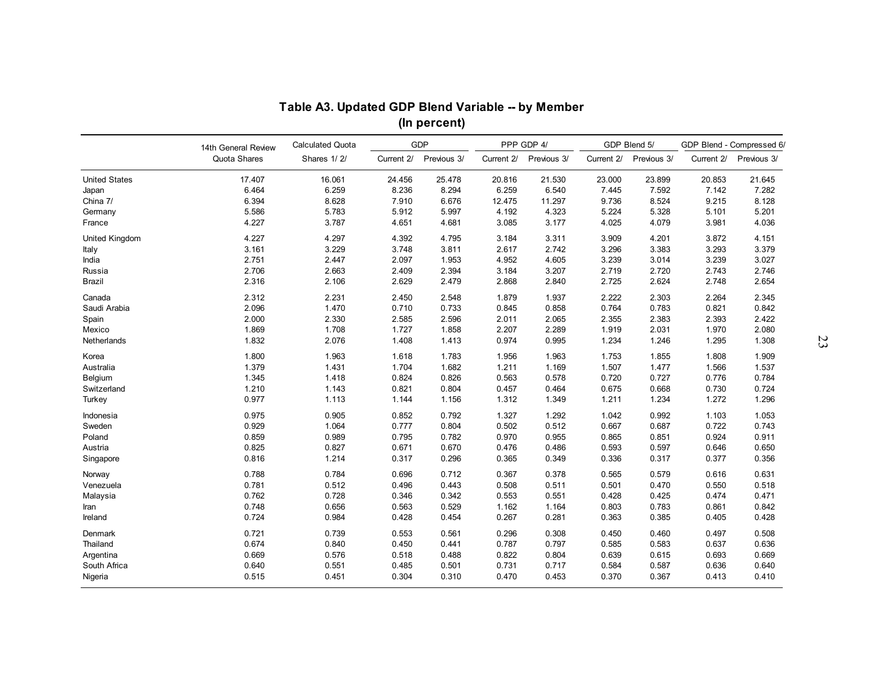|                       |                     | Table A3. Updated GDP Blend Variable -- by Member |            | (In percent) |            |             |            |              |            |                           |
|-----------------------|---------------------|---------------------------------------------------|------------|--------------|------------|-------------|------------|--------------|------------|---------------------------|
|                       | 14th General Review | <b>Calculated Quota</b>                           |            | <b>GDP</b>   |            | PPP GDP 4/  |            | GDP Blend 5/ |            | GDP Blend - Compressed 6/ |
|                       | Quota Shares        | Shares 1/2/                                       | Current 2/ | Previous 3/  | Current 2/ | Previous 3/ | Current 2/ | Previous 3/  | Current 2/ | Previous 3/               |
| <b>United States</b>  | 17.407              | 16.061                                            | 24.456     | 25.478       | 20.816     | 21.530      | 23.000     | 23.899       | 20.853     | 21.645                    |
| Japan                 | 6.464               | 6.259                                             | 8.236      | 8.294        | 6.259      | 6.540       | 7.445      | 7.592        | 7.142      | 7.282                     |
| China 7/              | 6.394               | 8.628                                             | 7.910      | 6.676        | 12.475     | 11.297      | 9.736      | 8.524        | 9.215      | 8.128                     |
| Germany               | 5.586               | 5.783                                             | 5.912      | 5.997        | 4.192      | 4.323       | 5.224      | 5.328        | 5.101      | 5.201                     |
| France                | 4.227               | 3.787                                             | 4.651      | 4.681        | 3.085      | 3.177       | 4.025      | 4.079        | 3.981      | 4.036                     |
| <b>United Kingdom</b> | 4.227               | 4.297                                             | 4.392      | 4.795        | 3.184      | 3.311       | 3.909      | 4.201        | 3.872      | 4.151                     |
| Italy                 | 3.161               | 3.229                                             | 3.748      | 3.811        | 2.617      | 2.742       | 3.296      | 3.383        | 3.293      | 3.379                     |
| India                 | 2.751               | 2.447                                             | 2.097      | 1.953        | 4.952      | 4.605       | 3.239      | 3.014        | 3.239      | 3.027                     |
| Russia                | 2.706               | 2.663                                             | 2.409      | 2.394        | 3.184      | 3.207       | 2.719      | 2.720        | 2.743      | 2.746                     |
| Brazil                | 2.316               | 2.106                                             | 2.629      | 2.479        | 2.868      | 2.840       | 2.725      | 2.624        | 2.748      | 2.654                     |
| Canada                | 2.312               | 2.231                                             | 2.450      | 2.548        | 1.879      | 1.937       | 2.222      | 2.303        | 2.264      | 2.345                     |
| Saudi Arabia          | 2.096               | 1.470                                             | 0.710      | 0.733        | 0.845      | 0.858       | 0.764      | 0.783        | 0.821      | 0.842                     |
| Spain                 | 2.000               | 2.330                                             | 2.585      | 2.596        | 2.011      | 2.065       | 2.355      | 2.383        | 2.393      | 2.422                     |
| Mexico                | 1.869               | 1.708                                             | 1.727      | 1.858        | 2.207      | 2.289       | 1.919      | 2.031        | 1.970      | 2.080                     |
| Netherlands           | 1.832               | 2.076                                             | 1.408      | 1.413        | 0.974      | 0.995       | 1.234      | 1.246        | 1.295      | 1.308                     |
|                       |                     |                                                   |            |              |            |             |            |              |            |                           |
| Korea                 | 1.800               | 1.963                                             | 1.618      | 1.783        | 1.956      | 1.963       | 1.753      | 1.855        | 1.808      | 1.909                     |
| Australia             | 1.379               | 1.431                                             | 1.704      | 1.682        | 1.211      | 1.169       | 1.507      | 1.477        | 1.566      | 1.537                     |
| Belgium               | 1.345               | 1.418                                             | 0.824      | 0.826        | 0.563      | 0.578       | 0.720      | 0.727        | 0.776      | 0.784                     |
| Switzerland           | 1.210               | 1.143                                             | 0.821      | 0.804        | 0.457      | 0.464       | 0.675      | 0.668        | 0.730      | 0.724                     |
| Turkey                | 0.977               | 1.113                                             | 1.144      | 1.156        | 1.312      | 1.349       | 1.211      | 1.234        | 1.272      | 1.296                     |
| Indonesia             | 0.975               | 0.905                                             | 0.852      | 0.792        | 1.327      | 1.292       | 1.042      | 0.992        | 1.103      | 1.053                     |
| Sweden                | 0.929               | 1.064                                             | 0.777      | 0.804        | 0.502      | 0.512       | 0.667      | 0.687        | 0.722      | 0.743                     |
| Poland                | 0.859               | 0.989                                             | 0.795      | 0.782        | 0.970      | 0.955       | 0.865      | 0.851        | 0.924      | 0.911                     |
| Austria               | 0.825               | 0.827                                             | 0.671      | 0.670        | 0.476      | 0.486       | 0.593      | 0.597        | 0.646      | 0.650                     |
| Singapore             | 0.816               | 1.214                                             | 0.317      | 0.296        | 0.365      | 0.349       | 0.336      | 0.317        | 0.377      | 0.356                     |
| Norway                | 0.788               | 0.784                                             | 0.696      | 0.712        | 0.367      | 0.378       | 0.565      | 0.579        | 0.616      | 0.631                     |
| Venezuela             | 0.781               | 0.512                                             | 0.496      | 0.443        | 0.508      | 0.511       | 0.501      | 0.470        | 0.550      | 0.518                     |
| Malaysia              | 0.762               | 0.728                                             | 0.346      | 0.342        | 0.553      | 0.551       | 0.428      | 0.425        | 0.474      | 0.471                     |
| Iran                  | 0.748               | 0.656                                             | 0.563      | 0.529        | 1.162      | 1.164       | 0.803      | 0.783        | 0.861      | 0.842                     |
| Ireland               | 0.724               | 0.984                                             | 0.428      | 0.454        | 0.267      | 0.281       | 0.363      | 0.385        | 0.405      | 0.428                     |
| Denmark               | 0.721               | 0.739                                             | 0.553      | 0.561        | 0.296      | 0.308       | 0.450      | 0.460        | 0.497      | 0.508                     |
| Thailand              | 0.674               | 0.840                                             | 0.450      | 0.441        | 0.787      | 0.797       | 0.585      | 0.583        | 0.637      | 0.636                     |
| Argentina             | 0.669               | 0.576                                             | 0.518      | 0.488        | 0.822      | 0.804       | 0.639      | 0.615        | 0.693      | 0.669                     |
| South Africa          | 0.640               | 0.551                                             | 0.485      | 0.501        | 0.731      | 0.717       | 0.584      | 0.587        | 0.636      | 0.640                     |
| Nigeria               | 0.515               | 0.451                                             | 0.304      | 0.310        | 0.470      | 0.453       | 0.370      | 0.367        | 0.413      | 0.410                     |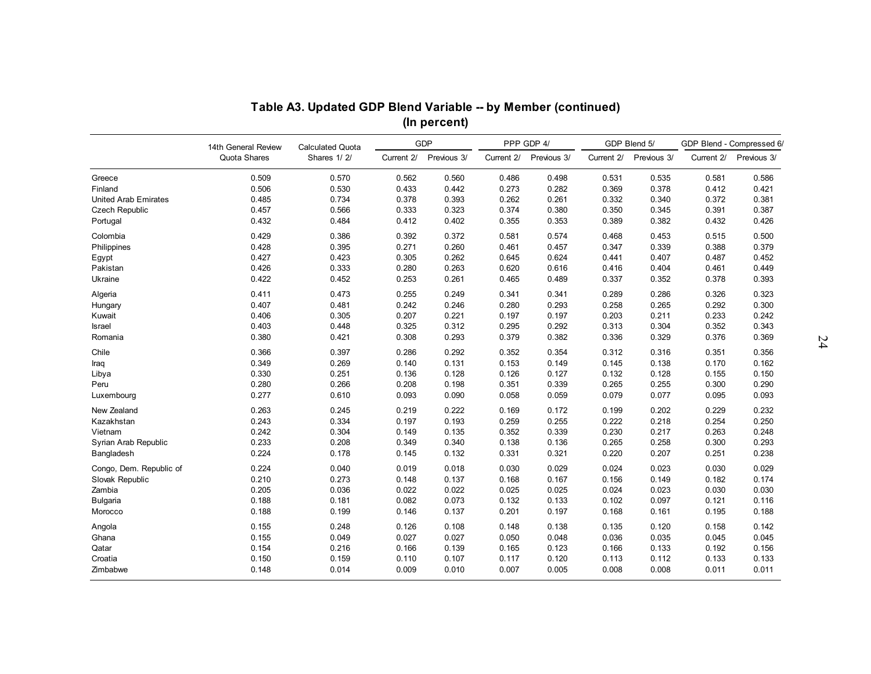|                             |                     | Table A3. Updated GDP Blend Variable -- by Member (continued) |            |              |            |             |            |              |            |                           |
|-----------------------------|---------------------|---------------------------------------------------------------|------------|--------------|------------|-------------|------------|--------------|------------|---------------------------|
|                             |                     |                                                               |            | (In percent) |            |             |            |              |            |                           |
|                             | 14th General Review | <b>Calculated Quota</b>                                       |            | GDP          |            | PPP GDP 4/  |            | GDP Blend 5/ |            | GDP Blend - Compressed 6/ |
|                             | Quota Shares        | Shares 1/2/                                                   | Current 2/ | Previous 3/  | Current 2/ | Previous 3/ | Current 2/ | Previous 3/  | Current 2/ | Previous 3/               |
| Greece                      | 0.509               | 0.570                                                         | 0.562      | 0.560        | 0.486      | 0.498       | 0.531      | 0.535        | 0.581      | 0.586                     |
| Finland                     | 0.506               | 0.530                                                         | 0.433      | 0.442        | 0.273      | 0.282       | 0.369      | 0.378        | 0.412      | 0.421                     |
| <b>United Arab Emirates</b> | 0.485               | 0.734                                                         | 0.378      | 0.393        | 0.262      | 0.261       | 0.332      | 0.340        | 0.372      | 0.381                     |
| <b>Czech Republic</b>       | 0.457               | 0.566                                                         | 0.333      | 0.323        | 0.374      | 0.380       | 0.350      | 0.345        | 0.391      | 0.387                     |
| Portugal                    | 0.432               | 0.484                                                         | 0.412      | 0.402        | 0.355      | 0.353       | 0.389      | 0.382        | 0.432      | 0.426                     |
| Colombia                    | 0.429               | 0.386                                                         | 0.392      | 0.372        | 0.581      | 0.574       | 0.468      | 0.453        | 0.515      | 0.500                     |
| Philippines                 | 0.428               | 0.395                                                         | 0.271      | 0.260        | 0.461      | 0.457       | 0.347      | 0.339        | 0.388      | 0.379                     |
| Egypt                       | 0.427               | 0.423                                                         | 0.305      | 0.262        | 0.645      | 0.624       | 0.441      | 0.407        | 0.487      | 0.452                     |
| Pakistan                    | 0.426               | 0.333                                                         | 0.280      | 0.263        | 0.620      | 0.616       | 0.416      | 0.404        | 0.461      | 0.449                     |
| Ukraine                     | 0.422               | 0.452                                                         | 0.253      | 0.261        | 0.465      | 0.489       | 0.337      | 0.352        | 0.378      | 0.393                     |
| Algeria                     | 0.411               | 0.473                                                         | 0.255      | 0.249        | 0.341      | 0.341       | 0.289      | 0.286        | 0.326      | 0.323                     |
| Hungary                     | 0.407               | 0.481                                                         | 0.242      | 0.246        | 0.280      | 0.293       | 0.258      | 0.265        | 0.292      | 0.300                     |
| Kuwait                      | 0.406               | 0.305                                                         | 0.207      | 0.221        | 0.197      | 0.197       | 0.203      | 0.211        | 0.233      | 0.242                     |
| Israel                      | 0.403               | 0.448                                                         | 0.325      | 0.312        | 0.295      | 0.292       | 0.313      | 0.304        | 0.352      | 0.343                     |
| Romania                     | 0.380               | 0.421                                                         | 0.308      | 0.293        | 0.379      | 0.382       | 0.336      | 0.329        | 0.376      | 0.369                     |
| Chile                       | 0.366               | 0.397                                                         | 0.286      | 0.292        | 0.352      | 0.354       | 0.312      | 0.316        | 0.351      | 0.356                     |
| Iraq                        | 0.349               | 0.269                                                         | 0.140      | 0.131        | 0.153      | 0.149       | 0.145      | 0.138        | 0.170      | 0.162                     |
| Libya                       | 0.330               | 0.251                                                         | 0.136      | 0.128        | 0.126      | 0.127       | 0.132      | 0.128        | 0.155      | 0.150                     |
| Peru                        | 0.280               | 0.266                                                         | 0.208      | 0.198        | 0.351      | 0.339       | 0.265      | 0.255        | 0.300      | 0.290                     |
| Luxembourg                  | 0.277               | 0.610                                                         | 0.093      | 0.090        | 0.058      | 0.059       | 0.079      | 0.077        | 0.095      | 0.093                     |
| New Zealand                 | 0.263               | 0.245                                                         | 0.219      | 0.222        | 0.169      | 0.172       | 0.199      | 0.202        | 0.229      | 0.232                     |
| Kazakhstan                  | 0.243               | 0.334                                                         | 0.197      | 0.193        | 0.259      | 0.255       | 0.222      | 0.218        | 0.254      | 0.250                     |
| Vietnam                     | 0.242               | 0.304                                                         | 0.149      | 0.135        | 0.352      | 0.339       | 0.230      | 0.217        | 0.263      | 0.248                     |
| Syrian Arab Republic        | 0.233               | 0.208                                                         | 0.349      | 0.340        | 0.138      | 0.136       | 0.265      | 0.258        | 0.300      | 0.293                     |
| Bangladesh                  | 0.224               | 0.178                                                         | 0.145      | 0.132        | 0.331      | 0.321       | 0.220      | 0.207        | 0.251      | 0.238                     |
| Congo, Dem. Republic of     | 0.224               | 0.040                                                         | 0.019      | 0.018        | 0.030      | 0.029       | 0.024      | 0.023        | 0.030      | 0.029                     |
| Slovak Republic             | 0.210               | 0.273                                                         | 0.148      | 0.137        | 0.168      | 0.167       | 0.156      | 0.149        | 0.182      | 0.174                     |
| Zambia                      | 0.205               | 0.036                                                         | 0.022      | 0.022        | 0.025      | 0.025       | 0.024      | 0.023        | 0.030      | 0.030                     |
| <b>Bulgaria</b>             | 0.188               | 0.181                                                         | 0.082      | 0.073        | 0.132      | 0.133       | 0.102      | 0.097        | 0.121      | 0.116                     |
| Morocco                     | 0.188               | 0.199                                                         | 0.146      | 0.137        | 0.201      | 0.197       | 0.168      | 0.161        | 0.195      | 0.188                     |
| Angola                      | 0.155               | 0.248                                                         | 0.126      | 0.108        | 0.148      | 0.138       | 0.135      | 0.120        | 0.158      | 0.142                     |
| Ghana                       | 0.155               | 0.049                                                         | 0.027      | 0.027        | 0.050      | 0.048       | 0.036      | 0.035        | 0.045      | 0.045                     |
| Qatar                       | 0.154               | 0.216                                                         | 0.166      | 0.139        | 0.165      | 0.123       | 0.166      | 0.133        | 0.192      | 0.156                     |
| Croatia                     | 0.150               | 0.159                                                         | 0.110      | 0.107        | 0.117      | 0.120       | 0.113      | 0.112        | 0.133      | 0.133                     |
|                             |                     |                                                               |            |              |            |             |            |              |            |                           |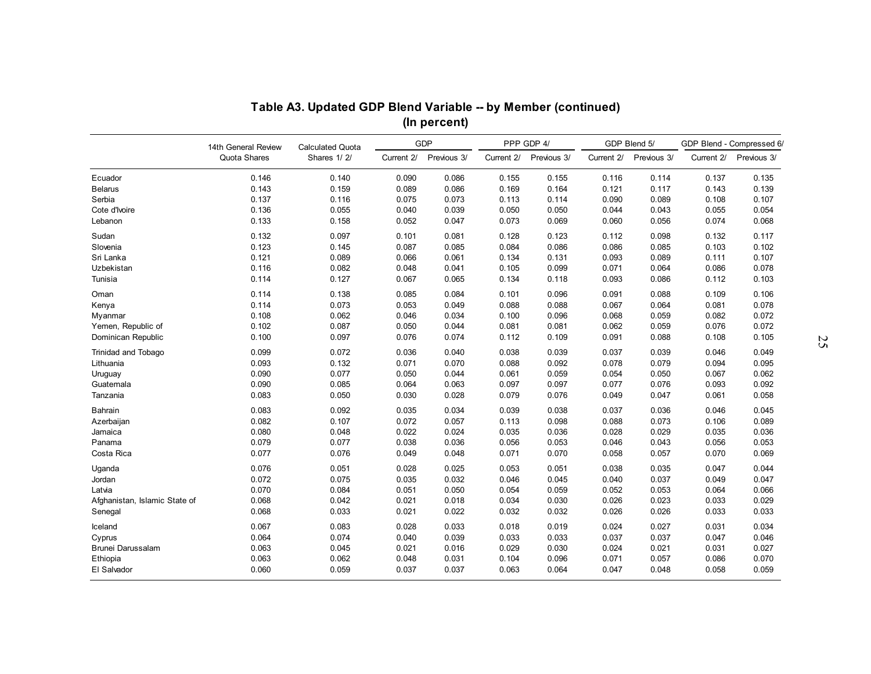|                               |                     | Table A3. Updated GDP Blend Variable -- by Member (continued) |            | (In percent) |            |             |            |              |            |                           |
|-------------------------------|---------------------|---------------------------------------------------------------|------------|--------------|------------|-------------|------------|--------------|------------|---------------------------|
|                               | 14th General Review | <b>Calculated Quota</b>                                       |            | <b>GDP</b>   |            | PPP GDP 4/  |            | GDP Blend 5/ |            | GDP Blend - Compressed 6/ |
|                               | Quota Shares        | Shares 1/2/                                                   | Current 2/ | Previous 3/  | Current 2/ | Previous 3/ | Current 2/ | Previous 3/  | Current 2/ | Previous 3/               |
| Ecuador                       | 0.146               | 0.140                                                         | 0.090      | 0.086        | 0.155      | 0.155       | 0.116      | 0.114        | 0.137      | 0.135                     |
| <b>Belarus</b>                | 0.143               | 0.159                                                         | 0.089      | 0.086        | 0.169      | 0.164       | 0.121      | 0.117        | 0.143      | 0.139                     |
| Serbia                        | 0.137               | 0.116                                                         | 0.075      | 0.073        | 0.113      | 0.114       | 0.090      | 0.089        | 0.108      | 0.107                     |
| Cote d'Ivoire                 | 0.136               | 0.055                                                         | 0.040      | 0.039        | 0.050      | 0.050       | 0.044      | 0.043        | 0.055      | 0.054                     |
| Lebanon                       | 0.133               | 0.158                                                         | 0.052      | 0.047        | 0.073      | 0.069       | 0.060      | 0.056        | 0.074      | 0.068                     |
| Sudan                         | 0.132               | 0.097                                                         | 0.101      | 0.081        | 0.128      | 0.123       | 0.112      | 0.098        | 0.132      | 0.117                     |
| Slovenia                      | 0.123               | 0.145                                                         | 0.087      | 0.085        | 0.084      | 0.086       | 0.086      | 0.085        | 0.103      | 0.102                     |
| Sri Lanka                     | 0.121               | 0.089                                                         | 0.066      | 0.061        | 0.134      | 0.131       | 0.093      | 0.089        | 0.111      | 0.107                     |
| Uzbekistan                    | 0.116               | 0.082                                                         | 0.048      | 0.041        | 0.105      | 0.099       | 0.071      | 0.064        | 0.086      | 0.078                     |
| Tunisia                       | 0.114               | 0.127                                                         | 0.067      | 0.065        | 0.134      | 0.118       | 0.093      | 0.086        | 0.112      | 0.103                     |
| Oman                          | 0.114               | 0.138                                                         | 0.085      | 0.084        | 0.101      | 0.096       | 0.091      | 0.088        | 0.109      | 0.106                     |
| Kenya                         | 0.114               | 0.073                                                         | 0.053      | 0.049        | 0.088      | 0.088       | 0.067      | 0.064        | 0.081      | 0.078                     |
| Myanmar                       | 0.108               | 0.062                                                         | 0.046      | 0.034        | 0.100      | 0.096       | 0.068      | 0.059        | 0.082      | 0.072                     |
| Yemen, Republic of            | 0.102               | 0.087                                                         | 0.050      | 0.044        | 0.081      | 0.081       | 0.062      | 0.059        | 0.076      | 0.072                     |
| Dominican Republic            | 0.100               | 0.097                                                         | 0.076      | 0.074        | 0.112      | 0.109       | 0.091      | 0.088        | 0.108      | 0.105                     |
| <b>Trinidad and Tobago</b>    | 0.099               | 0.072                                                         | 0.036      | 0.040        | 0.038      | 0.039       | 0.037      | 0.039        | 0.046      | 0.049                     |
| Lithuania                     | 0.093               | 0.132                                                         | 0.071      | 0.070        | 0.088      | 0.092       | 0.078      | 0.079        | 0.094      | 0.095                     |
| Uruguay                       | 0.090               | 0.077                                                         | 0.050      | 0.044        | 0.061      | 0.059       | 0.054      | 0.050        | 0.067      | 0.062                     |
| Guatemala                     | 0.090               | 0.085                                                         | 0.064      | 0.063        | 0.097      | 0.097       | 0.077      | 0.076        | 0.093      | 0.092                     |
| Tanzania                      | 0.083               | 0.050                                                         | 0.030      | 0.028        | 0.079      | 0.076       | 0.049      | 0.047        | 0.061      | 0.058                     |
| Bahrain                       | 0.083               | 0.092                                                         | 0.035      | 0.034        | 0.039      | 0.038       | 0.037      | 0.036        | 0.046      | 0.045                     |
| Azerbaijan                    | 0.082               | 0.107                                                         | 0.072      | 0.057        | 0.113      | 0.098       | 0.088      | 0.073        | 0.106      | 0.089                     |
| Jamaica                       | 0.080               | 0.048                                                         | 0.022      | 0.024        | 0.035      | 0.036       | 0.028      | 0.029        | 0.035      | 0.036                     |
| Panama                        | 0.079               | 0.077                                                         | 0.038      | 0.036        | 0.056      | 0.053       | 0.046      | 0.043        | 0.056      | 0.053                     |
| Costa Rica                    | 0.077               | 0.076                                                         | 0.049      | 0.048        | 0.071      | 0.070       | 0.058      | 0.057        | 0.070      | 0.069                     |
| Uganda                        | 0.076               | 0.051                                                         | 0.028      | 0.025        | 0.053      | 0.051       | 0.038      | 0.035        | 0.047      | 0.044                     |
| Jordan                        | 0.072               | 0.075                                                         | 0.035      | 0.032        | 0.046      | 0.045       | 0.040      | 0.037        | 0.049      | 0.047                     |
| Latvia                        | 0.070               | 0.084                                                         | 0.051      | 0.050        | 0.054      | 0.059       | 0.052      | 0.053        | 0.064      | 0.066                     |
| Afghanistan, Islamic State of | 0.068               | 0.042                                                         | 0.021      | 0.018        | 0.034      | 0.030       | 0.026      | 0.023        | 0.033      | 0.029                     |
| Senegal                       | 0.068               | 0.033                                                         | 0.021      | 0.022        | 0.032      | 0.032       | 0.026      | 0.026        | 0.033      | 0.033                     |
| Iceland                       | 0.067               | 0.083                                                         | 0.028      | 0.033        | 0.018      | 0.019       | 0.024      | 0.027        | 0.031      | 0.034                     |
| Cyprus                        | 0.064               | 0.074                                                         | 0.040      | 0.039        | 0.033      | 0.033       | 0.037      | 0.037        | 0.047      | 0.046                     |
| Brunei Darussalam             | 0.063               | 0.045                                                         | 0.021      | 0.016        | 0.029      | 0.030       | 0.024      | 0.021        | 0.031      | 0.027                     |
| Ethiopia                      | 0.063               | 0.062                                                         | 0.048      | 0.031        | 0.104      | 0.096       | 0.071      | 0.057        | 0.086      | 0.070                     |
| El Salvador                   | 0.060               | 0.059                                                         | 0.037      | 0.037        | 0.063      | 0.064       | 0.047      | 0.048        | 0.058      | 0.059                     |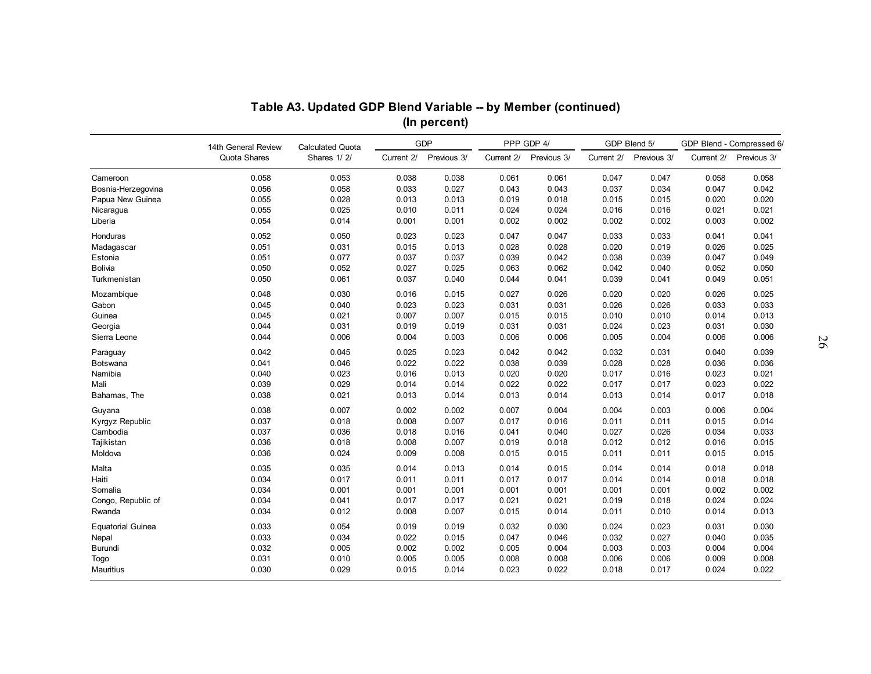|                          |                                     | Table A3. Updated GDP Blend Variable -- by Member (continued) |            |                            |            |                           |            |                             |            |                                          |
|--------------------------|-------------------------------------|---------------------------------------------------------------|------------|----------------------------|------------|---------------------------|------------|-----------------------------|------------|------------------------------------------|
|                          |                                     |                                                               |            | (In percent)<br><b>GDP</b> |            |                           |            |                             |            |                                          |
|                          | 14th General Review<br>Quota Shares | <b>Calculated Quota</b><br>Shares 1/2/                        | Current 2/ | Previous 3/                | Current 2/ | PPP GDP 4/<br>Previous 3/ | Current 2/ | GDP Blend 5/<br>Previous 3/ | Current 2/ | GDP Blend - Compressed 6/<br>Previous 3/ |
| Cameroon                 | 0.058                               | 0.053                                                         | 0.038      | 0.038                      | 0.061      | 0.061                     | 0.047      | 0.047                       | 0.058      | 0.058                                    |
| Bosnia-Herzegovina       | 0.056                               | 0.058                                                         | 0.033      | 0.027                      | 0.043      | 0.043                     | 0.037      | 0.034                       | 0.047      | 0.042                                    |
| Papua New Guinea         | 0.055                               | 0.028                                                         | 0.013      | 0.013                      | 0.019      | 0.018                     | 0.015      | 0.015                       | 0.020      | 0.020                                    |
| Nicaragua                | 0.055                               | 0.025                                                         | 0.010      | 0.011                      | 0.024      | 0.024                     | 0.016      | 0.016                       | 0.021      | 0.021                                    |
| Liberia                  | 0.054                               | 0.014                                                         | 0.001      | 0.001                      | 0.002      | 0.002                     | 0.002      | 0.002                       | 0.003      | 0.002                                    |
| Honduras                 | 0.052                               | 0.050                                                         | 0.023      | 0.023                      | 0.047      | 0.047                     | 0.033      | 0.033                       | 0.041      | 0.041                                    |
| Madagascar               | 0.051                               | 0.031                                                         | 0.015      | 0.013                      | 0.028      | 0.028                     | 0.020      | 0.019                       | 0.026      | 0.025                                    |
| Estonia                  | 0.051                               | 0.077                                                         | 0.037      | 0.037                      | 0.039      | 0.042                     | 0.038      | 0.039                       | 0.047      | 0.049                                    |
| <b>Bolivia</b>           | 0.050                               | 0.052                                                         | 0.027      | 0.025                      | 0.063      | 0.062                     | 0.042      | 0.040                       | 0.052      | 0.050                                    |
| Turkmenistan             | 0.050                               | 0.061                                                         | 0.037      | 0.040                      | 0.044      | 0.041                     | 0.039      | 0.041                       | 0.049      | 0.051                                    |
| Mozambique               | 0.048                               | 0.030                                                         | 0.016      | 0.015                      | 0.027      | 0.026                     | 0.020      | 0.020                       | 0.026      | 0.025                                    |
| Gabon                    | 0.045                               | 0.040                                                         | 0.023      | 0.023                      | 0.031      | 0.031                     | 0.026      | 0.026                       | 0.033      | 0.033                                    |
| Guinea                   | 0.045                               | 0.021                                                         | 0.007      | 0.007                      | 0.015      | 0.015                     | 0.010      | 0.010                       | 0.014      | 0.013                                    |
| Georgia                  | 0.044                               | 0.031                                                         | 0.019      | 0.019                      | 0.031      | 0.031                     | 0.024      | 0.023                       | 0.031      | 0.030                                    |
| Sierra Leone             | 0.044                               | 0.006                                                         | 0.004      | 0.003                      | 0.006      | 0.006                     | 0.005      | 0.004                       | 0.006      | 0.006                                    |
| Paraguay                 | 0.042                               | 0.045                                                         | 0.025      | 0.023                      | 0.042      | 0.042                     | 0.032      | 0.031                       | 0.040      | 0.039                                    |
| Botswana                 | 0.041                               | 0.046                                                         | 0.022      | 0.022                      | 0.038      | 0.039                     | 0.028      | 0.028                       | 0.036      | 0.036                                    |
| Namibia                  | 0.040                               | 0.023                                                         | 0.016      | 0.013                      | 0.020      | 0.020                     | 0.017      | 0.016                       | 0.023      | 0.021                                    |
| Mali                     | 0.039                               | 0.029                                                         | 0.014      | 0.014                      | 0.022      | 0.022                     | 0.017      | 0.017                       | 0.023      | 0.022                                    |
| Bahamas, The             | 0.038                               | 0.021                                                         | 0.013      | 0.014                      | 0.013      | 0.014                     | 0.013      | 0.014                       | 0.017      | 0.018                                    |
| Guyana                   | 0.038                               | 0.007                                                         | 0.002      | 0.002                      | 0.007      | 0.004                     | 0.004      | 0.003                       | 0.006      | 0.004                                    |
| Kyrgyz Republic          | 0.037                               | 0.018                                                         | 0.008      | 0.007                      | 0.017      | 0.016                     | 0.011      | 0.011                       | 0.015      | 0.014                                    |
| Cambodia                 | 0.037                               | 0.036                                                         | 0.018      | 0.016                      | 0.041      | 0.040                     | 0.027      | 0.026                       | 0.034      | 0.033                                    |
| Tajikistan               | 0.036                               | 0.018                                                         | 0.008      | 0.007                      | 0.019      | 0.018                     | 0.012      | 0.012                       | 0.016      | 0.015                                    |
| Moldova                  | 0.036                               | 0.024                                                         | 0.009      | 0.008                      | 0.015      | 0.015                     | 0.011      | 0.011                       | 0.015      | 0.015                                    |
| Malta                    | 0.035                               | 0.035                                                         | 0.014      | 0.013                      | 0.014      | 0.015                     | 0.014      | 0.014                       | 0.018      | 0.018                                    |
| Haiti                    | 0.034                               | 0.017                                                         | 0.011      | 0.011                      | 0.017      | 0.017                     | 0.014      | 0.014                       | 0.018      | 0.018                                    |
| Somalia                  | 0.034                               | 0.001                                                         | 0.001      | 0.001                      | 0.001      | 0.001                     | 0.001      | 0.001                       | 0.002      | 0.002                                    |
| Congo, Republic of       | 0.034                               | 0.041                                                         | 0.017      | 0.017                      | 0.021      | 0.021                     | 0.019      | 0.018                       | 0.024      | 0.024                                    |
| Rwanda                   | 0.034                               | 0.012                                                         | 0.008      | 0.007                      | 0.015      | 0.014                     | 0.011      | 0.010                       | 0.014      | 0.013                                    |
| <b>Equatorial Guinea</b> | 0.033                               | 0.054                                                         | 0.019      | 0.019                      | 0.032      | 0.030                     | 0.024      | 0.023                       | 0.031      | 0.030                                    |
| Nepal                    | 0.033                               | 0.034                                                         | 0.022      | 0.015                      | 0.047      | 0.046                     | 0.032      | 0.027                       | 0.040      | 0.035                                    |
| Burundi                  | 0.032                               | 0.005                                                         | 0.002      | 0.002                      | 0.005      | 0.004                     | 0.003      | 0.003                       | 0.004      | 0.004                                    |
| Togo                     | 0.031                               | 0.010                                                         | 0.005      | 0.005                      | 0.008      | 0.008                     | 0.006      | 0.006                       | 0.009      | 0.008                                    |
| Mauritius                | 0.030                               | 0.029                                                         | 0.015      | 0.014                      | 0.023      | 0.022                     | 0.018      | 0.017                       | 0.024      | 0.022                                    |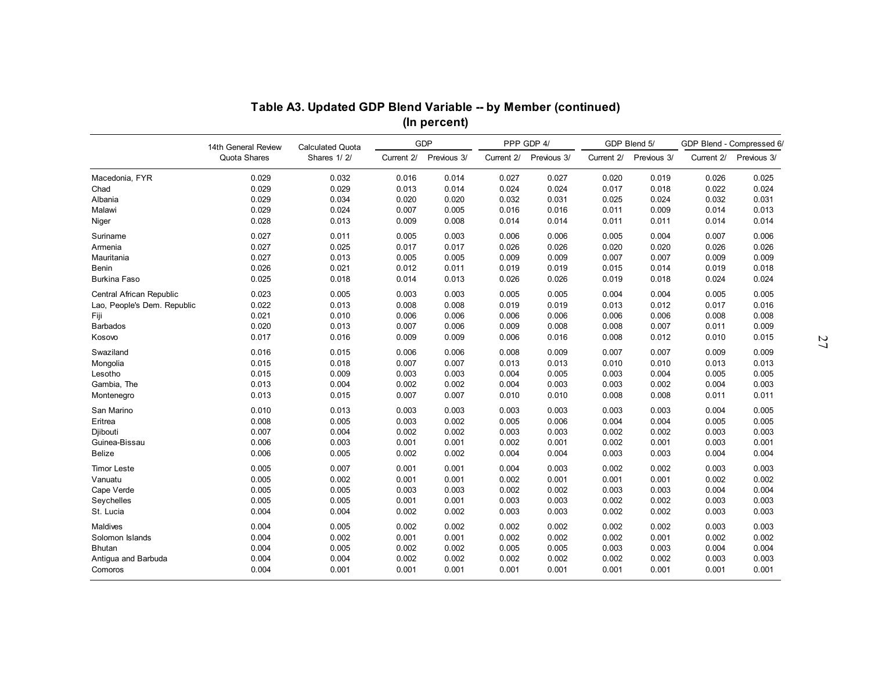|                             |                                     |                                        |            | (In percent)<br><b>GDP</b> |            | PPP GDP 4/  |            | GDP Blend 5/ |            | GDP Blend - Compressed 6/ |
|-----------------------------|-------------------------------------|----------------------------------------|------------|----------------------------|------------|-------------|------------|--------------|------------|---------------------------|
|                             | 14th General Review<br>Quota Shares | <b>Calculated Quota</b><br>Shares 1/2/ | Current 2/ | Previous 3/                | Current 2/ | Previous 3/ | Current 2/ | Previous 3/  | Current 2/ | Previous 3/               |
| Macedonia, FYR              | 0.029                               | 0.032                                  | 0.016      | 0.014                      | 0.027      | 0.027       | 0.020      | 0.019        | 0.026      | 0.025                     |
| Chad                        | 0.029                               | 0.029                                  | 0.013      | 0.014                      | 0.024      | 0.024       | 0.017      | 0.018        | 0.022      | 0.024                     |
| Albania                     | 0.029                               | 0.034                                  | 0.020      | 0.020                      | 0.032      | 0.031       | 0.025      | 0.024        | 0.032      | 0.031                     |
| Malawi                      | 0.029                               | 0.024                                  | 0.007      | 0.005                      | 0.016      | 0.016       | 0.011      | 0.009        | 0.014      | 0.013                     |
| Niger                       | 0.028                               | 0.013                                  | 0.009      | 0.008                      | 0.014      | 0.014       | 0.011      | 0.011        | 0.014      | 0.014                     |
| Suriname                    | 0.027                               | 0.011                                  | 0.005      | 0.003                      | 0.006      | 0.006       | 0.005      | 0.004        | 0.007      | 0.006                     |
| Armenia                     | 0.027                               | 0.025                                  | 0.017      | 0.017                      | 0.026      | 0.026       | 0.020      | 0.020        | 0.026      | 0.026                     |
| Mauritania                  | 0.027                               | 0.013                                  | 0.005      | 0.005                      | 0.009      | 0.009       | 0.007      | 0.007        | 0.009      | 0.009                     |
| <b>Benin</b>                | 0.026                               | 0.021                                  | 0.012      | 0.011                      | 0.019      | 0.019       | 0.015      | 0.014        | 0.019      | 0.018                     |
| Burkina Faso                | 0.025                               | 0.018                                  | 0.014      | 0.013                      | 0.026      | 0.026       | 0.019      | 0.018        | 0.024      | 0.024                     |
| Central African Republic    | 0.023                               | 0.005                                  | 0.003      | 0.003                      | 0.005      | 0.005       | 0.004      | 0.004        | 0.005      | 0.005                     |
| Lao, People's Dem. Republic | 0.022                               | 0.013                                  | 0.008      | 0.008                      | 0.019      | 0.019       | 0.013      | 0.012        | 0.017      | 0.016                     |
| Fiji                        | 0.021                               | 0.010                                  | 0.006      | 0.006                      | 0.006      | 0.006       | 0.006      | 0.006        | 0.008      | 0.008                     |
| <b>Barbados</b>             | 0.020                               | 0.013                                  | 0.007      | 0.006                      | 0.009      | 0.008       | 0.008      | 0.007        | 0.011      | 0.009                     |
| Kosovo                      | 0.017                               | 0.016                                  | 0.009      | 0.009                      | 0.006      | 0.016       | 0.008      | 0.012        | 0.010      | 0.015                     |
| Swaziland                   | 0.016                               | 0.015                                  | 0.006      | 0.006                      | 0.008      | 0.009       | 0.007      | 0.007        | 0.009      | 0.009                     |
| Mongolia                    | 0.015                               | 0.018                                  | 0.007      | 0.007                      | 0.013      | 0.013       | 0.010      | 0.010        | 0.013      | 0.013                     |
| Lesotho                     | 0.015                               | 0.009                                  | 0.003      | 0.003                      | 0.004      | 0.005       | 0.003      | 0.004        | 0.005      | 0.005                     |
| Gambia, The                 | 0.013                               | 0.004                                  | 0.002      | 0.002                      | 0.004      | 0.003       | 0.003      | 0.002        | 0.004      | 0.003                     |
| Montenegro                  | 0.013                               | 0.015                                  | 0.007      | 0.007                      | 0.010      | 0.010       | 0.008      | 0.008        | 0.011      | 0.011                     |
| San Marino                  | 0.010                               | 0.013                                  | 0.003      | 0.003                      | 0.003      | 0.003       | 0.003      | 0.003        | 0.004      | 0.005                     |
| Eritrea                     | 0.008                               | 0.005                                  | 0.003      | 0.002                      | 0.005      | 0.006       | 0.004      | 0.004        | 0.005      | 0.005                     |
| Djibouti                    | 0.007                               | 0.004                                  | 0.002      | 0.002                      | 0.003      | 0.003       | 0.002      | 0.002        | 0.003      | 0.003                     |
| Guinea-Bissau               | 0.006                               | 0.003                                  | 0.001      | 0.001                      | 0.002      | 0.001       | 0.002      | 0.001        | 0.003      | 0.001                     |
| <b>Belize</b>               | 0.006                               | 0.005                                  | 0.002      | 0.002                      | 0.004      | 0.004       | 0.003      | 0.003        | 0.004      | 0.004                     |
| <b>Timor Leste</b>          | 0.005                               | 0.007                                  | 0.001      | 0.001                      | 0.004      | 0.003       | 0.002      | 0.002        | 0.003      | 0.003                     |
| Vanuatu                     | 0.005                               | 0.002                                  | 0.001      | 0.001                      | 0.002      | 0.001       | 0.001      | 0.001        | 0.002      | 0.002                     |
| Cape Verde                  | 0.005                               | 0.005                                  | 0.003      | 0.003                      | 0.002      | 0.002       | 0.003      | 0.003        | 0.004      | 0.004                     |
| Seychelles                  | 0.005                               | 0.005                                  | 0.001      | 0.001                      | 0.003      | 0.003       | 0.002      | 0.002        | 0.003      | 0.003                     |
| St. Lucia                   | 0.004                               | 0.004                                  | 0.002      | 0.002                      | 0.003      | 0.003       | 0.002      | 0.002        | 0.003      | 0.003                     |
| <b>Maldives</b>             | 0.004                               | 0.005                                  | 0.002      | 0.002                      | 0.002      | 0.002       | 0.002      | 0.002        | 0.003      | 0.003                     |
| Solomon Islands             | 0.004                               | 0.002                                  | 0.001      | 0.001                      | 0.002      | 0.002       | 0.002      | 0.001        | 0.002      | 0.002                     |
| <b>Bhutan</b>               | 0.004                               | 0.005                                  | 0.002      | 0.002                      | 0.005      | 0.005       | 0.003      | 0.003        | 0.004      | 0.004                     |
| Antigua and Barbuda         | 0.004                               | 0.004                                  | 0.002      | 0.002                      | 0.002      | 0.002       | 0.002      | 0.002        | 0.003      | 0.003                     |
| Comoros                     | 0.004                               | 0.001                                  | 0.001      | 0.001                      | 0.001      | 0.001       | 0.001      | 0.001        | 0.001      | 0.001                     |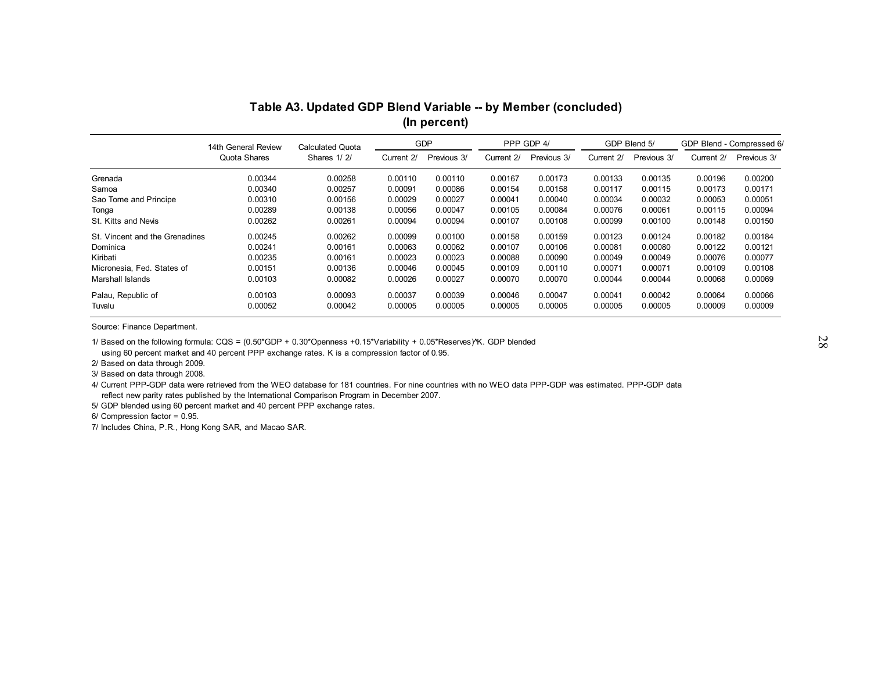| Quota Shares<br>Shares 1/2/<br>Current 2/<br>Previous 3/<br>Current 2/<br>Previous 3/<br>Current 2/<br>Previous 3/<br>Current 2/<br>0.00110<br>Grenada<br>0.00344<br>0.00258<br>0.00110<br>0.00167<br>0.00173<br>0.00133<br>0.00135<br>0.00196<br>0.00340<br>0.00257<br>0.00091<br>0.00086<br>0.00154<br>0.00117<br>Samoa<br>0.00158<br>0.00115<br>0.00173<br>0.00310<br>0.00156<br>0.00027<br>0.00041<br>0.00032<br>Sao Tome and Principe<br>0.00029<br>0.00040<br>0.00034<br>0.00053<br>0.00289<br>0.00138<br>0.00056<br>0.00047<br>0.00105<br>0.00084<br>0.00076<br>0.00061<br>0.00115<br>Tonga<br>St. Kitts and Nevis<br>0.00262<br>0.00261<br>0.00094<br>0.00094<br>0.00107<br>0.00108<br>0.00099<br>0.00100<br>0.00148<br>0.00245<br>0.00262<br>0.00099<br>0.00100<br>0.00158<br>0.00159<br>0.00123<br>0.00124<br>St. Vincent and the Grenadines<br>0.00182<br>0.00241<br>0.00161<br>0.00063<br>0.00062<br>0.00107<br>0.00081<br>0.00106<br>0.00080<br>0.00122<br>Dominica<br>0.00235<br>Kiribati<br>0.00161<br>0.00023<br>0.00023<br>0.00088<br>0.00090<br>0.00049<br>0.00049<br>0.00076<br>Micronesia, Fed. States of<br>0.00151<br>0.00136<br>0.00046<br>0.00045<br>0.00109<br>0.00110<br>0.00071<br>0.00071<br>0.00109<br>0.00070<br>Marshall Islands<br>0.00103<br>0.00082<br>0.00026<br>0.00027<br>0.00070<br>0.00044<br>0.00044<br>0.00068 |                    | 14th General Review | <b>Calculated Quota</b> |         | <b>GDP</b> |         | PPP GDP 4/ |         | GDP Blend 5/ | GDP Blend - Compressed 6/ |             |
|---------------------------------------------------------------------------------------------------------------------------------------------------------------------------------------------------------------------------------------------------------------------------------------------------------------------------------------------------------------------------------------------------------------------------------------------------------------------------------------------------------------------------------------------------------------------------------------------------------------------------------------------------------------------------------------------------------------------------------------------------------------------------------------------------------------------------------------------------------------------------------------------------------------------------------------------------------------------------------------------------------------------------------------------------------------------------------------------------------------------------------------------------------------------------------------------------------------------------------------------------------------------------------------------------------------------------------------------------------|--------------------|---------------------|-------------------------|---------|------------|---------|------------|---------|--------------|---------------------------|-------------|
|                                                                                                                                                                                                                                                                                                                                                                                                                                                                                                                                                                                                                                                                                                                                                                                                                                                                                                                                                                                                                                                                                                                                                                                                                                                                                                                                                         |                    |                     |                         |         |            |         |            |         |              |                           | Previous 3/ |
|                                                                                                                                                                                                                                                                                                                                                                                                                                                                                                                                                                                                                                                                                                                                                                                                                                                                                                                                                                                                                                                                                                                                                                                                                                                                                                                                                         |                    |                     |                         |         |            |         |            |         |              |                           | 0.00200     |
|                                                                                                                                                                                                                                                                                                                                                                                                                                                                                                                                                                                                                                                                                                                                                                                                                                                                                                                                                                                                                                                                                                                                                                                                                                                                                                                                                         |                    |                     |                         |         |            |         |            |         |              |                           | 0.00171     |
|                                                                                                                                                                                                                                                                                                                                                                                                                                                                                                                                                                                                                                                                                                                                                                                                                                                                                                                                                                                                                                                                                                                                                                                                                                                                                                                                                         |                    |                     |                         |         |            |         |            |         |              |                           | 0.00051     |
|                                                                                                                                                                                                                                                                                                                                                                                                                                                                                                                                                                                                                                                                                                                                                                                                                                                                                                                                                                                                                                                                                                                                                                                                                                                                                                                                                         |                    |                     |                         |         |            |         |            |         |              |                           | 0.00094     |
|                                                                                                                                                                                                                                                                                                                                                                                                                                                                                                                                                                                                                                                                                                                                                                                                                                                                                                                                                                                                                                                                                                                                                                                                                                                                                                                                                         |                    |                     |                         |         |            |         |            |         |              |                           | 0.00150     |
|                                                                                                                                                                                                                                                                                                                                                                                                                                                                                                                                                                                                                                                                                                                                                                                                                                                                                                                                                                                                                                                                                                                                                                                                                                                                                                                                                         |                    |                     |                         |         |            |         |            |         |              |                           | 0.00184     |
|                                                                                                                                                                                                                                                                                                                                                                                                                                                                                                                                                                                                                                                                                                                                                                                                                                                                                                                                                                                                                                                                                                                                                                                                                                                                                                                                                         |                    |                     |                         |         |            |         |            |         |              |                           | 0.00121     |
|                                                                                                                                                                                                                                                                                                                                                                                                                                                                                                                                                                                                                                                                                                                                                                                                                                                                                                                                                                                                                                                                                                                                                                                                                                                                                                                                                         |                    |                     |                         |         |            |         |            |         |              |                           | 0.00077     |
|                                                                                                                                                                                                                                                                                                                                                                                                                                                                                                                                                                                                                                                                                                                                                                                                                                                                                                                                                                                                                                                                                                                                                                                                                                                                                                                                                         |                    |                     |                         |         |            |         |            |         |              |                           | 0.00108     |
|                                                                                                                                                                                                                                                                                                                                                                                                                                                                                                                                                                                                                                                                                                                                                                                                                                                                                                                                                                                                                                                                                                                                                                                                                                                                                                                                                         |                    |                     |                         |         |            |         |            |         |              |                           | 0.00069     |
|                                                                                                                                                                                                                                                                                                                                                                                                                                                                                                                                                                                                                                                                                                                                                                                                                                                                                                                                                                                                                                                                                                                                                                                                                                                                                                                                                         | Palau, Republic of | 0.00103             | 0.00093                 | 0.00037 | 0.00039    | 0.00046 | 0.00047    | 0.00041 | 0.00042      | 0.00064                   | 0.00066     |
| 0.00052<br>0.00005<br>0.00042<br>0.00005<br>0.00005<br>0.00005<br>0.00005<br>0.00005<br>0.00009<br>Tuvalu                                                                                                                                                                                                                                                                                                                                                                                                                                                                                                                                                                                                                                                                                                                                                                                                                                                                                                                                                                                                                                                                                                                                                                                                                                               |                    |                     |                         |         |            |         |            |         |              |                           | 0.00009     |
| Source: Finance Department.                                                                                                                                                                                                                                                                                                                                                                                                                                                                                                                                                                                                                                                                                                                                                                                                                                                                                                                                                                                                                                                                                                                                                                                                                                                                                                                             |                    |                     |                         |         |            |         |            |         |              |                           |             |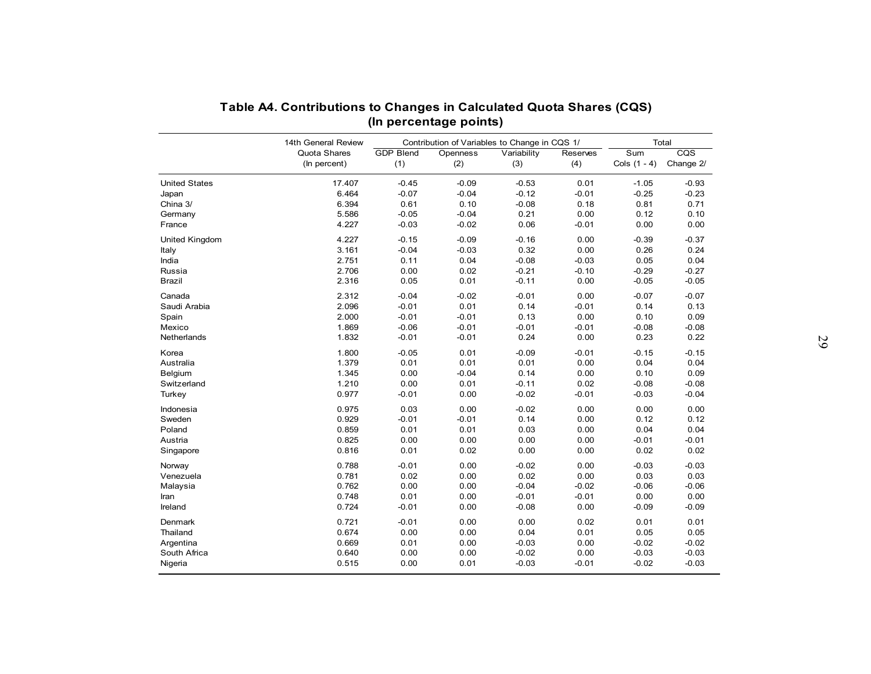|                       | 14th General Review          |                         | Contribution of Variables to Change in CQS 1/ |                    |                 |                       | Total                                |
|-----------------------|------------------------------|-------------------------|-----------------------------------------------|--------------------|-----------------|-----------------------|--------------------------------------|
|                       | Quota Shares<br>(In percent) | <b>GDP Blend</b><br>(1) | Openness<br>(2)                               | Variability<br>(3) | Reserves<br>(4) | Sum<br>Cols $(1 - 4)$ | $\overline{\text{CQS}}$<br>Change 2/ |
| <b>United States</b>  | 17.407                       | $-0.45$                 | $-0.09$                                       | $-0.53$            | 0.01            | $-1.05$               | $-0.93$                              |
| Japan                 | 6.464                        | $-0.07$                 | $-0.04$                                       | $-0.12$            | $-0.01$         | $-0.25$               | $-0.23$                              |
| China 3/              | 6.394                        | 0.61                    | 0.10                                          | $-0.08$            | 0.18            | 0.81                  | 0.71                                 |
| Germany               | 5.586                        | $-0.05$                 | $-0.04$                                       | 0.21               | 0.00            | 0.12                  | 0.10                                 |
| France                | 4.227                        | $-0.03$                 | $-0.02$                                       | 0.06               | $-0.01$         | 0.00                  | 0.00                                 |
| <b>United Kingdom</b> | 4.227                        | $-0.15$                 | $-0.09$                                       | $-0.16$            | 0.00            | $-0.39$               | $-0.37$                              |
| Italy                 | 3.161                        | $-0.04$                 | $-0.03$                                       | 0.32               | 0.00            | 0.26                  | 0.24                                 |
| India                 | 2.751                        | 0.11                    | 0.04                                          | $-0.08$            | $-0.03$         | 0.05                  | 0.04                                 |
| Russia                | 2.706                        | 0.00                    | 0.02                                          | $-0.21$            | $-0.10$         | $-0.29$               | $-0.27$                              |
| <b>Brazil</b>         | 2.316                        | 0.05                    | 0.01                                          | $-0.11$            | 0.00            | $-0.05$               | $-0.05$                              |
| Canada                | 2.312                        | $-0.04$                 | $-0.02$                                       | $-0.01$            | 0.00            | $-0.07$               | $-0.07$                              |
| Saudi Arabia          | 2.096                        | $-0.01$                 | 0.01                                          | 0.14               | $-0.01$         | 0.14                  | 0.13                                 |
| Spain                 | 2.000                        | $-0.01$                 | $-0.01$                                       | 0.13               | 0.00            | 0.10                  | 0.09                                 |
| Mexico                | 1.869                        | $-0.06$                 | $-0.01$                                       | $-0.01$            | $-0.01$         | $-0.08$               | $-0.08$                              |
| Netherlands           | 1.832                        | $-0.01$                 | $-0.01$                                       | 0.24               | 0.00            | 0.23                  | 0.22                                 |
|                       |                              |                         |                                               |                    |                 |                       |                                      |
| Korea                 | 1.800                        | $-0.05$                 | 0.01                                          | $-0.09$            | $-0.01$         | $-0.15$               | $-0.15$                              |
| Australia             | 1.379                        | 0.01                    | 0.01                                          | 0.01               | 0.00            | 0.04                  | 0.04                                 |
| Belgium               | 1.345                        | 0.00                    | $-0.04$                                       | 0.14               | 0.00<br>0.02    | 0.10                  | 0.09                                 |
| Switzerland<br>Turkey | 1.210<br>0.977               | 0.00<br>$-0.01$         | 0.01<br>0.00                                  | $-0.11$<br>$-0.02$ | $-0.01$         | $-0.08$<br>$-0.03$    | $-0.08$<br>$-0.04$                   |
|                       |                              |                         |                                               |                    |                 |                       |                                      |
| Indonesia             | 0.975                        | 0.03                    | 0.00                                          | $-0.02$            | 0.00            | 0.00                  | 0.00                                 |
| Sweden                | 0.929                        | $-0.01$                 | $-0.01$                                       | 0.14               | 0.00            | 0.12                  | 0.12                                 |
| Poland                | 0.859                        | 0.01                    | 0.01                                          | 0.03               | 0.00            | 0.04                  | 0.04                                 |
| Austria               | 0.825                        | 0.00                    | 0.00                                          | 0.00               | 0.00            | $-0.01$               | $-0.01$                              |
| Singapore             | 0.816                        | 0.01                    | 0.02                                          | 0.00               | 0.00            | 0.02                  | 0.02                                 |
| Norway                | 0.788                        | $-0.01$                 | 0.00                                          | $-0.02$            | 0.00            | $-0.03$               | $-0.03$                              |
| Venezuela             | 0.781                        | 0.02                    | 0.00                                          | 0.02               | 0.00            | 0.03                  | 0.03                                 |
| Malaysia              | 0.762                        | 0.00                    | 0.00                                          | $-0.04$            | $-0.02$         | $-0.06$               | $-0.06$                              |
| Iran                  | 0.748                        | 0.01                    | 0.00                                          | $-0.01$            | $-0.01$         | 0.00                  | 0.00                                 |
| Ireland               | 0.724                        | $-0.01$                 | 0.00                                          | $-0.08$            | 0.00            | $-0.09$               | $-0.09$                              |
| Denmark               | 0.721                        | $-0.01$                 | 0.00                                          | 0.00               | 0.02            | 0.01                  | 0.01                                 |
| Thailand              | 0.674                        | 0.00                    | 0.00                                          | 0.04               | 0.01            | 0.05                  | 0.05                                 |
| Argentina             | 0.669                        | 0.01                    | 0.00                                          | $-0.03$            | 0.00            | $-0.02$               | $-0.02$                              |
| South Africa          | 0.640                        | 0.00                    | 0.00                                          | $-0.02$            | 0.00            | $-0.03$               | $-0.03$                              |
| Nigeria               | 0.515                        | 0.00                    | 0.01                                          | $-0.03$            | $-0.01$         | $-0.02$               | $-0.03$                              |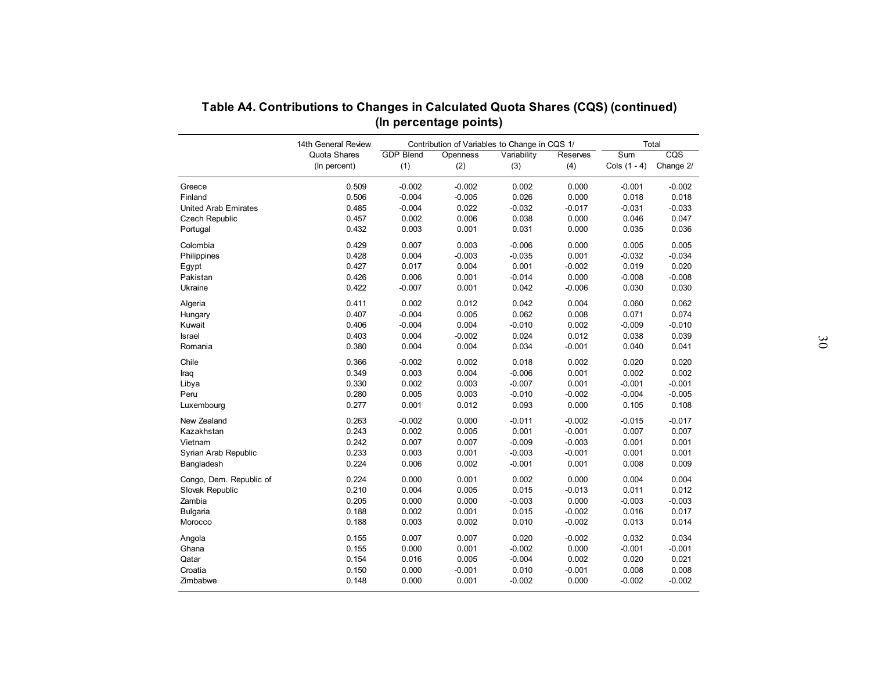|                             | 14th General Review          |                         |                 | Contribution of Variables to Change in CQS 1/ |                 |                       | Total            |
|-----------------------------|------------------------------|-------------------------|-----------------|-----------------------------------------------|-----------------|-----------------------|------------------|
|                             | Quota Shares<br>(In percent) | <b>GDP Blend</b><br>(1) | Openness<br>(2) | Variability<br>(3)                            | Reserves<br>(4) | Sum<br>Cols $(1 - 4)$ | CQS<br>Change 2/ |
| Greece                      | 0.509                        | $-0.002$                | $-0.002$        | 0.002                                         | 0.000           | $-0.001$              | $-0.002$         |
| Finland                     | 0.506                        | $-0.004$                | $-0.005$        | 0.026                                         | 0.000           | 0.018                 | 0.018            |
| <b>United Arab Emirates</b> | 0.485                        | $-0.004$                | 0.022           | $-0.032$                                      | $-0.017$        | $-0.031$              | $-0.033$         |
| <b>Czech Republic</b>       | 0.457                        | 0.002                   | 0.006           | 0.038                                         | 0.000           | 0.046                 | 0.047            |
| Portugal                    | 0.432                        | 0.003                   | 0.001           | 0.031                                         | 0.000           | 0.035                 | 0.036            |
| Colombia                    | 0.429                        | 0.007                   | 0.003           | $-0.006$                                      | 0.000           | 0.005                 | 0.005            |
| Philippines                 | 0.428                        | 0.004                   | $-0.003$        | $-0.035$                                      | 0.001           | $-0.032$              | $-0.034$         |
| Egypt                       | 0.427                        | 0.017                   | 0.004           | 0.001                                         | $-0.002$        | 0.019                 | 0.020            |
| Pakistan                    | 0.426                        | 0.006                   | 0.001           | $-0.014$                                      | 0.000           | $-0.008$              | $-0.008$         |
| Ukraine                     | 0.422                        | $-0.007$                | 0.001           | 0.042                                         | $-0.006$        | 0.030                 | 0.030            |
| Algeria                     | 0.411                        | 0.002                   | 0.012           | 0.042                                         | 0.004           | 0.060                 | 0.062            |
| Hungary                     | 0.407                        | $-0.004$                | 0.005           | 0.062                                         | 0.008           | 0.071                 | 0.074            |
| Kuwait                      | 0.406                        | $-0.004$                | 0.004           | $-0.010$                                      | 0.002           | $-0.009$              | $-0.010$         |
| Israel                      | 0.403                        | 0.004                   | $-0.002$        | 0.024                                         | 0.012           | 0.038                 | 0.039            |
| Romania                     | 0.380                        | 0.004                   | 0.004           | 0.034                                         | $-0.001$        | 0.040                 | 0.041            |
|                             |                              |                         |                 |                                               |                 |                       |                  |
| Chile                       | 0.366                        | $-0.002$                | 0.002           | 0.018                                         | 0.002           | 0.020                 | 0.020            |
| Iraq                        | 0.349                        | 0.003                   | 0.004           | $-0.006$                                      | 0.001           | 0.002                 | 0.002            |
| Libya                       | 0.330                        | 0.002                   | 0.003           | $-0.007$                                      | 0.001           | $-0.001$              | $-0.001$         |
| Peru                        | 0.280                        | 0.005                   | 0.003           | $-0.010$                                      | $-0.002$        | $-0.004$              | $-0.005$         |
| Luxembourg                  | 0.277                        | 0.001                   | 0.012           | 0.093                                         | 0.000           | 0.105                 | 0.108            |
| New Zealand                 | 0.263                        | $-0.002$                | 0.000           | $-0.011$                                      | $-0.002$        | $-0.015$              | $-0.017$         |
| Kazakhstan                  | 0.243                        | 0.002                   | 0.005           | 0.001                                         | $-0.001$        | 0.007                 | 0.007            |
| Vietnam                     | 0.242                        | 0.007                   | 0.007           | $-0.009$                                      | $-0.003$        | 0.001                 | 0.001            |
| Syrian Arab Republic        | 0.233                        | 0.003                   | 0.001           | $-0.003$                                      | $-0.001$        | 0.001                 | 0.001            |
| Bangladesh                  | 0.224                        | 0.006                   | 0.002           | $-0.001$                                      | 0.001           | 0.008                 | 0.009            |
| Congo, Dem. Republic of     | 0.224                        | 0.000                   | 0.001           | 0.002                                         | 0.000           | 0.004                 | 0.004            |
| Slovak Republic             | 0.210                        | 0.004                   | 0.005           | 0.015                                         | $-0.013$        | 0.011                 | 0.012            |
| Zambia                      | 0.205                        | 0.000                   | 0.000           | $-0.003$                                      | 0.000           | $-0.003$              | $-0.003$         |
| <b>Bulgaria</b>             | 0.188                        | 0.002                   | 0.001           | 0.015                                         | $-0.002$        | 0.016                 | 0.017            |
| Morocco                     | 0.188                        | 0.003                   | 0.002           | 0.010                                         | $-0.002$        | 0.013                 | 0.014            |
|                             |                              |                         |                 |                                               |                 |                       |                  |
| Angola                      | 0.155                        | 0.007                   | 0.007           | 0.020                                         | $-0.002$        | 0.032                 | 0.034            |
| Ghana                       | 0.155                        | 0.000                   | 0.001           | $-0.002$                                      | 0.000           | $-0.001$              | $-0.001$         |
| Qatar                       | 0.154                        | 0.016                   | 0.005           | $-0.004$                                      | 0.002           | 0.020                 | 0.021            |
| Croatia                     | 0.150                        | 0.000                   | $-0.001$        | 0.010                                         | $-0.001$        | 0.008                 | 0.008            |
| Zimbabwe                    | 0.148                        | 0.000                   | 0.001           | $-0.002$                                      | 0.000           | $-0.002$              | $-0.002$         |

| Table A4. Contributions to Changes in Calculated Quota Shares (CQS) (continued) |  |
|---------------------------------------------------------------------------------|--|
| (In percentage points)                                                          |  |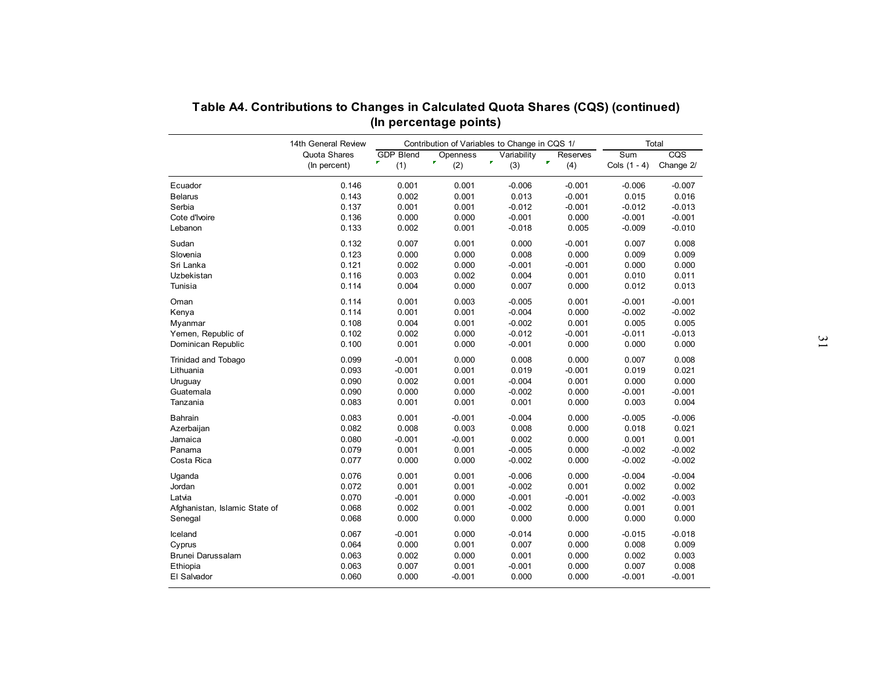|                                  | 14th General Review          |                                         | Contribution of Variables to Change in CQS 1/ |                         |                      |                       | Total            |
|----------------------------------|------------------------------|-----------------------------------------|-----------------------------------------------|-------------------------|----------------------|-----------------------|------------------|
|                                  | Quota Shares<br>(In percent) | <b>GDP Blend</b><br>$\mathbf{r}$<br>(1) | Openness<br>$\mathbf{F}$<br>(2)               | Variability<br>×<br>(3) | Reserves<br>F<br>(4) | Sum<br>Cols $(1 - 4)$ | CQS<br>Change 2/ |
| Ecuador                          | 0.146                        | 0.001                                   | 0.001                                         | $-0.006$                | $-0.001$             | $-0.006$              | $-0.007$         |
| <b>Belarus</b>                   | 0.143                        | 0.002                                   | 0.001                                         | 0.013                   | $-0.001$             | 0.015                 | 0.016            |
| Serbia                           | 0.137                        | 0.001                                   | 0.001                                         | $-0.012$                | $-0.001$             | $-0.012$              | $-0.013$         |
| Cote d'Ivoire                    | 0.136                        | 0.000                                   | 0.000                                         | $-0.001$                | 0.000                | $-0.001$              | $-0.001$         |
| Lebanon                          | 0.133                        | 0.002                                   | 0.001                                         | $-0.018$                | 0.005                | $-0.009$              | $-0.010$         |
| Sudan                            | 0.132                        | 0.007                                   | 0.001                                         | 0.000                   | $-0.001$             | 0.007                 | 0.008            |
| Slovenia                         | 0.123                        | 0.000                                   | 0.000                                         | 0.008                   | 0.000                | 0.009                 | 0.009            |
| Sri Lanka                        | 0.121                        | 0.002                                   | 0.000                                         | $-0.001$                | $-0.001$             | 0.000                 | 0.000            |
| Uzbekistan                       | 0.116                        | 0.003                                   | 0.002                                         | 0.004                   | 0.001                | 0.010                 | 0.011            |
| Tunisia                          | 0.114                        | 0.004                                   | 0.000                                         | 0.007                   | 0.000                | 0.012                 | 0.013            |
| Oman                             | 0.114                        | 0.001                                   | 0.003                                         | $-0.005$                | 0.001                | $-0.001$              | $-0.001$         |
| Kenya                            | 0.114                        | 0.001                                   | 0.001                                         | $-0.004$                | 0.000                | $-0.002$              | $-0.002$         |
| Myanmar                          | 0.108                        | 0.004                                   | 0.001                                         | $-0.002$                | 0.001                | 0.005                 | 0.005            |
| Yemen, Republic of               | 0.102                        | 0.002                                   | 0.000                                         | $-0.012$                | $-0.001$             | $-0.011$              | $-0.013$         |
| Dominican Republic               | 0.100                        | 0.001                                   | 0.000                                         | $-0.001$                | 0.000                | 0.000                 | 0.000            |
|                                  |                              |                                         |                                               |                         |                      |                       |                  |
| Trinidad and Tobago<br>Lithuania | 0.099<br>0.093               | $-0.001$<br>$-0.001$                    | 0.000<br>0.001                                | 0.008<br>0.019          | 0.000<br>$-0.001$    | 0.007<br>0.019        | 0.008<br>0.021   |
|                                  | 0.090                        | 0.002                                   | 0.001                                         | $-0.004$                | 0.001                | 0.000                 | 0.000            |
| Uruguay<br>Guatemala             | 0.090                        | 0.000                                   | 0.000                                         | $-0.002$                | 0.000                | $-0.001$              | $-0.001$         |
| Tanzania                         | 0.083                        | 0.001                                   | 0.001                                         | 0.001                   | 0.000                | 0.003                 | 0.004            |
|                                  |                              |                                         |                                               |                         |                      |                       |                  |
| Bahrain                          | 0.083                        | 0.001                                   | $-0.001$                                      | $-0.004$                | 0.000                | $-0.005$              | $-0.006$         |
| Azerbaijan                       | 0.082                        | 0.008                                   | 0.003                                         | 0.008                   | 0.000                | 0.018                 | 0.021            |
| Jamaica                          | 0.080                        | $-0.001$                                | $-0.001$                                      | 0.002                   | 0.000                | 0.001                 | 0.001            |
| Panama                           | 0.079                        | 0.001                                   | 0.001                                         | $-0.005$                | 0.000                | $-0.002$              | $-0.002$         |
| Costa Rica                       | 0.077                        | 0.000                                   | 0.000                                         | $-0.002$                | 0.000                | $-0.002$              | $-0.002$         |
| Uganda                           | 0.076                        | 0.001                                   | 0.001                                         | $-0.006$                | 0.000                | $-0.004$              | $-0.004$         |
| Jordan                           | 0.072                        | 0.001                                   | 0.001                                         | $-0.002$                | 0.001                | 0.002                 | 0.002            |
| Latvia                           | 0.070                        | $-0.001$                                | 0.000                                         | $-0.001$                | $-0.001$             | $-0.002$              | $-0.003$         |
| Afghanistan, Islamic State of    | 0.068                        | 0.002                                   | 0.001                                         | $-0.002$                | 0.000                | 0.001                 | 0.001            |
| Senegal                          | 0.068                        | 0.000                                   | 0.000                                         | 0.000                   | 0.000                | 0.000                 | 0.000            |
| Iceland                          | 0.067                        | $-0.001$                                | 0.000                                         | $-0.014$                | 0.000                | $-0.015$              | $-0.018$         |
| Cyprus                           | 0.064                        | 0.000                                   | 0.001                                         | 0.007                   | 0.000                | 0.008                 | 0.009            |
| Brunei Darussalam                | 0.063                        | 0.002                                   | 0.000                                         | 0.001                   | 0.000                | 0.002                 | 0.003            |
| Ethiopia                         | 0.063                        | 0.007                                   | 0.001                                         | $-0.001$                | 0.000                | 0.007                 | 0.008            |
| El Salvador                      | 0.060                        | 0.000                                   | $-0.001$                                      | 0.000                   | 0.000                | $-0.001$              | $-0.001$         |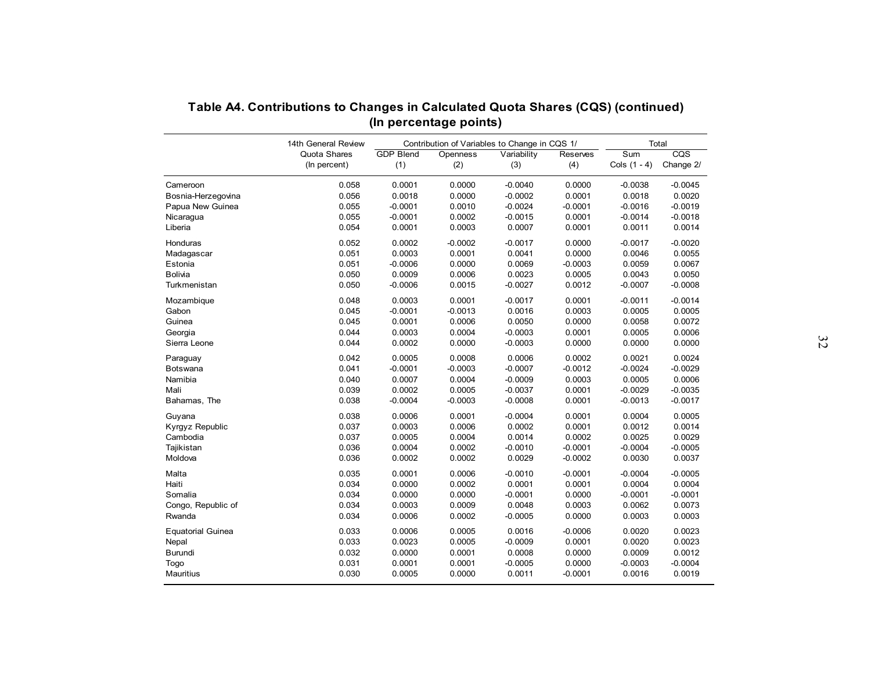|                          | Table A4. Contributions to Changes in Calculated Quota Shares (CQS) (continued) |                                                                         |                  |                     |                     |                         |                         |
|--------------------------|---------------------------------------------------------------------------------|-------------------------------------------------------------------------|------------------|---------------------|---------------------|-------------------------|-------------------------|
|                          | 14th General Review                                                             | (In percentage points)<br>Contribution of Variables to Change in CQS 1/ |                  |                     |                     |                         | Total                   |
|                          | Quota Shares                                                                    | <b>GDP Blend</b>                                                        | Openness         | Variability         | Reserves            | $\overline{\text{Sum}}$ | $\overline{\text{cos}}$ |
|                          | (In percent)                                                                    | (1)                                                                     | (2)              | (3)                 | (4)                 | Cols $(1 - 4)$          | Change 2/               |
| Cameroon                 | 0.058                                                                           | 0.0001                                                                  | 0.0000           | $-0.0040$           | 0.0000              | $-0.0038$               | $-0.0045$               |
| Bosnia-Herzegovina       | 0.056                                                                           | 0.0018                                                                  | 0.0000           | $-0.0002$           | 0.0001              | 0.0018                  | 0.0020                  |
| Papua New Guinea         | 0.055                                                                           | $-0.0001$                                                               | 0.0010           | $-0.0024$           | $-0.0001$           | $-0.0016$               | $-0.0019$               |
| Nicaragua                | 0.055                                                                           | $-0.0001$                                                               | 0.0002           | $-0.0015$           | 0.0001              | $-0.0014$               | $-0.0018$               |
| Liberia                  | 0.054                                                                           | 0.0001                                                                  | 0.0003           | 0.0007              | 0.0001              | 0.0011                  | 0.0014                  |
| Honduras                 | 0.052                                                                           | 0.0002                                                                  | $-0.0002$        | $-0.0017$           | 0.0000              | $-0.0017$               | $-0.0020$               |
| Madagascar               | 0.051                                                                           | 0.0003                                                                  | 0.0001           | 0.0041              | 0.0000              | 0.0046                  | 0.0055                  |
| Estonia                  | 0.051                                                                           | $-0.0006$                                                               | 0.0000           | 0.0069              | $-0.0003$           | 0.0059                  | 0.0067                  |
| Bolivia                  | 0.050                                                                           | 0.0009                                                                  | 0.0006           | 0.0023              | 0.0005              | 0.0043                  | 0.0050                  |
| Turkmenistan             | 0.050                                                                           | $-0.0006$                                                               | 0.0015           | $-0.0027$           | 0.0012              | $-0.0007$               | $-0.0008$               |
|                          |                                                                                 |                                                                         |                  |                     |                     |                         |                         |
| Mozambique               | 0.048                                                                           | 0.0003                                                                  | 0.0001           | $-0.0017$           | 0.0001              | $-0.0011$               | $-0.0014$               |
| Gabon                    | 0.045                                                                           | $-0.0001$                                                               | $-0.0013$        | 0.0016              | 0.0003              | 0.0005                  | 0.0005                  |
| Guinea                   | 0.045                                                                           | 0.0001                                                                  | 0.0006           | 0.0050              | 0.0000              | 0.0058                  | 0.0072                  |
| Georgia                  | 0.044                                                                           | 0.0003                                                                  | 0.0004           | $-0.0003$           | 0.0001              | 0.0005                  | 0.0006                  |
| Sierra Leone             | 0.044                                                                           | 0.0002                                                                  | 0.0000           | $-0.0003$           | 0.0000              | 0.0000                  | 0.0000                  |
| Paraguay                 | 0.042                                                                           | 0.0005                                                                  | 0.0008           | 0.0006              | 0.0002              | 0.0021                  | 0.0024                  |
| Botswana                 | 0.041                                                                           | $-0.0001$                                                               | $-0.0003$        | $-0.0007$           | $-0.0012$           | $-0.0024$               | $-0.0029$               |
| Namibia                  | 0.040                                                                           | 0.0007                                                                  | 0.0004           | $-0.0009$           | 0.0003              | 0.0005                  | 0.0006                  |
| Mali                     | 0.039                                                                           | 0.0002                                                                  | 0.0005           | $-0.0037$           | 0.0001              | $-0.0029$               | $-0.0035$               |
| Bahamas, The             | 0.038                                                                           | $-0.0004$                                                               | $-0.0003$        | $-0.0008$           | 0.0001              | $-0.0013$               | $-0.0017$               |
|                          |                                                                                 |                                                                         |                  |                     |                     |                         |                         |
| Guyana                   | 0.038<br>0.037                                                                  | 0.0006                                                                  | 0.0001           | $-0.0004$<br>0.0002 | 0.0001              | 0.0004                  | 0.0005                  |
| Kyrgyz Republic          |                                                                                 | 0.0003                                                                  | 0.0006           |                     | 0.0001              | 0.0012                  | 0.0014                  |
| Cambodia<br>Tajikistan   | 0.037<br>0.036                                                                  | 0.0005<br>0.0004                                                        | 0.0004<br>0.0002 | 0.0014<br>$-0.0010$ | 0.0002<br>$-0.0001$ | 0.0025<br>$-0.0004$     | 0.0029<br>$-0.0005$     |
|                          | 0.036                                                                           |                                                                         |                  | 0.0029              |                     |                         |                         |
| Moldova                  |                                                                                 | 0.0002                                                                  | 0.0002           |                     | $-0.0002$           | 0.0030                  | 0.0037                  |
| Malta                    | 0.035                                                                           | 0.0001                                                                  | 0.0006           | $-0.0010$           | $-0.0001$           | $-0.0004$               | $-0.0005$               |
| Haiti                    | 0.034                                                                           | 0.0000                                                                  | 0.0002           | 0.0001              | 0.0001              | 0.0004                  | 0.0004                  |
| Somalia                  | 0.034                                                                           | 0.0000                                                                  | 0.0000           | $-0.0001$           | 0.0000              | $-0.0001$               | $-0.0001$               |
| Congo, Republic of       | 0.034                                                                           | 0.0003                                                                  | 0.0009           | 0.0048              | 0.0003              | 0.0062                  | 0.0073                  |
| Rwanda                   | 0.034                                                                           | 0.0006                                                                  | 0.0002           | $-0.0005$           | 0.0000              | 0.0003                  | 0.0003                  |
| <b>Equatorial Guinea</b> | 0.033                                                                           | 0.0006                                                                  | 0.0005           | 0.0016              | $-0.0006$           | 0.0020                  | 0.0023                  |
| Nepal                    | 0.033                                                                           | 0.0023                                                                  | 0.0005           | $-0.0009$           | 0.0001              | 0.0020                  | 0.0023                  |
| Burundi                  | 0.032                                                                           | 0.0000                                                                  | 0.0001           | 0.0008              | 0.0000              | 0.0009                  | 0.0012                  |
| Togo                     | 0.031                                                                           | 0.0001                                                                  | 0.0001           | $-0.0005$           | 0.0000              | $-0.0003$               | $-0.0004$               |
| Mauritius                | 0.030                                                                           | 0.0005                                                                  | 0.0000           | 0.0011              | $-0.0001$           | 0.0016                  | 0.0019                  |
|                          |                                                                                 |                                                                         |                  |                     |                     |                         |                         |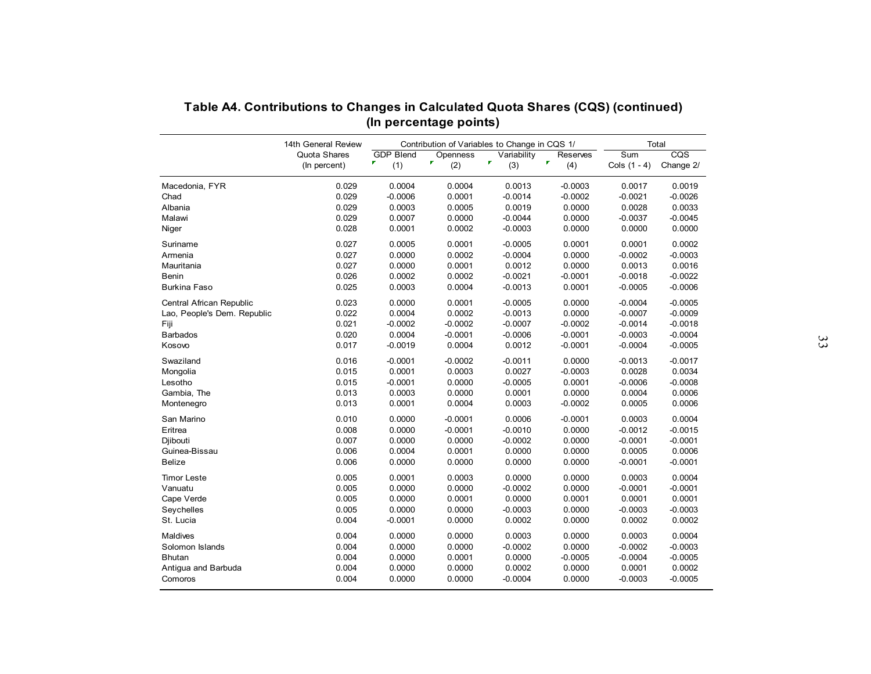|                             | 14th General Review          | Contribution of Variables to Change in CQS 1/ | Total                 |                     |                                 |                       |                     |
|-----------------------------|------------------------------|-----------------------------------------------|-----------------------|---------------------|---------------------------------|-----------------------|---------------------|
|                             | Quota Shares<br>(In percent) | <b>GDP Blend</b><br>r<br>(1)                  | Openness<br>P.<br>(2) | Variability<br>(3)  | Reserves<br>$\pmb{\tau}$<br>(4) | Sum<br>Cols $(1 - 4)$ | CQS<br>Change 2/    |
|                             |                              |                                               |                       |                     |                                 |                       |                     |
| Macedonia, FYR<br>Chad      | 0.029<br>0.029               | 0.0004<br>$-0.0006$                           | 0.0004<br>0.0001      | 0.0013<br>$-0.0014$ | $-0.0003$<br>$-0.0002$          | 0.0017<br>$-0.0021$   | 0.0019<br>$-0.0026$ |
| Albania                     | 0.029                        | 0.0003                                        | 0.0005                | 0.0019              | 0.0000                          | 0.0028                | 0.0033              |
| Malawi                      | 0.029                        | 0.0007                                        | 0.0000                | $-0.0044$           | 0.0000                          | $-0.0037$             | $-0.0045$           |
|                             | 0.028                        | 0.0001                                        | 0.0002                | $-0.0003$           | 0.0000                          | 0.0000                | 0.0000              |
| Niger                       |                              |                                               |                       |                     |                                 |                       |                     |
| Suriname                    | 0.027                        | 0.0005                                        | 0.0001                | $-0.0005$           | 0.0001                          | 0.0001                | 0.0002              |
| Armenia                     | 0.027                        | 0.0000                                        | 0.0002                | $-0.0004$           | 0.0000                          | $-0.0002$             | $-0.0003$           |
| Mauritania                  | 0.027                        | 0.0000                                        | 0.0001                | 0.0012              | 0.0000                          | 0.0013                | 0.0016              |
| Benin                       | 0.026                        | 0.0002                                        | 0.0002                | $-0.0021$           | $-0.0001$                       | $-0.0018$             | $-0.0022$           |
| <b>Burkina Faso</b>         | 0.025                        | 0.0003                                        | 0.0004                | $-0.0013$           | 0.0001                          | $-0.0005$             | $-0.0006$           |
| Central African Republic    | 0.023                        | 0.0000                                        | 0.0001                | $-0.0005$           | 0.0000                          | $-0.0004$             | $-0.0005$           |
| Lao, People's Dem. Republic | 0.022                        | 0.0004                                        | 0.0002                | $-0.0013$           | 0.0000                          | $-0.0007$             | $-0.0009$           |
| Fiji                        | 0.021                        | $-0.0002$                                     | $-0.0002$             | $-0.0007$           | $-0.0002$                       | $-0.0014$             | $-0.0018$           |
| <b>Barbados</b>             | 0.020                        | 0.0004                                        | $-0.0001$             | $-0.0006$           | $-0.0001$                       | $-0.0003$             | $-0.0004$           |
| Kosovo                      | 0.017                        | $-0.0019$                                     | 0.0004                | 0.0012              | $-0.0001$                       | $-0.0004$             | $-0.0005$           |
| Swaziland                   | 0.016                        | $-0.0001$                                     | $-0.0002$             | $-0.0011$           | 0.0000                          | $-0.0013$             | $-0.0017$           |
| Mongolia                    | 0.015                        | 0.0001                                        | 0.0003                | 0.0027              | $-0.0003$                       | 0.0028                | 0.0034              |
| Lesotho                     | 0.015                        | $-0.0001$                                     | 0.0000                | $-0.0005$           | 0.0001                          | $-0.0006$             | $-0.0008$           |
| Gambia, The                 | 0.013                        | 0.0003                                        | 0.0000                | 0.0001              | 0.0000                          | 0.0004                | 0.0006              |
| Montenegro                  | 0.013                        | 0.0001                                        | 0.0004                | 0.0003              | $-0.0002$                       | 0.0005                | 0.0006              |
|                             |                              |                                               |                       |                     |                                 |                       |                     |
| San Marino                  | 0.010                        | 0.0000                                        | $-0.0001$             | 0.0006              | $-0.0001$                       | 0.0003                | 0.0004              |
| Eritrea                     | 0.008                        | 0.0000                                        | $-0.0001$             | $-0.0010$           | 0.0000                          | $-0.0012$             | $-0.0015$           |
| Diibouti                    | 0.007                        | 0.0000                                        | 0.0000                | $-0.0002$           | 0.0000                          | $-0.0001$             | $-0.0001$           |
| Guinea-Bissau               | 0.006                        | 0.0004                                        | 0.0001                | 0.0000              | 0.0000                          | 0.0005                | 0.0006              |
| <b>Belize</b>               | 0.006                        | 0.0000                                        | 0.0000                | 0.0000              | 0.0000                          | $-0.0001$             | $-0.0001$           |
| <b>Timor Leste</b>          | 0.005                        | 0.0001                                        | 0.0003                | 0.0000              | 0.0000                          | 0.0003                | 0.0004              |
| Vanuatu                     | 0.005                        | 0.0000                                        | 0.0000                | $-0.0002$           | 0.0000                          | $-0.0001$             | $-0.0001$           |
| Cape Verde                  | 0.005                        | 0.0000                                        | 0.0001                | 0.0000              | 0.0001                          | 0.0001                | 0.0001              |
| Seychelles                  | 0.005                        | 0.0000                                        | 0.0000                | $-0.0003$           | 0.0000                          | $-0.0003$             | $-0.0003$           |
| St. Lucia                   | 0.004                        | $-0.0001$                                     | 0.0000                | 0.0002              | 0.0000                          | 0.0002                | 0.0002              |
| <b>Maldives</b>             | 0.004                        | 0.0000                                        | 0.0000                | 0.0003              | 0.0000                          | 0.0003                | 0.0004              |
| Solomon Islands             | 0.004                        | 0.0000                                        | 0.0000                | $-0.0002$           | 0.0000                          | $-0.0002$             | $-0.0003$           |
| <b>Bhutan</b>               | 0.004                        | 0.0000                                        | 0.0001                | 0.0000              | $-0.0005$                       | $-0.0004$             | $-0.0005$           |
| Antigua and Barbuda         | 0.004                        | 0.0000                                        | 0.0000                | 0.0002              | 0.0000                          | 0.0001                | 0.0002              |
| Comoros                     | 0.004                        | 0.0000                                        | 0.0000                | $-0.0004$           | 0.0000                          | $-0.0003$             | $-0.0005$           |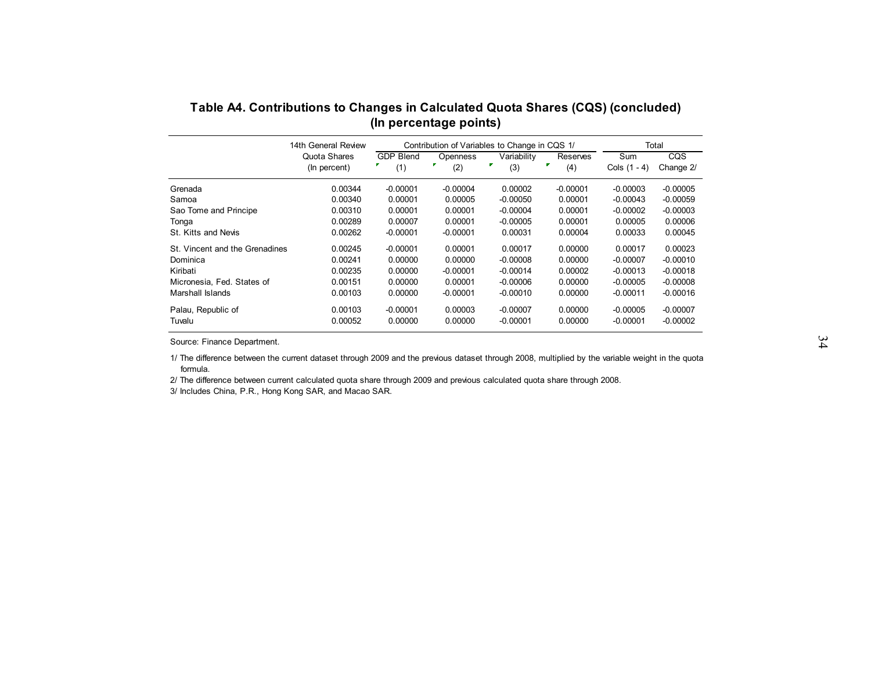| Table A4. Contributions to Changes in Calculated Quota Shares (CQS) (concluded) |                              |                              | (In percentage points) |                                               |                      |                       |                  |  |
|---------------------------------------------------------------------------------|------------------------------|------------------------------|------------------------|-----------------------------------------------|----------------------|-----------------------|------------------|--|
|                                                                                 | 14th General Review          |                              |                        | Contribution of Variables to Change in CQS 1/ |                      |                       | Total            |  |
|                                                                                 | Quota Shares<br>(In percent) | <b>GDP Blend</b><br>F<br>(1) | Openness<br>÷.<br>(2)  | Variability<br>г<br>(3)                       | Reserves<br>F<br>(4) | Sum<br>Cols $(1 - 4)$ | CQS<br>Change 2/ |  |
| Grenada                                                                         | 0.00344                      | $-0.00001$                   | $-0.00004$             | 0.00002                                       | $-0.00001$           | $-0.00003$            | $-0.00005$       |  |
| Samoa                                                                           | 0.00340                      | 0.00001                      | 0.00005                | $-0.00050$                                    | 0.00001              | $-0.00043$            | $-0.00059$       |  |
| Sao Tome and Principe                                                           | 0.00310                      | 0.00001                      | 0.00001                | $-0.00004$                                    | 0.00001              | $-0.00002$            | $-0.00003$       |  |
| Tonga                                                                           | 0.00289                      | 0.00007                      | 0.00001                | $-0.00005$                                    | 0.00001              | 0.00005               | 0.00006          |  |
| St. Kitts and Nevis                                                             | 0.00262                      | $-0.00001$                   | $-0.00001$             | 0.00031                                       | 0.00004              | 0.00033               | 0.00045          |  |
| St. Vincent and the Grenadines                                                  | 0.00245                      | $-0.00001$                   | 0.00001                | 0.00017                                       | 0.00000              | 0.00017               | 0.00023          |  |
| Dominica                                                                        | 0.00241                      | 0.00000                      | 0.00000                | $-0.00008$                                    | 0.00000              | $-0.00007$            | $-0.00010$       |  |
| Kiribati                                                                        | 0.00235                      | 0.00000                      | $-0.00001$             | $-0.00014$                                    | 0.00002              | $-0.00013$            | $-0.00018$       |  |
| Micronesia, Fed. States of                                                      | 0.00151                      | 0.00000                      | 0.00001                | $-0.00006$                                    | 0.00000              | $-0.00005$            | $-0.00008$       |  |
| Marshall Islands                                                                | 0.00103                      | 0.00000                      | $-0.00001$             | $-0.00010$                                    | 0.00000              | $-0.00011$            | $-0.00016$       |  |
|                                                                                 |                              |                              |                        |                                               |                      |                       |                  |  |
| Tuvalu                                                                          | 0.00052                      | 0.00000                      | 0.00000                | $-0.00001$                                    | 0.00000              | $-0.00001$            | $-0.00002$       |  |
| Palau, Republic of                                                              | 0.00103                      | $-0.00001$                   | 0.00003                | $-0.00007$                                    | 0.00000              | $-0.00005$            | $-0.00007$       |  |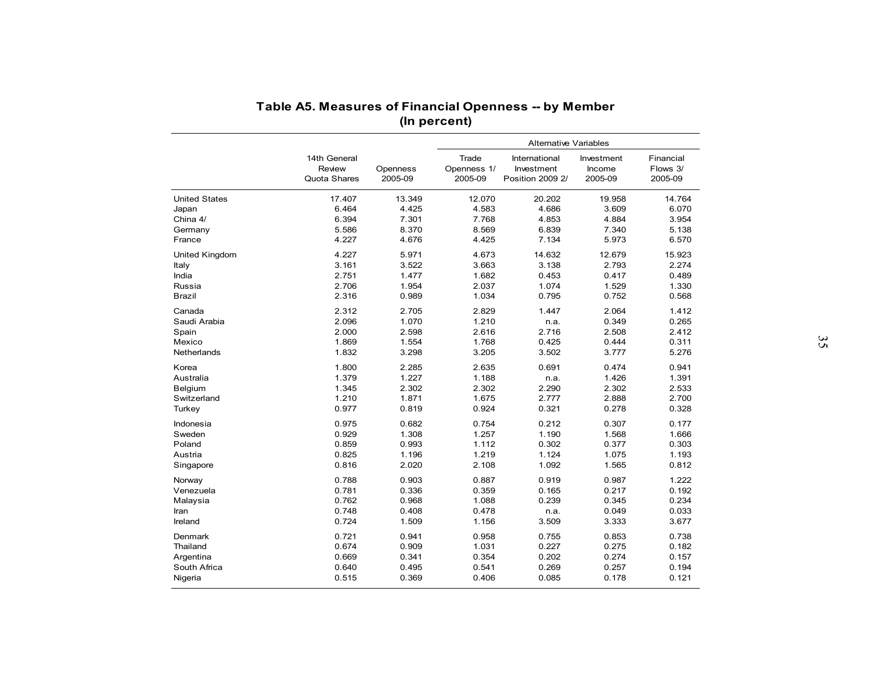|                      | Table A5. Measures of Financial Openness -- by Member |          |              |                              |            |           |  |
|----------------------|-------------------------------------------------------|----------|--------------|------------------------------|------------|-----------|--|
|                      |                                                       |          |              |                              |            |           |  |
|                      |                                                       |          | (In percent) |                              |            |           |  |
|                      |                                                       |          |              | <b>Alternative Variables</b> |            |           |  |
|                      | 14th General                                          |          | Trade        | International                | Investment | Financial |  |
|                      | Review                                                | Openness | Openness 1/  | Investment                   | Income     | Flows 3/  |  |
|                      | Quota Shares                                          | 2005-09  | 2005-09      | Position 2009 2/             | 2005-09    | 2005-09   |  |
| <b>United States</b> | 17.407                                                | 13.349   | 12.070       | 20.202                       | 19.958     | 14.764    |  |
| Japan                | 6.464                                                 | 4.425    | 4.583        | 4.686                        | 3.609      | 6.070     |  |
| China 4/             | 6.394                                                 | 7.301    | 7.768        | 4.853                        | 4.884      | 3.954     |  |
| Germany              | 5.586                                                 | 8.370    | 8.569        | 6.839                        | 7.340      | 5.138     |  |
| France               | 4.227                                                 | 4.676    | 4.425        | 7.134                        | 5.973      | 6.570     |  |
| United Kingdom       | 4.227                                                 | 5.971    | 4.673        | 14.632                       | 12.679     | 15.923    |  |
| Italy                | 3.161                                                 | 3.522    | 3.663        | 3.138                        | 2.793      | 2.274     |  |
| India                | 2.751                                                 | 1.477    | 1.682        | 0.453                        | 0.417      | 0.489     |  |
| Russia               | 2.706                                                 | 1.954    | 2.037        | 1.074                        | 1.529      | 1.330     |  |
| <b>Brazil</b>        | 2.316                                                 | 0.989    | 1.034        | 0.795                        | 0.752      | 0.568     |  |
| Canada               | 2.312                                                 | 2.705    | 2.829        | 1.447                        | 2.064      | 1.412     |  |
| Saudi Arabia         | 2.096                                                 | 1.070    | 1.210        | n.a.                         | 0.349      | 0.265     |  |
| Spain                | 2.000                                                 | 2.598    | 2.616        | 2.716                        | 2.508      | 2.412     |  |
| Mexico               | 1.869                                                 | 1.554    | 1.768        | 0.425                        | 0.444      | 0.311     |  |
| <b>Netherlands</b>   | 1.832                                                 | 3.298    | 3.205        | 3.502                        | 3.777      | 5.276     |  |
| Korea                | 1.800                                                 | 2.285    | 2.635        | 0.691                        | 0.474      | 0.941     |  |
| Australia            | 1.379                                                 | 1.227    | 1.188        | n.a.                         | 1.426      | 1.391     |  |
| Belgium              | 1.345                                                 | 2.302    | 2.302        | 2.290                        | 2.302      | 2.533     |  |
| Switzerland          | 1.210                                                 | 1.871    | 1.675        | 2.777                        | 2.888      | 2.700     |  |
| Turkey               | 0.977                                                 | 0.819    | 0.924        | 0.321                        | 0.278      | 0.328     |  |
| Indonesia            | 0.975                                                 | 0.682    | 0.754        | 0.212                        | 0.307      | 0.177     |  |
| Sweden               | 0.929                                                 | 1.308    | 1.257        | 1.190                        | 1.568      | 1.666     |  |
| Poland               | 0.859                                                 | 0.993    | 1.112        | 0.302                        | 0.377      | 0.303     |  |
| Austria              | 0.825                                                 | 1.196    | 1.219        | 1.124                        | 1.075      | 1.193     |  |
| Singapore            | 0.816                                                 | 2.020    | 2.108        | 1.092                        | 1.565      | 0.812     |  |
| Norway               | 0.788                                                 | 0.903    | 0.887        | 0.919                        | 0.987      | 1.222     |  |
| Venezuela            | 0.781                                                 | 0.336    | 0.359        | 0.165                        | 0.217      | 0.192     |  |
| Malaysia             | 0.762                                                 | 0.968    | 1.088        | 0.239                        | 0.345      | 0.234     |  |
| Iran                 | 0.748                                                 | 0.408    | 0.478        | n.a.                         | 0.049      | 0.033     |  |
| Ireland              | 0.724                                                 | 1.509    | 1.156        | 3.509                        | 3.333      | 3.677     |  |
| Denmark              | 0.721                                                 | 0.941    | 0.958        | 0.755                        | 0.853      | 0.738     |  |
| Thailand             | 0.674                                                 | 0.909    | 1.031        | 0.227                        | 0.275      | 0.182     |  |
| Argentina            | 0.669                                                 | 0.341    | 0.354        | 0.202                        | 0.274      | 0.157     |  |
| South Africa         | 0.640                                                 | 0.495    | 0.541        | 0.269                        | 0.257      | 0.194     |  |
| Nigeria              | 0.515                                                 | 0.369    | 0.406        | 0.085                        | 0.178      | 0.121     |  |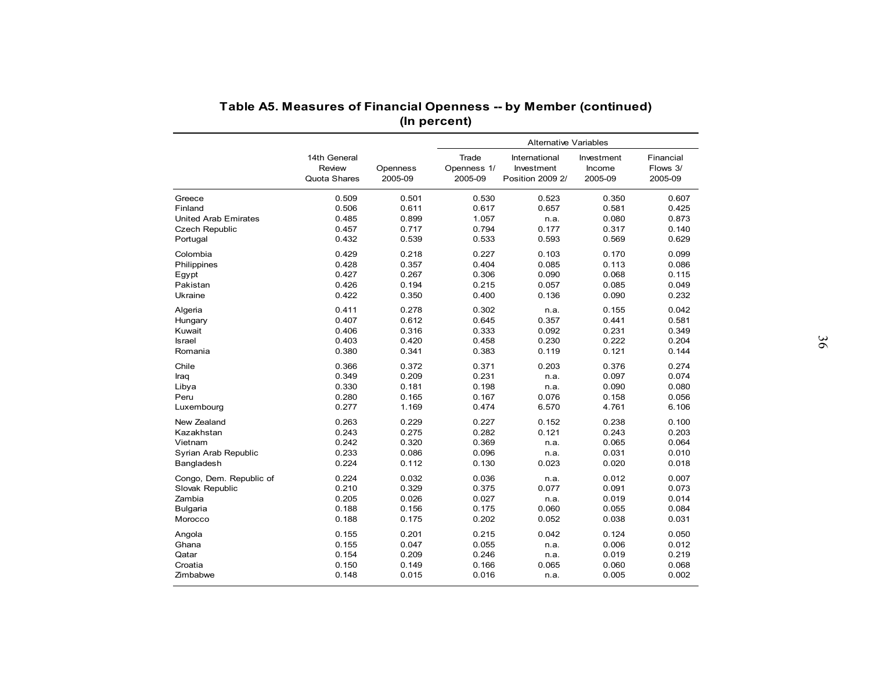| Table A5. Measures of Financial Openness -- by Member (continued)<br>(In percent) |                                        |                     |                                 |                                                 |                                 |                                  |  |  |  |
|-----------------------------------------------------------------------------------|----------------------------------------|---------------------|---------------------------------|-------------------------------------------------|---------------------------------|----------------------------------|--|--|--|
|                                                                                   |                                        |                     |                                 | <b>Alternative Variables</b>                    |                                 |                                  |  |  |  |
|                                                                                   | 14th General<br>Review<br>Quota Shares | Openness<br>2005-09 | Trade<br>Openness 1/<br>2005-09 | International<br>Investment<br>Position 2009 2/ | Investment<br>Income<br>2005-09 | Financial<br>Flows 3/<br>2005-09 |  |  |  |
| Greece                                                                            | 0.509                                  | 0.501               | 0.530                           | 0.523                                           | 0.350                           | 0.607                            |  |  |  |
| Finland                                                                           | 0.506                                  | 0.611               | 0.617                           | 0.657                                           | 0.581                           | 0.425                            |  |  |  |
| <b>United Arab Emirates</b>                                                       | 0.485                                  | 0.899               | 1.057                           | n.a.                                            | 0.080                           | 0.873                            |  |  |  |
| <b>Czech Republic</b>                                                             | 0.457                                  | 0.717               | 0.794                           | 0.177                                           | 0.317                           | 0.140                            |  |  |  |
| Portugal                                                                          | 0.432                                  | 0.539               | 0.533                           | 0.593                                           | 0.569                           | 0.629                            |  |  |  |
| Colombia                                                                          | 0.429                                  | 0.218               | 0.227                           | 0.103                                           | 0.170                           | 0.099                            |  |  |  |
| Philippines                                                                       | 0.428                                  | 0.357               | 0.404                           | 0.085                                           | 0.113                           | 0.086                            |  |  |  |
| Egypt                                                                             | 0.427                                  | 0.267               | 0.306                           | 0.090                                           | 0.068                           | 0.115                            |  |  |  |
| Pakistan                                                                          | 0.426                                  | 0.194               | 0.215                           | 0.057                                           | 0.085                           | 0.049                            |  |  |  |
| Ukraine                                                                           | 0.422                                  | 0.350               | 0.400                           | 0.136                                           | 0.090                           | 0.232                            |  |  |  |
| Algeria                                                                           | 0.411                                  | 0.278               | 0.302                           | n.a.                                            | 0.155                           | 0.042                            |  |  |  |
| Hungary                                                                           | 0.407                                  | 0.612               | 0.645                           | 0.357                                           | 0.441                           | 0.581                            |  |  |  |
| Kuwait                                                                            | 0.406                                  | 0.316               | 0.333                           | 0.092                                           | 0.231                           | 0.349                            |  |  |  |
| <b>Israel</b>                                                                     | 0.403                                  | 0.420               | 0.458                           | 0.230                                           | 0.222                           | 0.204                            |  |  |  |
| Romania                                                                           | 0.380                                  | 0.341               | 0.383                           | 0.119                                           | 0.121                           | 0.144                            |  |  |  |
| Chile                                                                             | 0.366                                  | 0.372               | 0.371                           | 0.203                                           | 0.376                           | 0.274                            |  |  |  |
| Iraq                                                                              | 0.349                                  | 0.209               | 0.231                           | n.a.                                            | 0.097                           | 0.074                            |  |  |  |
| Libya                                                                             | 0.330                                  | 0.181               | 0.198                           | n.a.                                            | 0.090                           | 0.080                            |  |  |  |
| Peru                                                                              | 0.280                                  | 0.165               | 0.167                           | 0.076                                           | 0.158                           | 0.056                            |  |  |  |
| Luxembourg                                                                        | 0.277                                  | 1.169               | 0.474                           | 6.570                                           | 4.761                           | 6.106                            |  |  |  |
| New Zealand                                                                       | 0.263                                  | 0.229               | 0.227                           | 0.152                                           | 0.238                           | 0.100                            |  |  |  |
| Kazakhstan                                                                        | 0.243                                  | 0.275               | 0.282                           | 0.121                                           | 0.243                           | 0.203                            |  |  |  |
| Vietnam                                                                           | 0.242                                  | 0.320               | 0.369                           | n.a.                                            | 0.065                           | 0.064                            |  |  |  |
| Syrian Arab Republic                                                              | 0.233                                  | 0.086               | 0.096                           | n.a.                                            | 0.031                           | 0.010                            |  |  |  |
| Bangladesh                                                                        | 0.224                                  | 0.112               | 0.130                           | 0.023                                           | 0.020                           | 0.018                            |  |  |  |
| Congo, Dem. Republic of                                                           | 0.224                                  | 0.032               | 0.036                           | n.a.                                            | 0.012                           | 0.007                            |  |  |  |
| Slovak Republic                                                                   | 0.210                                  | 0.329               | 0.375                           | 0.077                                           | 0.091                           | 0.073                            |  |  |  |
| Zambia                                                                            | 0.205                                  | 0.026               | 0.027                           | n.a.                                            | 0.019                           | 0.014                            |  |  |  |
| Bulgaria                                                                          | 0.188                                  | 0.156               | 0.175                           | 0.060                                           | 0.055                           | 0.084                            |  |  |  |
| Morocco                                                                           | 0.188                                  | 0.175               | 0.202                           | 0.052                                           | 0.038                           | 0.031                            |  |  |  |
|                                                                                   |                                        |                     |                                 |                                                 |                                 |                                  |  |  |  |
| Angola                                                                            | 0.155                                  | 0.201               | 0.215                           | 0.042                                           | 0.124                           | 0.050                            |  |  |  |
| Ghana                                                                             | 0.155                                  | 0.047               | 0.055                           | n.a.                                            | 0.006                           | 0.012                            |  |  |  |
| Qatar                                                                             | 0.154                                  | 0.209               | 0.246                           | n.a.                                            | 0.019                           | 0.219                            |  |  |  |
| Croatia<br>Zimbabwe                                                               | 0.150<br>0.148                         | 0.149<br>0.015      | 0.166<br>0.016                  | 0.065<br>n.a.                                   | 0.060<br>0.005                  | 0.068<br>0.002                   |  |  |  |
|                                                                                   |                                        |                     |                                 |                                                 |                                 |                                  |  |  |  |

| Table A5. Measures of Financial Openness -- by Member (continued) |
|-------------------------------------------------------------------|
| (In percent)                                                      |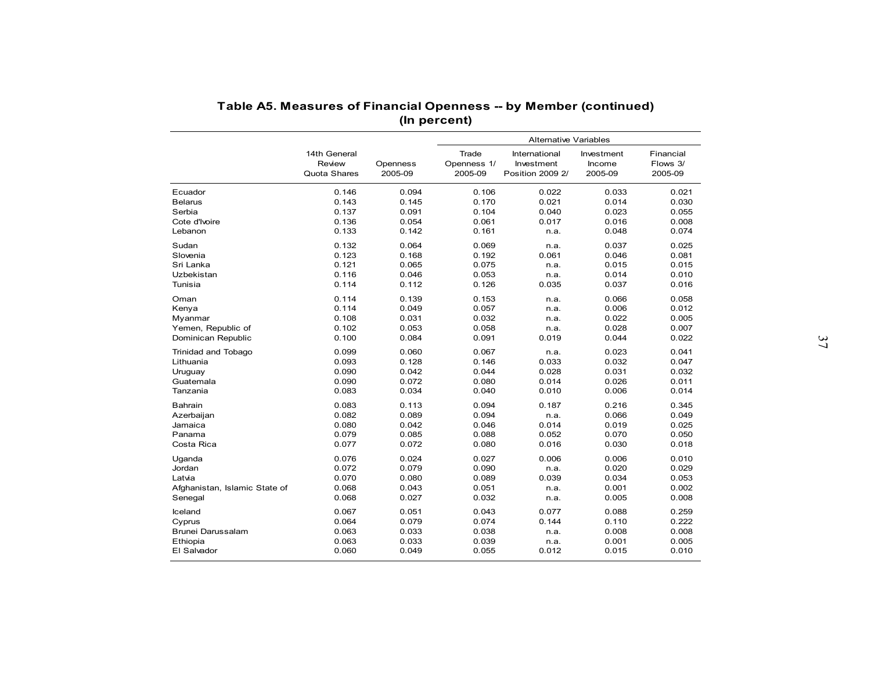| Table A5. Measures of Financial Openness -- by Member (continued) |              |          |              |                              |            |           |  |  |  |
|-------------------------------------------------------------------|--------------|----------|--------------|------------------------------|------------|-----------|--|--|--|
|                                                                   |              |          | (In percent) |                              |            |           |  |  |  |
|                                                                   |              |          |              | <b>Alternative Variables</b> |            |           |  |  |  |
|                                                                   | 14th General |          | Trade        | International                | Investment | Financial |  |  |  |
|                                                                   | Review       | Openness | Openness 1/  | Investment                   | Income     | Flows 3/  |  |  |  |
|                                                                   | Quota Shares | 2005-09  | 2005-09      | Position 2009 2/             | 2005-09    | 2005-09   |  |  |  |
|                                                                   |              |          |              |                              |            |           |  |  |  |
| Ecuador                                                           | 0.146        | 0.094    | 0.106        | 0.022                        | 0.033      | 0.021     |  |  |  |
| <b>Belarus</b>                                                    | 0.143        | 0.145    | 0.170        | 0.021                        | 0.014      | 0.030     |  |  |  |
| Serbia                                                            | 0.137        | 0.091    | 0.104        | 0.040                        | 0.023      | 0.055     |  |  |  |
| Cote d'Ivoire                                                     | 0.136        | 0.054    | 0.061        | 0.017                        | 0.016      | 0.008     |  |  |  |
| Lebanon                                                           | 0.133        | 0.142    | 0.161        | n.a.                         | 0.048      | 0.074     |  |  |  |
| Sudan                                                             | 0.132        | 0.064    | 0.069        | n.a.                         | 0.037      | 0.025     |  |  |  |
| Slovenia                                                          | 0.123        | 0.168    | 0.192        | 0.061                        | 0.046      | 0.081     |  |  |  |
| Sri Lanka                                                         | 0.121        | 0.065    | 0.075        | n.a.                         | 0.015      | 0.015     |  |  |  |
| Uzbekistan                                                        | 0.116        | 0.046    | 0.053        | n.a.                         | 0.014      | 0.010     |  |  |  |
| Tunisia                                                           | 0.114        | 0.112    | 0.126        | 0.035                        | 0.037      | 0.016     |  |  |  |
| Oman                                                              | 0.114        | 0.139    | 0.153        | n.a.                         | 0.066      | 0.058     |  |  |  |
| Kenya                                                             | 0.114        | 0.049    | 0.057        | n.a.                         | 0.006      | 0.012     |  |  |  |
| Myanmar                                                           | 0.108        | 0.031    | 0.032        | n.a.                         | 0.022      | 0.005     |  |  |  |
| Yemen, Republic of                                                | 0.102        | 0.053    | 0.058        | n.a.                         | 0.028      | 0.007     |  |  |  |
| Dominican Republic                                                | 0.100        | 0.084    | 0.091        | 0.019                        | 0.044      | 0.022     |  |  |  |
| Trinidad and Tobago                                               | 0.099        | 0.060    | 0.067        | n.a.                         | 0.023      | 0.041     |  |  |  |
| Lithuania                                                         | 0.093        | 0.128    | 0.146        | 0.033                        | 0.032      | 0.047     |  |  |  |
| Uruguay                                                           | 0.090        | 0.042    | 0.044        | 0.028                        | 0.031      | 0.032     |  |  |  |
| Guatemala                                                         | 0.090        | 0.072    | 0.080        | 0.014                        | 0.026      | 0.011     |  |  |  |
| Tanzania                                                          | 0.083        | 0.034    | 0.040        | 0.010                        | 0.006      | 0.014     |  |  |  |
| Bahrain                                                           | 0.083        | 0.113    | 0.094        | 0.187                        | 0.216      | 0.345     |  |  |  |
| Azerbaijan                                                        | 0.082        | 0.089    | 0.094        | n.a.                         | 0.066      | 0.049     |  |  |  |
| Jamaica                                                           | 0.080        | 0.042    | 0.046        | 0.014                        | 0.019      | 0.025     |  |  |  |
| Panama                                                            | 0.079        | 0.085    | 0.088        | 0.052                        | 0.070      | 0.050     |  |  |  |
| Costa Rica                                                        | 0.077        | 0.072    | 0.080        | 0.016                        | 0.030      | 0.018     |  |  |  |
| Uganda                                                            | 0.076        | 0.024    | 0.027        | 0.006                        | 0.006      | 0.010     |  |  |  |
| Jordan                                                            | 0.072        | 0.079    | 0.090        | n.a.                         | 0.020      | 0.029     |  |  |  |
| Latvia                                                            | 0.070        | 0.080    | 0.089        | 0.039                        | 0.034      | 0.053     |  |  |  |
| Afghanistan, Islamic State of                                     | 0.068        | 0.043    | 0.051        | n.a.                         | 0.001      | 0.002     |  |  |  |
| Senegal                                                           | 0.068        | 0.027    | 0.032        | n.a.                         | 0.005      | 0.008     |  |  |  |
| Iceland                                                           | 0.067        | 0.051    | 0.043        | 0.077                        | 0.088      | 0.259     |  |  |  |
| Cyprus                                                            | 0.064        | 0.079    | 0.074        | 0.144                        | 0.110      | 0.222     |  |  |  |
| Brunei Darussalam                                                 | 0.063        | 0.033    | 0.038        | n.a.                         | 0.008      | 0.008     |  |  |  |
| Ethiopia                                                          | 0.063        | 0.033    | 0.039        | n.a.                         | 0.001      | 0.005     |  |  |  |
| El Salvador                                                       | 0.060        | 0.049    | 0.055        | 0.012                        | 0.015      | 0.010     |  |  |  |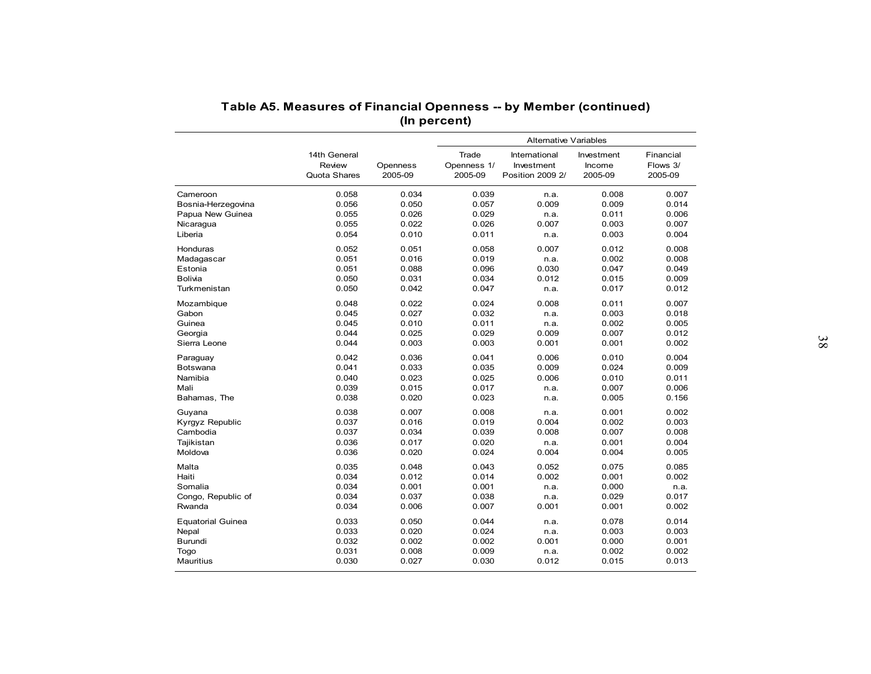|                          | Table A5. Measures of Financial Openness -- by Member (continued) |                     |                                 |                                                 |                                 |                                  |
|--------------------------|-------------------------------------------------------------------|---------------------|---------------------------------|-------------------------------------------------|---------------------------------|----------------------------------|
|                          |                                                                   |                     | (In percent)                    | <b>Alternative Variables</b>                    |                                 |                                  |
|                          | 14th General<br>Review<br>Quota Shares                            | Openness<br>2005-09 | Trade<br>Openness 1/<br>2005-09 | International<br>Investment<br>Position 2009 2/ | Investment<br>Income<br>2005-09 | Financial<br>Flows 3/<br>2005-09 |
| Cameroon                 | 0.058                                                             | 0.034               | 0.039                           | n.a.                                            | 0.008                           | 0.007                            |
| Bosnia-Herzegovina       | 0.056                                                             | 0.050               | 0.057                           | 0.009                                           | 0.009                           | 0.014                            |
| Papua New Guinea         | 0.055                                                             | 0.026               | 0.029                           | n.a.                                            | 0.011                           | 0.006                            |
| Nicaragua                | 0.055                                                             | 0.022               | 0.026                           | 0.007                                           | 0.003                           | 0.007                            |
| Liberia                  | 0.054                                                             | 0.010               | 0.011                           | n.a.                                            | 0.003                           | 0.004                            |
| Honduras                 | 0.052                                                             | 0.051               | 0.058                           | 0.007                                           | 0.012                           | 0.008                            |
| Madagascar               | 0.051                                                             | 0.016               | 0.019                           | n.a.                                            | 0.002                           | 0.008                            |
| Estonia                  | 0.051                                                             | 0.088               | 0.096                           | 0.030                                           | 0.047                           | 0.049                            |
| Bolivia                  | 0.050                                                             | 0.031               | 0.034                           | 0.012                                           | 0.015                           | 0.009                            |
| Turkmenistan             | 0.050                                                             | 0.042               | 0.047                           | n.a.                                            | 0.017                           | 0.012                            |
| Mozambique               | 0.048                                                             | 0.022               | 0.024                           | 0.008                                           | 0.011                           | 0.007                            |
| Gabon                    | 0.045                                                             | 0.027               | 0.032                           | n.a.                                            | 0.003                           | 0.018                            |
| Guinea                   | 0.045                                                             | 0.010               | 0.011                           | n.a.                                            | 0.002                           | 0.005                            |
| Georgia                  | 0.044                                                             | 0.025               | 0.029                           | 0.009                                           | 0.007                           | 0.012                            |
| Sierra Leone             | 0.044                                                             | 0.003               | 0.003                           | 0.001                                           | 0.001                           | 0.002                            |
| Paraguay                 | 0.042                                                             | 0.036               | 0.041                           | 0.006                                           | 0.010                           | 0.004                            |
| Botswana                 | 0.041                                                             | 0.033               | 0.035                           | 0.009                                           | 0.024                           | 0.009                            |
| Namibia                  | 0.040                                                             | 0.023               | 0.025                           | 0.006                                           | 0.010                           | 0.011                            |
| Mali                     | 0.039                                                             | 0.015               | 0.017                           | n.a.                                            | 0.007                           | 0.006                            |
| Bahamas, The             | 0.038                                                             | 0.020               | 0.023                           | n.a.                                            | 0.005                           | 0.156                            |
| Guyana                   | 0.038                                                             | 0.007               | 0.008                           | n.a.                                            | 0.001                           | 0.002                            |
| Kyrgyz Republic          | 0.037                                                             | 0.016               | 0.019                           | 0.004                                           | 0.002                           | 0.003                            |
| Cambodia                 | 0.037                                                             | 0.034               | 0.039                           | 0.008                                           | 0.007                           | 0.008                            |
| Tajikistan               | 0.036                                                             | 0.017               | 0.020                           | n.a.                                            | 0.001                           | 0.004                            |
| Moldova                  | 0.036                                                             | 0.020               | 0.024                           | 0.004                                           | 0.004                           | 0.005                            |
| Malta                    | 0.035                                                             | 0.048               | 0.043                           | 0.052                                           | 0.075                           | 0.085                            |
| Haiti                    | 0.034                                                             | 0.012               | 0.014                           | 0.002                                           | 0.001                           | 0.002                            |
| Somalia                  | 0.034                                                             | 0.001               | 0.001                           | n.a.                                            | 0.000                           | n.a.                             |
| Congo, Republic of       | 0.034                                                             | 0.037               | 0.038                           | n.a.                                            | 0.029                           | 0.017                            |
| Rwanda                   | 0.034                                                             | 0.006               | 0.007                           | 0.001                                           | 0.001                           | 0.002                            |
| <b>Equatorial Guinea</b> | 0.033                                                             | 0.050               | 0.044                           | n.a.                                            | 0.078                           | 0.014                            |
| Nepal                    | 0.033                                                             | 0.020               | 0.024                           | n.a.                                            | 0.003                           | 0.003                            |
| <b>Burundi</b>           | 0.032                                                             | 0.002               | 0.002                           | 0.001                                           | 0.000                           | 0.001                            |
| Togo                     | 0.031                                                             | 0.008               | 0.009                           | n.a.                                            | 0.002                           | 0.002                            |
| Mauritius                | 0.030                                                             | 0.027               | 0.030                           | 0.012                                           | 0.015                           | 0.013                            |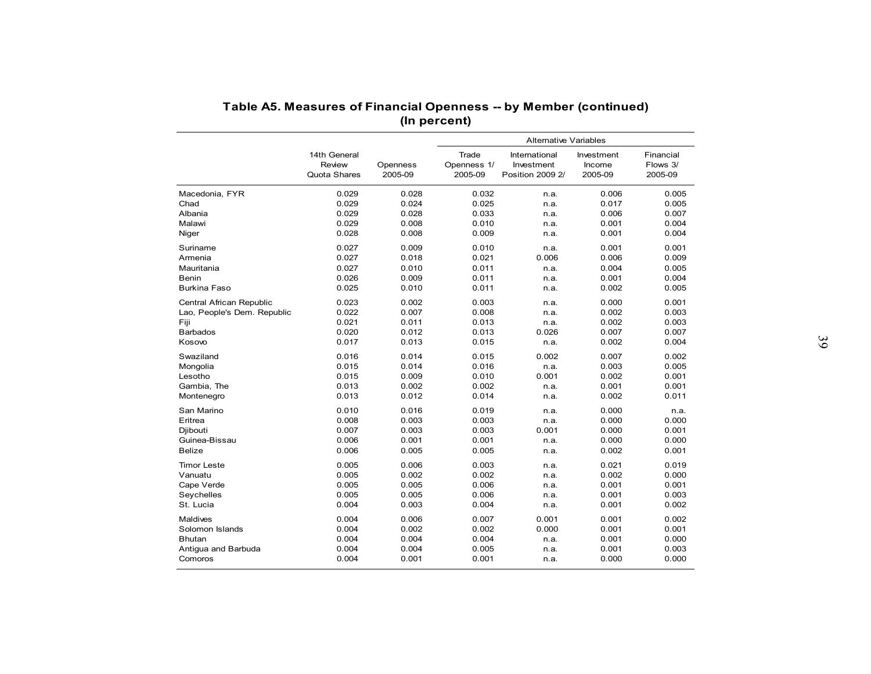| Table A5. Measures of Financial Openness -- by Member (continued) |                |                |                              |                  |                |                |  |  |  |
|-------------------------------------------------------------------|----------------|----------------|------------------------------|------------------|----------------|----------------|--|--|--|
|                                                                   |                |                | (In percent)                 |                  |                |                |  |  |  |
|                                                                   |                |                | <b>Alternative Variables</b> |                  |                |                |  |  |  |
|                                                                   | 14th General   |                | Trade                        | International    | Investment     | Financial      |  |  |  |
|                                                                   | Review         | Openness       | Openness 1/                  | Investment       | Income         | Flows 3/       |  |  |  |
|                                                                   | Quota Shares   | 2005-09        | 2005-09                      | Position 2009 2/ | 2005-09        | 2005-09        |  |  |  |
|                                                                   | 0.029          |                |                              |                  |                |                |  |  |  |
| Macedonia, FYR<br>Chad                                            | 0.029          | 0.028<br>0.024 | 0.032<br>0.025               | n.a.<br>n.a.     | 0.006<br>0.017 | 0.005<br>0.005 |  |  |  |
| Albania                                                           | 0.029          | 0.028          | 0.033                        | n.a.             | 0.006          | 0.007          |  |  |  |
| Malawi                                                            | 0.029          | 0.008          | 0.010                        | n.a.             | 0.001          | 0.004          |  |  |  |
| Niger                                                             | 0.028          | 0.008          | 0.009                        | n.a.             | 0.001          | 0.004          |  |  |  |
| Suriname                                                          | 0.027          | 0.009          | 0.010                        | n.a.             | 0.001          | 0.001          |  |  |  |
| Armenia                                                           | 0.027          | 0.018          | 0.021                        | 0.006            | 0.006          | 0.009          |  |  |  |
| Mauritania                                                        | 0.027          | 0.010          | 0.011                        | n.a.             | 0.004          | 0.005          |  |  |  |
| Benin                                                             | 0.026          | 0.009          | 0.011                        | n.a.             | 0.001          | 0.004          |  |  |  |
| <b>Burkina Faso</b>                                               | 0.025          | 0.010          | 0.011                        | n.a.             | 0.002          | 0.005          |  |  |  |
|                                                                   |                |                |                              |                  |                |                |  |  |  |
| Central African Republic                                          | 0.023          | 0.002          | 0.003                        | n.a.             | 0.000          | 0.001          |  |  |  |
| Lao, People's Dem. Republic                                       | 0.022          | 0.007          | 0.008                        | n.a.             | 0.002          | 0.003          |  |  |  |
| Fiji                                                              | 0.021          | 0.011          | 0.013                        | n.a.             | 0.002          | 0.003          |  |  |  |
| <b>Barbados</b><br>Kosovo                                         | 0.020<br>0.017 | 0.012<br>0.013 | 0.013<br>0.015               | 0.026<br>n.a.    | 0.007<br>0.002 | 0.007<br>0.004 |  |  |  |
|                                                                   |                |                |                              |                  |                |                |  |  |  |
| Swaziland                                                         | 0.016          | 0.014          | 0.015                        | 0.002            | 0.007          | 0.002          |  |  |  |
| Mongolia                                                          | 0.015          | 0.014          | 0.016                        | n.a.             | 0.003          | 0.005          |  |  |  |
| Lesotho                                                           | 0.015          | 0.009          | 0.010                        | 0.001            | 0.002          | 0.001          |  |  |  |
| Gambia, The                                                       | 0.013          | 0.002          | 0.002                        | n.a.             | 0.001          | 0.001          |  |  |  |
| Montenegro                                                        | 0.013          | 0.012          | 0.014                        | n.a.             | 0.002          | 0.011          |  |  |  |
| San Marino                                                        | 0.010          | 0.016          | 0.019                        | n.a.             | 0.000          | n.a.           |  |  |  |
| Eritrea                                                           | 0.008          | 0.003          | 0.003                        | n.a.             | 0.000          | 0.000          |  |  |  |
| Djibouti                                                          | 0.007          | 0.003          | 0.003                        | 0.001            | 0.000          | 0.001          |  |  |  |
| Guinea-Bissau                                                     | 0.006          | 0.001          | 0.001                        | n.a.             | 0.000          | 0.000          |  |  |  |
| <b>Belize</b>                                                     | 0.006          | 0.005          | 0.005                        | n.a.             | 0.002          | 0.001          |  |  |  |
| <b>Timor Leste</b>                                                | 0.005          | 0.006          | 0.003                        | n.a.             | 0.021          | 0.019          |  |  |  |
| Vanuatu                                                           | 0.005          | 0.002          | 0.002                        | n.a.             | 0.002          | 0.000          |  |  |  |
| Cape Verde                                                        | 0.005          | 0.005          | 0.006                        | n.a.             | 0.001          | 0.001          |  |  |  |
| Seychelles                                                        | 0.005          | 0.005          | 0.006                        | n.a.             | 0.001          | 0.003          |  |  |  |
| St. Lucia                                                         | 0.004          | 0.003          | 0.004                        | n.a.             | 0.001          | 0.002          |  |  |  |
| Maldives                                                          | 0.004          | 0.006          | 0.007                        | 0.001            | 0.001          | 0.002          |  |  |  |
| Solomon Islands                                                   | 0.004          | 0.002          | 0.002                        | 0.000            | 0.001          | 0.001          |  |  |  |
| <b>Bhutan</b>                                                     | 0.004          | 0.004          | 0.004                        | n.a.             | 0.001          | 0.000          |  |  |  |
| Antigua and Barbuda                                               | 0.004          | 0.004          | 0.005                        | n.a.             | 0.001          | 0.003          |  |  |  |
| Comoros                                                           | 0.004          | 0.001          | 0.001                        | n.a.             | 0.000          | 0.000          |  |  |  |
|                                                                   |                |                |                              |                  |                |                |  |  |  |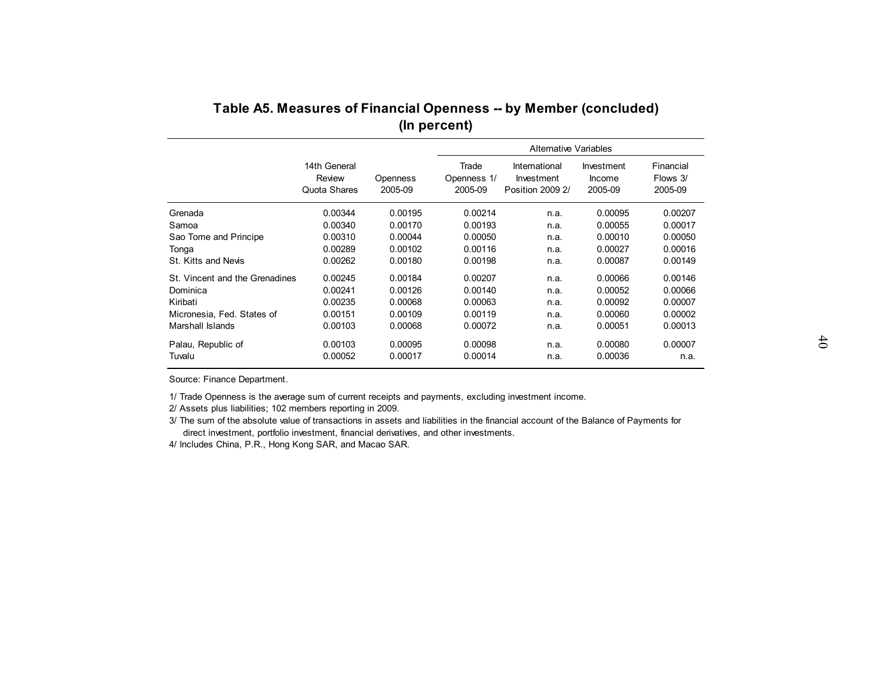|                                | (In percent)                           |                     |                                 |                                                 |                                 |                                  |  |  |  |
|--------------------------------|----------------------------------------|---------------------|---------------------------------|-------------------------------------------------|---------------------------------|----------------------------------|--|--|--|
|                                |                                        |                     |                                 | <b>Alternative Variables</b>                    |                                 |                                  |  |  |  |
|                                | 14th General<br>Review<br>Quota Shares | Openness<br>2005-09 | Trade<br>Openness 1/<br>2005-09 | International<br>Investment<br>Position 2009 2/ | Investment<br>Income<br>2005-09 | Financial<br>Flows 3/<br>2005-09 |  |  |  |
| Grenada                        | 0.00344                                | 0.00195             | 0.00214                         | n.a.                                            | 0.00095                         | 0.00207                          |  |  |  |
| Samoa                          | 0.00340                                | 0.00170             | 0.00193                         | n.a.                                            | 0.00055                         | 0.00017                          |  |  |  |
| Sao Tome and Principe          | 0.00310                                | 0.00044             | 0.00050                         | n.a.                                            | 0.00010                         | 0.00050                          |  |  |  |
| Tonga                          | 0.00289                                | 0.00102             | 0.00116                         | n.a.                                            | 0.00027                         | 0.00016                          |  |  |  |
| St. Kitts and Nevis            | 0.00262                                | 0.00180             | 0.00198                         | n.a.                                            | 0.00087                         | 0.00149                          |  |  |  |
| St. Vincent and the Grenadines | 0.00245                                | 0.00184             | 0.00207                         | n.a.                                            | 0.00066                         | 0.00146                          |  |  |  |
| Dominica                       | 0.00241                                | 0.00126             | 0.00140                         | n.a.                                            | 0.00052                         | 0.00066                          |  |  |  |
| Kiribati                       | 0.00235                                | 0.00068             | 0.00063                         | n.a.                                            | 0.00092                         | 0.00007                          |  |  |  |
| Micronesia, Fed. States of     | 0.00151                                | 0.00109             | 0.00119                         | n.a.                                            | 0.00060                         | 0.00002                          |  |  |  |
| Marshall Islands               | 0.00103                                | 0.00068             | 0.00072                         | n.a.                                            | 0.00051                         | 0.00013                          |  |  |  |
| Palau, Republic of             | 0.00103                                | 0.00095             | 0.00098                         | n.a.                                            | 0.00080                         | 0.00007                          |  |  |  |
| Tuvalu                         | 0.00052                                | 0.00017             | 0.00014                         | n.a.                                            | 0.00036                         | n.a.                             |  |  |  |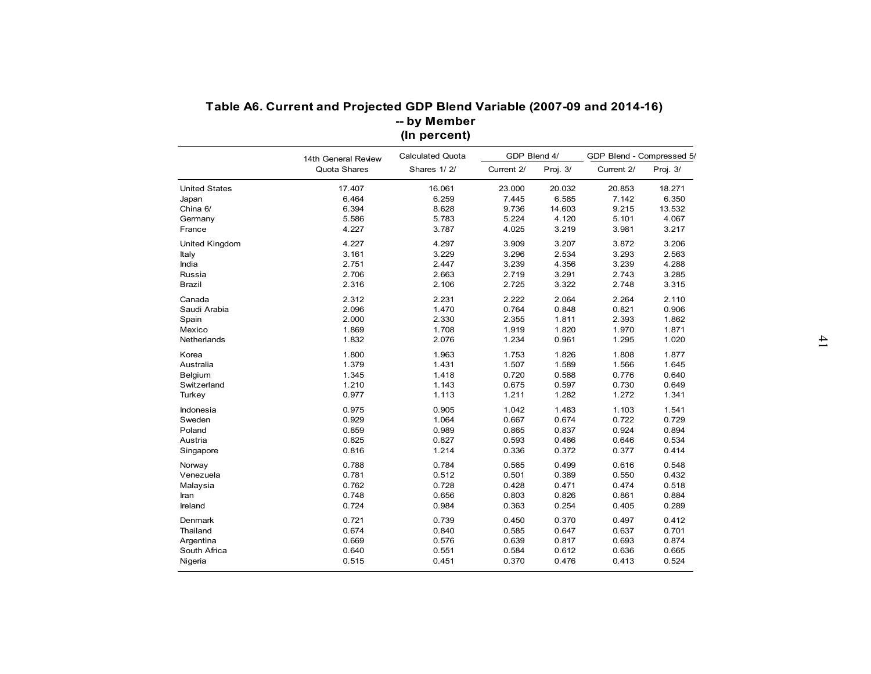|                         | 14th General Review | (In percent)<br><b>Calculated Quota</b> | GDP Blend 4/   |                | GDP Blend - Compressed 5/ |                |  |
|-------------------------|---------------------|-----------------------------------------|----------------|----------------|---------------------------|----------------|--|
|                         | Quota Shares        | Shares 1/2/                             | Current 2/     | Proj. 3/       | Current 2/                | Proj. 3/       |  |
| <b>United States</b>    | 17.407              | 16.061                                  | 23.000         | 20.032         | 20.853                    | 18.271         |  |
| Japan                   | 6.464               | 6.259                                   | 7.445          | 6.585          | 7.142                     | 6.350          |  |
| China 6/                | 6.394               | 8.628                                   | 9.736          | 14.603         | 9.215                     | 13.532         |  |
| Germany                 | 5.586               | 5.783                                   | 5.224          | 4.120          | 5.101                     | 4.067          |  |
| France                  | 4.227               | 3.787                                   | 4.025          | 3.219          | 3.981                     | 3.217          |  |
| United Kingdom          | 4.227               | 4.297                                   | 3.909          | 3.207          | 3.872                     | 3.206          |  |
| Italy                   | 3.161               | 3.229                                   | 3.296          | 2.534          | 3.293                     | 2.563          |  |
| India                   | 2.751               | 2.447                                   | 3.239          | 4.356          | 3.239                     | 4.288          |  |
| Russia                  | 2.706               | 2.663                                   | 2.719          | 3.291          | 2.743                     | 3.285          |  |
| Brazil                  | 2.316               | 2.106                                   | 2.725          | 3.322          | 2.748                     | 3.315          |  |
|                         |                     |                                         |                |                |                           |                |  |
| Canada                  | 2.312               | 2.231                                   | 2.222          | 2.064          | 2.264                     | 2.110          |  |
| Saudi Arabia            | 2.096<br>2.000      | 1.470<br>2.330                          | 0.764<br>2.355 | 0.848<br>1.811 | 0.821<br>2.393            | 0.906<br>1.862 |  |
| Spain<br>Mexico         | 1.869               | 1.708                                   | 1.919          | 1.820          | 1.970                     | 1.871          |  |
| Netherlands             | 1.832               | 2.076                                   | 1.234          | 0.961          | 1.295                     | 1.020          |  |
|                         |                     |                                         |                |                |                           |                |  |
| Korea                   | 1.800               | 1.963                                   | 1.753          | 1.826          | 1.808                     | 1.877          |  |
| Australia               | 1.379               | 1.431                                   | 1.507          | 1.589          | 1.566                     | 1.645          |  |
| Belgium                 | 1.345               | 1.418                                   | 0.720          | 0.588          | 0.776                     | 0.640          |  |
| Switzerland             | 1.210               | 1.143                                   | 0.675          | 0.597          | 0.730                     | 0.649          |  |
| Turkey                  | 0.977               | 1.113                                   | 1.211          | 1.282          | 1.272                     | 1.341          |  |
| Indonesia               | 0.975               | 0.905                                   | 1.042          | 1.483          | 1.103                     | 1.541          |  |
| Sweden                  | 0.929               | 1.064                                   | 0.667          | 0.674          | 0.722                     | 0.729          |  |
| Poland                  | 0.859               | 0.989                                   | 0.865          | 0.837          | 0.924                     | 0.894          |  |
| Austria                 | 0.825               | 0.827                                   | 0.593          | 0.486          | 0.646                     | 0.534          |  |
| Singapore               | 0.816               | 1.214                                   | 0.336          | 0.372          | 0.377                     | 0.414          |  |
| Norway                  | 0.788               | 0.784                                   | 0.565          | 0.499          | 0.616                     | 0.548          |  |
| Venezuela               | 0.781               | 0.512                                   | 0.501          | 0.389          | 0.550                     | 0.432          |  |
| Malaysia                | 0.762               | 0.728                                   | 0.428          | 0.471          | 0.474                     | 0.518          |  |
| Iran                    | 0.748               | 0.656                                   | 0.803          | 0.826          | 0.861                     | 0.884          |  |
| Ireland                 | 0.724               | 0.984                                   | 0.363          | 0.254          | 0.405                     | 0.289          |  |
|                         |                     |                                         |                |                |                           |                |  |
| Denmark                 | 0.721               | 0.739                                   | 0.450          | 0.370          | 0.497                     | 0.412          |  |
| Thailand                | 0.674               | 0.840                                   | 0.585          | 0.647          | 0.637                     | 0.701          |  |
| Argentina               | 0.669               | 0.576                                   | 0.639          | 0.817          | 0.693                     | 0.874          |  |
| South Africa<br>Nigeria | 0.640<br>0.515      | 0.551<br>0.451                          | 0.584<br>0.370 | 0.612<br>0.476 | 0.636<br>0.413            | 0.665<br>0.524 |  |
|                         |                     |                                         |                |                |                           |                |  |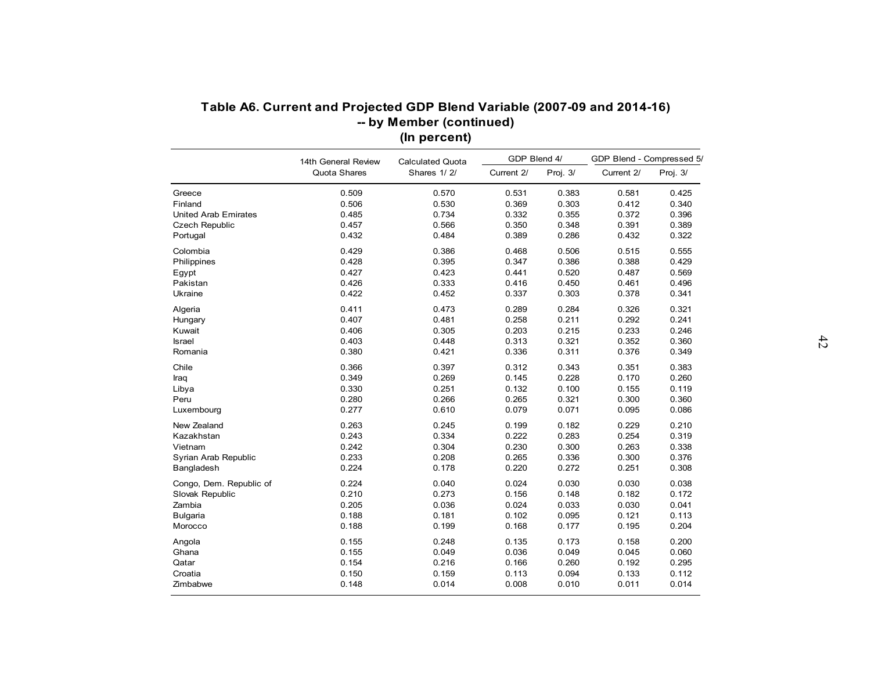|                             | Table A6. Current and Projected GDP Blend Variable (2007-09 and 2014-16) | -- by Member (continued) |              |          |                           |          |  |
|-----------------------------|--------------------------------------------------------------------------|--------------------------|--------------|----------|---------------------------|----------|--|
|                             | (In percent)<br>14th General Review<br><b>Calculated Quota</b>           |                          | GDP Blend 4/ |          | GDP Blend - Compressed 5/ |          |  |
|                             | Quota Shares                                                             | Shares 1/2/              | Current 2/   | Proj. 3/ | Current 2/                | Proj. 3/ |  |
| Greece                      | 0.509                                                                    | 0.570                    | 0.531        | 0.383    | 0.581                     | 0.425    |  |
| Finland                     | 0.506                                                                    | 0.530                    | 0.369        | 0.303    | 0.412                     | 0.340    |  |
| <b>United Arab Emirates</b> | 0.485                                                                    | 0.734                    | 0.332        | 0.355    | 0.372                     | 0.396    |  |
| <b>Czech Republic</b>       | 0.457                                                                    | 0.566                    | 0.350        | 0.348    | 0.391                     | 0.389    |  |
| Portugal                    | 0.432                                                                    | 0.484                    | 0.389        | 0.286    | 0.432                     | 0.322    |  |
| Colombia                    | 0.429                                                                    | 0.386                    | 0.468        | 0.506    | 0.515                     | 0.555    |  |
| Philippines                 | 0.428                                                                    | 0.395                    | 0.347        | 0.386    | 0.388                     | 0.429    |  |
| Egypt                       | 0.427                                                                    | 0.423                    | 0.441        | 0.520    | 0.487                     | 0.569    |  |
| Pakistan                    | 0.426                                                                    | 0.333                    | 0.416        | 0.450    | 0.461                     | 0.496    |  |
| Ukraine                     | 0.422                                                                    | 0.452                    | 0.337        | 0.303    | 0.378                     | 0.341    |  |
| Algeria                     | 0.411                                                                    | 0.473                    | 0.289        | 0.284    | 0.326                     | 0.321    |  |
| Hungary                     | 0.407                                                                    | 0.481                    | 0.258        | 0.211    | 0.292                     | 0.241    |  |
| Kuwait                      | 0.406                                                                    | 0.305                    | 0.203        | 0.215    | 0.233                     | 0.246    |  |
| <b>Israel</b>               | 0.403                                                                    | 0.448                    | 0.313        | 0.321    | 0.352                     | 0.360    |  |
| Romania                     | 0.380                                                                    | 0.421                    | 0.336        | 0.311    | 0.376                     | 0.349    |  |
| Chile                       | 0.366                                                                    | 0.397                    | 0.312        | 0.343    | 0.351                     | 0.383    |  |
| Iraq                        | 0.349                                                                    | 0.269                    | 0.145        | 0.228    | 0.170                     | 0.260    |  |
| Libya                       | 0.330                                                                    | 0.251                    | 0.132        | 0.100    | 0.155                     | 0.119    |  |
| Peru                        | 0.280                                                                    | 0.266                    | 0.265        | 0.321    | 0.300                     | 0.360    |  |
| Luxembourg                  | 0.277                                                                    | 0.610                    | 0.079        | 0.071    | 0.095                     | 0.086    |  |
| New Zealand                 | 0.263                                                                    | 0.245                    | 0.199        | 0.182    | 0.229                     | 0.210    |  |
| Kazakhstan                  | 0.243                                                                    | 0.334                    | 0.222        | 0.283    | 0.254                     | 0.319    |  |
| Vietnam                     | 0.242                                                                    | 0.304                    | 0.230        | 0.300    | 0.263                     | 0.338    |  |
| Syrian Arab Republic        | 0.233                                                                    | 0.208                    | 0.265        | 0.336    | 0.300                     | 0.376    |  |
| Bangladesh                  | 0.224                                                                    | 0.178                    | 0.220        | 0.272    | 0.251                     | 0.308    |  |
| Congo, Dem. Republic of     | 0.224                                                                    | 0.040                    | 0.024        | 0.030    | 0.030                     | 0.038    |  |
| Slovak Republic             | 0.210                                                                    | 0.273                    | 0.156        | 0.148    | 0.182                     | 0.172    |  |
| Zambia                      | 0.205                                                                    | 0.036                    | 0.024        | 0.033    | 0.030                     | 0.041    |  |
| Bulgaria                    | 0.188                                                                    | 0.181                    | 0.102        | 0.095    | 0.121                     | 0.113    |  |
| Morocco                     | 0.188                                                                    | 0.199                    | 0.168        | 0.177    | 0.195                     | 0.204    |  |
| Angola                      | 0.155                                                                    | 0.248                    | 0.135        | 0.173    | 0.158                     | 0.200    |  |
| Ghana                       | 0.155                                                                    | 0.049                    | 0.036        | 0.049    | 0.045                     | 0.060    |  |
| Qatar                       | 0.154                                                                    | 0.216                    | 0.166        | 0.260    | 0.192                     | 0.295    |  |
| Croatia                     | 0.150                                                                    | 0.159                    | 0.113        | 0.094    | 0.133                     | 0.112    |  |
| Zimbabwe                    | 0.148                                                                    | 0.014                    | 0.008        | 0.010    | 0.011                     | 0.014    |  |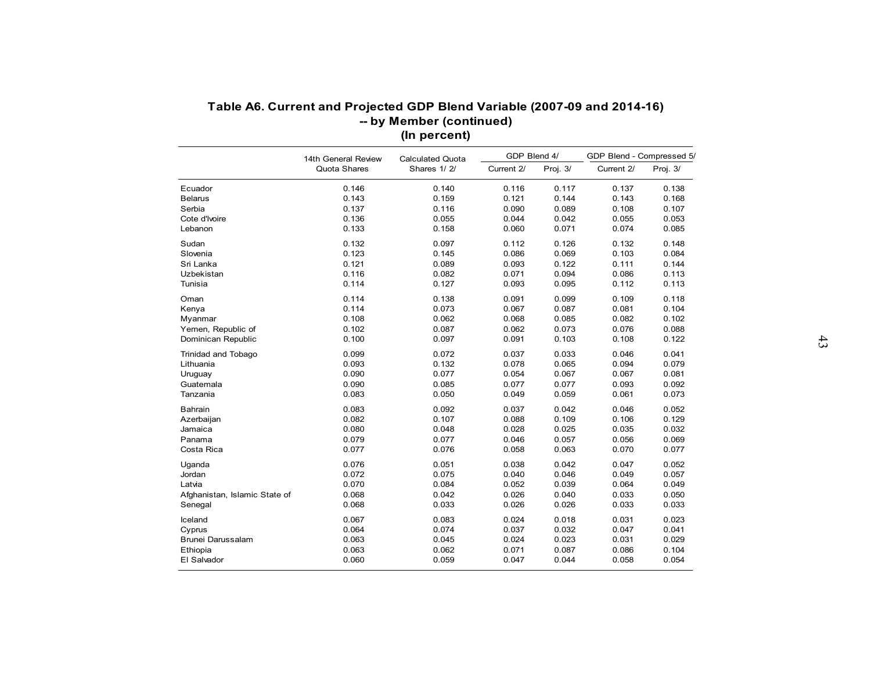|                               | 14th General Review | <b>Calculated Quota</b> | GDP Blend 4/   |                | GDP Blend - Compressed 5/ |                |
|-------------------------------|---------------------|-------------------------|----------------|----------------|---------------------------|----------------|
|                               | Quota Shares        | Shares 1/2/             | Current 2/     | Proj. 3/       | Current 2/                | Proj. 3/       |
| Ecuador                       | 0.146               | 0.140                   | 0.116          | 0.117          | 0.137                     | 0.138          |
| <b>Belarus</b>                | 0.143               | 0.159                   | 0.121          | 0.144          | 0.143                     | 0.168          |
| Serbia                        | 0.137               | 0.116                   | 0.090          | 0.089          | 0.108                     | 0.107          |
| Cote d'Ivoire                 | 0.136               | 0.055                   | 0.044          | 0.042          | 0.055                     | 0.053          |
| Lebanon                       | 0.133               | 0.158                   | 0.060          | 0.071          | 0.074                     | 0.085          |
| Sudan                         | 0.132               | 0.097                   | 0.112          | 0.126          | 0.132                     | 0.148          |
| Slovenia                      | 0.123               | 0.145                   | 0.086          | 0.069          | 0.103                     | 0.084          |
| Sri Lanka                     | 0.121               | 0.089                   | 0.093          | 0.122          | 0.111                     | 0.144          |
| Uzbekistan                    | 0.116               | 0.082                   | 0.071          | 0.094          | 0.086                     | 0.113          |
| Tunisia                       | 0.114               | 0.127                   | 0.093          | 0.095          | 0.112                     | 0.113          |
| Oman                          | 0.114               | 0.138                   | 0.091          | 0.099          | 0.109                     | 0.118          |
| Kenya                         | 0.114               | 0.073                   | 0.067          | 0.087          | 0.081                     | 0.104          |
| Myanmar                       | 0.108               | 0.062                   | 0.068          | 0.085          | 0.082                     | 0.102          |
| Yemen, Republic of            | 0.102               | 0.087                   | 0.062          | 0.073          | 0.076                     | 0.088          |
| Dominican Republic            | 0.100               | 0.097                   | 0.091          | 0.103          | 0.108                     | 0.122          |
|                               |                     |                         |                |                |                           |                |
| Trinidad and Tobago           | 0.099<br>0.093      | 0.072<br>0.132          | 0.037<br>0.078 | 0.033<br>0.065 | 0.046<br>0.094            | 0.041<br>0.079 |
| Lithuania                     |                     |                         |                |                |                           |                |
| Uruguay                       | 0.090<br>0.090      | 0.077<br>0.085          | 0.054<br>0.077 | 0.067<br>0.077 | 0.067<br>0.093            | 0.081<br>0.092 |
| Guatemala                     | 0.083               |                         |                |                |                           |                |
| Tanzania                      |                     | 0.050                   | 0.049          | 0.059          | 0.061                     | 0.073          |
| Bahrain                       | 0.083               | 0.092                   | 0.037          | 0.042          | 0.046                     | 0.052          |
| Azerbaijan                    | 0.082               | 0.107                   | 0.088          | 0.109          | 0.106                     | 0.129          |
| Jamaica                       | 0.080               | 0.048                   | 0.028          | 0.025          | 0.035                     | 0.032          |
| Panama                        | 0.079               | 0.077                   | 0.046          | 0.057          | 0.056                     | 0.069          |
| Costa Rica                    | 0.077               | 0.076                   | 0.058          | 0.063          | 0.070                     | 0.077          |
| Uganda                        | 0.076               | 0.051                   | 0.038          | 0.042          | 0.047                     | 0.052          |
| Jordan                        | 0.072               | 0.075                   | 0.040          | 0.046          | 0.049                     | 0.057          |
| Latvia                        | 0.070               | 0.084                   | 0.052          | 0.039          | 0.064                     | 0.049          |
| Afghanistan, Islamic State of | 0.068               | 0.042                   | 0.026          | 0.040          | 0.033                     | 0.050          |
| Senegal                       | 0.068               | 0.033                   | 0.026          | 0.026          | 0.033                     | 0.033          |
| Iceland                       | 0.067               | 0.083                   | 0.024          | 0.018          | 0.031                     | 0.023          |
| Cyprus                        | 0.064               | 0.074                   | 0.037          | 0.032          | 0.047                     | 0.041          |
| Brunei Darussalam             | 0.063               | 0.045                   | 0.024          | 0.023          | 0.031                     | 0.029          |
| Ethiopia                      | 0.063               | 0.062                   | 0.071          | 0.087          | 0.086                     | 0.104          |
|                               |                     |                         |                |                |                           |                |
| El Salvador                   | 0.060               | 0.059                   | 0.047          | 0.044          | 0.058                     | 0.054          |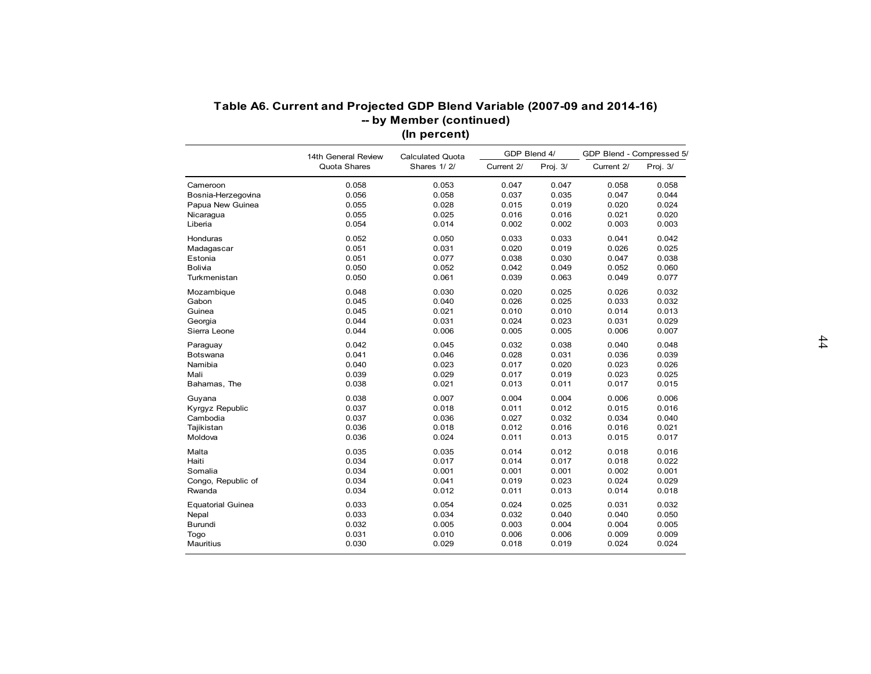|                          | 14th General Review | <b>Calculated Quota</b> | GDP Blend 4/   |                | GDP Blend - Compressed 5/ |                |
|--------------------------|---------------------|-------------------------|----------------|----------------|---------------------------|----------------|
|                          | Quota Shares        | Shares 1/2/             | Current 2/     | Proj. 3/       | Current 2/                | Proj. $3/$     |
| Cameroon                 | 0.058               | 0.053                   | 0.047          | 0.047          | 0.058                     | 0.058          |
| Bosnia-Herzegovina       | 0.056               | 0.058                   | 0.037          | 0.035          | 0.047                     | 0.044          |
| Papua New Guinea         | 0.055               | 0.028                   | 0.015          | 0.019          | 0.020                     | 0.024          |
| Nicaragua                | 0.055               | 0.025                   | 0.016          | 0.016          | 0.021                     | 0.020          |
| Liberia                  | 0.054               | 0.014                   | 0.002          | 0.002          | 0.003                     | 0.003          |
| Honduras                 | 0.052               | 0.050                   | 0.033          | 0.033          | 0.041                     | 0.042          |
| Madagascar               | 0.051               | 0.031                   | 0.020          | 0.019          | 0.026                     | 0.025          |
| Estonia                  | 0.051               | 0.077                   | 0.038          | 0.030          | 0.047                     | 0.038          |
| <b>Bolivia</b>           | 0.050               | 0.052                   | 0.042          | 0.049          | 0.052                     | 0.060          |
| Turkmenistan             | 0.050               | 0.061                   | 0.039          | 0.063          | 0.049                     | 0.077          |
| Mozambique               | 0.048               | 0.030                   | 0.020          | 0.025          | 0.026                     | 0.032          |
| Gabon                    | 0.045               | 0.040                   | 0.026          | 0.025          | 0.033                     | 0.032          |
| Guinea                   | 0.045               | 0.021                   | 0.010          | 0.010          | 0.014                     | 0.013          |
| Georgia                  | 0.044               | 0.031                   | 0.024          | 0.023          | 0.031                     | 0.029          |
| Sierra Leone             | 0.044               | 0.006                   | 0.005          | 0.005          | 0.006                     | 0.007          |
|                          |                     |                         |                |                |                           |                |
| Paraguay                 | 0.042               | 0.045                   | 0.032          | 0.038          | 0.040                     | 0.048          |
| Botswana<br>Namibia      | 0.041<br>0.040      | 0.046<br>0.023          | 0.028<br>0.017 | 0.031<br>0.020 | 0.036<br>0.023            | 0.039          |
|                          |                     |                         |                |                |                           | 0.026          |
| Mali                     | 0.039<br>0.038      | 0.029<br>0.021          | 0.017<br>0.013 | 0.019<br>0.011 | 0.023<br>0.017            | 0.025<br>0.015 |
| Bahamas, The             |                     |                         |                |                |                           |                |
| Guyana                   | 0.038               | 0.007                   | 0.004          | 0.004          | 0.006                     | 0.006          |
| Kyrgyz Republic          | 0.037               | 0.018                   | 0.011          | 0.012          | 0.015                     | 0.016          |
| Cambodia                 | 0.037               | 0.036                   | 0.027          | 0.032          | 0.034                     | 0.040          |
| Tajikistan               | 0.036               | 0.018                   | 0.012          | 0.016          | 0.016                     | 0.021          |
| Moldova                  | 0.036               | 0.024                   | 0.011          | 0.013          | 0.015                     | 0.017          |
| Malta                    | 0.035               | 0.035                   | 0.014          | 0.012          | 0.018                     | 0.016          |
| Haiti                    | 0.034               | 0.017                   | 0.014          | 0.017          | 0.018                     | 0.022          |
| Somalia                  | 0.034               | 0.001                   | 0.001          | 0.001          | 0.002                     | 0.001          |
| Congo, Republic of       | 0.034               | 0.041                   | 0.019          | 0.023          | 0.024                     | 0.029          |
| Rwanda                   | 0.034               | 0.012                   | 0.011          | 0.013          | 0.014                     | 0.018          |
| <b>Equatorial Guinea</b> | 0.033               | 0.054                   | 0.024          | 0.025          | 0.031                     | 0.032          |
| Nepal                    | 0.033               | 0.034                   | 0.032          | 0.040          | 0.040                     | 0.050          |
| Burundi                  | 0.032               | 0.005                   | 0.003          | 0.004          | 0.004                     | 0.005          |
| Togo                     | 0.031               | 0.010                   | 0.006          | 0.006          | 0.009                     | 0.009          |
| Mauritius                | 0.030               | 0.029                   | 0.018          | 0.019          | 0.024                     | 0.024          |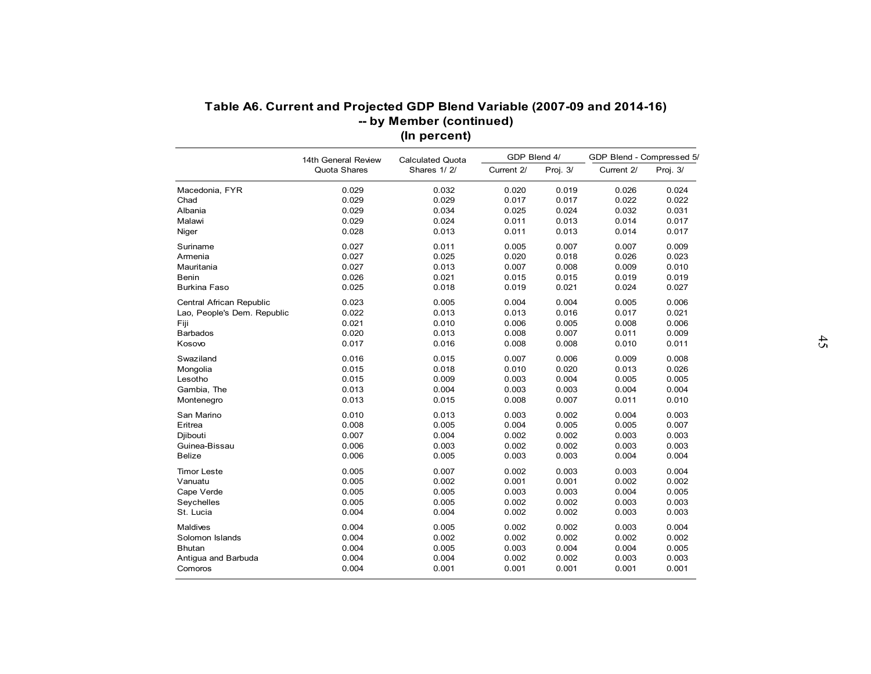|                             | 14th General Review | <b>Calculated Quota</b> | GDP Blend 4/ |          | GDP Blend - Compressed 5/ |          |
|-----------------------------|---------------------|-------------------------|--------------|----------|---------------------------|----------|
|                             | Quota Shares        | Shares 1/2/             | Current 2/   | Proj. 3/ | Current 2/                | Proj. 3/ |
| Macedonia, FYR              | 0.029               | 0.032                   | 0.020        | 0.019    | 0.026                     | 0.024    |
| Chad                        | 0.029               | 0.029                   | 0.017        | 0.017    | 0.022                     | 0.022    |
| Albania                     | 0.029               | 0.034                   | 0.025        | 0.024    | 0.032                     | 0.031    |
| Malawi                      | 0.029               | 0.024                   | 0.011        | 0.013    | 0.014                     | 0.017    |
| Niger                       | 0.028               | 0.013                   | 0.011        | 0.013    | 0.014                     | 0.017    |
| Suriname                    | 0.027               | 0.011                   | 0.005        | 0.007    | 0.007                     | 0.009    |
| Armenia                     | 0.027               | 0.025                   | 0.020        | 0.018    | 0.026                     | 0.023    |
| Mauritania                  | 0.027               | 0.013                   | 0.007        | 0.008    | 0.009                     | 0.010    |
| Benin                       | 0.026               | 0.021                   | 0.015        | 0.015    | 0.019                     | 0.019    |
| <b>Burkina Faso</b>         | 0.025               | 0.018                   | 0.019        | 0.021    | 0.024                     | 0.027    |
| Central African Republic    | 0.023               | 0.005                   | 0.004        | 0.004    | 0.005                     | 0.006    |
| Lao, People's Dem. Republic | 0.022               | 0.013                   | 0.013        | 0.016    | 0.017                     | 0.021    |
| Fiji                        | 0.021               | 0.010                   | 0.006        | 0.005    | 0.008                     | 0.006    |
| <b>Barbados</b>             | 0.020               | 0.013                   | 0.008        | 0.007    | 0.011                     | 0.009    |
| Kosovo                      | 0.017               | 0.016                   | 0.008        | 0.008    | 0.010                     | 0.011    |
| Swaziland                   | 0.016               | 0.015                   | 0.007        | 0.006    | 0.009                     | 0.008    |
| Mongolia                    | 0.015               | 0.018                   | 0.010        | 0.020    | 0.013                     | 0.026    |
| Lesotho                     | 0.015               | 0.009                   | 0.003        | 0.004    | 0.005                     | 0.005    |
| Gambia, The                 | 0.013               | 0.004                   | 0.003        | 0.003    | 0.004                     | 0.004    |
| Montenegro                  | 0.013               | 0.015                   | 0.008        | 0.007    | 0.011                     | 0.010    |
| San Marino                  | 0.010               | 0.013                   | 0.003        | 0.002    | 0.004                     | 0.003    |
| Eritrea                     | 0.008               | 0.005                   | 0.004        | 0.005    | 0.005                     | 0.007    |
| Djibouti                    | 0.007               | 0.004                   | 0.002        | 0.002    | 0.003                     | 0.003    |
| Guinea-Bissau               | 0.006               | 0.003                   | 0.002        | 0.002    | 0.003                     | 0.003    |
| <b>Belize</b>               | 0.006               | 0.005                   | 0.003        | 0.003    | 0.004                     | 0.004    |
| <b>Timor Leste</b>          | 0.005               | 0.007                   | 0.002        | 0.003    | 0.003                     | 0.004    |
| Vanuatu                     | 0.005               | 0.002                   | 0.001        | 0.001    | 0.002                     | 0.002    |
| Cape Verde                  | 0.005               | 0.005                   | 0.003        | 0.003    | 0.004                     | 0.005    |
| Seychelles                  | 0.005               | 0.005                   | 0.002        | 0.002    | 0.003                     | 0.003    |
| St. Lucia                   | 0.004               | 0.004                   | 0.002        | 0.002    | 0.003                     | 0.003    |
| <b>Maldives</b>             | 0.004               | 0.005                   | 0.002        | 0.002    | 0.003                     | 0.004    |
| Solomon Islands             | 0.004               | 0.002                   | 0.002        | 0.002    | 0.002                     | 0.002    |
| <b>Bhutan</b>               | 0.004               | 0.005                   | 0.003        | 0.004    | 0.004                     | 0.005    |
| Antigua and Barbuda         | 0.004               | 0.004                   | 0.002        | 0.002    | 0.003                     | 0.003    |
| Comoros                     | 0.004               | 0.001                   | 0.001        | 0.001    | 0.001                     | 0.001    |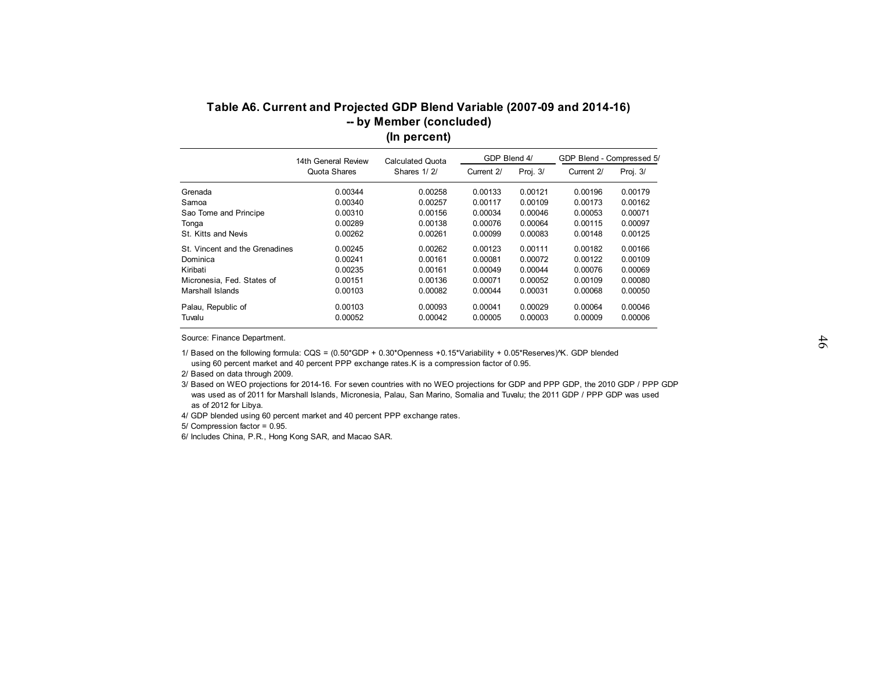| GDP Blend 4/<br>GDP Blend - Compressed 5/<br>14th General Review<br><b>Calculated Quota</b><br>Quota Shares<br>Shares 1/2/<br>Current 2/<br>Proj. 3/<br>Proj. $3/$<br>Current 2/<br>0.00121<br>0.00179<br>0.00344<br>0.00258<br>0.00133<br>0.00196<br>0.00340<br>0.00257<br>0.00117<br>0.00109<br>0.00173<br>0.00162<br>0.00310<br>0.00156<br>0.00034<br>0.00046<br>0.00053<br>0.00071<br>0.00289<br>0.00064<br>0.00097<br>0.00138<br>0.00076<br>0.00115<br>Tonga<br>St. Kitts and Nevis<br>0.00262<br>0.00261<br>0.00099<br>0.00083<br>0.00148<br>0.00125<br>0.00245<br>0.00262<br>0.00111<br>0.00182<br>0.00166<br>0.00123<br>0.00241<br>0.00161<br>0.00081<br>0.00072<br>0.00122<br>0.00109<br>0.00235<br>0.00161<br>0.00049<br>0.00044<br>0.00076<br>0.00069<br>0.00151<br>0.00136<br>0.00071<br>0.00052<br>0.00109<br>0.00080<br>0.00050<br>0.00103<br>0.00082<br>0.00044<br>0.00031<br>0.00068 | Grenada<br>Samoa<br>Sao Tome and Principe |
|------------------------------------------------------------------------------------------------------------------------------------------------------------------------------------------------------------------------------------------------------------------------------------------------------------------------------------------------------------------------------------------------------------------------------------------------------------------------------------------------------------------------------------------------------------------------------------------------------------------------------------------------------------------------------------------------------------------------------------------------------------------------------------------------------------------------------------------------------------------------------------------------------|-------------------------------------------|
|                                                                                                                                                                                                                                                                                                                                                                                                                                                                                                                                                                                                                                                                                                                                                                                                                                                                                                      |                                           |
|                                                                                                                                                                                                                                                                                                                                                                                                                                                                                                                                                                                                                                                                                                                                                                                                                                                                                                      |                                           |
|                                                                                                                                                                                                                                                                                                                                                                                                                                                                                                                                                                                                                                                                                                                                                                                                                                                                                                      |                                           |
|                                                                                                                                                                                                                                                                                                                                                                                                                                                                                                                                                                                                                                                                                                                                                                                                                                                                                                      |                                           |
|                                                                                                                                                                                                                                                                                                                                                                                                                                                                                                                                                                                                                                                                                                                                                                                                                                                                                                      |                                           |
|                                                                                                                                                                                                                                                                                                                                                                                                                                                                                                                                                                                                                                                                                                                                                                                                                                                                                                      |                                           |
|                                                                                                                                                                                                                                                                                                                                                                                                                                                                                                                                                                                                                                                                                                                                                                                                                                                                                                      |                                           |
|                                                                                                                                                                                                                                                                                                                                                                                                                                                                                                                                                                                                                                                                                                                                                                                                                                                                                                      | St. Vincent and the Grenadines            |
|                                                                                                                                                                                                                                                                                                                                                                                                                                                                                                                                                                                                                                                                                                                                                                                                                                                                                                      | Dominica                                  |
|                                                                                                                                                                                                                                                                                                                                                                                                                                                                                                                                                                                                                                                                                                                                                                                                                                                                                                      | Kiribati                                  |
|                                                                                                                                                                                                                                                                                                                                                                                                                                                                                                                                                                                                                                                                                                                                                                                                                                                                                                      | Micronesia, Fed. States of                |
|                                                                                                                                                                                                                                                                                                                                                                                                                                                                                                                                                                                                                                                                                                                                                                                                                                                                                                      | Marshall Islands                          |
| 0.00029<br>0.00046<br>0.00103<br>0.00093<br>0.00041<br>0.00064                                                                                                                                                                                                                                                                                                                                                                                                                                                                                                                                                                                                                                                                                                                                                                                                                                       | Palau, Republic of                        |
| 0.00052<br>0.00042<br>0.00005<br>0.00003<br>0.00009<br>0.00006                                                                                                                                                                                                                                                                                                                                                                                                                                                                                                                                                                                                                                                                                                                                                                                                                                       | Tuvalu                                    |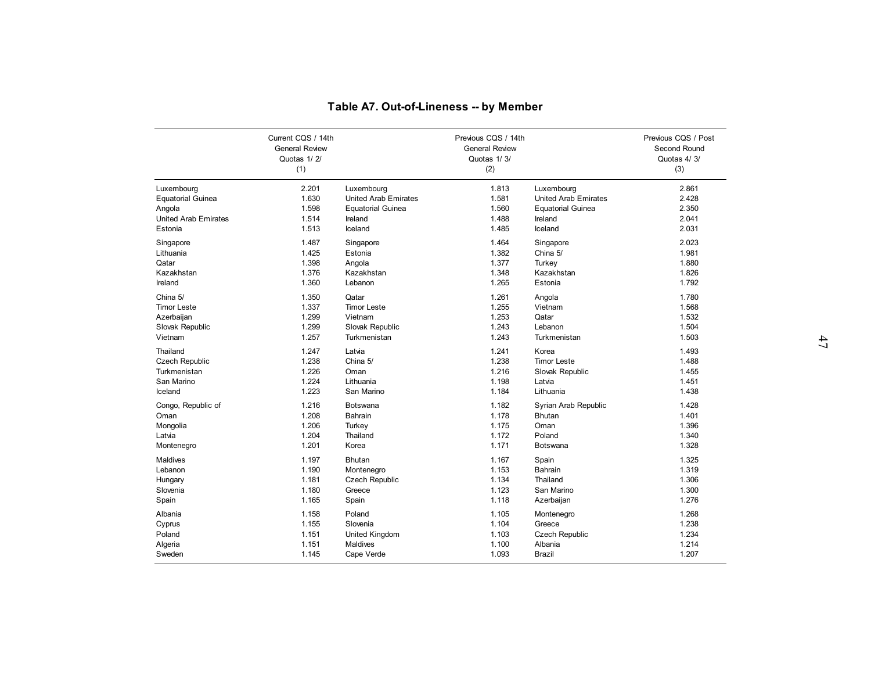|                             |                                                                   | Table A7. Out-of-Lineness -- by Member |                                                                    |                             |                                                           |
|-----------------------------|-------------------------------------------------------------------|----------------------------------------|--------------------------------------------------------------------|-----------------------------|-----------------------------------------------------------|
|                             | Current CQS / 14th<br><b>General Review</b><br>Quotas 1/2/<br>(1) |                                        | Previous CQS / 14th<br><b>General Review</b><br>Quotas 1/3/<br>(2) |                             | Previous CQS / Post<br>Second Round<br>Quotas 4/3/<br>(3) |
| Luxembourg                  | 2.201                                                             | Luxembourg                             | 1.813                                                              | Luxembourg                  | 2.861                                                     |
| <b>Equatorial Guinea</b>    | 1.630                                                             | <b>United Arab Emirates</b>            | 1.581                                                              | <b>United Arab Emirates</b> | 2.428                                                     |
| Angola                      | 1.598                                                             | <b>Equatorial Guinea</b>               | 1.560                                                              | <b>Equatorial Guinea</b>    | 2.350                                                     |
| <b>United Arab Emirates</b> | 1.514                                                             | Ireland                                | 1.488                                                              | Ireland                     | 2.041                                                     |
| Estonia                     | 1.513                                                             | Iceland                                | 1.485                                                              | Iceland                     | 2.031                                                     |
| Singapore                   | 1.487                                                             | Singapore                              | 1.464                                                              | Singapore                   | 2.023                                                     |
| Lithuania                   | 1.425                                                             | Estonia                                | 1.382                                                              | China 5/                    | 1.981                                                     |
| Qatar                       | 1.398                                                             | Angola                                 | 1.377                                                              | Turkey                      | 1.880                                                     |
| Kazakhstan                  | 1.376                                                             | Kazakhstan                             | 1.348                                                              | Kazakhstan                  | 1.826                                                     |
| Ireland                     | 1.360                                                             | Lebanon                                | 1.265                                                              | Estonia                     | 1.792                                                     |
| China 5/                    | 1.350                                                             | Qatar                                  | 1.261                                                              | Angola                      | 1.780                                                     |
| <b>Timor Leste</b>          | 1.337                                                             | <b>Timor Leste</b>                     | 1.255                                                              | Vietnam                     | 1.568                                                     |
| Azerbaijan                  | 1.299                                                             | Vietnam                                | 1.253                                                              | Qatar                       | 1.532                                                     |
| Slovak Republic             | 1.299                                                             | Slovak Republic                        | 1.243                                                              | Lebanon                     | 1.504                                                     |
| Vietnam                     | 1.257                                                             | Turkmenistan                           | 1.243                                                              | Turkmenistan                | 1.503                                                     |
| Thailand                    | 1.247                                                             | Latvia                                 | 1.241                                                              | Korea                       | 1.493                                                     |
| <b>Czech Republic</b>       | 1.238                                                             | China 5/                               | 1.238                                                              | <b>Timor Leste</b>          | 1.488                                                     |
| Turkmenistan                | 1.226                                                             | Oman                                   | 1.216                                                              | Slovak Republic             | 1.455                                                     |
| San Marino                  | 1.224                                                             | Lithuania                              | 1.198                                                              | Latvia                      | 1.451                                                     |
| Iceland                     | 1.223                                                             | San Marino                             | 1.184                                                              | Lithuania                   | 1.438                                                     |
| Congo, Republic of          | 1.216                                                             | <b>Botswana</b>                        | 1.182                                                              | Syrian Arab Republic        | 1.428                                                     |
| Oman                        | 1.208                                                             | <b>Bahrain</b>                         | 1.178                                                              | Bhutan                      | 1.401                                                     |
| Mongolia                    | 1.206                                                             | Turkey                                 | 1.175                                                              | Oman                        | 1.396                                                     |
| Latvia                      | 1.204                                                             | Thailand                               | 1.172                                                              | Poland                      | 1.340                                                     |
| Montenegro                  | 1.201                                                             | Korea                                  | 1.171                                                              | Botswana                    | 1.328                                                     |
| Maldives                    | 1.197                                                             | <b>Bhutan</b>                          | 1.167                                                              | Spain                       | 1.325                                                     |
| Lebanon                     | 1.190                                                             | Montenegro                             | 1.153                                                              | Bahrain                     | 1.319                                                     |
| Hungary                     | 1.181                                                             | Czech Republic                         | 1.134                                                              | Thailand                    | 1.306                                                     |
| Slovenia                    | 1.180                                                             | Greece                                 | 1.123                                                              | San Marino                  | 1.300                                                     |
| Spain                       | 1.165                                                             | Spain                                  | 1.118                                                              | Azerbaijan                  | 1.276                                                     |
| Albania                     | 1.158                                                             | Poland                                 | 1.105                                                              | Montenegro                  | 1.268                                                     |
| Cyprus                      | 1.155                                                             | Slovenia                               | 1.104                                                              | Greece                      | 1.238                                                     |
| Poland                      | 1.151                                                             | United Kingdom                         | 1.103                                                              | Czech Republic              | 1.234                                                     |
| Algeria                     | 1.151                                                             | <b>Maldives</b>                        | 1.100                                                              | Albania                     | 1.214                                                     |
| Sweden                      | 1.145                                                             | Cape Verde                             | 1.093                                                              | <b>Brazil</b>               | 1.207                                                     |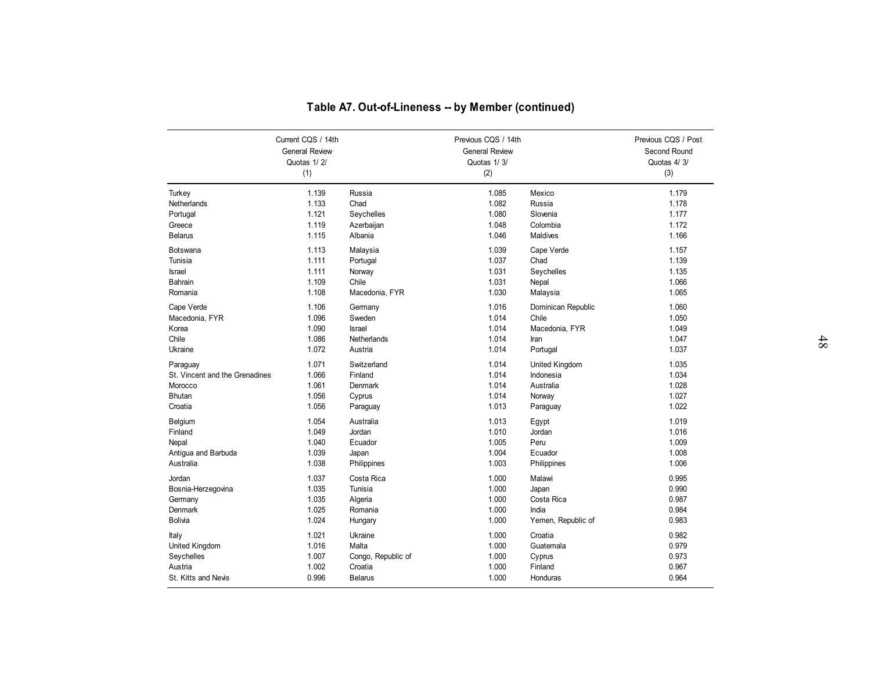|                                |                                                            | Table A7. Out-of-Lineness -- by Member (continued) |                                                             |                             |                                                    |  |
|--------------------------------|------------------------------------------------------------|----------------------------------------------------|-------------------------------------------------------------|-----------------------------|----------------------------------------------------|--|
|                                | Current CQS / 14th<br><b>General Review</b><br>Quotas 1/2/ |                                                    | Previous CQS / 14th<br><b>General Review</b><br>Quotas 1/3/ |                             | Previous CQS / Post<br>Second Round<br>Quotas 4/3/ |  |
|                                | (1)                                                        |                                                    | (2)                                                         |                             | (3)                                                |  |
| Turkey                         | 1.139                                                      | Russia                                             | 1.085                                                       | Mexico                      | 1.179                                              |  |
| Netherlands                    | 1.133                                                      | Chad                                               | 1.082                                                       | Russia                      | 1.178                                              |  |
| Portugal<br>Greece             | 1.121<br>1.119                                             | Seychelles<br>Azerbaijan                           | 1.080<br>1.048                                              | Slovenia<br>Colombia        | 1.177<br>1.172                                     |  |
| <b>Belarus</b>                 | 1.115                                                      | Albania                                            | 1.046                                                       | <b>Maldives</b>             | 1.166                                              |  |
| <b>Botswana</b>                | 1.113                                                      | Malaysia                                           | 1.039                                                       | Cape Verde                  | 1.157                                              |  |
| Tunisia                        | 1.111                                                      | Portugal                                           | 1.037                                                       | Chad                        | 1.139                                              |  |
| Israel                         | 1.111                                                      | Norway                                             | 1.031                                                       | Seychelles                  | 1.135                                              |  |
| Bahrain                        | 1.109                                                      | Chile                                              | 1.031                                                       | Nepal                       | 1.066                                              |  |
| Romania                        | 1.108                                                      | Macedonia, FYR                                     | 1.030                                                       | Malaysia                    | 1.065                                              |  |
| Cape Verde                     | 1.106                                                      | Germany                                            | 1.016                                                       | Dominican Republic          | 1.060                                              |  |
| Macedonia, FYR                 | 1.096                                                      | Sweden                                             | 1.014                                                       | Chile                       | 1.050                                              |  |
| Korea<br>Chile                 | 1.090<br>1.086                                             | Israel<br>Netherlands                              | 1.014<br>1.014                                              | Macedonia, FYR<br>Iran      | 1.049<br>1.047                                     |  |
| Ukraine                        | 1.072                                                      | Austria                                            | 1.014                                                       | Portugal                    | 1.037                                              |  |
| Paraguay                       | 1.071                                                      | Switzerland                                        | 1.014                                                       | United Kingdom              | 1.035                                              |  |
| St. Vincent and the Grenadines | 1.066                                                      | Finland                                            | 1.014                                                       | Indonesia                   | 1.034                                              |  |
| Morocco                        | 1.061                                                      | Denmark                                            | 1.014                                                       | Australia                   | 1.028                                              |  |
| <b>Bhutan</b>                  | 1.056                                                      | Cyprus                                             | 1.014                                                       | Norway                      | 1.027                                              |  |
| Croatia                        | 1.056                                                      | Paraguay                                           | 1.013                                                       | Paraguay                    | 1.022                                              |  |
| Belgium                        | 1.054                                                      | Australia                                          | 1.013                                                       | Egypt                       | 1.019                                              |  |
| Finland                        | 1.049                                                      | Jordan                                             | 1.010                                                       | Jordan                      | 1.016                                              |  |
| Nepal                          | 1.040                                                      | Ecuador                                            | 1.005                                                       | Peru                        | 1.009                                              |  |
| Antigua and Barbuda            | 1.039                                                      | Japan                                              | 1.004                                                       | Ecuador                     | 1.008                                              |  |
| Australia                      | 1.038                                                      | Philippines                                        | 1.003                                                       | Philippines                 | 1.006                                              |  |
| Jordan                         | 1.037                                                      | Costa Rica                                         | 1.000                                                       | Malawi                      | 0.995                                              |  |
| Bosnia-Herzegovina             | 1.035                                                      | Tunisia                                            | 1.000                                                       | Japan                       | 0.990                                              |  |
| Germany                        | 1.035                                                      | Algeria                                            | 1.000                                                       | Costa Rica                  | 0.987                                              |  |
| Denmark<br><b>Bolivia</b>      | 1.025<br>1.024                                             | Romania<br>Hungary                                 | 1.000<br>1.000                                              | India<br>Yemen, Republic of | 0.984<br>0.983                                     |  |
| Italy                          | 1.021                                                      | Ukraine                                            | 1.000                                                       | Croatia                     | 0.982                                              |  |
| United Kingdom                 | 1.016                                                      | Malta                                              | 1.000                                                       | Guatemala                   | 0.979                                              |  |
| Seychelles                     | 1.007                                                      | Congo, Republic of                                 | 1.000                                                       | Cyprus                      | 0.973                                              |  |
| Austria                        | 1.002                                                      | Croatia                                            | 1.000                                                       | Finland                     | 0.967                                              |  |
| St. Kitts and Nevis            | 0.996                                                      | <b>Belarus</b>                                     | 1.000                                                       | Honduras                    | 0.964                                              |  |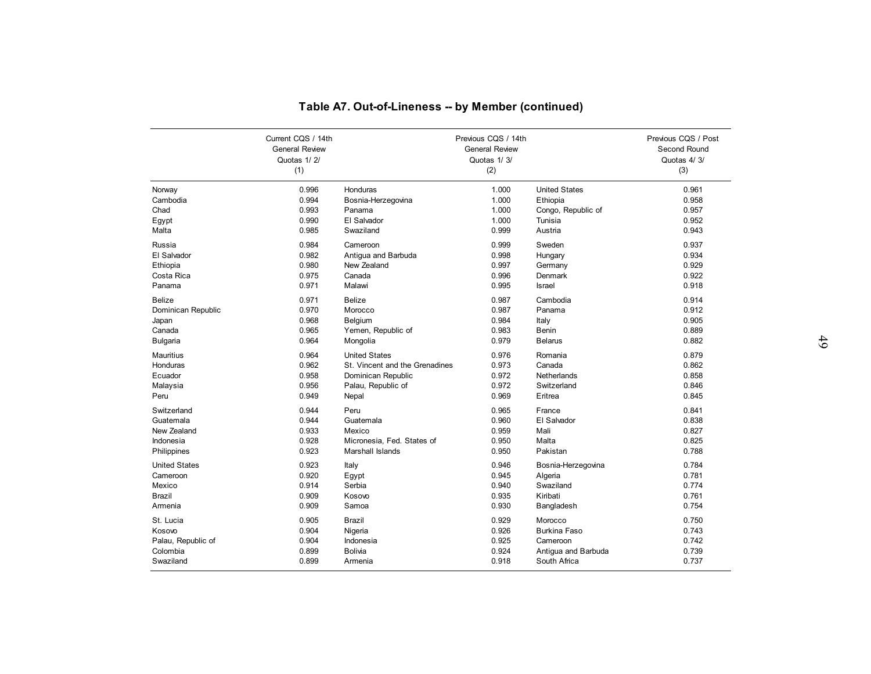|                                |                       | Table A7. Out-of-Lineness -- by Member (continued) |                       |                                 |                     |
|--------------------------------|-----------------------|----------------------------------------------------|-----------------------|---------------------------------|---------------------|
|                                |                       |                                                    |                       |                                 |                     |
|                                | Current CQS / 14th    |                                                    | Previous CQS / 14th   |                                 | Previous CQS / Post |
|                                | <b>General Review</b> |                                                    | <b>General Review</b> |                                 | Second Round        |
|                                | Quotas 1/2/<br>(1)    |                                                    | Quotas 1/3/<br>(2)    |                                 | Quotas 4/3/<br>(3)  |
|                                |                       |                                                    |                       |                                 |                     |
| Norway                         | 0.996                 | Honduras                                           | 1.000                 | <b>United States</b>            | 0.961               |
| Cambodia                       | 0.994                 | Bosnia-Herzegovina                                 | 1.000                 | Ethiopia                        | 0.958               |
| Chad                           | 0.993                 | Panama                                             | 1.000                 | Congo, Republic of              | 0.957               |
| Egypt                          | 0.990                 | El Salvador                                        | 1.000                 | Tunisia                         | 0.952               |
| Malta                          | 0.985                 | Swaziland                                          | 0.999                 | Austria                         | 0.943               |
| Russia                         | 0.984                 | Cameroon                                           | 0.999                 | Sweden                          | 0.937               |
| El Salvador                    | 0.982                 | Antiqua and Barbuda                                | 0.998                 | Hungary                         | 0.934               |
| Ethiopia                       | 0.980                 | New Zealand                                        | 0.997                 | Germany                         | 0.929               |
| Costa Rica                     | 0.975                 | Canada                                             | 0.996                 | Denmark                         | 0.922               |
| Panama                         | 0.971                 | Malawi                                             | 0.995                 | <b>Israel</b>                   | 0.918               |
| <b>Belize</b>                  | 0.971                 | <b>Belize</b>                                      | 0.987                 | Cambodia                        | 0.914               |
| Dominican Republic             | 0.970                 | Morocco                                            | 0.987                 | Panama                          | 0.912               |
| Japan                          | 0.968                 | Belgium                                            | 0.984                 | Italy                           | 0.905               |
| Canada                         | 0.965                 | Yemen, Republic of                                 | 0.983                 | <b>Benin</b>                    | 0.889               |
| <b>Bulgaria</b>                | 0.964                 | Mongolia                                           | 0.979                 | <b>Belarus</b>                  | 0.882               |
| Mauritius                      | 0.964                 | <b>United States</b>                               | 0.976                 | Romania                         | 0.879               |
| Honduras                       | 0.962                 | St. Vincent and the Grenadines                     | 0.973                 | Canada                          | 0.862               |
| Ecuador                        | 0.958                 | Dominican Republic                                 | 0.972                 | Netherlands                     | 0.858               |
| Malaysia                       | 0.956                 | Palau, Republic of                                 | 0.972                 | Switzerland                     | 0.846               |
| Peru                           | 0.949                 | Nepal                                              | 0.969                 | Eritrea                         | 0.845               |
| Switzerland                    | 0.944                 | Peru                                               | 0.965                 | France                          | 0.841               |
| Guatemala                      | 0.944                 | Guatemala                                          | 0.960                 | El Salvador                     | 0.838               |
| New Zealand                    | 0.933                 | Mexico                                             | 0.959                 | Mali                            | 0.827               |
| Indonesia                      | 0.928<br>0.923        | Micronesia, Fed. States of<br>Marshall Islands     | 0.950<br>0.950        | Malta<br>Pakistan               | 0.825<br>0.788      |
| Philippines                    |                       |                                                    |                       |                                 |                     |
| <b>United States</b>           | 0.923                 | Italy                                              | 0.946                 | Bosnia-Herzegovina              | 0.784               |
| Cameroon                       | 0.920                 | Egypt                                              | 0.945                 | Algeria                         | 0.781               |
| Mexico                         | 0.914                 | Serbia                                             | 0.940                 | Swaziland                       | 0.774               |
| Brazil<br>Armenia              | 0.909<br>0.909        | Kosovo<br>Samoa                                    | 0.935<br>0.930        | Kiribati<br>Bangladesh          | 0.761<br>0.754      |
|                                |                       |                                                    |                       |                                 |                     |
| St. Lucia                      | 0.905                 | <b>Brazil</b>                                      | 0.929                 | Morocco                         | 0.750               |
| Kosovo                         | 0.904<br>0.904        | Nigeria                                            | 0.926<br>0.925        | <b>Burkina Faso</b><br>Cameroon | 0.743<br>0.742      |
| Palau, Republic of<br>Colombia | 0.899                 | Indonesia<br><b>Bolivia</b>                        | 0.924                 | Antiqua and Barbuda             | 0.739               |
| Swaziland                      | 0.899                 | Armenia                                            | 0.918                 | South Africa                    |                     |
|                                |                       |                                                    |                       |                                 | 0.737               |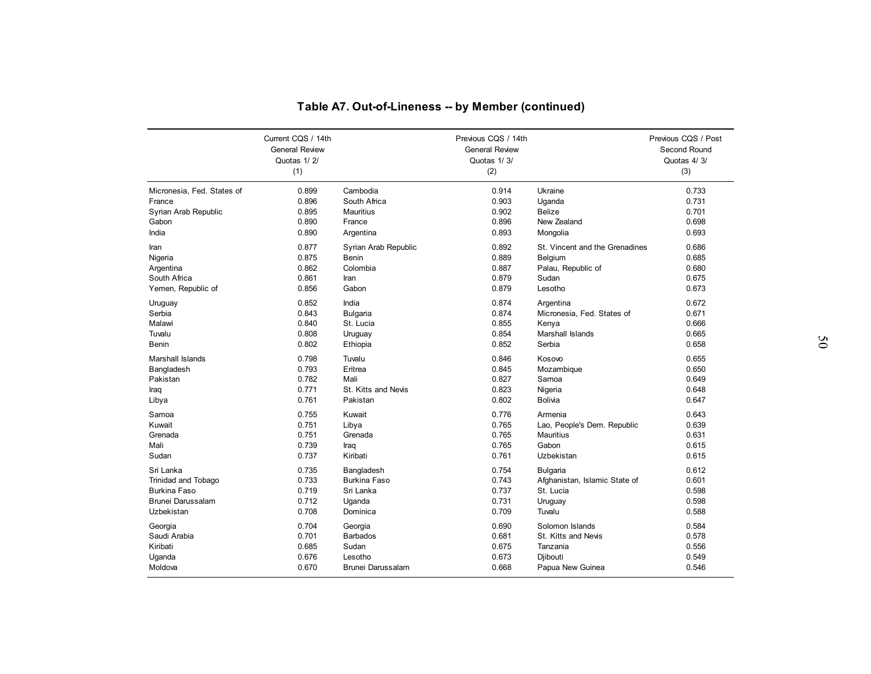|                            |                                             | Table A7. Out-of-Lineness -- by Member (continued) |                                              |                                |                                     |
|----------------------------|---------------------------------------------|----------------------------------------------------|----------------------------------------------|--------------------------------|-------------------------------------|
|                            |                                             |                                                    |                                              |                                |                                     |
|                            | Current CQS / 14th<br><b>General Review</b> |                                                    | Previous CQS / 14th<br><b>General Review</b> |                                | Previous CQS / Post<br>Second Round |
|                            | Quotas 1/2/                                 |                                                    | Quotas 1/3/                                  |                                | Quotas 4/3/                         |
|                            | (1)                                         |                                                    | (2)                                          |                                | (3)                                 |
| Micronesia, Fed. States of | 0.899                                       | Cambodia                                           | 0.914                                        | Ukraine                        | 0.733                               |
| France                     | 0.896                                       | South Africa                                       | 0.903                                        | Uganda                         | 0.731                               |
| Syrian Arab Republic       | 0.895                                       | Mauritius                                          | 0.902                                        | <b>Belize</b>                  | 0.701                               |
| Gabon                      | 0.890                                       | France                                             | 0.896                                        | New Zealand                    | 0.698                               |
| India                      | 0.890                                       | Argentina                                          | 0.893                                        | Mongolia                       | 0.693                               |
| Iran                       | 0.877                                       | Syrian Arab Republic                               | 0.892                                        | St. Vincent and the Grenadines | 0.686                               |
| Nigeria                    | 0.875                                       | <b>Benin</b>                                       | 0.889                                        | Belgium                        | 0.685                               |
| Argentina                  | 0.862                                       | Colombia                                           | 0.887                                        | Palau, Republic of             | 0.680                               |
| South Africa               | 0.861                                       | Iran                                               | 0.879                                        | Sudan                          | 0.675                               |
| Yemen, Republic of         | 0.856                                       | Gabon                                              | 0.879                                        | Lesotho                        | 0.673                               |
| Uruguay                    | 0.852                                       | India                                              | 0.874                                        | Argentina                      | 0.672                               |
| Serbia                     | 0.843                                       | <b>Bulgaria</b>                                    | 0.874                                        | Micronesia, Fed. States of     | 0.671                               |
| Malawi                     | 0.840                                       | St. Lucia                                          | 0.855                                        | Kenya                          | 0.666                               |
| Tuvalu                     | 0.808                                       | Uruguay                                            | 0.854                                        | Marshall Islands               | 0.665                               |
| Benin                      | 0.802                                       | Ethiopia                                           | 0.852                                        | Serbia                         | 0.658                               |
| Marshall Islands           | 0.798                                       | Tuvalu                                             | 0.846                                        | Kosovo                         | 0.655                               |
| Bangladesh                 | 0.793                                       | Eritrea                                            | 0.845                                        | Mozambique                     | 0.650                               |
| Pakistan                   | 0.782                                       | Mali                                               | 0.827                                        | Samoa                          | 0.649                               |
| Iraq                       | 0.771                                       | St. Kitts and Nevis                                | 0.823                                        | Nigeria                        | 0.648                               |
| Libya                      | 0.761                                       | Pakistan                                           | 0.802                                        | <b>Bolivia</b>                 | 0.647                               |
| Samoa                      | 0.755                                       | Kuwait                                             | 0.776                                        | Armenia                        | 0.643                               |
| Kuwait                     | 0.751                                       | Libya                                              | 0.765                                        | Lao, People's Dem. Republic    | 0.639                               |
| Grenada                    | 0.751                                       | Grenada                                            | 0.765                                        | <b>Mauritius</b>               | 0.631                               |
| Mali                       | 0.739                                       | Iraq                                               | 0.765                                        | Gabon                          | 0.615                               |
| Sudan                      | 0.737                                       | Kiribati                                           | 0.761                                        | Uzbekistan                     | 0.615                               |
| Sri Lanka                  | 0.735                                       | Bangladesh                                         | 0.754                                        | <b>Bulgaria</b>                | 0.612                               |
| <b>Trinidad and Tobago</b> | 0.733                                       | <b>Burkina Faso</b>                                | 0.743                                        | Afghanistan, Islamic State of  | 0.601                               |
| <b>Burkina Faso</b>        | 0.719                                       | Sri Lanka                                          | 0.737                                        | St. Lucia                      | 0.598                               |
| Brunei Darussalam          | 0.712                                       | Uganda                                             | 0.731                                        | Uruguay                        | 0.598                               |
| Uzbekistan                 | 0.708                                       | Dominica                                           | 0.709                                        | Tuvalu                         | 0.588                               |
| Georgia                    | 0.704                                       | Georgia                                            | 0.690                                        | Solomon Islands                | 0.584                               |
| Saudi Arabia               | 0.701                                       | <b>Barbados</b>                                    | 0.681                                        | St. Kitts and Nevis            | 0.578                               |
| Kiribati                   | 0.685                                       | Sudan                                              | 0.675                                        | Tanzania                       | 0.556                               |
| Uganda                     | 0.676                                       | Lesotho                                            | 0.673                                        | Djibouti                       | 0.549                               |
| Moldova                    | 0.670                                       | <b>Brunei Darussalam</b>                           | 0.668                                        | Papua New Guinea               | 0.546                               |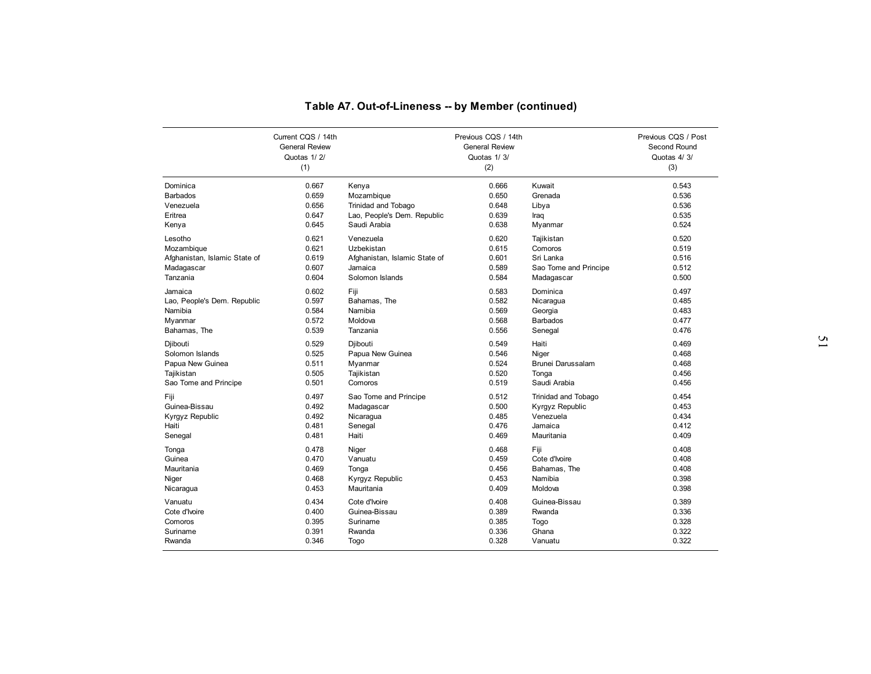|                                     |                       | Table A7. Out-of-Lineness -- by Member (continued) |                       |                       |                     |
|-------------------------------------|-----------------------|----------------------------------------------------|-----------------------|-----------------------|---------------------|
|                                     |                       |                                                    |                       |                       |                     |
|                                     |                       |                                                    |                       |                       |                     |
|                                     | Current CQS / 14th    |                                                    | Previous CQS / 14th   |                       | Previous CQS / Post |
|                                     | <b>General Review</b> |                                                    | <b>General Review</b> |                       | Second Round        |
|                                     | Quotas 1/2/           |                                                    | Quotas 1/3/           |                       | Quotas 4/3/         |
|                                     | (1)                   |                                                    | (2)                   |                       | (3)                 |
| Dominica                            | 0.667                 | Kenya                                              | 0.666                 | Kuwait                | 0.543               |
| <b>Barbados</b>                     | 0.659                 | Mozambique                                         | 0.650                 | Grenada               | 0.536               |
| Venezuela                           | 0.656                 | Trinidad and Tobago                                | 0.648                 | Libya                 | 0.536               |
| Eritrea                             | 0.647                 | Lao, People's Dem. Republic                        | 0.639                 | Iraq                  | 0.535               |
| Kenya                               | 0.645                 | Saudi Arabia                                       | 0.638                 | Myanmar               | 0.524               |
| Lesotho                             | 0.621                 | Venezuela                                          | 0.620                 | Tajikistan            | 0.520               |
| Mozambique                          | 0.621                 | Uzbekistan                                         | 0.615                 | Comoros               | 0.519               |
| Afghanistan, Islamic State of       | 0.619                 | Afghanistan, Islamic State of                      | 0.601                 | Sri Lanka             | 0.516               |
| Madagascar                          | 0.607                 | Jamaica                                            | 0.589                 | Sao Tome and Principe | 0.512               |
| Tanzania                            | 0.604                 | Solomon Islands                                    | 0.584                 | Madagascar            | 0.500               |
| Jamaica                             | 0.602                 | Fiji                                               | 0.583                 | Dominica              | 0.497               |
| Lao, People's Dem. Republic         | 0.597                 | Bahamas, The                                       | 0.582                 | Nicaragua             | 0.485               |
| Namibia                             | 0.584                 | Namibia                                            | 0.569                 | Georgia               | 0.483               |
| Myanmar                             | 0.572                 | Moldova                                            | 0.568                 | <b>Barbados</b>       | 0.477               |
| Bahamas, The                        | 0.539                 | Tanzania                                           | 0.556                 | Senegal               | 0.476               |
| Djibouti                            | 0.529                 | Djibouti                                           | 0.549                 | Haiti                 | 0.469               |
| Solomon Islands                     | 0.525                 | Papua New Guinea                                   | 0.546                 | Niger                 | 0.468               |
| Papua New Guinea                    | 0.511                 | Myanmar                                            | 0.524                 | Brunei Darussalam     | 0.468               |
| Tajikistan                          | 0.505                 | Tajikistan                                         | 0.520                 | Tonga                 | 0.456               |
| Sao Tome and Principe               | 0.501                 | Comoros                                            | 0.519                 | Saudi Arabia          | 0.456               |
| Fiji                                | 0.497                 | Sao Tome and Principe                              | 0.512                 | Trinidad and Tobago   | 0.454               |
| Guinea-Bissau                       | 0.492                 | Madagascar                                         | 0.500                 | Kyrgyz Republic       | 0.453               |
| Kyrgyz Republic                     | 0.492                 | Nicaragua                                          | 0.485                 | Venezuela             | 0.434               |
| Haiti                               | 0.481                 | Senegal                                            | 0.476                 | Jamaica               | 0.412               |
| Senegal                             | 0.481                 | Haiti                                              | 0.469                 | Mauritania            | 0.409               |
| Tonga                               | 0.478                 | Niger                                              | 0.468                 | Fiji                  | 0.408               |
| Guinea                              | 0.470                 | Vanuatu                                            | 0.459                 | Cote d'Ivoire         | 0.408               |
| Mauritania                          | 0.469                 | Tonga                                              | 0.456                 | Bahamas, The          | 0.408               |
| Niger                               | 0.468                 | Kyrgyz Republic                                    | 0.453                 | Namibia               | 0.398               |
| Nicaragua                           | 0.453                 | Mauritania                                         | 0.409                 | Moldova               | 0.398               |
|                                     |                       |                                                    |                       |                       |                     |
|                                     | 0.434                 | Cote d'Ivoire                                      | 0.408                 | Guinea-Bissau         | 0.389               |
|                                     | 0.400                 | Guinea-Bissau                                      | 0.389                 | Rwanda                | 0.336               |
| Vanuatu<br>Cote d'Ivoire<br>Comoros | 0.395                 | Suriname                                           | 0.385                 | Togo                  | 0.328               |
| Suriname                            | 0.391                 | Rwanda                                             | 0.336                 | Ghana                 | 0.322               |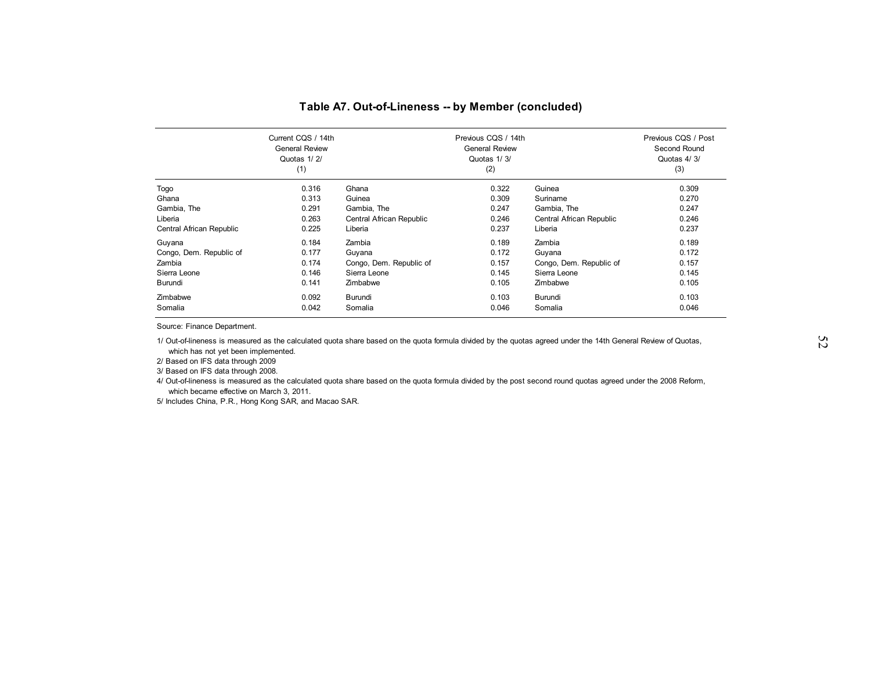|                          | Current CQS / 14th<br><b>General Review</b><br>Quotas 1/2/<br>(1) |                          | Previous CQS / 14th<br><b>General Review</b><br>Quotas 1/3/<br>(2) |                          | Previous CQS / Post<br>Second Round<br>Quotas 4/3/<br>(3) |
|--------------------------|-------------------------------------------------------------------|--------------------------|--------------------------------------------------------------------|--------------------------|-----------------------------------------------------------|
| Togo                     | 0.316                                                             | Ghana                    | 0.322                                                              | Guinea                   | 0.309                                                     |
| Ghana                    | 0.313                                                             | Guinea                   | 0.309                                                              | Suriname                 | 0.270                                                     |
| Gambia, The              | 0.291                                                             | Gambia, The              | 0.247                                                              | Gambia, The              | 0.247                                                     |
| Liberia                  | 0.263                                                             | Central African Republic | 0.246                                                              | Central African Republic | 0.246                                                     |
| Central African Republic | 0.225                                                             | Liberia                  | 0.237                                                              | Liberia                  | 0.237                                                     |
| Guyana                   | 0.184                                                             | Zambia                   | 0.189                                                              | Zambia                   | 0.189                                                     |
| Congo, Dem. Republic of  | 0.177                                                             | Guyana                   | 0.172                                                              | Guyana                   | 0.172                                                     |
| Zambia                   | 0.174                                                             | Congo, Dem. Republic of  | 0.157                                                              | Congo, Dem. Republic of  | 0.157                                                     |
| Sierra Leone             | 0.146                                                             | Sierra Leone             | 0.145                                                              | Sierra Leone             | 0.145                                                     |
| Burundi                  | 0.141                                                             | Zimbabwe                 | 0.105                                                              | Zimbabwe                 | 0.105                                                     |
| Zimbabwe                 | 0.092                                                             | Burundi                  | 0.103                                                              | Burundi                  | 0.103                                                     |
| Somalia                  | 0.042                                                             | Somalia                  | 0.046                                                              | Somalia                  | 0.046                                                     |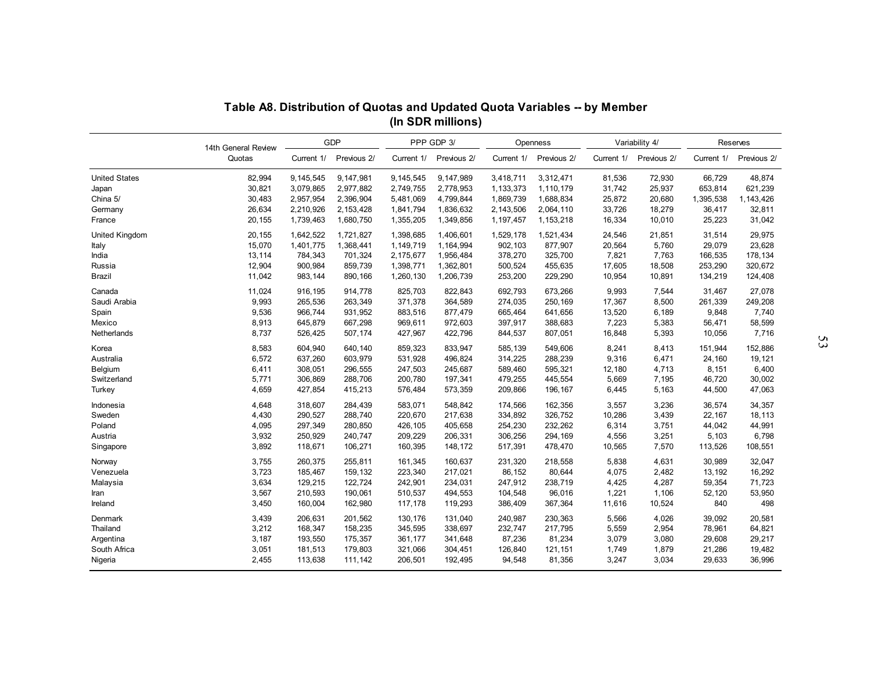|                      | Table A8. Distribution of Quotas and Updated Quota Variables -- by Member |                    |                    |                    | (In SDR millions)  |                    |                    |                 |                 |                  |                  |  |
|----------------------|---------------------------------------------------------------------------|--------------------|--------------------|--------------------|--------------------|--------------------|--------------------|-----------------|-----------------|------------------|------------------|--|
|                      |                                                                           |                    | GDP                |                    | PPP GDP 3/         |                    | Openness           |                 | Variability 4/  |                  | Reserves         |  |
|                      | 14th General Review<br>Quotas                                             | Current 1/         | Previous 2/        | Current 1/         | Previous 2/        | Current 1/         | Previous 2/        | Current 1/      | Previous 2/     | Current 1/       | Previous 2/      |  |
| <b>United States</b> | 82,994                                                                    | 9,145,545          | 9,147,981          | 9,145,545          | 9,147,989          | 3,418,711          | 3,312,471          | 81,536          | 72,930          | 66,729           | 48.874           |  |
| Japan                | 30,821                                                                    | 3,079,865          | 2,977,882          | 2,749,755          | 2,778,953          | 1,133,373          | 1,110,179          | 31,742          | 25,937          | 653,814          | 621,239          |  |
| China 5/             | 30,483                                                                    | 2,957,954          | 2,396,904          | 5,481,069          | 4,799,844          | 1,869,739          | 1,688,834          | 25,872          | 20,680          | 1,395,538        | 1,143,426        |  |
| Germany              | 26,634                                                                    | 2,210,926          | 2,153,428          | 1,841,794          | 1,836,632          | 2,143,506          | 2,064,110          | 33,726          | 18,279          | 36,417           | 32,811           |  |
| France               | 20,155                                                                    | 1,739,463          | 1,680,750          | 1,355,205          | 1,349,856          | 1,197,457          | 1,153,218          | 16,334          | 10,010          | 25,223           | 31,042           |  |
| United Kingdom       | 20,155                                                                    | 1.642.522          | 1,721,827          | 1,398,685          | 1,406,601          | 1,529,178          | 1,521,434          | 24,546          | 21,851          | 31,514           | 29,975           |  |
| Italy                | 15,070                                                                    | 1,401,775          | 1,368,441          | 1,149,719          | 1,164,994          | 902,103            | 877,907            | 20,564          | 5,760           | 29,079           | 23,628           |  |
| India                | 13,114                                                                    | 784,343            | 701,324            | 2,175,677          | 1,956,484          | 378,270            | 325,700            | 7,821           | 7,763           | 166,535          | 178,134          |  |
| Russia               | 12,904                                                                    | 900,984            | 859,739            | 1,398,771          | 1,362,801          | 500,524            | 455,635            | 17,605          | 18,508          | 253,290          | 320,672          |  |
| Brazil               | 11,042                                                                    | 983, 144           | 890,166            | 1,260,130          | 1,206,739          | 253,200            | 229,290            | 10,954          | 10,891          | 134,219          | 124,408          |  |
| Canada               | 11,024                                                                    | 916,195            | 914,778            | 825,703            | 822,843            | 692,793            | 673,266            | 9,993           | 7,544           | 31,467           | 27,078           |  |
| Saudi Arabia         | 9.993                                                                     | 265.536            | 263,349            | 371,378            | 364,589            | 274,035            | 250,169            | 17,367          | 8,500           | 261,339          | 249,208          |  |
| Spain                | 9,536                                                                     | 966,744            | 931,952            | 883,516            | 877,479            | 665,464            | 641,656            | 13,520          | 6,189           | 9,848            | 7,740            |  |
| Mexico               | 8,913                                                                     | 645,879            | 667,298            | 969,611            | 972,603            | 397,917            | 388,683            | 7,223           | 5,383           | 56,471           | 58,599           |  |
| Netherlands          | 8,737                                                                     | 526,425            | 507,174            | 427,967            | 422,796            | 844,537            | 807,051            | 16,848          | 5,393           | 10,056           | 7,716            |  |
| Korea                | 8,583                                                                     | 604,940            | 640,140            | 859,323            | 833,947            | 585,139            | 549,606            | 8,241           | 8,413           | 151,944          | 152,886          |  |
| Australia            | 6,572                                                                     | 637,260            | 603,979            | 531,928            | 496,824            | 314,225            | 288,239            | 9,316           | 6,471           | 24,160           | 19,121           |  |
| Belgium              | 6,411                                                                     | 308,051            | 296,555            | 247,503            | 245,687            | 589,460            | 595,321            | 12,180          | 4,713           | 8,151            | 6,400            |  |
| Switzerland          | 5,771                                                                     | 306,869            | 288,706            | 200,780            | 197,341            | 479,255            | 445,554            | 5,669           | 7,195           | 46,720           | 30,002           |  |
| Turkey               | 4,659                                                                     | 427,854            | 415,213            | 576,484            | 573,359            | 209,866            | 196,167            | 6,445           | 5,163           | 44,500           | 47,063           |  |
|                      |                                                                           |                    |                    |                    |                    |                    |                    |                 |                 |                  |                  |  |
| Indonesia            | 4,648                                                                     | 318,607            | 284,439            | 583,071            | 548,842            | 174,566            | 162,356            | 3,557           | 3,236           | 36,574           | 34,357           |  |
| Sweden               | 4,430                                                                     | 290,527<br>297.349 | 288,740<br>280.850 | 220,670<br>426.105 | 217,638            | 334,892            | 326,752            | 10,286          | 3,439           | 22,167           | 18,113           |  |
| Poland               | 4,095                                                                     |                    |                    |                    | 405,658            | 254,230            | 232,262            | 6,314           | 3,751           | 44,042           | 44,991           |  |
| Austria<br>Singapore | 3,932<br>3,892                                                            | 250,929<br>118,671 | 240,747<br>106,271 | 209,229<br>160,395 | 206,331<br>148,172 | 306,256<br>517,391 | 294,169<br>478,470 | 4,556<br>10,565 | 3,251<br>7,570  | 5,103<br>113,526 | 6,798<br>108,551 |  |
|                      |                                                                           |                    |                    |                    |                    |                    |                    |                 |                 |                  |                  |  |
| Norway               | 3,755                                                                     | 260,375            | 255,811            | 161,345            | 160,637            | 231,320            | 218,558            | 5,838           | 4,631           | 30,989           | 32,047           |  |
| Venezuela            | 3,723                                                                     | 185,467            | 159,132            | 223,340            | 217,021            | 86,152             | 80,644             | 4,075           | 2,482           | 13,192           | 16,292           |  |
| Malaysia             | 3,634                                                                     | 129,215            | 122,724            | 242,901            | 234,031            | 247,912            | 238,719            | 4,425           | 4,287           | 59,354           | 71,723           |  |
| Iran<br>Ireland      | 3,567<br>3,450                                                            | 210,593<br>160,004 | 190,061<br>162,980 | 510,537<br>117,178 | 494,553<br>119,293 | 104,548<br>386,409 | 96,016<br>367,364  | 1,221<br>11,616 | 1,106<br>10,524 | 52,120<br>840    | 53,950<br>498    |  |
|                      |                                                                           |                    |                    |                    |                    |                    |                    |                 |                 |                  |                  |  |
| Denmark              | 3,439                                                                     | 206,631            | 201,562            | 130,176            | 131,040            | 240,987            | 230,363            | 5,566           | 4,026           | 39,092           | 20,581           |  |
| Thailand             | 3,212                                                                     | 168,347            | 158,235            | 345,595            | 338,697            | 232,747            | 217,795            | 5,559           | 2,954           | 78,961           | 64,821           |  |
| Argentina            | 3,187                                                                     | 193,550            | 175,357            | 361,177            | 341,648            | 87,236             | 81,234             | 3,079           | 3,080           | 29,608           | 29,217           |  |
| South Africa         | 3,051                                                                     | 181,513            | 179,803            | 321,066            | 304,451            | 126,840            | 121,151            | 1,749           | 1,879           | 21,286           | 19,482           |  |
| Nigeria              | 2,455                                                                     | 113,638            | 111,142            | 206,501            | 192,495            | 94,548             | 81,356             | 3,247           | 3,034           | 29,633           | 36,996           |  |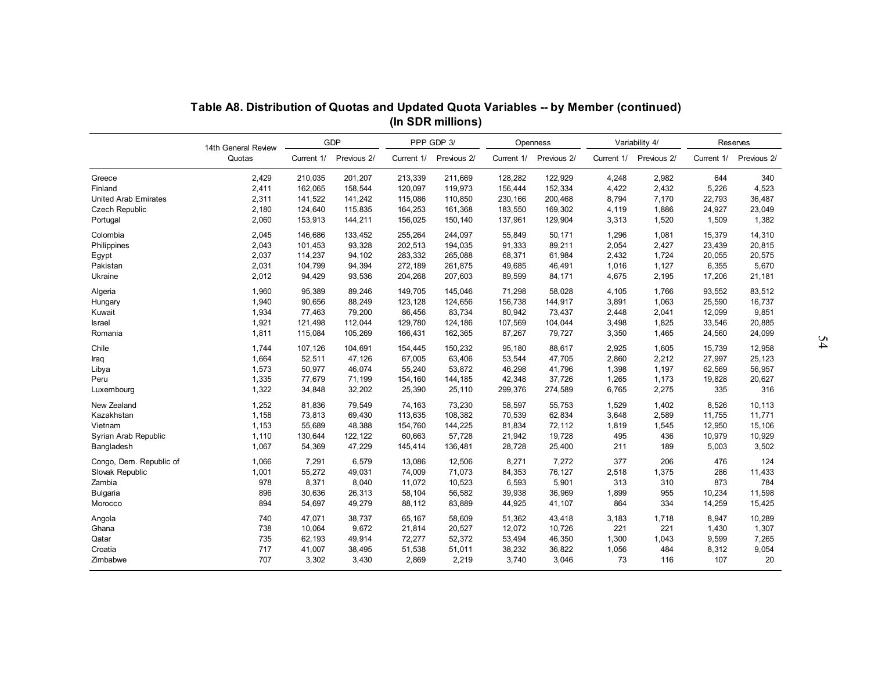|                             | Table A8. Distribution of Quotas and Updated Quota Variables -- by Member (continued) |            |             |            |                   |            |             |            |                |            |             |
|-----------------------------|---------------------------------------------------------------------------------------|------------|-------------|------------|-------------------|------------|-------------|------------|----------------|------------|-------------|
|                             |                                                                                       |            |             |            | (In SDR millions) |            |             |            |                |            |             |
|                             | 14th General Review                                                                   |            | GDP         |            | PPP GDP 3/        |            | Openness    |            | Variability 4/ |            | Reserves    |
|                             | Quotas                                                                                | Current 1/ | Previous 2/ | Current 1/ | Previous 2/       | Current 1/ | Previous 2/ | Current 1/ | Previous 2/    | Current 1/ | Previous 2/ |
| Greece                      | 2,429                                                                                 | 210.035    | 201,207     | 213.339    | 211,669           | 128,282    | 122.929     | 4.248      | 2,982          | 644        | 340         |
| Finland                     | 2,411                                                                                 | 162,065    | 158,544     | 120,097    | 119,973           | 156,444    | 152,334     | 4,422      | 2,432          | 5,226      | 4,523       |
| <b>United Arab Emirates</b> | 2,311                                                                                 | 141,522    | 141,242     | 115,086    | 110,850           | 230,166    | 200,468     | 8,794      | 7,170          | 22,793     | 36,487      |
| <b>Czech Republic</b>       | 2,180                                                                                 | 124,640    | 115,835     | 164,253    | 161,368           | 183,550    | 169,302     | 4,119      | 1,886          | 24,927     | 23,049      |
| Portugal                    | 2,060                                                                                 | 153,913    | 144,211     | 156,025    | 150,140           | 137,961    | 129,904     | 3,313      | 1,520          | 1,509      | 1,382       |
| Colombia                    | 2,045                                                                                 | 146.686    | 133,452     | 255.264    | 244.097           | 55.849     | 50.171      | 1,296      | 1,081          | 15,379     | 14,310      |
| Philippines                 | 2,043                                                                                 | 101,453    | 93,328      | 202,513    | 194,035           | 91,333     | 89,211      | 2,054      | 2,427          | 23,439     | 20,815      |
| Egypt                       | 2,037                                                                                 | 114,237    | 94,102      | 283,332    | 265,088           | 68,371     | 61,984      | 2,432      | 1,724          | 20,055     | 20,575      |
| Pakistan                    | 2,031                                                                                 | 104,799    | 94,394      | 272,189    | 261,875           | 49,685     | 46,491      | 1,016      | 1,127          | 6,355      | 5,670       |
| Ukraine                     | 2,012                                                                                 | 94,429     | 93,536      | 204,268    | 207,603           | 89,599     | 84,171      | 4,675      | 2,195          | 17,206     | 21,181      |
| Algeria                     | 1,960                                                                                 | 95,389     | 89,246      | 149,705    | 145,046           | 71,298     | 58.028      | 4,105      | 1,766          | 93,552     | 83,512      |
| Hungary                     | 1.940                                                                                 | 90.656     | 88,249      | 123.128    | 124,656           | 156.738    | 144.917     | 3,891      | 1,063          | 25,590     | 16,737      |
| Kuwait                      | 1,934                                                                                 | 77,463     | 79,200      | 86,456     | 83,734            | 80,942     | 73,437      | 2,448      | 2,041          | 12,099     | 9,851       |
| Israel                      | 1,921                                                                                 | 121,498    | 112,044     | 129,780    | 124,186           | 107,569    | 104,044     | 3,498      | 1,825          | 33,546     | 20,885      |
| Romania                     | 1,811                                                                                 | 115,084    | 105,269     | 166,431    | 162,365           | 87,267     | 79,727      | 3,350      | 1,465          | 24,560     | 24,099      |
| Chile                       | 1,744                                                                                 | 107,126    | 104,691     | 154,445    | 150,232           | 95,180     | 88,617      | 2,925      | 1,605          | 15,739     | 12,958      |
| Iraq                        | 1,664                                                                                 | 52,511     | 47,126      | 67,005     | 63,406            | 53,544     | 47.705      | 2,860      | 2,212          | 27,997     | 25,123      |
| Libya                       | 1,573                                                                                 | 50,977     | 46,074      | 55,240     | 53,872            | 46,298     | 41,796      | 1,398      | 1,197          | 62,569     | 56,957      |
| Peru                        | 1,335                                                                                 | 77,679     | 71,199      | 154,160    | 144,185           | 42,348     | 37,726      | 1,265      | 1,173          | 19,828     | 20,627      |
| Luxembourg                  | 1,322                                                                                 | 34,848     | 32,202      | 25,390     | 25,110            | 299,376    | 274,589     | 6,765      | 2,275          | 335        | 316         |
| New Zealand                 | 1,252                                                                                 | 81,836     | 79,549      | 74,163     | 73,230            | 58,597     | 55,753      | 1,529      | 1,402          | 8,526      | 10,113      |
| Kazakhstan                  | 1,158                                                                                 | 73,813     | 69,430      | 113,635    | 108,382           | 70,539     | 62,834      | 3,648      | 2,589          | 11,755     | 11,771      |
| Vietnam                     | 1,153                                                                                 | 55.689     | 48.388      | 154.760    | 144,225           | 81.834     | 72.112      | 1,819      | 1,545          | 12,950     | 15,106      |
| Syrian Arab Republic        | 1,110                                                                                 | 130,644    | 122,122     | 60,663     | 57,728            | 21,942     | 19,728      | 495        | 436            | 10,979     | 10,929      |
| Bangladesh                  | 1,067                                                                                 | 54,369     | 47,229      | 145,414    | 136,481           | 28,728     | 25,400      | 211        | 189            | 5,003      | 3,502       |
| Congo, Dem. Republic of     | 1,066                                                                                 | 7,291      | 6,579       | 13,086     | 12,506            | 8,271      | 7,272       | 377        | 206            | 476        | 124         |
| Slovak Republic             | 1,001                                                                                 | 55,272     | 49,031      | 74,009     | 71,073            | 84,353     | 76,127      | 2,518      | 1,375          | 286        | 11,433      |
| Zambia                      | 978                                                                                   | 8,371      | 8,040       | 11.072     | 10.523            | 6,593      | 5,901       | 313        | 310            | 873        | 784         |
| <b>Bulgaria</b>             | 896                                                                                   | 30,636     | 26,313      | 58,104     | 56,582            | 39,938     | 36,969      | 1,899      | 955            | 10,234     | 11,598      |
| Morocco                     | 894                                                                                   | 54,697     | 49,279      | 88,112     | 83,889            | 44,925     | 41,107      | 864        | 334            | 14,259     | 15,425      |
| Angola                      | 740                                                                                   | 47.071     | 38.737      | 65.167     | 58,609            | 51,362     | 43,418      | 3,183      | 1,718          | 8,947      | 10,289      |
| Ghana                       | 738                                                                                   | 10,064     | 9,672       | 21,814     | 20,527            | 12,072     | 10,726      | 221        | 221            | 1,430      | 1,307       |
| Qatar                       | 735                                                                                   | 62.193     | 49,914      | 72,277     | 52,372            | 53,494     | 46,350      | 1,300      | 1,043          | 9,599      | 7,265       |
| Croatia                     | 717                                                                                   | 41,007     | 38,495      | 51,538     | 51,011            | 38,232     | 36,822      | 1,056      | 484            | 8,312      | 9,054       |
| Zimbabwe                    | 707                                                                                   | 3,302      | 3,430       | 2,869      | 2,219             | 3,740      | 3,046       | 73         | 116            | 107        | 20          |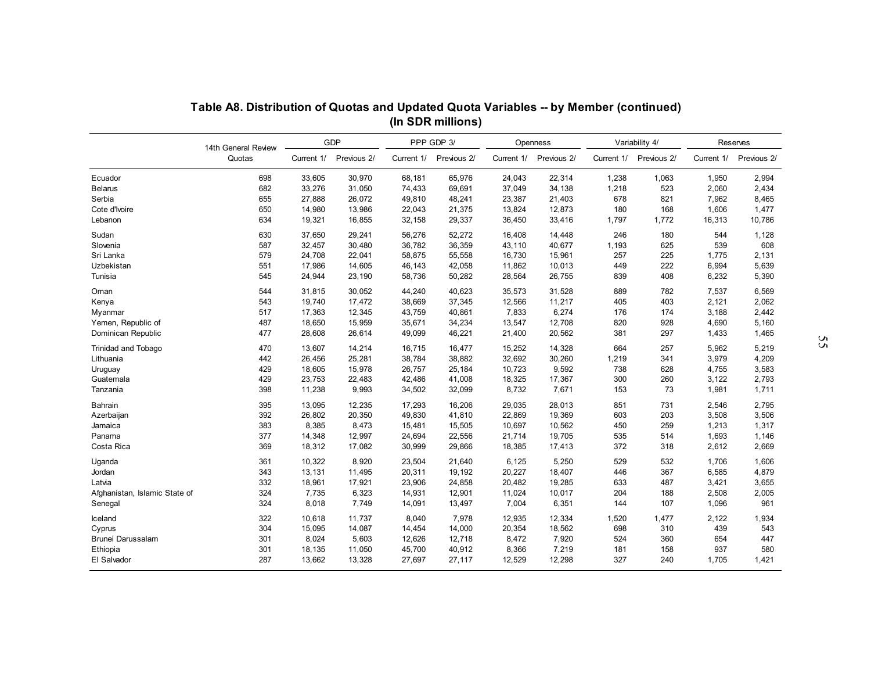|                               | Table A8. Distribution of Quotas and Updated Quota Variables -- by Member (continued) |        |                               |            |                           |            |                         |            |                               |        |                                    |
|-------------------------------|---------------------------------------------------------------------------------------|--------|-------------------------------|------------|---------------------------|------------|-------------------------|------------|-------------------------------|--------|------------------------------------|
|                               |                                                                                       |        |                               |            | (In SDR millions)         |            |                         |            |                               |        |                                    |
|                               | 14th General Review<br>Quotas                                                         |        | GDP<br>Current 1/ Previous 2/ | Current 1/ | PPP GDP 3/<br>Previous 2/ | Current 1/ | Openness<br>Previous 2/ | Current 1/ | Variability 4/<br>Previous 2/ |        | Reserves<br>Current 1/ Previous 2/ |
|                               |                                                                                       |        |                               |            |                           |            |                         |            |                               |        |                                    |
| Ecuador                       | 698                                                                                   | 33,605 | 30,970                        | 68,181     | 65,976                    | 24,043     | 22,314                  | 1,238      | 1,063                         | 1,950  | 2,994                              |
| <b>Belarus</b>                | 682                                                                                   | 33,276 | 31,050                        | 74,433     | 69,691                    | 37,049     | 34,138                  | 1,218      | 523                           | 2,060  | 2,434                              |
| Serbia                        | 655                                                                                   | 27,888 | 26,072                        | 49,810     | 48,241                    | 23,387     | 21,403                  | 678        | 821                           | 7,962  | 8,465                              |
| Cote d'Ivoire                 | 650                                                                                   | 14,980 | 13,986                        | 22,043     | 21,375                    | 13,824     | 12,873                  | 180        | 168                           | 1,606  | 1,477                              |
| Lebanon                       | 634                                                                                   | 19,321 | 16,855                        | 32,158     | 29,337                    | 36,450     | 33,416                  | 1,797      | 1,772                         | 16,313 | 10,786                             |
| Sudan                         | 630                                                                                   | 37.650 | 29.241                        | 56.276     | 52.272                    | 16.408     | 14.448                  | 246        | 180                           | 544    | 1,128                              |
| Slovenia                      | 587                                                                                   | 32,457 | 30,480                        | 36,782     | 36,359                    | 43,110     | 40,677                  | 1,193      | 625                           | 539    | 608                                |
| Sri Lanka                     | 579                                                                                   | 24,708 | 22,041                        | 58,875     | 55,558                    | 16,730     | 15,961                  | 257        | 225                           | 1,775  | 2,131                              |
| Uzbekistan                    | 551                                                                                   | 17,986 | 14,605                        | 46,143     | 42,058                    | 11,862     | 10,013                  | 449        | 222                           | 6,994  | 5,639                              |
| Tunisia                       | 545                                                                                   | 24,944 | 23,190                        | 58,736     | 50,282                    | 28,564     | 26,755                  | 839        | 408                           | 6,232  | 5,390                              |
|                               |                                                                                       |        |                               |            |                           |            |                         |            |                               |        |                                    |
| Oman                          | 544                                                                                   | 31.815 | 30.052                        | 44.240     | 40.623                    | 35,573     | 31,528                  | 889        | 782                           | 7.537  | 6,569                              |
| Kenya                         | 543                                                                                   | 19,740 | 17,472                        | 38,669     | 37,345                    | 12,566     | 11,217                  | 405        | 403                           | 2,121  | 2,062                              |
| Myanmar                       | 517                                                                                   | 17,363 | 12,345                        | 43,759     | 40,861                    | 7,833      | 6,274                   | 176        | 174                           | 3,188  | 2,442                              |
| Yemen, Republic of            | 487                                                                                   | 18,650 | 15,959                        | 35,671     | 34,234                    | 13,547     | 12,708                  | 820        | 928                           | 4,690  | 5,160                              |
| Dominican Republic            | 477                                                                                   | 28,608 | 26,614                        | 49,099     | 46,221                    | 21,400     | 20,562                  | 381        | 297                           | 1,433  | 1,465                              |
| Trinidad and Tobago           | 470                                                                                   | 13,607 | 14,214                        | 16,715     | 16,477                    | 15,252     | 14,328                  | 664        | 257                           | 5,962  | 5,219                              |
| Lithuania                     | 442                                                                                   | 26,456 | 25,281                        | 38,784     | 38,882                    | 32,692     | 30,260                  | 1,219      | 341                           | 3,979  | 4,209                              |
| Uruguay                       | 429                                                                                   | 18,605 | 15,978                        | 26,757     | 25,184                    | 10,723     | 9,592                   | 738        | 628                           | 4,755  | 3,583                              |
| Guatemala                     | 429                                                                                   | 23.753 | 22.483                        | 42,486     | 41,008                    | 18,325     | 17,367                  | 300        | 260                           | 3,122  | 2,793                              |
| Tanzania                      | 398                                                                                   | 11,238 | 9,993                         | 34,502     | 32,099                    | 8,732      | 7,671                   | 153        | 73                            | 1,981  | 1,711                              |
| <b>Bahrain</b>                | 395                                                                                   | 13,095 | 12,235                        | 17,293     | 16,206                    | 29,035     | 28,013                  | 851        | 731                           | 2,546  | 2,795                              |
| Azerbaijan                    | 392                                                                                   | 26,802 | 20,350                        | 49,830     | 41,810                    | 22,869     | 19,369                  | 603        | 203                           | 3,508  | 3,506                              |
| Jamaica                       | 383                                                                                   | 8,385  | 8,473                         | 15,481     | 15,505                    | 10,697     | 10,562                  | 450        | 259                           | 1,213  | 1,317                              |
| Panama                        | 377                                                                                   | 14,348 | 12,997                        | 24,694     | 22,556                    | 21,714     | 19,705                  | 535        | 514                           | 1,693  | 1,146                              |
| Costa Rica                    | 369                                                                                   | 18,312 | 17,082                        | 30,999     | 29,866                    | 18,385     | 17,413                  | 372        | 318                           | 2,612  | 2,669                              |
|                               |                                                                                       |        |                               |            |                           |            |                         |            |                               |        |                                    |
| Uganda                        | 361                                                                                   | 10,322 | 8,920                         | 23,504     | 21,640                    | 6,125      | 5,250                   | 529        | 532                           | 1,706  | 1,606                              |
| Jordan                        | 343                                                                                   | 13,131 | 11,495                        | 20,311     | 19,192                    | 20,227     | 18,407                  | 446        | 367                           | 6,585  | 4,879                              |
| Latvia                        | 332                                                                                   | 18,961 | 17,921                        | 23,906     | 24,858                    | 20,482     | 19,285                  | 633        | 487                           | 3,421  | 3,655                              |
| Afghanistan, Islamic State of | 324                                                                                   | 7,735  | 6,323                         | 14,931     | 12,901                    | 11,024     | 10,017                  | 204        | 188                           | 2,508  | 2,005                              |
| Senegal                       | 324                                                                                   | 8,018  | 7,749                         | 14,091     | 13,497                    | 7,004      | 6,351                   | 144        | 107                           | 1,096  | 961                                |
| Iceland                       | 322                                                                                   | 10,618 | 11,737                        | 8,040      | 7,978                     | 12,935     | 12,334                  | 1,520      | 1,477                         | 2,122  | 1,934                              |
| Cyprus                        | 304                                                                                   | 15,095 | 14,087                        | 14,454     | 14,000                    | 20,354     | 18,562                  | 698        | 310                           | 439    | 543                                |
| Brunei Darussalam             | 301                                                                                   | 8,024  | 5,603                         | 12,626     | 12,718                    | 8,472      | 7,920                   | 524        | 360                           | 654    | 447                                |
| Ethiopia                      | 301                                                                                   | 18,135 | 11,050                        | 45,700     | 40,912                    | 8,366      | 7,219                   | 181        | 158                           | 937    | 580                                |
| El Salvador                   | 287                                                                                   | 13,662 | 13,328                        | 27,697     | 27,117                    | 12,529     | 12,298                  | 327        | 240                           | 1,705  | 1,421                              |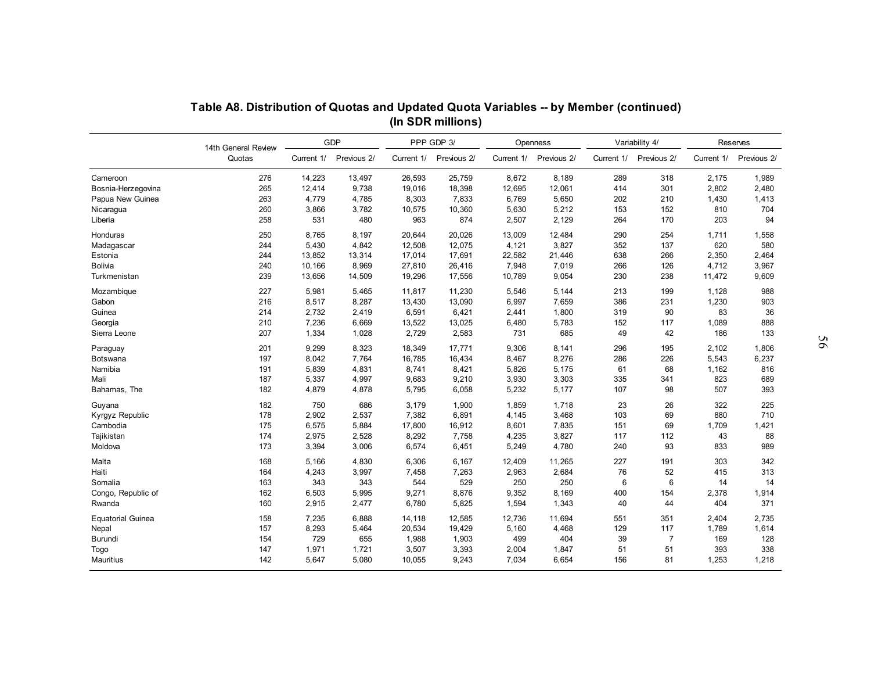|                              |                     |                |                        |                 | (In SDR millions) | Table A8. Distribution of Quotas and Updated Quota Variables -- by Member (continued) |                |            |                       |              |                        |  |
|------------------------------|---------------------|----------------|------------------------|-----------------|-------------------|---------------------------------------------------------------------------------------|----------------|------------|-----------------------|--------------|------------------------|--|
|                              | 14th General Review |                | GDP                    |                 | PPP GDP 3/        |                                                                                       | Openness       |            | Variability 4/        |              | Reserves               |  |
|                              | Quotas              |                | Current 1/ Previous 2/ | Current 1/      | Previous 2/       | Current 1/                                                                            | Previous 2/    | Current 1/ | Previous 2/           |              | Current 1/ Previous 2/ |  |
| Cameroon                     | 276                 | 14,223         | 13,497                 | 26,593          | 25,759            | 8,672                                                                                 | 8,189          | 289        | 318                   | 2,175        | 1,989                  |  |
| Bosnia-Herzegovina           | 265                 | 12,414         | 9,738                  | 19,016          | 18,398            | 12,695                                                                                | 12,061         | 414        | 301                   | 2,802        | 2,480                  |  |
| Papua New Guinea             | 263                 | 4,779          | 4,785                  | 8,303           | 7,833             | 6,769                                                                                 | 5,650          | 202        | 210                   | 1,430        | 1,413                  |  |
| Nicaragua                    | 260                 | 3,866          | 3,782                  | 10,575          | 10,360            | 5,630                                                                                 | 5,212          | 153        | 152                   | 810          | 704                    |  |
| Liberia                      | 258                 | 531            | 480                    | 963             | 874               | 2,507                                                                                 | 2,129          | 264        | 170                   | 203          | 94                     |  |
| Honduras                     | 250                 | 8.765          | 8.197                  | 20.644          | 20.026            | 13,009                                                                                | 12.484         | 290        | 254                   | 1.711        | 1.558                  |  |
| Madagascar                   | 244                 | 5,430          | 4,842                  | 12,508          | 12,075            | 4,121                                                                                 | 3,827          | 352        | 137                   | 620          | 580                    |  |
| Estonia                      | 244                 | 13,852         | 13,314                 | 17,014          | 17,691            | 22,582                                                                                | 21,446         | 638        | 266                   | 2,350        | 2,464                  |  |
| Bolivia                      | 240                 | 10,166         | 8,969                  | 27,810          | 26,416            | 7,948                                                                                 | 7,019          | 266        | 126                   | 4,712        | 3,967                  |  |
| Turkmenistan                 | 239                 | 13,656         | 14,509                 | 19,296          | 17,556            | 10,789                                                                                | 9,054          | 230        | 238                   | 11,472       | 9,609                  |  |
| Mozambique                   | 227                 | 5.981          | 5.465                  | 11.817          | 11.230            | 5.546                                                                                 | 5.144          | 213        | 199                   | 1.128        | 988                    |  |
| Gabon                        | 216                 | 8,517          | 8,287                  | 13,430          | 13,090            | 6,997                                                                                 | 7,659          | 386        | 231                   | 1,230        | 903                    |  |
| Guinea                       | 214                 | 2,732          | 2,419                  | 6,591           | 6,421             | 2,441                                                                                 | 1,800          | 319        | 90                    | 83           | 36                     |  |
| Georgia                      | 210                 | 7,236          | 6,669                  | 13,522          | 13,025            | 6,480                                                                                 | 5,783          | 152        | 117                   | 1,089        | 888                    |  |
| Sierra Leone                 | 207                 | 1,334          | 1,028                  | 2,729           | 2,583             | 731                                                                                   | 685            | 49         | 42                    | 186          | 133                    |  |
| Paraguay                     | 201                 | 9,299          | 8,323                  | 18,349          | 17,771            | 9,306                                                                                 | 8,141          | 296        | 195                   | 2,102        | 1,806                  |  |
| Botswana                     | 197                 | 8,042          | 7,764                  | 16,785          | 16,434            | 8,467                                                                                 | 8,276          | 286        | 226                   | 5,543        | 6,237                  |  |
| Namibia                      | 191                 | 5,839          | 4,831                  | 8,741           | 8,421             | 5,826                                                                                 | 5,175          | 61         | 68                    | 1,162        | 816                    |  |
| Mali                         | 187                 | 5.337          | 4,997                  | 9.683           | 9,210             | 3,930                                                                                 | 3,303          | 335        | 341                   | 823          | 689                    |  |
| Bahamas, The                 | 182                 | 4,879          | 4,878                  | 5,795           | 6,058             | 5,232                                                                                 | 5,177          | 107        | 98                    | 507          | 393                    |  |
|                              | 182                 | 750            | 686                    | 3,179           | 1,900             | 1,859                                                                                 | 1,718          | 23         | 26                    | 322          | 225                    |  |
| Guyana                       | 178                 | 2,902          | 2,537                  | 7,382           | 6,891             | 4,145                                                                                 | 3,468          | 103        | 69                    | 880          | 710                    |  |
| Kyrgyz Republic              | 175                 | 6,575          |                        | 17,800          |                   |                                                                                       |                |            | 69                    |              |                        |  |
| Cambodia<br>Tajikistan       | 174                 |                | 5,884                  |                 | 16,912            | 8,601<br>4,235                                                                        | 7,835<br>3,827 | 151<br>117 |                       | 1,709        | 1,421<br>88            |  |
| Moldova                      | 173                 | 2,975<br>3,394 | 2,528<br>3,006         | 8,292<br>6,574  | 7,758<br>6,451    | 5,249                                                                                 | 4,780          | 240        | 112<br>93             | 43<br>833    | 989                    |  |
|                              |                     |                |                        |                 |                   |                                                                                       |                |            |                       | 303          | 342                    |  |
| Malta                        | 168<br>164          | 5,166          | 4,830<br>3,997         | 6,306           | 6,167             | 12,409                                                                                | 11,265         | 227<br>76  | 191<br>52             | 415          | 313                    |  |
| Haiti<br>Somalia             |                     | 4,243          |                        | 7,458           | 7,263             | 2,963<br>250                                                                          | 2,684          |            |                       |              |                        |  |
|                              | 163                 | 343            | 343                    | 544             | 529               |                                                                                       | 250            | 6          | 6                     | 14           | 14                     |  |
| Congo, Republic of<br>Rwanda | 162<br>160          | 6,503<br>2,915 | 5,995<br>2,477         | 9,271<br>6,780  | 8,876<br>5,825    | 9,352<br>1,594                                                                        | 8,169<br>1,343 | 400<br>40  | 154<br>44             | 2,378<br>404 | 1,914<br>371           |  |
|                              |                     |                |                        |                 |                   |                                                                                       |                |            |                       |              |                        |  |
| <b>Equatorial Guinea</b>     | 158                 | 7,235          | 6,888                  | 14,118          | 12,585            | 12,736                                                                                | 11,694         | 551        | 351                   | 2,404        | 2,735                  |  |
| Nepal                        | 157<br>154          | 8,293<br>729   | 5,464<br>655           | 20,534<br>1,988 | 19,429<br>1,903   | 5,160<br>499                                                                          | 4,468<br>404   | 129<br>39  | 117<br>$\overline{7}$ | 1,789<br>169 | 1,614<br>128           |  |
| Burundi                      |                     |                |                        |                 |                   |                                                                                       |                |            |                       |              |                        |  |
| <b>Togo</b>                  | 147                 | 1,971          | 1,721                  | 3,507           | 3,393             | 2,004                                                                                 | 1,847          | 51         | 51                    | 393          | 338                    |  |
| Mauritius                    | 142                 | 5,647          | 5,080                  | 10,055          | 9,243             | 7,034                                                                                 | 6,654          | 156        | 81                    | 1,253        | 1,218                  |  |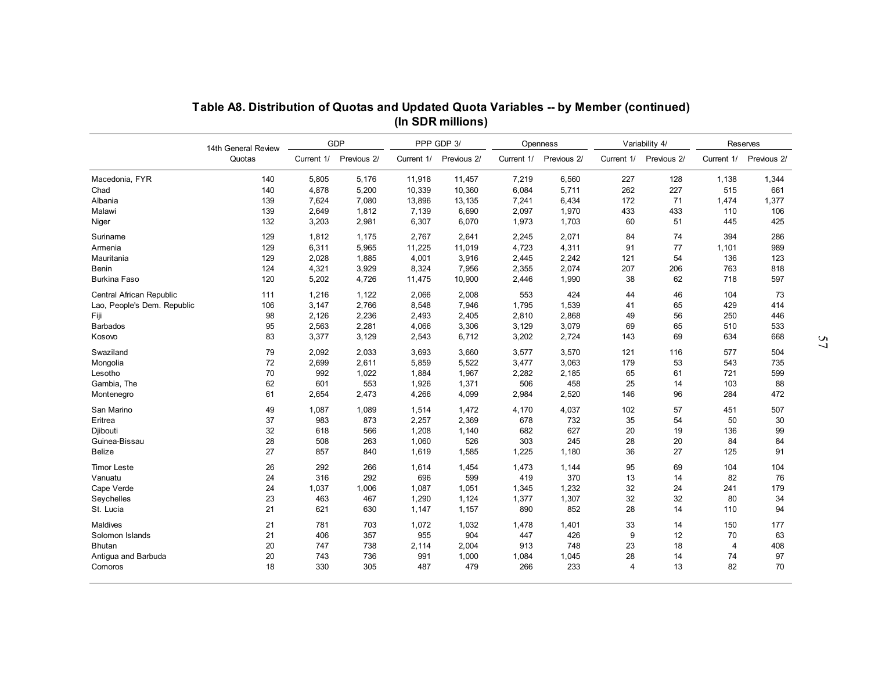|                             | 14th General Review |            | GDP         |            | PPP GDP 3/  |            | Openness    |                | Variability 4/ | Reserves       |             |
|-----------------------------|---------------------|------------|-------------|------------|-------------|------------|-------------|----------------|----------------|----------------|-------------|
|                             | Quotas              | Current 1/ | Previous 2/ | Current 1/ | Previous 2/ | Current 1/ | Previous 2/ | Current 1/     | Previous 2/    | Current 1/     | Previous 2/ |
| Macedonia, FYR              | 140                 | 5,805      | 5,176       | 11,918     | 11,457      | 7,219      | 6,560       | 227            | 128            | 1,138          | 1,344       |
| Chad                        | 140                 | 4,878      | 5,200       | 10,339     | 10,360      | 6,084      | 5,711       | 262            | 227            | 515            | 661         |
| Albania                     | 139                 | 7,624      | 7,080       | 13,896     | 13,135      | 7,241      | 6,434       | 172            | 71             | 1,474          | 1,377       |
| Malawi                      | 139                 | 2,649      | 1,812       | 7,139      | 6,690       | 2,097      | 1,970       | 433            | 433            | 110            | 106         |
| Niger                       | 132                 | 3,203      | 2,981       | 6,307      | 6,070       | 1,973      | 1,703       | 60             | 51             | 445            | 425         |
| Suriname                    | 129                 | 1,812      | 1,175       | 2,767      | 2,641       | 2,245      | 2,071       | 84             | 74             | 394            | 286         |
| Armenia                     | 129                 | 6,311      | 5,965       | 11,225     | 11,019      | 4,723      | 4,311       | 91             | 77             | 1,101          | 989         |
| Mauritania                  | 129                 | 2,028      | 1,885       | 4,001      | 3,916       | 2,445      | 2,242       | 121            | 54             | 136            | 123         |
| Benin                       | 124                 | 4,321      | 3,929       | 8,324      | 7,956       | 2,355      | 2,074       | 207            | 206            | 763            | 818         |
| <b>Burkina Faso</b>         | 120                 | 5,202      | 4,726       | 11,475     | 10,900      | 2,446      | 1,990       | 38             | 62             | 718            | 597         |
| Central African Republic    | 111                 | 1,216      | 1,122       | 2,066      | 2,008       | 553        | 424         | 44             | 46             | 104            | 73          |
| Lao. People's Dem. Republic | 106                 | 3.147      | 2,766       | 8,548      | 7,946       | 1,795      | 1,539       | 41             | 65             | 429            | 414         |
| Fiji                        | 98                  | 2,126      | 2,236       | 2.493      | 2,405       | 2.810      | 2.868       | 49             | 56             | 250            | 446         |
| <b>Barbados</b>             | 95                  | 2,563      | 2,281       | 4,066      | 3,306       | 3,129      | 3,079       | 69             | 65             | 510            | 533         |
| Kosovo                      | 83                  | 3,377      | 3,129       | 2,543      | 6,712       | 3,202      | 2,724       | 143            | 69             | 634            | 668         |
| Swaziland                   | 79                  | 2,092      | 2,033       | 3,693      | 3,660       | 3,577      | 3,570       | 121            | 116            | 577            | 504         |
| Mongolia                    | 72                  | 2,699      | 2,611       | 5,859      | 5,522       | 3,477      | 3,063       | 179            | 53             | 543            | 735         |
| Lesotho                     | 70                  | 992        | 1,022       | 1,884      | 1,967       | 2,282      | 2,185       | 65             | 61             | 721            | 599         |
| Gambia, The                 | 62                  | 601        | 553         | 1,926      | 1,371       | 506        | 458         | 25             | 14             | 103            | 88          |
| Montenegro                  | 61                  | 2,654      | 2,473       | 4,266      | 4,099       | 2,984      | 2,520       | 146            | 96             | 284            | 472         |
| San Marino                  | 49                  | 1,087      | 1,089       | 1,514      | 1,472       | 4,170      | 4,037       | 102            | 57             | 451            | 507         |
| Eritrea                     | 37                  | 983        | 873         | 2,257      | 2,369       | 678        | 732         | 35             | 54             | 50             | 30          |
| Djibouti                    | 32                  | 618        | 566         | 1,208      | 1,140       | 682        | 627         | 20             | 19             | 136            | 99          |
| Guinea-Bissau               | 28                  | 508        | 263         | 1,060      | 526         | 303        | 245         | 28             | 20             | 84             | 84          |
| <b>Belize</b>               | 27                  | 857        | 840         | 1,619      | 1,585       | 1,225      | 1,180       | 36             | 27             | 125            | 91          |
| <b>Timor Leste</b>          | 26                  | 292        | 266         | 1,614      | 1,454       | 1,473      | 1,144       | 95             | 69             | 104            | 104         |
| Vanuatu                     | 24                  | 316        | 292         | 696        | 599         | 419        | 370         | 13             | 14             | 82             | 76          |
| Cape Verde                  | 24                  | 1,037      | 1,006       | 1,087      | 1,051       | 1,345      | 1,232       | 32             | 24             | 241            | 179         |
| Seychelles                  | 23                  | 463        | 467         | 1,290      | 1,124       | 1,377      | 1,307       | 32             | 32             | 80             | 34          |
| St. Lucia                   | 21                  | 621        | 630         | 1,147      | 1,157       | 890        | 852         | 28             | 14             | 110            | 94          |
| Maldives                    | 21                  | 781        | 703         | 1,072      | 1,032       | 1,478      | 1,401       | 33             | 14             | 150            | 177         |
| Solomon Islands             | 21                  | 406        | 357         | 955        | 904         | 447        | 426         | 9              | 12             | 70             | 63          |
| <b>Bhutan</b>               | 20                  | 747        | 738         | 2.114      | 2,004       | 913        | 748         | 23             | 18             | $\overline{4}$ | 408         |
| Antiqua and Barbuda         | 20                  | 743        | 736         | 991        | 1,000       | 1,084      | 1,045       | 28             | 14             | 74             | 97          |
| Comoros                     | 18                  | 330        | 305         | 487        | 479         | 266        | 233         | $\overline{4}$ | 13             | 82             | 70          |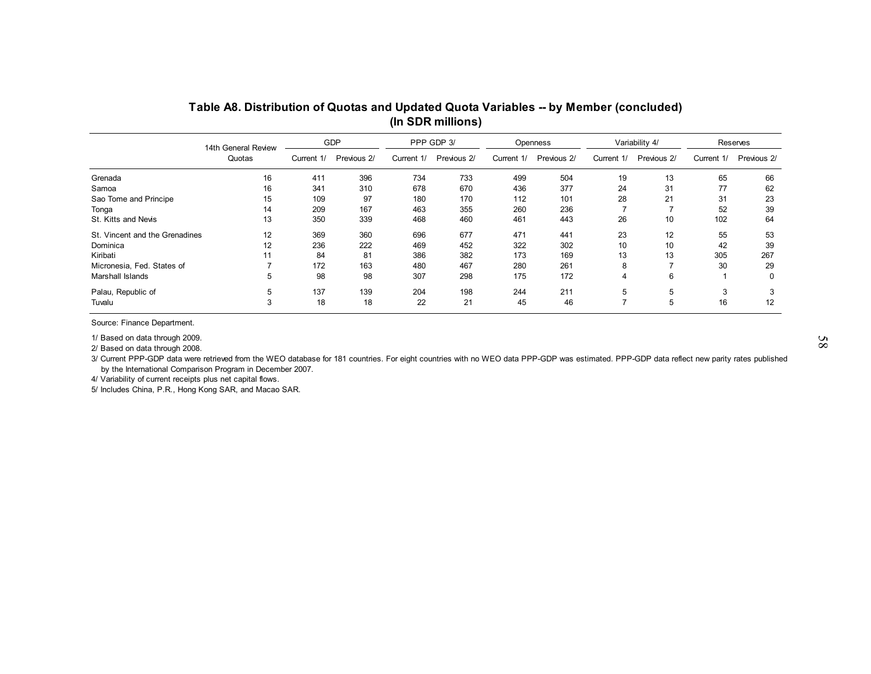|                                                                                                                                                                                                                                                                                                                                                                                            | Table A8. Distribution of Quotas and Updated Quota Variables -- by Member (concluded)<br>(In SDR millions) |            |             |            |             |            |             |                |                |            |             |  |
|--------------------------------------------------------------------------------------------------------------------------------------------------------------------------------------------------------------------------------------------------------------------------------------------------------------------------------------------------------------------------------------------|------------------------------------------------------------------------------------------------------------|------------|-------------|------------|-------------|------------|-------------|----------------|----------------|------------|-------------|--|
|                                                                                                                                                                                                                                                                                                                                                                                            | 14th General Review                                                                                        |            | GDP         |            | PPP GDP 3/  |            | Openness    |                | Variability 4/ |            | Reserves    |  |
|                                                                                                                                                                                                                                                                                                                                                                                            | Quotas                                                                                                     | Current 1/ | Previous 2/ | Current 1/ | Previous 2/ | Current 1/ | Previous 2/ | Current 1/     | Previous 2/    | Current 1/ | Previous 2/ |  |
| Grenada                                                                                                                                                                                                                                                                                                                                                                                    | 16                                                                                                         | 411        | 396         | 734        | 733         | 499        | 504         | 19             | 13             | 65         | 66          |  |
| Samoa                                                                                                                                                                                                                                                                                                                                                                                      | 16                                                                                                         | 341        | 310         | 678        | 670         | 436        | 377         | 24             | 31             | 77         | 62          |  |
| Sao Tome and Principe                                                                                                                                                                                                                                                                                                                                                                      | 15                                                                                                         | 109        | 97          | 180        | 170         | 112        | 101         | 28             | 21             | 31         | 23          |  |
| Tonga                                                                                                                                                                                                                                                                                                                                                                                      | 14                                                                                                         | 209        | 167         | 463        | 355         | 260        | 236         | $\overline{7}$ |                | 52         | 39          |  |
| St. Kitts and Nevis                                                                                                                                                                                                                                                                                                                                                                        | 13                                                                                                         | 350        | 339         | 468        | 460         | 461        | 443         | 26             | 10             | 102        | 64          |  |
| St. Vincent and the Grenadines                                                                                                                                                                                                                                                                                                                                                             | 12                                                                                                         | 369        | 360         | 696        | 677         | 471        | 441         | 23             | 12             | 55         | 53          |  |
| Dominica                                                                                                                                                                                                                                                                                                                                                                                   | 12                                                                                                         | 236        | 222         | 469        | 452         | 322        | 302         | 10             | 10             | 42         | 39          |  |
| Kiribati                                                                                                                                                                                                                                                                                                                                                                                   | 11                                                                                                         | 84         | 81          | 386        | 382         | 173        | 169         | 13             | 13             | 305        | 267         |  |
| Micronesia, Fed. States of                                                                                                                                                                                                                                                                                                                                                                 | $\overline{7}$                                                                                             | 172        | 163         | 480        | 467         | 280        | 261         | 8              |                | 30         | 29          |  |
| Marshall Islands                                                                                                                                                                                                                                                                                                                                                                           | 5                                                                                                          | 98         | 98          | 307        | 298         | 175        | 172         | $\overline{4}$ | 6              | -1         | 0           |  |
| Palau, Republic of                                                                                                                                                                                                                                                                                                                                                                         | 5                                                                                                          | 137        | 139         | 204        | 198         | 244        | 211         | 5              | 5              | 3          | 3           |  |
| Tuvalu                                                                                                                                                                                                                                                                                                                                                                                     | 3                                                                                                          | 18         | 18          | 22         | 21          | 45         | 46          | $\overline{7}$ | 5              | 16         | 12          |  |
| Source: Finance Department.                                                                                                                                                                                                                                                                                                                                                                |                                                                                                            |            |             |            |             |            |             |                |                |            |             |  |
| 1/ Based on data through 2009.<br>2/ Based on data through 2008.<br>3/ Current PPP-GDP data were retrieved from the WEO database for 181 countries. For eight countries with no WEO data PPP-GDP was estimated. PPP-GDP data reflect new parity rates published<br>by the International Comparison Program in December 2007.<br>4/ Variability of current receipts plus net capital flows. |                                                                                                            |            |             |            |             |            |             |                |                |            |             |  |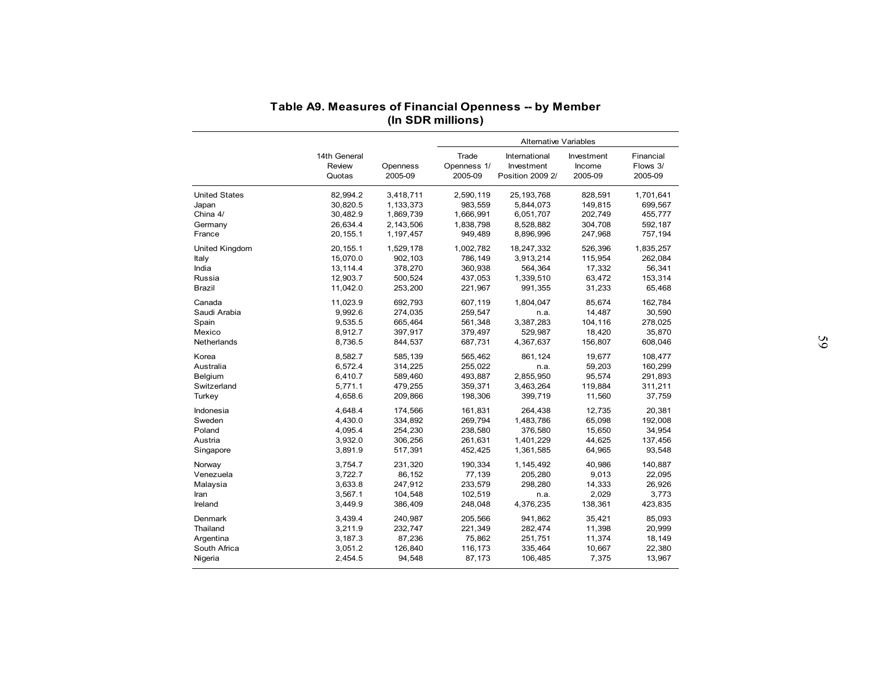|                      | Table A9. Measures of Financial Openness -- by Member |           |                   |                              |            |           |
|----------------------|-------------------------------------------------------|-----------|-------------------|------------------------------|------------|-----------|
|                      |                                                       |           | (In SDR millions) |                              |            |           |
|                      |                                                       |           |                   |                              |            |           |
|                      |                                                       |           |                   | <b>Alternative Variables</b> |            |           |
|                      | 14th General                                          |           | Trade             | International                | Investment | Financial |
|                      | Review                                                | Openness  | Openness 1/       | Investment                   | Income     | Flows 3/  |
|                      | Quotas                                                | 2005-09   | 2005-09           | Position 2009 2/             | 2005-09    | 2005-09   |
| <b>United States</b> | 82,994.2                                              | 3,418,711 | 2,590,119         | 25, 193, 768                 | 828,591    | 1,701,641 |
| Japan                | 30,820.5                                              | 1,133,373 | 983,559           | 5,844,073                    | 149,815    | 699,567   |
| China 4/             | 30,482.9                                              | 1,869,739 | 1,666,991         | 6,051,707                    | 202,749    | 455,777   |
| Germany              | 26,634.4                                              | 2,143,506 | 1,838,798         | 8,528,882                    | 304,708    | 592,187   |
| France               | 20, 155.1                                             | 1,197,457 | 949,489           | 8,896,996                    | 247,968    | 757,194   |
| United Kingdom       | 20, 155.1                                             | 1,529,178 | 1,002,782         | 18,247,332                   | 526,396    | 1,835,257 |
| Italy                | 15,070.0                                              | 902,103   | 786,149           | 3,913,214                    | 115,954    | 262,084   |
| India                | 13,114.4                                              | 378,270   | 360,938           | 564,364                      | 17,332     | 56,341    |
| Russia               | 12,903.7                                              | 500,524   | 437,053           | 1,339,510                    | 63,472     | 153,314   |
| Brazil               | 11,042.0                                              | 253,200   | 221,967           | 991,355                      | 31,233     | 65,468    |
| Canada               | 11,023.9                                              | 692,793   | 607,119           | 1,804,047                    | 85,674     | 162,784   |
| Saudi Arabia         | 9,992.6                                               | 274,035   | 259,547           | n.a.                         | 14,487     | 30,590    |
| Spain                | 9,535.5                                               | 665,464   | 561,348           | 3,387,283                    | 104,116    | 278,025   |
| Mexico               | 8,912.7                                               | 397,917   | 379,497           | 529,987                      | 18,420     | 35,870    |
| Netherlands          | 8,736.5                                               | 844,537   | 687,731           | 4,367,637                    | 156,807    | 608,046   |
| Korea                | 8,582.7                                               | 585,139   | 565,462           | 861,124                      | 19,677     | 108,477   |
| Australia            | 6,572.4                                               | 314,225   | 255,022           | n.a.                         | 59,203     | 160,299   |
| Belgium              | 6,410.7                                               | 589,460   | 493,887           | 2,855,950                    | 95,574     | 291,893   |
| Switzerland          | 5,771.1                                               | 479,255   | 359,371           | 3,463,264                    | 119,884    | 311,211   |
| Turkey               | 4,658.6                                               | 209,866   | 198,306           | 399,719                      | 11,560     | 37,759    |
| Indonesia            | 4,648.4                                               | 174,566   | 161,831           | 264,438                      | 12,735     | 20,381    |
| Sweden               | 4,430.0                                               | 334,892   | 269,794           | 1,483,786                    | 65,098     | 192,008   |
| Poland               | 4,095.4                                               | 254,230   | 238,580           | 376,580                      | 15,650     | 34,954    |
| Austria              | 3,932.0                                               | 306,256   | 261,631           | 1,401,229                    | 44,625     | 137,456   |
| Singapore            | 3,891.9                                               | 517,391   | 452,425           | 1,361,585                    | 64,965     | 93,548    |
| Norway               | 3,754.7                                               | 231,320   | 190,334           | 1,145,492                    | 40,986     | 140,887   |
| Venezuela            | 3,722.7                                               | 86,152    | 77,139            | 205,280                      | 9,013      | 22,095    |
| Malaysia             | 3,633.8                                               | 247,912   | 233,579           | 298,280                      | 14,333     | 26,926    |
| Iran                 | 3,567.1                                               | 104,548   | 102,519           | n.a.                         | 2,029      | 3,773     |
| Ireland              | 3,449.9                                               | 386,409   | 248,048           | 4,376,235                    | 138,361    | 423,835   |
| Denmark              | 3,439.4                                               | 240,987   | 205,566           | 941,862                      | 35,421     | 85,093    |
| Thailand             | 3,211.9                                               | 232,747   | 221,349           | 282,474                      | 11,398     | 20,999    |
| Argentina            | 3,187.3                                               | 87,236    | 75,862            | 251,751                      | 11,374     | 18,149    |
| South Africa         | 3,051.2                                               | 126,840   | 116,173           | 335,464                      | 10,667     |           |
|                      |                                                       |           |                   |                              |            | 22,380    |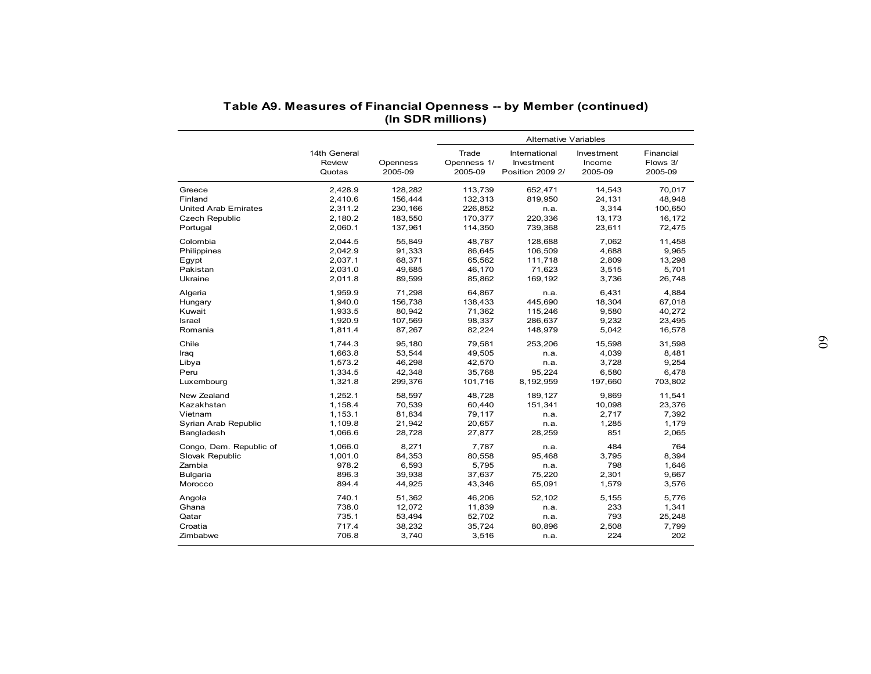|                             | Table A9. Measures of Financial Openness -- by Member (continued) |                     | (In SDR millions)               |                                                 |                                 |                                  |
|-----------------------------|-------------------------------------------------------------------|---------------------|---------------------------------|-------------------------------------------------|---------------------------------|----------------------------------|
|                             |                                                                   |                     |                                 | <b>Alternative Variables</b>                    |                                 |                                  |
|                             | 14th General<br>Review<br>Quotas                                  | Openness<br>2005-09 | Trade<br>Openness 1/<br>2005-09 | International<br>Investment<br>Position 2009 2/ | Investment<br>Income<br>2005-09 | Financial<br>Flows 3/<br>2005-09 |
| Greece                      | 2,428.9                                                           | 128,282             | 113,739                         | 652,471                                         | 14,543                          | 70.017                           |
| Finland                     | 2,410.6                                                           | 156,444             | 132,313                         | 819,950                                         | 24,131                          | 48,948                           |
| <b>United Arab Emirates</b> | 2,311.2                                                           | 230,166             | 226,852                         | n.a.                                            | 3,314                           | 100,650                          |
| <b>Czech Republic</b>       | 2,180.2                                                           | 183,550             | 170,377                         | 220,336                                         | 13,173                          | 16,172                           |
| Portugal                    | 2,060.1                                                           | 137,961             | 114,350                         | 739,368                                         | 23,611                          | 72,475                           |
| Colombia                    | 2,044.5                                                           | 55,849              | 48,787                          | 128,688                                         | 7,062                           | 11,458                           |
| Philippines                 | 2,042.9                                                           | 91,333              | 86,645                          | 106,509                                         | 4,688                           | 9,965                            |
| Egypt                       | 2,037.1                                                           | 68,371              | 65,562                          | 111,718                                         | 2,809                           | 13,298                           |
| Pakistan                    | 2.031.0                                                           | 49.685              | 46.170                          | 71,623                                          | 3,515                           | 5,701                            |
| Ukraine                     | 2,011.8                                                           | 89,599              | 85,862                          | 169,192                                         | 3,736                           | 26,748                           |
| Algeria                     | 1,959.9                                                           | 71,298              | 64,867                          | n.a.                                            | 6,431                           | 4,884                            |
| Hungary                     | 1,940.0                                                           | 156,738             | 138,433                         | 445,690                                         | 18,304                          | 67,018                           |
| Kuwait                      | 1,933.5                                                           | 80,942              | 71,362                          | 115,246                                         | 9,580                           | 40,272                           |
| <b>Israel</b>               | 1,920.9                                                           | 107,569             | 98,337                          | 286,637                                         | 9,232                           | 23,495                           |
| Romania                     | 1,811.4                                                           | 87,267              | 82,224                          | 148,979                                         | 5,042                           | 16,578                           |
|                             |                                                                   |                     |                                 |                                                 |                                 |                                  |
| Chile                       | 1,744.3                                                           | 95,180              | 79,581                          | 253,206                                         | 15,598                          | 31,598                           |
| Iraq                        | 1,663.8                                                           | 53,544              | 49,505                          | n.a.                                            | 4,039                           | 8,481                            |
| Libya                       | 1,573.2                                                           | 46,298              | 42,570                          | n.a.                                            | 3,728                           | 9,254                            |
| Peru                        | 1,334.5                                                           | 42,348              | 35,768                          | 95,224                                          | 6,580                           | 6,478                            |
| Luxembourg                  | 1,321.8                                                           | 299,376             | 101,716                         | 8,192,959                                       | 197,660                         | 703,802                          |
| New Zealand                 | 1,252.1                                                           | 58,597              | 48,728                          | 189,127                                         | 9,869                           | 11,541                           |
| Kazakhstan                  | 1,158.4                                                           | 70,539              | 60,440                          | 151,341                                         | 10,098                          | 23,376                           |
| Vietnam                     | 1,153.1                                                           | 81,834              | 79,117                          | n.a.                                            | 2,717                           | 7,392                            |
| Syrian Arab Republic        | 1,109.8                                                           | 21,942              | 20,657                          | n.a.                                            | 1,285                           | 1,179                            |
| Bangladesh                  | 1,066.6                                                           | 28,728              | 27,877                          | 28,259                                          | 851                             | 2,065                            |
| Congo, Dem. Republic of     | 1,066.0                                                           | 8,271               | 7,787                           | n.a.                                            | 484                             | 764                              |
| Slovak Republic             | 1,001.0                                                           | 84,353              | 80,558                          | 95,468                                          | 3,795                           | 8,394                            |
| Zambia                      | 978.2                                                             | 6,593               | 5,795                           | n.a.                                            | 798                             | 1,646                            |
| Bulgaria                    | 896.3                                                             | 39,938              | 37,637                          | 75,220                                          | 2,301                           | 9,667                            |
| Morocco                     | 894.4                                                             | 44,925              | 43,346                          | 65,091                                          | 1,579                           | 3,576                            |
|                             |                                                                   |                     |                                 |                                                 |                                 |                                  |
| Angola                      | 740.1                                                             | 51,362              | 46,206                          | 52,102                                          | 5,155                           | 5,776                            |
| Ghana                       | 738.0                                                             | 12,072              | 11,839                          | n.a.                                            | 233                             | 1,341                            |
| Qatar                       | 735.1                                                             | 53,494              | 52,702                          | n.a.                                            | 793                             | 25,248                           |
| Croatia                     | 717.4                                                             | 38,232              | 35,724                          | 80,896                                          | 2,508                           | 7,799                            |
| Zimbabwe                    | 706.8                                                             | 3,740               | 3,516                           | n.a.                                            | 224                             | 202                              |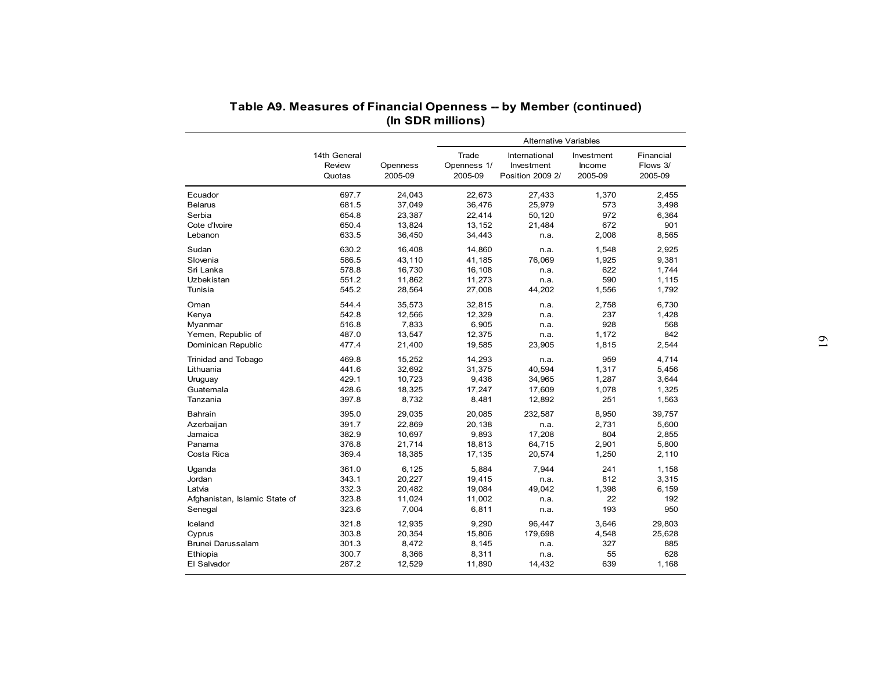| Table A9. Measures of Financial Openness -- by Member (continued) |                |                  |                   |                              |                |                  |
|-------------------------------------------------------------------|----------------|------------------|-------------------|------------------------------|----------------|------------------|
|                                                                   |                |                  | (In SDR millions) |                              |                |                  |
|                                                                   |                |                  |                   |                              |                |                  |
|                                                                   |                |                  |                   | <b>Alternative Variables</b> |                |                  |
|                                                                   | 14th General   |                  | Trade             | International                | Investment     | Financial        |
|                                                                   | Review         | Openness         | Openness 1/       | Investment                   | Income         | Flows 3/         |
|                                                                   | Quotas         | 2005-09          | 2005-09           | Position 2009 2/             | 2005-09        | 2005-09          |
| Ecuador                                                           | 697.7          | 24,043           | 22,673            | 27,433                       | 1,370          | 2,455            |
| <b>Belarus</b>                                                    | 681.5          | 37,049           | 36,476            | 25,979                       | 573            | 3,498            |
| Serbia                                                            | 654.8          | 23,387           | 22,414            | 50,120                       | 972            | 6,364            |
| Cote d'Ivoire                                                     | 650.4          | 13,824           | 13,152            | 21,484                       | 672            | 901              |
| Lebanon                                                           | 633.5          | 36,450           | 34,443            | n.a.                         | 2,008          | 8,565            |
| Sudan                                                             | 630.2          | 16,408           | 14,860            | n.a.                         | 1,548          | 2,925            |
| Slovenia                                                          | 586.5          | 43,110           | 41,185            | 76,069                       | 1,925          | 9,381            |
| Sri Lanka                                                         | 578.8          | 16,730           | 16,108            | n.a.                         | 622            | 1,744            |
| Uzbekistan                                                        | 551.2          | 11,862           | 11,273            | n.a.                         | 590            | 1,115            |
| Tunisia                                                           | 545.2          | 28,564           | 27,008            | 44,202                       | 1,556          | 1,792            |
|                                                                   |                |                  |                   |                              |                |                  |
| Oman                                                              | 544.4          | 35,573           | 32,815            | n.a.                         | 2,758          | 6,730            |
| Kenya                                                             | 542.8          | 12,566           | 12,329            | n.a.                         | 237            | 1,428            |
| Myanmar                                                           | 516.8          | 7,833            | 6,905             | n.a.                         | 928            | 568              |
| Yemen, Republic of                                                | 487.0          | 13,547           | 12,375            | n.a.                         | 1,172          | 842              |
| Dominican Republic                                                | 477.4          | 21,400           | 19,585            | 23,905                       | 1,815          | 2,544            |
| Trinidad and Tobago                                               | 469.8          | 15,252           | 14,293            | n.a.                         | 959            | 4,714            |
| Lithuania                                                         | 441.6          | 32,692           | 31,375            | 40,594                       | 1,317          | 5,456            |
| Uruguay                                                           | 429.1          | 10,723           | 9,436             | 34,965                       | 1,287          | 3,644            |
| Guatemala                                                         | 428.6          | 18,325           | 17,247            | 17,609                       | 1,078          | 1,325            |
| Tanzania                                                          | 397.8          | 8,732            | 8,481             | 12,892                       | 251            | 1,563            |
| Bahrain                                                           | 395.0          | 29,035           | 20,085            | 232,587                      | 8,950          | 39,757           |
| Azerbaijan                                                        | 391.7          | 22,869           | 20,138            | n.a.                         | 2,731          | 5,600            |
| Jamaica                                                           | 382.9          | 10,697           | 9,893             | 17,208                       | 804            | 2,855            |
| Panama                                                            | 376.8          | 21,714           | 18,813            | 64,715                       | 2,901          | 5,800            |
| Costa Rica                                                        | 369.4          | 18,385           | 17,135            | 20,574                       | 1,250          | 2,110            |
| Uganda                                                            | 361.0          | 6,125            | 5,884             | 7,944                        | 241            | 1,158            |
| Jordan                                                            | 343.1          | 20,227           | 19,415            | n.a.                         | 812            | 3,315            |
| Latvia                                                            | 332.3          | 20,482           | 19,084            | 49,042                       | 1,398          | 6,159            |
| Afghanistan, Islamic State of                                     | 323.8          | 11,024           | 11,002            | n.a.                         | 22             | 192              |
| Senegal                                                           | 323.6          | 7,004            | 6,811             | n.a.                         | 193            | 950              |
|                                                                   |                |                  |                   |                              |                |                  |
| Iceland                                                           | 321.8<br>303.8 | 12,935<br>20,354 | 9,290<br>15,806   | 96,447<br>179,698            | 3,646<br>4,548 | 29,803<br>25,628 |
| Cyprus                                                            |                |                  |                   |                              |                |                  |
| Brunei Darussalam                                                 | 301.3          | 8,472            | 8,145             | n.a.                         | 327            | 885              |
| Ethiopia<br>El Salvador                                           | 300.7<br>287.2 | 8,366            | 8,311<br>11,890   | n.a.                         | 55<br>639      | 628<br>1,168     |
|                                                                   |                | 12,529           |                   | 14,432                       |                |                  |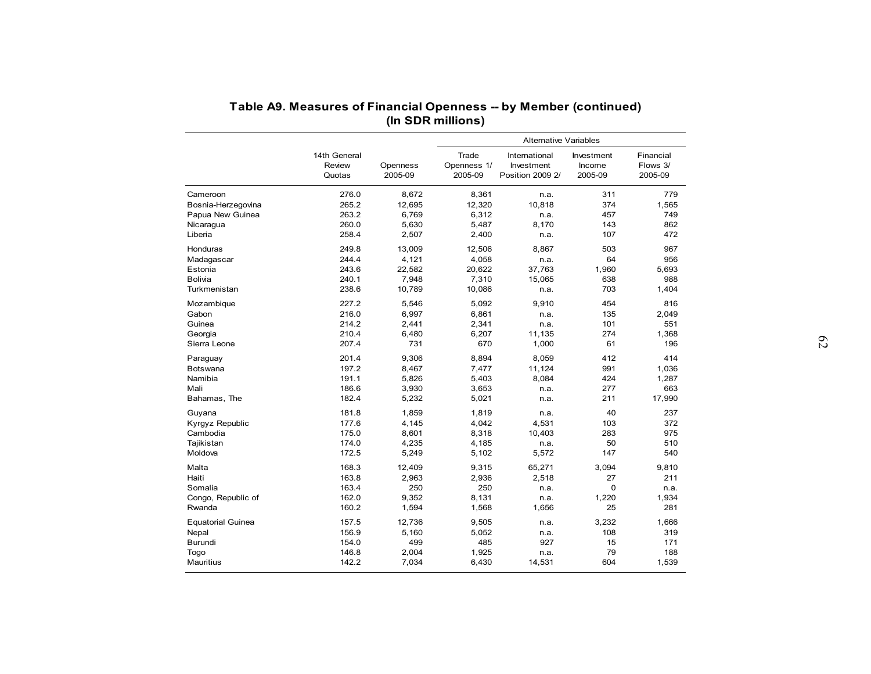| Table A9. Measures of Financial Openness -- by Member (continued)                                |
|--------------------------------------------------------------------------------------------------|
|                                                                                                  |
| (In SDR millions)                                                                                |
| <b>Alternative Variables</b>                                                                     |
| 14th General<br>Trade<br>International<br>Investment<br>Financial                                |
| Flows 3/<br>Review<br>Openness<br>Openness 1/<br>Investment<br>Income                            |
| 2005-09<br>2005-09<br>2005-09<br>Position 2009 2/<br>2005-09<br>Quotas                           |
| 276.0<br>8,672<br>8,361<br>311<br>779<br>Cameroon<br>n.a.                                        |
| 265.2<br>12,695<br>12,320<br>374<br>1,565<br>Bosnia-Herzegovina<br>10,818                        |
| 263.2<br>6,769<br>6,312<br>749<br>Papua New Guinea<br>457<br>n.a.                                |
| 260.0<br>5,630<br>5,487<br>8,170<br>143<br>862<br>Nicaragua                                      |
| 2,507<br>472<br>Liberia<br>258.4<br>2,400<br>107<br>n.a.                                         |
| 249.8<br>13,009<br>12,506<br>8,867<br>503<br>967<br>Honduras                                     |
| 244.4<br>4,121<br>4,058<br>64<br>956<br>Madagascar<br>n.a.                                       |
| 243.6<br>22,582<br>20,622<br>1,960<br>Estonia<br>37,763<br>5,693                                 |
| 240.1<br>7,310<br>638<br>Bolivia<br>7,948<br>15,065<br>988                                       |
| 238.6<br>10,789<br>703<br>Turkmenistan<br>10,086<br>1,404<br>n.a.                                |
| 227.2<br>5,092<br>454<br>5,546<br>9,910<br>816<br>Mozambique                                     |
| 216.0<br>6,997<br>6,861<br>135<br>2,049<br>Gabon<br>n.a.                                         |
| 214.2<br>2,441<br>2,341<br>101<br>551<br>Guinea<br>n.a.                                          |
| 210.4<br>6,480<br>6,207<br>11,135<br>274<br>1,368<br>Georgia                                     |
| 207.4<br>731<br>670<br>1,000<br>61<br>196<br>Sierra Leone                                        |
| 201.4<br>9,306<br>8,894<br>8,059<br>412<br>414<br>Paraguay                                       |
| 197.2<br>7,477<br>991<br>1,036<br>Botswana<br>8,467<br>11,124                                    |
| Namibia<br>191.1<br>5,826<br>5,403<br>8,084<br>424<br>1,287                                      |
| 186.6<br>3,930<br>3,653<br>277<br>663<br>Mali<br>n.a.                                            |
| 182.4<br>5,232<br>5,021<br>17,990<br>Bahamas, The<br>211<br>n.a.                                 |
| 181.8<br>1,819<br>40<br>237<br>1,859<br>Guyana<br>n.a.                                           |
| 177.6<br>4,145<br>4,042<br>103<br>372<br>Kyrgyz Republic<br>4,531                                |
| Cambodia<br>175.0<br>8,601<br>8,318<br>10,403<br>283<br>975                                      |
| 50<br>Tajikistan<br>174.0<br>4,235<br>4,185<br>510<br>n.a.                                       |
| Moldova<br>172.5<br>5,249<br>5,102<br>5,572<br>147<br>540                                        |
| 65,271<br>3,094<br>Malta<br>168.3<br>12,409<br>9,315<br>9,810                                    |
| 27<br>211<br>163.8<br>2,963<br>2,936<br>2,518<br>Haiti                                           |
| 163.4<br>250<br>250<br>$\mathbf 0$<br>Somalia<br>n.a.<br>n.a.                                    |
| Congo, Republic of<br>162.0<br>9,352<br>8,131<br>1,220<br>1,934<br>n.a.                          |
| 160.2<br>25<br>281<br>Rwanda<br>1,594<br>1,568<br>1,656                                          |
| <b>Equatorial Guinea</b><br>157.5<br>12,736<br>9,505<br>3,232<br>1,666<br>n.a.                   |
| 156.9<br>5,160<br>5,052<br>108<br>319<br>Nepal<br>n.a.                                           |
| Burundi<br>154.0<br>499<br>485<br>927<br>15<br>171                                               |
| 146.8<br>79<br>188                                                                               |
| 1,925<br>2,004<br>Togo<br>n.a.<br>Mauritius<br>142.2<br>7,034<br>6,430<br>14,531<br>604<br>1,539 |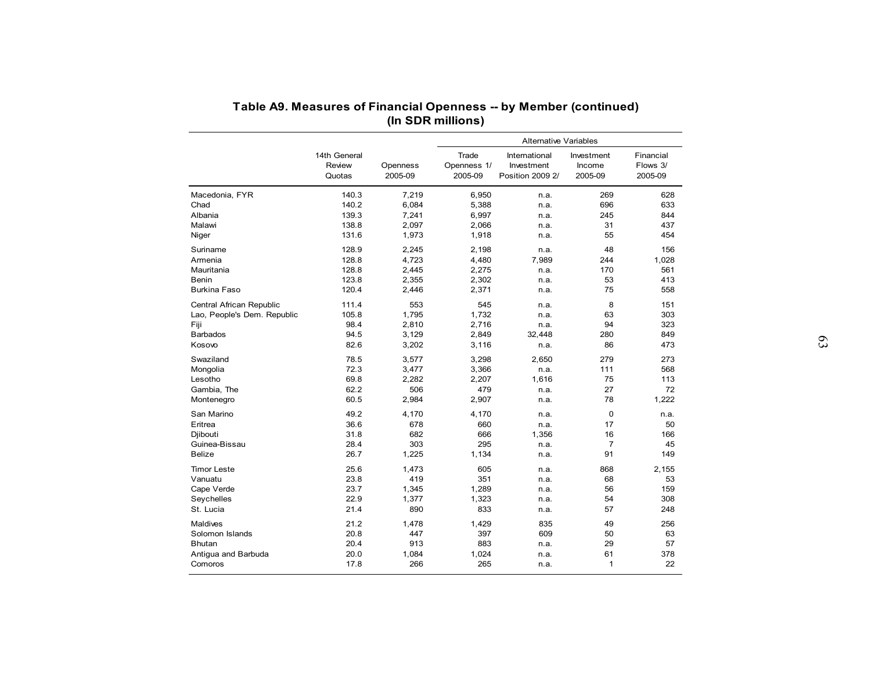|                             |                                  |                     |                                 | <b>Alternative Variables</b>                    |                                 |                                  |
|-----------------------------|----------------------------------|---------------------|---------------------------------|-------------------------------------------------|---------------------------------|----------------------------------|
|                             | 14th General<br>Review<br>Quotas | Openness<br>2005-09 | Trade<br>Openness 1/<br>2005-09 | International<br>Investment<br>Position 2009 2/ | Investment<br>Income<br>2005-09 | Financial<br>Flows 3/<br>2005-09 |
| Macedonia, FYR              | 140.3                            | 7,219               | 6,950                           | n.a.                                            | 269                             | 628                              |
| Chad                        | 140.2                            | 6,084               | 5,388                           | n.a.                                            | 696                             | 633                              |
| Albania                     | 139.3                            | 7,241               | 6,997                           | n.a.                                            | 245                             | 844                              |
| Malawi                      | 138.8                            | 2,097               | 2,066                           | n.a.                                            | 31                              | 437                              |
| Niger                       | 131.6                            | 1,973               | 1,918                           | n.a.                                            | 55                              | 454                              |
| Suriname                    | 128.9                            | 2,245               | 2,198                           | n.a.                                            | 48                              | 156                              |
| Armenia                     | 128.8                            | 4,723               | 4,480                           | 7,989                                           | 244                             | 1,028                            |
| Mauritania                  | 128.8                            | 2,445               | 2,275                           | n.a.                                            | 170                             | 561                              |
| Benin                       | 123.8                            | 2,355               | 2,302                           | n.a.                                            | 53                              | 413                              |
| <b>Burkina Faso</b>         | 120.4                            | 2,446               | 2,371                           | n.a.                                            | 75                              | 558                              |
| Central African Republic    | 111.4                            | 553                 | 545                             | n.a.                                            | 8                               | 151                              |
| Lao, People's Dem. Republic | 105.8                            | 1,795               | 1,732                           | n.a.                                            | 63                              | 303                              |
| Fiji                        | 98.4                             | 2,810               | 2,716                           | n.a.                                            | 94                              | 323                              |
| <b>Barbados</b>             | 94.5                             | 3,129               | 2,849                           | 32,448                                          | 280                             | 849                              |
| Kosovo                      | 82.6                             | 3,202               | 3,116                           | n.a.                                            | 86                              | 473                              |
| Swaziland                   | 78.5                             | 3,577               | 3,298                           | 2,650                                           | 279                             | 273                              |
| Mongolia                    | 72.3                             | 3,477               | 3,366                           | n.a.                                            | 111                             | 568                              |
| Lesotho                     | 69.8                             | 2,282               | 2,207                           | 1,616                                           | 75                              | 113                              |
| Gambia, The                 | 62.2                             | 506                 | 479                             | n.a.                                            | 27                              | 72                               |
| Montenegro                  | 60.5                             | 2,984               | 2,907                           | n.a.                                            | 78                              | 1,222                            |
| San Marino                  | 49.2                             | 4,170               | 4,170                           |                                                 | $\mathbf 0$                     | n.a.                             |
| Eritrea                     | 36.6                             | 678                 | 660                             | n.a.<br>n.a.                                    | 17                              | 50                               |
| Diibouti                    | 31.8                             | 682                 | 666                             | 1,356                                           | 16                              | 166                              |
| Guinea-Bissau               | 28.4                             | 303                 | 295                             | n.a.                                            | $\overline{7}$                  | 45                               |
| <b>Belize</b>               | 26.7                             | 1,225               | 1,134                           | n.a.                                            | 91                              | 149                              |
|                             |                                  |                     |                                 |                                                 |                                 |                                  |
| <b>Timor Leste</b>          | 25.6                             | 1,473               | 605                             | n.a.                                            | 868                             | 2,155                            |
| Vanuatu                     | 23.8                             | 419                 | 351                             | n.a.                                            | 68<br>56                        | 53<br>159                        |
| Cape Verde<br>Seychelles    | 23.7<br>22.9                     | 1,345<br>1,377      | 1,289<br>1,323                  | n.a.                                            | 54                              | 308                              |
| St. Lucia                   | 21.4                             | 890                 | 833                             | n.a.<br>n.a.                                    | 57                              | 248                              |
|                             |                                  |                     |                                 |                                                 |                                 |                                  |
| Maldives                    | 21.2                             | 1,478               | 1,429                           | 835                                             | 49                              | 256                              |
| Solomon Islands             | 20.8                             | 447                 | 397                             | 609                                             | 50                              | 63                               |
| <b>Bhutan</b>               | 20.4                             | 913                 | 883                             | n.a.                                            | 29                              | 57                               |
| Antigua and Barbuda         | 20.0                             | 1,084               | 1,024                           | n.a.                                            | 61                              | 378                              |
| Comoros                     | 17.8                             | 266                 | 265                             | n.a.                                            | $\mathbf{1}$                    | 22                               |